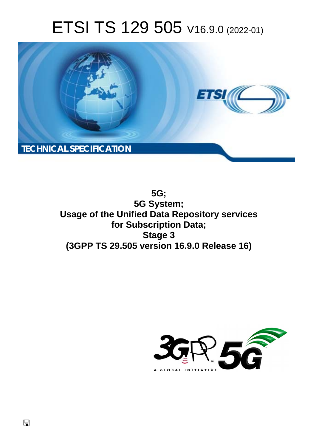# ETSI TS 129 505 V16.9.0 (2022-01)



**5G; 5G System; Usage of the Unified Data Repository services for Subscription Data; Stage 3 (3GPP TS 29.505 version 16.9.0 Release 16)** 

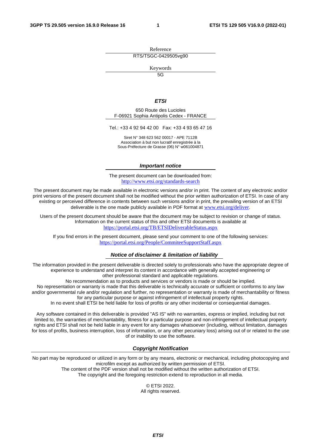Reference RTS/TSGC-0429505vg90

Keywords

 $\overline{5G}$ 

#### *ETSI*

650 Route des Lucioles F-06921 Sophia Antipolis Cedex - FRANCE

Tel.: +33 4 92 94 42 00 Fax: +33 4 93 65 47 16

Siret N° 348 623 562 00017 - APE 7112B Association à but non lucratif enregistrée à la Sous-Préfecture de Grasse (06) N° w061004871

#### *Important notice*

The present document can be downloaded from: <http://www.etsi.org/standards-search>

The present document may be made available in electronic versions and/or in print. The content of any electronic and/or print versions of the present document shall not be modified without the prior written authorization of ETSI. In case of any existing or perceived difference in contents between such versions and/or in print, the prevailing version of an ETSI deliverable is the one made publicly available in PDF format at [www.etsi.org/deliver](http://www.etsi.org/deliver).

Users of the present document should be aware that the document may be subject to revision or change of status. Information on the current status of this and other ETSI documents is available at <https://portal.etsi.org/TB/ETSIDeliverableStatus.aspx>

If you find errors in the present document, please send your comment to one of the following services: <https://portal.etsi.org/People/CommiteeSupportStaff.aspx>

#### *Notice of disclaimer & limitation of liability*

The information provided in the present deliverable is directed solely to professionals who have the appropriate degree of experience to understand and interpret its content in accordance with generally accepted engineering or other professional standard and applicable regulations.

No recommendation as to products and services or vendors is made or should be implied.

No representation or warranty is made that this deliverable is technically accurate or sufficient or conforms to any law and/or governmental rule and/or regulation and further, no representation or warranty is made of merchantability or fitness for any particular purpose or against infringement of intellectual property rights.

In no event shall ETSI be held liable for loss of profits or any other incidental or consequential damages.

Any software contained in this deliverable is provided "AS IS" with no warranties, express or implied, including but not limited to, the warranties of merchantability, fitness for a particular purpose and non-infringement of intellectual property rights and ETSI shall not be held liable in any event for any damages whatsoever (including, without limitation, damages for loss of profits, business interruption, loss of information, or any other pecuniary loss) arising out of or related to the use of or inability to use the software.

#### *Copyright Notification*

No part may be reproduced or utilized in any form or by any means, electronic or mechanical, including photocopying and microfilm except as authorized by written permission of ETSI.

The content of the PDF version shall not be modified without the written authorization of ETSI. The copyright and the foregoing restriction extend to reproduction in all media.

> © ETSI 2022. All rights reserved.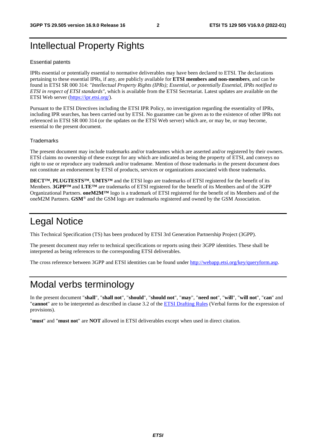# Intellectual Property Rights

#### Essential patents

IPRs essential or potentially essential to normative deliverables may have been declared to ETSI. The declarations pertaining to these essential IPRs, if any, are publicly available for **ETSI members and non-members**, and can be found in ETSI SR 000 314: *"Intellectual Property Rights (IPRs); Essential, or potentially Essential, IPRs notified to ETSI in respect of ETSI standards"*, which is available from the ETSI Secretariat. Latest updates are available on the ETSI Web server [\(https://ipr.etsi.org/](https://ipr.etsi.org/)).

Pursuant to the ETSI Directives including the ETSI IPR Policy, no investigation regarding the essentiality of IPRs, including IPR searches, has been carried out by ETSI. No guarantee can be given as to the existence of other IPRs not referenced in ETSI SR 000 314 (or the updates on the ETSI Web server) which are, or may be, or may become, essential to the present document.

#### **Trademarks**

The present document may include trademarks and/or tradenames which are asserted and/or registered by their owners. ETSI claims no ownership of these except for any which are indicated as being the property of ETSI, and conveys no right to use or reproduce any trademark and/or tradename. Mention of those trademarks in the present document does not constitute an endorsement by ETSI of products, services or organizations associated with those trademarks.

**DECT™**, **PLUGTESTS™**, **UMTS™** and the ETSI logo are trademarks of ETSI registered for the benefit of its Members. **3GPP™** and **LTE™** are trademarks of ETSI registered for the benefit of its Members and of the 3GPP Organizational Partners. **oneM2M™** logo is a trademark of ETSI registered for the benefit of its Members and of the oneM2M Partners. **GSM**® and the GSM logo are trademarks registered and owned by the GSM Association.

# Legal Notice

This Technical Specification (TS) has been produced by ETSI 3rd Generation Partnership Project (3GPP).

The present document may refer to technical specifications or reports using their 3GPP identities. These shall be interpreted as being references to the corresponding ETSI deliverables.

The cross reference between 3GPP and ETSI identities can be found under<http://webapp.etsi.org/key/queryform.asp>.

# Modal verbs terminology

In the present document "**shall**", "**shall not**", "**should**", "**should not**", "**may**", "**need not**", "**will**", "**will not**", "**can**" and "**cannot**" are to be interpreted as described in clause 3.2 of the [ETSI Drafting Rules](https://portal.etsi.org/Services/editHelp!/Howtostart/ETSIDraftingRules.aspx) (Verbal forms for the expression of provisions).

"**must**" and "**must not**" are **NOT** allowed in ETSI deliverables except when used in direct citation.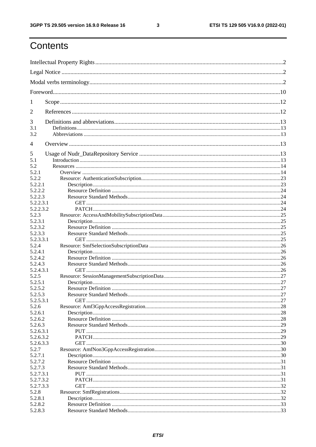$\mathbf{3}$ 

# Contents

| 1                |  |  |  |
|------------------|--|--|--|
| $\overline{2}$   |  |  |  |
| 3                |  |  |  |
| 3.1              |  |  |  |
| 3.2              |  |  |  |
| $\overline{4}$   |  |  |  |
| 5                |  |  |  |
| 5.1              |  |  |  |
| 5.2              |  |  |  |
| 5.2.1            |  |  |  |
| 5.2.2            |  |  |  |
| 5.2.2.1          |  |  |  |
| 5.2.2.2          |  |  |  |
| 5.2.2.3          |  |  |  |
| 5.2.2.3.1        |  |  |  |
| 5.2.2.3.2        |  |  |  |
| 5.2.3<br>5.2.3.1 |  |  |  |
| 5.2.3.2          |  |  |  |
| 5.2.3.3          |  |  |  |
| 5.2.3.3.1        |  |  |  |
| 5.2.4            |  |  |  |
| 5.2.4.1          |  |  |  |
| 5.2.4.2          |  |  |  |
| 5.2.4.3          |  |  |  |
| 5.2.4.3.1        |  |  |  |
| 5.2.5            |  |  |  |
| 5.2.5.1          |  |  |  |
| 5.2.5.2          |  |  |  |
| 5.2.5.3          |  |  |  |
| 5.2.5.3.1        |  |  |  |
| 5.2.6            |  |  |  |
| 5.2.6.1          |  |  |  |
| 5.2.6.2          |  |  |  |
| 5.2.6.3          |  |  |  |
| 5.2.6.3.1        |  |  |  |
| 5.2.6.3.2        |  |  |  |
| 5.2.6.3.3        |  |  |  |
| 5.2.7            |  |  |  |
| 5.2.7.1          |  |  |  |
| 5.2.7.2          |  |  |  |
| 5.2.7.3          |  |  |  |
| 5.2.7.3.1        |  |  |  |
| 5.2.7.3.2        |  |  |  |
| 5.2.7.3.3        |  |  |  |
| 5.2.8            |  |  |  |
| 5.2.8.1          |  |  |  |
| 5.2.8.2          |  |  |  |
| 5.2.8.3          |  |  |  |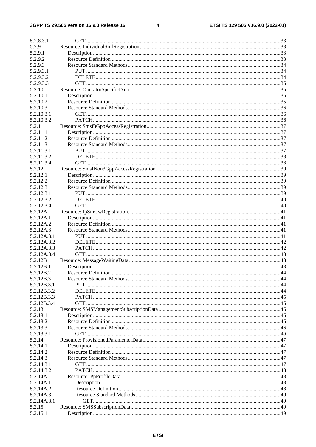#### $\overline{\mathbf{4}}$

| 5.2.8.3.1   |  |
|-------------|--|
| 5.2.9       |  |
| 5.2.9.1     |  |
| 5.2.9.2     |  |
| 5.2.9.3     |  |
| 5.2.9.3.1   |  |
| 5.2.9.3.2   |  |
| 5.2.9.3.3   |  |
| 5.2.10      |  |
| 5.2.10.1    |  |
| 5.2.10.2    |  |
| 5.2.10.3    |  |
| 5.2.10.3.1  |  |
| 5.2.10.3.2  |  |
| 5.2.11      |  |
| 5.2.11.1    |  |
| 5.2.11.2    |  |
| 5.2.11.3    |  |
| 5.2.11.3.1  |  |
| 5.2.11.3.2  |  |
| 5.2.11.3.4  |  |
| 5.2.12      |  |
| 5.2.12.1    |  |
| 5.2.12.2    |  |
| 5.2.12.3    |  |
| 5.2.12.3.1  |  |
| 5.2.12.3.2  |  |
| 5.2.12.3.4  |  |
| 5.2.12A     |  |
| 5.2.12A.1   |  |
| 5.2.12A.2   |  |
| 5.2.12A.3   |  |
| 5.2.12A.3.1 |  |
| 5.2.12A.3.2 |  |
| 5.2.12A.3.3 |  |
| 5.2.12A.3.4 |  |
| 5.2.12B     |  |
| 5.2.12B.1   |  |
| 5.2.12B.2   |  |
| 5.2.12B.3   |  |
| 5.2.12B.3.1 |  |
| 5.2.12B.3.2 |  |
| 5.2.12B.3.3 |  |
| 5.2.12B.3.4 |  |
| 5.2.13      |  |
| 5.2.13.1    |  |
| 5.2.13.2    |  |
| 5.2.13.3    |  |
| 5.2.13.3.1  |  |
| 5.2.14      |  |
| 5.2.14.1    |  |
| 5.2.14.2    |  |
| 5.2.14.3    |  |
| 5.2.14.3.1  |  |
| 5.2.14.3.2  |  |
| 5.2.14A     |  |
| 5.2.14A.1   |  |
| 5.2.14A.2   |  |
| 5.2.14A.3   |  |
| 5.2.14A.3.1 |  |
| 5.2.15      |  |
| 5.2.15.1    |  |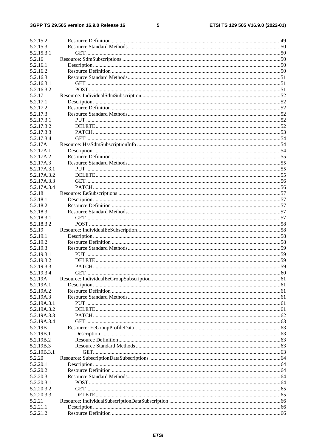#### $5\phantom{a}$

| 5.2.15.2              |  |
|-----------------------|--|
| 5.2.15.3              |  |
| 5.2.15.3.1            |  |
| 5.2.16                |  |
| 5.2.16.1              |  |
| 5.2.16.2              |  |
| 5.2.16.3              |  |
| 5.2.16.3.1            |  |
| 5.2.16.3.2            |  |
| 5.2.17                |  |
| 5.2.17.1              |  |
| 5.2.17.2              |  |
|                       |  |
| 5.2.17.3              |  |
| 5.2.17.3.1            |  |
| 5.2.17.3.2            |  |
| 5.2.17.3.3            |  |
| 5.2.17.3.4            |  |
| 5.2.17A               |  |
| 5.2.17A.1             |  |
| 5.2.17A.2             |  |
| 5.2.17A.3             |  |
| 5.2.17A.3.1           |  |
| 5.2.17A.3.2           |  |
| 5.2.17A.3.3           |  |
| 5.2.17A.3.4           |  |
| 5.2.18                |  |
| 5.2.18.1              |  |
| 5.2.18.2              |  |
| 5.2.18.3              |  |
| 5.2.18.3.1            |  |
| 5.2.18.3.2            |  |
| 5.2.19                |  |
|                       |  |
| 5.2.19.1              |  |
| 5.2.19.2              |  |
| 5.2.19.3              |  |
| 5.2.19.3.1            |  |
| 5.2.19.3.2            |  |
| 5.2.19.3.3            |  |
|                       |  |
| 5.2.19.3.4<br>5.2.19A |  |
|                       |  |
| 5.2.19A.1             |  |
| 5.2.19A.2             |  |
| 5.2.19A.3             |  |
| 5.2.19A.3.1           |  |
| 5.2.19A.3.2           |  |
| 5.2.19A.3.3           |  |
| 5.2.19A.3.4           |  |
| 5.2.19B               |  |
| 5.2.19B.1             |  |
| 5.2.19B.2             |  |
| 5.2.19B.3             |  |
| 5.2.19B.3.1           |  |
| 5.2.20                |  |
| 5.2.20.1              |  |
| 5.2.20.2              |  |
| 5.2.20.3              |  |
| 5.2.20.3.1            |  |
| 5.2.20.3.2            |  |
| 5.2.20.3.3            |  |
| 5.2.21                |  |
| 5.2.21.1<br>5.2.21.2  |  |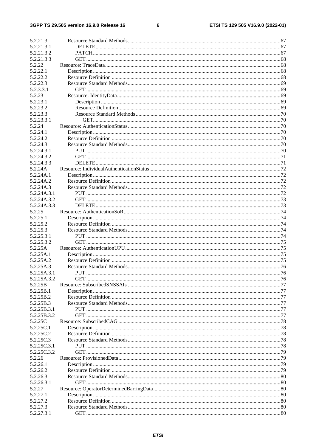#### $\bf 6$

| 5.2.21.3    |  |
|-------------|--|
| 5.2.21.3.1  |  |
| 5.2.21.3.2  |  |
| 5.2.21.3.3  |  |
| 5.2.22      |  |
| 5.2.22.1    |  |
| 5.2.22.2    |  |
| 5.2.22.3    |  |
| 5.2.3.3.1   |  |
| 5.2.23      |  |
| 5.2.23.1    |  |
| 5.2.23.2    |  |
| 5.2.23.3    |  |
| 5.2.23.3.1  |  |
| 5.2.24      |  |
| 5.2.24.1    |  |
| 5.2.24.2    |  |
| 5.2.24.3    |  |
| 5.2.24.3.1  |  |
| 5.2.24.3.2  |  |
| 5.2.24.3.3  |  |
| 5.2.24A     |  |
| 5.2.24A.1   |  |
| 5.2.24A.2   |  |
| 5.2.24A.3   |  |
| 5.2.24A.3.1 |  |
| 5.2.24A.3.2 |  |
| 5.2.24A.3.3 |  |
| 5.2.25      |  |
| 5.2.25.1    |  |
| 5.2.25.2    |  |
| 5.2.25.3    |  |
| 5.2.25.3.1  |  |
| 5.2.25.3.2  |  |
| 5.2.25A     |  |
| 5.2.25A.1   |  |
| 5.2.25A.2   |  |
| 5.2.25A.3   |  |
| 5.2.25A.3.1 |  |
| 5.2.25A.3.2 |  |
| 5.2.25B     |  |
| 5.2.25B.1   |  |
| 5.2.25B.2   |  |
| 5.2.25B.3   |  |
| 5.2.25B.3.1 |  |
| 5.2.25B.3.2 |  |
| 5.2.25C     |  |
| 5.2.25C.1   |  |
| 5.2.25C.2   |  |
| 5.2.25C.3   |  |
| 5.2.25C.3.1 |  |
| 5.2.25C.3.2 |  |
| 5.2.26      |  |
| 5.2.26.1    |  |
| 5.2.26.2    |  |
| 5.2.26.3    |  |
| 5.2.26.3.1  |  |
| 5.2.27      |  |
| 5.2.27.1    |  |
| 5.2.27.2    |  |
| 5.2.27.3    |  |
| 5.2.27.3.1  |  |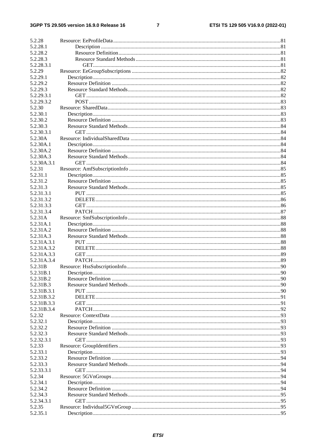#### $\overline{7}$

| 5.2.28                     |  |
|----------------------------|--|
| 5.2.28.1                   |  |
| 5.2.28.2                   |  |
| 5.2.28.3                   |  |
| 5.2.28.3.1                 |  |
| 5.2.29                     |  |
| 5.2.29.1                   |  |
| 5.2.29.2                   |  |
| 5.2.29.3                   |  |
| 5.2.29.3.1                 |  |
| 5.2.29.3.2                 |  |
| 5.2.30                     |  |
| 5.2.30.1                   |  |
| 5.2.30.2                   |  |
| 5.2.30.3                   |  |
| 5.2.30.3.1                 |  |
| 5.2.30A                    |  |
| 5.2.30A.1<br>5.2.30A.2     |  |
|                            |  |
| 5.2.30A.3<br>5.2.30A.3.1   |  |
| 5.2.31                     |  |
| 5.2.31.1                   |  |
| 5.2.31.2                   |  |
| 5.2.31.3                   |  |
| 5.2.31.3.1                 |  |
| 5.2.31.3.2                 |  |
| 5.2.31.3.3                 |  |
| 5.2.31.3.4                 |  |
| 5.2.31A                    |  |
| 5.2.31A.1                  |  |
| 5.2.31A.2                  |  |
| 5.2.31A.3                  |  |
| 5.2.31A.3.1                |  |
| 5.2.31A.3.2                |  |
| 5.2.31A.3.3                |  |
| 5.2.31A.3.4                |  |
| 5.2.31B                    |  |
| 5.2.31B.1                  |  |
| 5.2.31B.2                  |  |
| 5.2.31B.3                  |  |
| 5.2.31B.3.1<br>5.2.31B.3.2 |  |
| 5.2.31B.3.3                |  |
| 5.2.31B.3.4                |  |
| 5.2.32                     |  |
| 5.2.32.1                   |  |
| 5.2.32.2                   |  |
| 5.2.32.3                   |  |
| 5.2.32.3.1                 |  |
| 5.2.33                     |  |
| 5.2.33.1                   |  |
| 5.2.33.2                   |  |
| 5.2.33.3                   |  |
| 5.2.33.3.1                 |  |
| 5.2.34                     |  |
| 5.2.34.1                   |  |
| 5.2.34.2                   |  |
| 5.2.34.3                   |  |
| 5.2.34.3.1                 |  |
| 5.2.35                     |  |
| 5.2.35.1                   |  |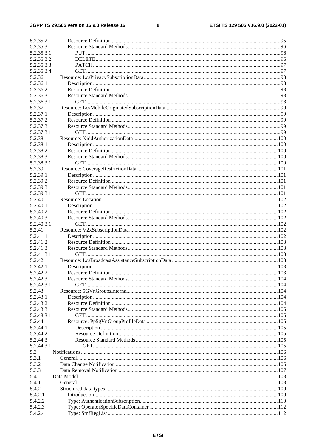#### $\bf8$

| 5.2.35.2         |  |
|------------------|--|
| 5.2.35.3         |  |
| 5.2.35.3.1       |  |
| 5.2.35.3.2       |  |
| 5.2.35.3.3       |  |
| 5.2.35.3.4       |  |
| 5.2.36           |  |
| 5.2.36.1         |  |
| 5.2.36.2         |  |
| 5.2.36.3         |  |
| 5.2.36.3.1       |  |
| 5.2.37           |  |
| 5.2.37.1         |  |
| 5.2.37.2         |  |
| 5.2.37.3         |  |
| 5.2.37.3.1       |  |
| 5.2.38           |  |
| 5.2.38.1         |  |
| 5.2.38.2         |  |
| 5.2.38.3         |  |
| 5.2.38.3.1       |  |
| 5.2.39           |  |
| 5.2.39.1         |  |
| 5.2.39.2         |  |
| 5.2.39.3         |  |
| 5.2.39.3.1       |  |
| 5.2.40           |  |
| 5.2.40.1         |  |
| 5.2.40.2         |  |
| 5.2.40.3         |  |
| 5.2.40.3.1       |  |
| 5.2.41           |  |
| 5.2.41.1         |  |
| 5.2.41.2         |  |
| 5.2.41.3         |  |
| 5.2.41.3.1       |  |
| 5.2.42           |  |
| 5.2.42.1         |  |
| 5.2.42.2         |  |
| 5.2.42.3         |  |
| 5.2.42.3.1       |  |
| 5.2.43           |  |
| 5.2.43.1         |  |
| 5.2.43.2         |  |
| 5.2.43.3         |  |
| 5.2.43.3.1       |  |
| 5.2.44           |  |
| 5.2.44.1         |  |
| 5.2.44.2         |  |
| 5.2.44.3         |  |
| 5.2.44.3.1       |  |
| 5.3              |  |
| 5.3.1            |  |
| 5.3.2            |  |
| 5.3.3            |  |
| 5.4              |  |
|                  |  |
| 5.4.1            |  |
| 5.4.2<br>5.4.2.1 |  |
|                  |  |
| 5.4.2.2          |  |
| 5.4.2.3          |  |
| 5.4.2.4          |  |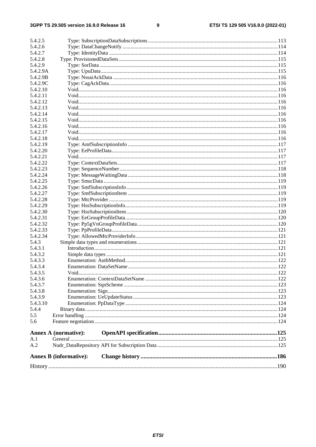#### $\boldsymbol{9}$

| 5.4.2.5          |                               |  |
|------------------|-------------------------------|--|
| 5.4.2.6          |                               |  |
| 5.4.2.7          |                               |  |
| 5.4.2.8          |                               |  |
| 5.4.2.9          |                               |  |
| 5.4.2.9A         |                               |  |
| 5.4.2.9B         |                               |  |
| 5.4.2.9C         |                               |  |
| 5.4.2.10         |                               |  |
| 5.4.2.11         |                               |  |
| 5.4.2.12         |                               |  |
| 5.4.2.13         |                               |  |
| 5.4.2.14         |                               |  |
| 5.4.2.15         |                               |  |
| 5.4.2.16         |                               |  |
| 5.4.2.17         |                               |  |
| 5.4.2.18         |                               |  |
| 5.4.2.19         |                               |  |
| 5.4.2.20         |                               |  |
| 5.4.2.21         |                               |  |
| 5.4.2.22         |                               |  |
| 5.4.2.23         |                               |  |
| 5.4.2.24         |                               |  |
| 5.4.2.25         |                               |  |
| 5.4.2.26         |                               |  |
| 5.4.2.27         |                               |  |
| 5.4.2.28         |                               |  |
| 5.4.2.29         |                               |  |
| 5.4.2.30         |                               |  |
| 5.4.2.31         |                               |  |
| 5.4.2.32         |                               |  |
| 5.4.2.33         |                               |  |
| 5.4.2.34         |                               |  |
| 5.4.3<br>5.4.3.1 |                               |  |
| 5.4.3.2          |                               |  |
| 5.4.3.3          |                               |  |
| 5.4.3.4          |                               |  |
| 5.4.3.5          | Void.                         |  |
| 5.4.3.6          |                               |  |
| 5.4.3.7          |                               |  |
| 5.4.3.8          |                               |  |
| 5.4.3.9          |                               |  |
| 5.4.3.10         |                               |  |
| 5.4.4            |                               |  |
| 5.5              |                               |  |
| 5.6              |                               |  |
|                  | <b>Annex A (normative):</b>   |  |
| A.1              |                               |  |
| A.2              |                               |  |
|                  | <b>Annex B</b> (informative): |  |
|                  |                               |  |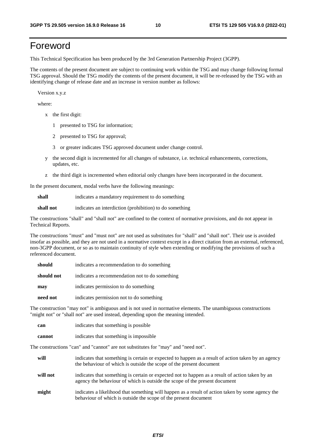# Foreword

This Technical Specification has been produced by the 3rd Generation Partnership Project (3GPP).

The contents of the present document are subject to continuing work within the TSG and may change following formal TSG approval. Should the TSG modify the contents of the present document, it will be re-released by the TSG with an identifying change of release date and an increase in version number as follows:

Version x.y.z

where:

- x the first digit:
	- 1 presented to TSG for information;
	- 2 presented to TSG for approval;
	- 3 or greater indicates TSG approved document under change control.
- y the second digit is incremented for all changes of substance, i.e. technical enhancements, corrections, updates, etc.
- z the third digit is incremented when editorial only changes have been incorporated in the document.

In the present document, modal verbs have the following meanings:

**shall** indicates a mandatory requirement to do something

**shall not** indicates an interdiction (prohibition) to do something

The constructions "shall" and "shall not" are confined to the context of normative provisions, and do not appear in Technical Reports.

The constructions "must" and "must not" are not used as substitutes for "shall" and "shall not". Their use is avoided insofar as possible, and they are not used in a normative context except in a direct citation from an external, referenced, non-3GPP document, or so as to maintain continuity of style when extending or modifying the provisions of such a referenced document.

| should     | indicates a recommendation to do something     |
|------------|------------------------------------------------|
| should not | indicates a recommendation not to do something |
| may        | indicates permission to do something           |
| need not   | indicates permission not to do something       |

The construction "may not" is ambiguous and is not used in normative elements. The unambiguous constructions "might not" or "shall not" are used instead, depending upon the meaning intended.

| can    | indicates that something is possible.  |
|--------|----------------------------------------|
| cannot | indicates that something is impossible |

The constructions "can" and "cannot" are not substitutes for "may" and "need not".

| will     | indicates that something is certain or expected to happen as a result of action taken by an agency<br>the behaviour of which is outside the scope of the present document     |
|----------|-------------------------------------------------------------------------------------------------------------------------------------------------------------------------------|
| will not | indicates that something is certain or expected not to happen as a result of action taken by an<br>agency the behaviour of which is outside the scope of the present document |
| might    | indicates a likelihood that something will happen as a result of action taken by some agency the<br>behaviour of which is outside the scope of the present document           |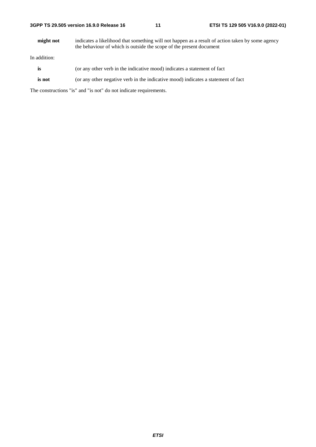**might not** indicates a likelihood that something will not happen as a result of action taken by some agency the behaviour of which is outside the scope of the present document

In addition:

- **is** (or any other verb in the indicative mood) indicates a statement of fact
- **is not** (or any other negative verb in the indicative mood) indicates a statement of fact

The constructions "is" and "is not" do not indicate requirements.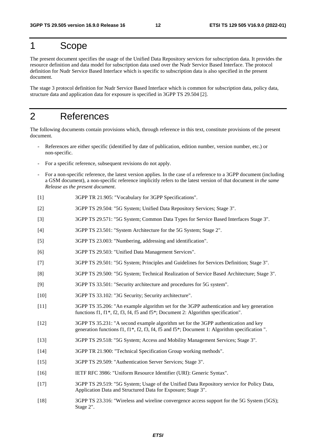# 1 Scope

The present document specifies the usage of the Unified Data Repository services for subscription data. It provides the resource definition and data model for subscription data used over the Nudr Service Based Interface. The protocol definition for Nudr Service Based Interface which is specific to subscription data is also specified in the present document.

The stage 3 protocol definition for Nudr Service Based Interface which is common for subscription data, policy data, structure data and application data for exposure is specified in 3GPP TS 29.504 [2].

# 2 References

The following documents contain provisions which, through reference in this text, constitute provisions of the present document.

- References are either specific (identified by date of publication, edition number, version number, etc.) or non-specific.
- For a specific reference, subsequent revisions do not apply.
- For a non-specific reference, the latest version applies. In the case of a reference to a 3GPP document (including a GSM document), a non-specific reference implicitly refers to the latest version of that document *in the same Release as the present document*.
- [1] 3GPP TR 21.905: "Vocabulary for 3GPP Specifications".
- [2] 3GPP TS 29.504: "5G System; Unified Data Repository Services; Stage 3".
- [3] 3GPP TS 29.571: "5G System; Common Data Types for Service Based Interfaces Stage 3".
- [4] 3GPP TS 23.501: "System Architecture for the 5G System; Stage 2".
- [5] 3GPP TS 23.003: "Numbering, addressing and identification".
- [6] 3GPP TS 29.503: "Unified Data Management Services".
- [7] 3GPP TS 29.501: "5G System; Principles and Guidelines for Services Definition; Stage 3".
- [8] 3GPP TS 29.500: "5G System; Technical Realization of Service Based Architecture; Stage 3".
- [9] 3GPP TS 33.501: "Security architecture and procedures for 5G system".
- [10] 3GPP TS 33.102: "3G Security; Security architecture".
- [11] 3GPP TS 35.206: "An example algorithm set for the 3GPP authentication and key generation functions f1, f1\*, f2, f3, f4, f5 and f5\*; Document 2: Algorithm specification".
- [12] 3GPP TS 35.231: "A second example algorithm set for the 3GPP authentication and key generation functions f1, f1\*, f2, f3, f4, f5 and f5\*; Document 1: Algorithm specification ".
- [13] 3GPP TS 29.518: "5G System; Access and Mobility Management Services; Stage 3".
- [14] 3GPP TR 21.900: "Technical Specification Group working methods".
- [15] 3GPP TS 29.509: "Authentication Server Services; Stage 3".
- [16] IETF RFC 3986: "Uniform Resource Identifier (URI): Generic Syntax".
- [17] 3GPP TS 29.519: "5G System; Usage of the Unified Data Repository service for Policy Data, Application Data and Structured Data for Exposure; Stage 3".
- [18] 3GPP TS 23.316: "Wireless and wireline convergence access support for the 5G System (5GS); Stage 2".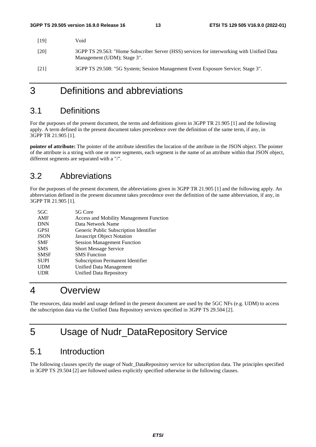| [19] | Void                                                                                                                     |
|------|--------------------------------------------------------------------------------------------------------------------------|
| [20] | 3GPP TS 29.563: "Home Subscriber Server (HSS) services for interworking with Unified Data<br>Management (UDM); Stage 3". |
| [21] | 3GPP TS 29.508: "5G System; Session Management Event Exposure Service; Stage 3".                                         |

# 3 Definitions and abbreviations

# 3.1 Definitions

For the purposes of the present document, the terms and definitions given in 3GPP TR 21.905 [1] and the following apply. A term defined in the present document takes precedence over the definition of the same term, if any, in 3GPP TR 21.905 [1].

**pointer of attribute:** The pointer of the attribute identifies the location of the attribute in the JSON object. The pointer of the attribute is a string with one or more segments, each segment is the name of an attribute within that JSON object, different segments are separated with a "/".

# 3.2 Abbreviations

For the purposes of the present document, the abbreviations given in 3GPP TR 21.905 [1] and the following apply. An abbreviation defined in the present document takes precedence over the definition of the same abbreviation, if any, in 3GPP TR 21.905 [1].

| $5 \text{GC}$ | 5G Core                                        |
|---------------|------------------------------------------------|
| AMF           | <b>Access and Mobility Management Function</b> |
| <b>DNN</b>    | Data Network Name                              |
| <b>GPSI</b>   | Generic Public Subscription Identifier         |
| <b>JSON</b>   | Javascript Object Notation                     |
| <b>SMF</b>    | <b>Session Management Function</b>             |
| <b>SMS</b>    | <b>Short Message Service</b>                   |
| <b>SMSF</b>   | <b>SMS</b> Function                            |
| <b>SUPI</b>   | Subscription Permanent Identifier              |
| <b>UDM</b>    | Unified Data Management                        |
| UDR           | Unified Data Repository                        |

# 4 Overview

The resources, data model and usage defined in the present document are used by the 5GC NFs (e.g. UDM) to access the subscription data via the Unified Data Repository services specified in 3GPP TS 29.504 [2].

# 5 Usage of Nudr\_DataRepository Service

# 5.1 Introduction

The following clauses specify the usage of Nudr\_DataRepository service for subscription data. The principles specified in 3GPP TS 29.504 [2] are followed unless explicitly specified otherwise in the following clauses.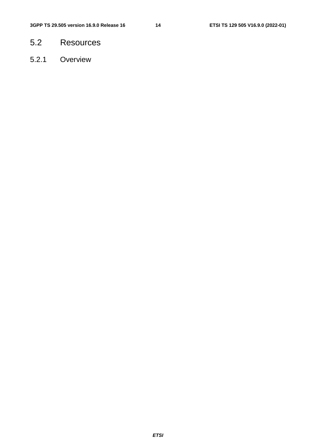- 5.2 Resources
- 5.2.1 Overview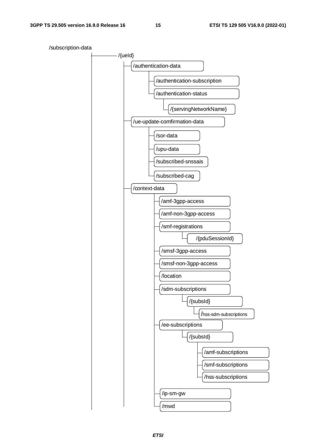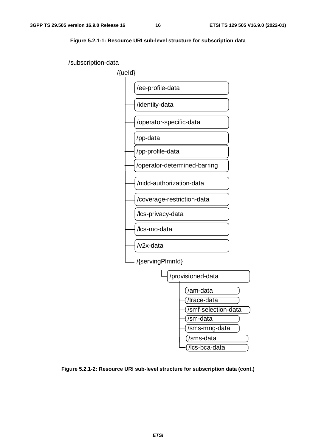



**Figure 5.2.1-2: Resource URI sub-level structure for subscription data (cont.)**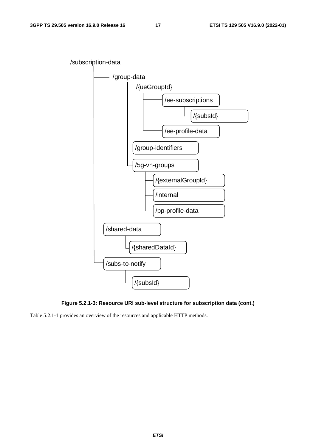

**Figure 5.2.1-3: Resource URI sub-level structure for subscription data (cont.)** 

Table 5.2.1-1 provides an overview of the resources and applicable HTTP methods.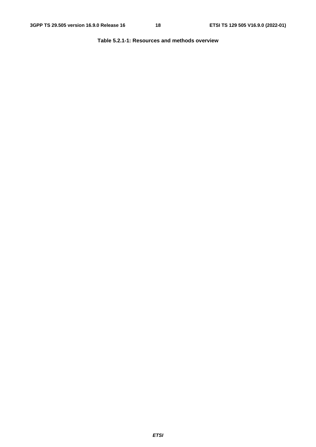**Table 5.2.1-1: Resources and methods overview**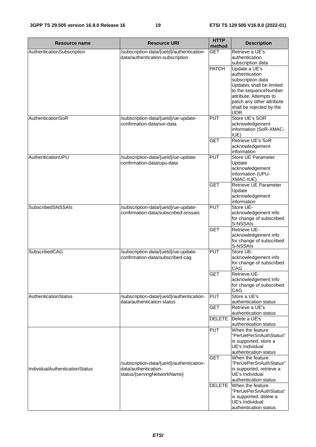| Resource name                  | <b>Resource URI</b>                                                      | <b>HTTP</b><br>method | <b>Description</b>                                |
|--------------------------------|--------------------------------------------------------------------------|-----------------------|---------------------------------------------------|
| AuthenticationSubscription     | /subscription-data/{ueld}/authentication-                                | <b>GET</b>            | Retrieve a UE's                                   |
|                                | data/authentication-subscription                                         |                       | authentication                                    |
|                                |                                                                          |                       | subscription data                                 |
|                                |                                                                          | <b>PATCH</b>          | Update a UE's                                     |
|                                |                                                                          |                       | authentication                                    |
|                                |                                                                          |                       | subscription data                                 |
|                                |                                                                          |                       | Updates shall be limited<br>to the sequenceNumber |
|                                |                                                                          |                       | attribute. Attempts to                            |
|                                |                                                                          |                       | patch any other attribute                         |
|                                |                                                                          |                       | shall be rejected by the                          |
|                                |                                                                          |                       | UDR.                                              |
| AuthenticationSoR              | /subscription-data/{ueld}/ue-update-                                     | <b>PUT</b>            | Store UE's SOR                                    |
|                                | confirmation-data/sor-data                                               |                       | acknowledgement                                   |
|                                |                                                                          |                       | information (SoR-XMAC-                            |
|                                |                                                                          |                       | IUE)                                              |
|                                |                                                                          | <b>GET</b>            | <b>Retrieve UE's SoR</b><br>acknowledgement       |
|                                |                                                                          |                       | information                                       |
| AuthenticationUPU              | /subscription-data/{ueld}/ue-update-                                     | <b>PUT</b>            | Store UE Parameter                                |
|                                | confirmation-data/upu-data                                               |                       | Update                                            |
|                                |                                                                          |                       | acknowledgement                                   |
|                                |                                                                          |                       | information (UPU-                                 |
|                                |                                                                          |                       | XMAC-IUE)                                         |
|                                |                                                                          | <b>GET</b>            | Retrieve UE Parameter                             |
|                                |                                                                          |                       | Update                                            |
|                                |                                                                          |                       | acknowledgement<br>information                    |
| <b>SubscribedSNSSAIs</b>       | /subscription-data/{ueld}/ue-update-                                     | <b>PUT</b>            | Store UE-                                         |
|                                | confirmation-data/subscribed-snssais                                     |                       | acknowledgement info                              |
|                                |                                                                          |                       | for change of subscribed                          |
|                                |                                                                          |                       | S-NSSAIs                                          |
|                                |                                                                          | <b>GET</b>            | Retrieve UE-                                      |
|                                |                                                                          |                       | acknowledgement info                              |
|                                |                                                                          |                       | for change of subscribed                          |
| SubscribedCAG                  |                                                                          | <b>PUT</b>            | S-NSSAIs<br>Store UE-                             |
|                                | /subscription-data/{ueld}/ue-update-<br>confirmation-data/subscribed-cag |                       | acknowledgement info                              |
|                                |                                                                          |                       | for change of subscribed                          |
|                                |                                                                          |                       | CAG                                               |
|                                |                                                                          | <b>GET</b>            | Retrieve UE-                                      |
|                                |                                                                          |                       | acknowledgement info                              |
|                                |                                                                          |                       | for change of subscribed                          |
|                                |                                                                          |                       | CAG                                               |
| AuthenticationStatus           | /subscription-data/{ueld}/authentication-<br>data/authentication-status  | <b>PUT</b>            | Store a UE's                                      |
|                                |                                                                          | <b>GET</b>            | authentication status<br>Retrieve a UE's          |
|                                |                                                                          |                       | authentication status                             |
|                                |                                                                          | <b>DELETE</b>         | Delete a UE's                                     |
|                                |                                                                          |                       | authentication status                             |
|                                |                                                                          | <b>PUT</b>            | When the feature                                  |
|                                |                                                                          |                       | "PerUePerSnAuthStatus"                            |
|                                |                                                                          |                       | is supported, store a                             |
|                                |                                                                          |                       | UE's Individual<br>authentication status          |
|                                |                                                                          | <b>GET</b>            | When the feature                                  |
|                                | /subscription-data/{ueld}/authentication-                                |                       | "PerUePerSnAuthStatus"                            |
| IndividualAuthenticationStatus | data/authentication-                                                     |                       | is supported, retrieve a                          |
|                                | status/{servingNetworkName}                                              |                       | UE's Individual                                   |
|                                |                                                                          |                       | authentication status                             |
|                                |                                                                          | <b>DELETE</b>         | When the feature                                  |
|                                |                                                                          |                       | "PerUePerSnAuthStatus"                            |
|                                |                                                                          |                       | is supported, delete a<br>UE's Individual         |
|                                |                                                                          |                       | authentication status                             |
|                                |                                                                          |                       |                                                   |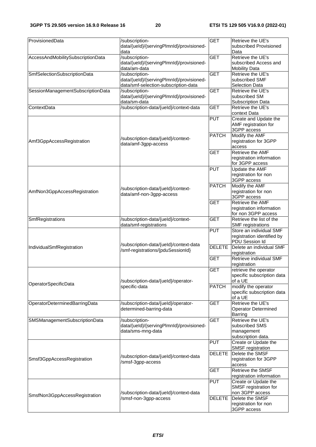| ProvisionedData                   | /subscription-<br>data/{ueld}/{servingPlmnld}/provisioned-<br>data                                                 | <b>GET</b>                  | Retrieve the UE's<br>subscribed Provisioned<br>Data                                  |
|-----------------------------------|--------------------------------------------------------------------------------------------------------------------|-----------------------------|--------------------------------------------------------------------------------------|
| AccessAndMobilitySubscriptionData | /subscription-<br>data/{ueld}/{servingPlmnld}/provisioned-                                                         | <b>GET</b>                  | Retrieve the UE's<br>subscribed Access and                                           |
| SmfSelectionSubscriptionData      | data/am-data<br>/subscription-<br>data/{ueld}/{servingPlmnld}/provisioned-<br>data/smf-selection-subscription-data | <b>GET</b>                  | <b>Mobility Data</b><br>Retrieve the UE's<br>subscribed SMF<br><b>Selection Data</b> |
| SessionManagementSubscriptionData | /subscription-<br>data/{ueld}/{servingPlmnld}/provisioned-<br>data/sm-data                                         | <b>GET</b>                  | Retrieve the UE's<br>subscribed SM<br><b>Subscription Data</b>                       |
| ContextData                       | /subscription-data/{ueld}/context-data                                                                             | <b>GET</b>                  | Retrieve the UE's<br>context Data                                                    |
|                                   |                                                                                                                    | <b>PUT</b>                  | Create and Update the<br>AMF registration for<br>3GPP access                         |
| Amf3GppAccessRegistration         | /subscription-data/{ueld}/context-<br>data/amf-3gpp-access                                                         | <b>PATCH</b>                | Modify the AMF<br>registration for 3GPP<br>access                                    |
|                                   |                                                                                                                    | <b>GET</b>                  | Retrieve the AMF<br>registration information<br>for 3GPP access                      |
|                                   |                                                                                                                    | <b>PUT</b>                  | Update the AMF<br>registration for non<br>3GPP access                                |
| AmfNon3GppAccessRegistration      | /subscription-data/{ueld}/context-<br>data/amf-non-3gpp-access                                                     | <b>PATCH</b>                | Modify the AMF<br>registration for non<br>3GPP access                                |
|                                   |                                                                                                                    | <b>GET</b>                  | Retrieve the AMF<br>registration information<br>for non 3GPP access                  |
| SmfRegistrations                  | /subscription-data/{ueld}/context-<br>data/smf-registrations                                                       | <b>GET</b>                  | Retrieve the list of the<br><b>SMF</b> registrations                                 |
|                                   | /subscription-data/{ueld}/context-data                                                                             | <b>PUT</b>                  | Store an individual SMF<br>registration identified by<br>PDU Session Id              |
| IndividualSmfRegistration         | /smf-registrations/{pduSessionId}                                                                                  | <b>DELETE</b><br><b>GET</b> | Delete an individual SMF<br>registration<br>Retrieve individual SMF                  |
|                                   |                                                                                                                    | <b>GET</b>                  | registration<br>retrieve the operator                                                |
| OperatorSpecificData              | /subscription-data/{ueld}/operator-                                                                                |                             | specific subscription data<br>of a UE                                                |
|                                   | specific-data                                                                                                      | <b>PATCH</b>                | modify the operator<br>specific subscription data<br>of a UE                         |
| OperatorDeterminedBarringData     | /subscription-data/{ueld}/operator-<br>determined-barring-data                                                     | <b>GET</b>                  | Retrieve the UE's<br><b>Operator Determined</b><br><b>Barring</b>                    |
| SMSManagementSubscriptionData     | /subscription-<br>data/{ueld}/{servingPlmnld}/provisioned-<br>data/sms-mng-data                                    | <b>GET</b>                  | Retrieve the UE's<br>subscribed SMS<br>management<br>subscription data.              |
|                                   |                                                                                                                    | <b>PUT</b>                  | Create or Update the<br><b>SMSF</b> registration                                     |
| Smsf3GppAccessRegistration        | /subscription-data/{ueld}/context-data<br>/smsf-3gpp-access                                                        | <b>DELETE</b>               | Delete the SMSF<br>registration for 3GPP<br>access                                   |
|                                   |                                                                                                                    | <b>GET</b>                  | Retrieve the SMSF<br>registration information                                        |
|                                   | /subscription-data/{ueld}/context-data                                                                             | <b>PUT</b>                  | Create or Update the<br>SMSF registration for<br>non 3GPP access                     |
| SmsfNon3GppAccessRegistration     | /smsf-non-3gpp-access                                                                                              | <b>DELETE</b>               | Delete the SMSF<br>registration for non<br>3GPP access                               |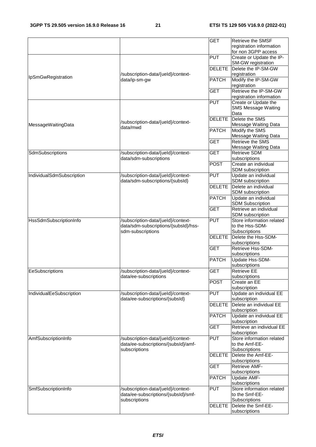|                           |                                                                                                 | <b>GET</b>    | Retrieve the SMSF                                             |
|---------------------------|-------------------------------------------------------------------------------------------------|---------------|---------------------------------------------------------------|
|                           |                                                                                                 |               | registration information<br>for non 3GPP access               |
|                           |                                                                                                 | PUT           | Create or Update the IP-<br><b>SM-GW registration</b>         |
| IpSmGwRegistration        | /subscription-data/{ueld}/context-                                                              | <b>DELETE</b> | Delete the IP-SM-GW<br>registration                           |
|                           | data/ip-sm-gw                                                                                   | <b>PATCH</b>  | Modify the IP-SM-GW<br>registration                           |
|                           |                                                                                                 | <b>GET</b>    | Retrieve the IP-SM-GW<br>registration information             |
|                           |                                                                                                 | <b>PUT</b>    | Create or Update the<br><b>SMS Message Waiting</b><br>Data    |
| MessageWaitingData        | /subscription-data/{ueld}/context-<br>data/mwd                                                  | <b>DELETE</b> | Delete the SMS<br>Message Waiting Data                        |
|                           |                                                                                                 | <b>PATCH</b>  | Modify the SMS<br>Message Waiting Data                        |
|                           |                                                                                                 | <b>GET</b>    | Retrieve the SMS<br>Message Waiting Data                      |
| SdmSubscriptions          | /subscription-data/{ueld}/context-<br>data/sdm-subscriptions                                    | <b>GET</b>    | <b>Retrieve SDM</b><br>subscriptions                          |
|                           |                                                                                                 | <b>POST</b>   | Create an individual<br>SDM subscription                      |
| IndividualSdmSubscription | /subscription-data/{ueld}/context-<br>data/sdm-subscriptions/{subsld}                           | PUT           | Update an individual<br>SDM subscription                      |
|                           |                                                                                                 | <b>DELETE</b> | Delete an individual<br>SDM subscription                      |
|                           |                                                                                                 | <b>PATCH</b>  | Update an individual<br><b>SDM Subscription</b>               |
|                           |                                                                                                 | <b>GET</b>    | Retrieve an individual<br>SDM subscription                    |
| HssSdmSubscriptionInfo    | /subscription-data/{ueld}/context-<br>data/sdm-subscriptions/{subsId}/hss-<br>sdm-subscriptions | PUT           | Store information related<br>to the Hss-SDM-<br>Subscriptions |
|                           |                                                                                                 | <b>DELETE</b> | Delete the Hss-SDM-<br>subscriptions                          |
|                           |                                                                                                 | <b>GET</b>    | Retrieve Hss-SDM-<br>subscriptions                            |
|                           |                                                                                                 | <b>PATCH</b>  | Update Hss-SDM-<br>subscriptions                              |
| EeSubscriptions           | /subscription-data/{ueld}/context-<br>data/ee-subscriptions                                     | <b>GET</b>    | <b>Retrieve EE</b><br>subscriptions                           |
|                           |                                                                                                 | <b>POST</b>   | Create an EE<br>subscription                                  |
| IndividualEeSubscription  | /subscription-data/{ueld}/context-<br>data/ee-subscriptions/{subsId}                            | <b>PUT</b>    | Update an individual EE<br>subscription                       |
|                           |                                                                                                 | <b>DELETE</b> | Delete an individual EE<br>subscription                       |
|                           |                                                                                                 | <b>PATCH</b>  | Update an individual EE<br>subscription                       |
|                           |                                                                                                 | <b>GET</b>    | Retrieve an individual EE<br>subscription                     |
| AmfSubscriptionInfo       | /subscription-data/{ueld}/context-<br>data/ee-subscriptions/{subsId}/amf-<br>subscriptions      | <b>PUT</b>    | Store information related<br>to the Amf-EE-<br>Subscriptions  |
|                           |                                                                                                 | <b>DELETE</b> | Delete the Amf-EE-<br>subscriptions                           |
|                           |                                                                                                 | <b>GET</b>    | Retrieve AMF-                                                 |
|                           |                                                                                                 | <b>PATCH</b>  | subscriptions<br>Update AMF-                                  |
| SmfSubscriptionInfo       | /subscription-data/{ueld}/context-<br>data/ee-subscriptions/{subsId}/smf-                       | PUT           | subscriptions<br>Store information related<br>to the Smf-EE-  |
|                           | subscriptions                                                                                   | <b>DELETE</b> | Subscriptions<br>Delete the Smf-EE-                           |
|                           |                                                                                                 |               | subscriptions                                                 |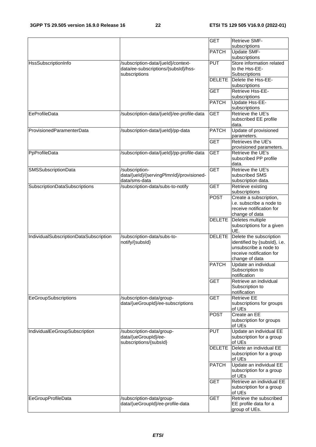|                                        |                                           | <b>GET</b>    | <b>Retrieve SMF-</b>                                 |
|----------------------------------------|-------------------------------------------|---------------|------------------------------------------------------|
|                                        |                                           |               | subscriptions                                        |
|                                        |                                           | <b>PATCH</b>  | Update SMF-                                          |
|                                        |                                           |               | subscriptions                                        |
| <b>HssSubscriptionInfo</b>             | /subscription-data/{ueld}/context-        | <b>PUT</b>    | Store information related                            |
|                                        | data/ee-subscriptions/{subsId}/hss-       |               | to the Hss-EE-                                       |
|                                        | subscriptions                             |               | Subscriptions                                        |
|                                        |                                           | <b>DELETE</b> | Delete the Hss-EE-                                   |
|                                        |                                           |               | subscriptions                                        |
|                                        |                                           | <b>GET</b>    | Retrieve Hss-EE-                                     |
|                                        |                                           |               | subscriptions                                        |
|                                        |                                           | <b>PATCH</b>  | Update Hss-EE-                                       |
|                                        |                                           |               | subscriptions                                        |
| EeProfileData                          | /subscription-data/{ueld}/ee-profile-data | <b>GET</b>    | Retrieve the UE's                                    |
|                                        |                                           |               | subscribed EE profile                                |
|                                        |                                           |               | data.                                                |
| ProvisionedParamenterData              | /subscription-data/{ueld}/pp-data         | <b>PATCH</b>  | Update of provisioned                                |
|                                        |                                           |               | parameters.                                          |
|                                        |                                           | <b>GET</b>    | Retrieves the UE's                                   |
|                                        |                                           |               | provisioned parameters.                              |
| PpProfileData                          | /subscription-data/{ueld}/pp-profile-data | <b>GET</b>    | Retrieve the UE's                                    |
|                                        |                                           |               | subscribed PP profile                                |
|                                        |                                           |               | data.                                                |
| <b>SMSSubscriptionData</b>             | /subscription-                            | <b>GET</b>    | Retrieve the UE's                                    |
|                                        | data/{ueld}/{servingPlmnld}/provisioned-  |               | subscribed SMS                                       |
|                                        | data/sms-data                             |               | subscription data.                                   |
| SubscriptionDataSubscriptions          | /subscription-data/subs-to-notify         | <b>GET</b>    | Retrieve existing                                    |
|                                        |                                           |               | subscriptions                                        |
|                                        |                                           | <b>POST</b>   | Create a subscription,                               |
|                                        |                                           |               | i.e. subscribe a node to<br>receive notification for |
|                                        |                                           |               |                                                      |
|                                        |                                           | <b>DELETE</b> | change of data<br>Deletes multiple                   |
|                                        |                                           |               | subscriptions for a given                            |
|                                        |                                           |               | UE.                                                  |
| IndividualSubscriptionDataSubscription | /subscription-data/subs-to-               | <b>DELETE</b> | Delete the subscription                              |
|                                        | notify/{subsId}                           |               | identified by {subsId}, i.e.                         |
|                                        |                                           |               | unsubscribe a node to                                |
|                                        |                                           |               | receive notification for                             |
|                                        |                                           |               | change of data                                       |
|                                        |                                           | <b>PATCH</b>  | Update an individual                                 |
|                                        |                                           |               | Subscription to                                      |
|                                        |                                           |               | notification                                         |
|                                        |                                           | <b>GET</b>    | Retrieve an individual                               |
|                                        |                                           |               | Subscription to                                      |
|                                        |                                           |               | notification                                         |
| <b>EeGroupSubscriptions</b>            | /subscription-data/group-                 | <b>GET</b>    | <b>Retrieve EE</b>                                   |
|                                        | data/{ueGroupId}/ee-subscriptions         |               | subscriptions for groups                             |
|                                        |                                           |               | of UEs                                               |
|                                        |                                           | <b>POST</b>   | Create an EE                                         |
|                                        |                                           |               | subscription for groups                              |
|                                        |                                           |               | of UEs                                               |
| IndividualEeGroupSubscription          | /subscription-data/group-                 | <b>PUT</b>    | Update an individual EE                              |
|                                        | data/{ueGroupId}/ee-                      |               | subscription for a group                             |
|                                        | subscriptions/{subsId}                    |               | of UEs                                               |
|                                        |                                           | <b>DELETE</b> | Delete an individual EE                              |
|                                        |                                           |               | subscription for a group                             |
|                                        |                                           |               | of UEs                                               |
|                                        |                                           | <b>PATCH</b>  | Update an individual EE                              |
|                                        |                                           |               | subscription for a group                             |
|                                        |                                           |               | of UEs                                               |
|                                        |                                           | <b>GET</b>    | Retrieve an individual EE                            |
|                                        |                                           |               | subscription for a group                             |
|                                        |                                           |               | of UEs                                               |
| EeGroupProfileData                     | /subscription-data/group-                 | <b>GET</b>    | Retrieve the subscribed                              |
|                                        | data/{ueGroupId}/ee-profile-data          |               | EE profile data for a                                |
|                                        |                                           |               | group of UEs.                                        |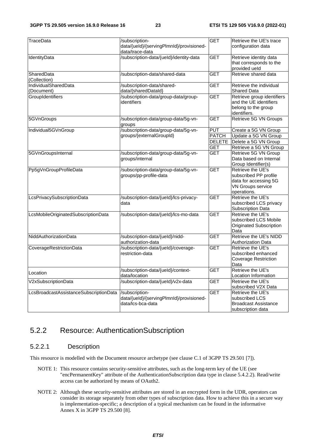| TraceData                              | /subscription-                           | <b>GET</b>    | Retrieve the UE's trace     |
|----------------------------------------|------------------------------------------|---------------|-----------------------------|
|                                        | data/{ueld}/{servingPlmnld}/provisioned- |               | configuration data          |
|                                        | data/trace-data                          |               |                             |
| IdentityData                           | /subscription-data/{ueld}/identity-data  | <b>GET</b>    | Retrieve identity data      |
|                                        |                                          |               | that corresponds to the     |
|                                        |                                          |               | provided ueld               |
| SharedData                             | /subscription-data/shared-data           | <b>GET</b>    | Retrieve shared data        |
| (Collection)                           |                                          |               |                             |
| IndividualSharedData                   | /subscription-data/shared-               | <b>GET</b>    | Retrieve the individual     |
| (Document)                             | data/{sharedDataId}                      |               | <b>Shared Data</b>          |
| GroupIdentifiers                       | /subscription-data/group-data/group-     | <b>GET</b>    | Retrieve group identifiers  |
|                                        | identifiers                              |               | and the UE identifiers      |
|                                        |                                          |               | belong to the group         |
|                                        |                                          |               | identifiers.                |
| 5GVnGroups                             | /subscription-data/group-data/5g-vn-     | <b>GET</b>    | Retrieve 5G VN Groups       |
|                                        | groups                                   |               |                             |
| Individual5GVnGroup                    | /subscription-data/group-data/5g-vn-     | <b>PUT</b>    | Create a 5G VN Group        |
|                                        | groups/{externalGroupId}                 | <b>PATCH</b>  | Update a 5G VN Group        |
|                                        |                                          | <b>DELETE</b> | Delete a 5G VN Group        |
|                                        |                                          | <b>GET</b>    | Retrieve a 5G VN Group      |
| 5GVnGroupsInternal                     | /subscription-data/group-data/5g-vn-     | <b>GET</b>    | Retrieve 5G VN Group        |
|                                        | groups/internal                          |               | Data based on Internal      |
|                                        |                                          |               | Group Identifier(s)         |
| Pp5gVnGroupProfileData                 | /subscription-data/group-data/5g-vn-     | <b>GET</b>    | Retrieve the UE's           |
|                                        | groups/pp-profile-data                   |               | subscribed PP profile       |
|                                        |                                          |               | data for accessing 5G       |
|                                        |                                          |               | VN Groups service           |
|                                        |                                          |               | operations.                 |
| LcsPrivacySubscriptionData             | /subscription-data/{ueld}/lcs-privacy-   | <b>GET</b>    | Retrieve the UE's           |
|                                        | data                                     |               | subscribed LCS privacy      |
|                                        |                                          |               | Subscription Data           |
| LcsMobileOriginatedSubscriptionData    | /subscription-data/{ueld}/lcs-mo-data    | <b>GET</b>    | Retrieve the UE's           |
|                                        |                                          |               | subscribed LCS Mobile       |
|                                        |                                          |               | Originated Subscription     |
|                                        |                                          |               | Data                        |
| NiddAuthorizationData                  | /subscription-data/{ueld}/nidd-          | <b>GET</b>    | Retrieve the UE's NIDD      |
|                                        | authorization-data                       |               | Authorization Data          |
| <b>CoverageRestrictionData</b>         | /subscription-data/{ueld}/coverage-      | <b>GET</b>    | Retrieve the UE's           |
|                                        | restriction-data                         |               | subscribed enhanced         |
|                                        |                                          |               | <b>Coverage Restriction</b> |
|                                        |                                          |               | Data                        |
| Location                               | /subscription-data/{ueld}/context-       | <b>GET</b>    | Retrieve the UE's           |
|                                        | data/location                            |               | Location Information        |
| V2xSubscriptionData                    | /subscription-data/{ueld}/v2x-data       | <b>GET</b>    | Retrieve the UE's           |
|                                        |                                          |               | subscribed V2X Data         |
| LcsBroadcastAssistanceSubscriptionData | /subscription-                           | <b>GET</b>    | Retrieve the UE's           |
|                                        | data/{ueld}/{servingPlmnld}/provisioned- |               | subscribed LCS              |
|                                        | data/lcs-bca-data                        |               | <b>Broadcast Assistance</b> |
|                                        |                                          |               | subscription data           |

# 5.2.2 Resource: AuthenticationSubscription

### 5.2.2.1 Description

This resource is modelled with the Document resource archetype (see clause C.1 of 3GPP TS 29.501 [7]).

- NOTE 1: This resource contains security-sensitive attributes, such as the long-term key of the UE (see "encPermanentKey" attribute of the AuthenticationSubscription data type in clause 5.4.2.2). Read/write access can be authorized by means of OAuth2.
- NOTE 2: Although these security-sensitive attributes are stored in an encrypted form in the UDR, operators can consider its storage separately from other types of subscription data. How to achieve this in a secure way is implementation-specific; a description of a typical mechanism can be found in the informative Annex X in 3GPP TS 29.500 [8].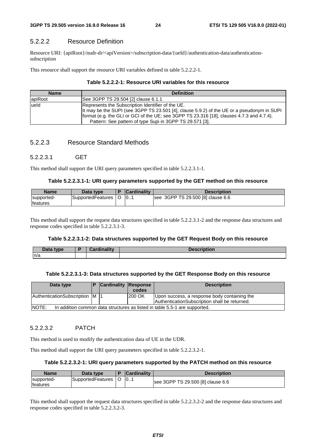### 5.2.2.2 Resource Definition

Resource URI: {apiRoot}/nudr-dr/<apiVersion>/subscription-data/{ueId}/authentication-data/authenticationsubscription

This resource shall support the resource URI variables defined in table 5.2.2.2-1.

#### **Table 5.2.2.2-1: Resource URI variables for this resource**

| <b>Name</b> | <b>Definition</b>                                                                          |
|-------------|--------------------------------------------------------------------------------------------|
| apiRoot     | See 3GPP TS 29.504 [2] clause 6.1.1                                                        |
| lueld       | Represents the Subscription Identifier of the UE.                                          |
|             | It may be the SUPI (see 3GPP TS 23.501 [4], clause 5.9.2) of the UE or a pseudonym in SUPI |
|             | format (e.g. the GLI or GCI of the UE; see 3GPP TS 23.316 [18], clauses 4.7.3 and 4.7.4).  |
|             | Pattern: See pattern of type Supi in 3GPP TS 29.571 [3].                                   |

#### 5.2.2.3 Resource Standard Methods

#### 5.2.2.3.1 GET

This method shall support the URI query parameters specified in table 5.2.2.3.1-1.

#### **Table 5.2.2.3.1-1: URI query parameters supported by the GET method on this resource**

| <b>Name</b>                    | Data type.        | <b>Cardinality</b> | <b>Description</b>                |
|--------------------------------|-------------------|--------------------|-----------------------------------|
| supported-<br><b>Ifeatures</b> | SupportedFeatures | 10                 | see 3GPP TS 29.500 [8] clause 6.6 |

This method shall support the request data structures specified in table 5.2.2.3.1-2 and the response data structures and response codes specified in table 5.2.2.3.1-3.

#### **Table 5.2.2.3.1-2: Data structures supported by the GET Request Body on this resource**

| Data type | Cardinalitv | Description |
|-----------|-------------|-------------|
| n/a       |             |             |

#### **Table 5.2.2.3.1-3: Data structures supported by the GET Response Body on this resource**

| Data type                                                                           |  | <b>Cardinality Response</b> | codes   | <b>Description</b>                            |  |
|-------------------------------------------------------------------------------------|--|-----------------------------|---------|-----------------------------------------------|--|
|                                                                                     |  |                             |         |                                               |  |
| AuthenticationSubscription M  1                                                     |  |                             | 1200 OK | Upon success, a response body containing the  |  |
|                                                                                     |  |                             |         | AuthenticationSubscription shall be returned. |  |
| NOTE:<br>In addition common data structures as listed in table 5.5-1 are supported. |  |                             |         |                                               |  |

#### 5.2.2.3.2 PATCH

This method is used to modify the authentication data of UE in the UDR.

This method shall support the URI query parameters specified in table 5.2.2.3.2-1.

#### **Table 5.2.2.3.2-1: URI query parameters supported by the PATCH method on this resource**

| <b>Name</b>                    | Data type         | <b>Cardinality</b> | <b>Description</b>                |
|--------------------------------|-------------------|--------------------|-----------------------------------|
| supported-<br><b>Ifeatures</b> | SupportedFeatures | 0                  | see 3GPP TS 29.500 [8] clause 6.6 |

This method shall support the request data structures specified in table 5.2.2.3.2-2 and the response data structures and response codes specified in table 5.2.2.3.2-3.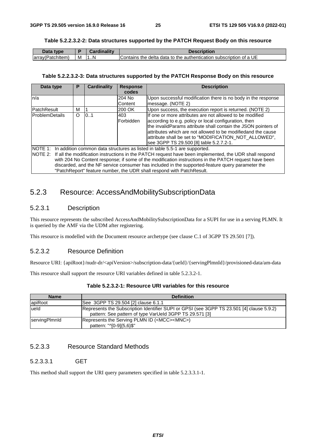#### **Table 5.2.2.3.2-2: Data structures supported by the PATCH Request Body on this resource**

| Data<br><b>type</b> |   | 2.  | <b>Description</b>                                                 |
|---------------------|---|-----|--------------------------------------------------------------------|
| (array(Patchitem)   | M | . N | Contains the delta data to the authentication subscription of a UE |

#### **Table 5.2.2.3.2-3: Data structures supported by the PATCH Response Body on this resource**

| Data type                                                                                                                                                                                                                                                                                                                                                                                                                                                                                  | Р       | Cardinality | <b>Response</b>         | <b>Description</b>                                                                                                                                                                                                                                                                                                                                      |  |  |
|--------------------------------------------------------------------------------------------------------------------------------------------------------------------------------------------------------------------------------------------------------------------------------------------------------------------------------------------------------------------------------------------------------------------------------------------------------------------------------------------|---------|-------------|-------------------------|---------------------------------------------------------------------------------------------------------------------------------------------------------------------------------------------------------------------------------------------------------------------------------------------------------------------------------------------------------|--|--|
|                                                                                                                                                                                                                                                                                                                                                                                                                                                                                            |         |             | codes                   |                                                                                                                                                                                                                                                                                                                                                         |  |  |
| n/a                                                                                                                                                                                                                                                                                                                                                                                                                                                                                        |         |             | 204 No                  | Upon successful modification there is no body in the response                                                                                                                                                                                                                                                                                           |  |  |
|                                                                                                                                                                                                                                                                                                                                                                                                                                                                                            |         |             | <b>Content</b>          | message. (NOTE 2)                                                                                                                                                                                                                                                                                                                                       |  |  |
| <b>PatchResult</b>                                                                                                                                                                                                                                                                                                                                                                                                                                                                         | м       |             | 200 OK                  | Upon success, the execution report is returned. (NOTE 2)                                                                                                                                                                                                                                                                                                |  |  |
| ProblemDetails                                                                                                                                                                                                                                                                                                                                                                                                                                                                             | $\circ$ | 10.1        | 403<br><b>Forbidden</b> | If one or more attributes are not allowed to be modified<br>according to e.g. policy or local configuration, then<br>the invalidParams attribute shall contain the JSON pointers of<br>attributes which are not allowed to be modifiedand the cause<br>attribute shall be set to "MODIFICATION_NOT_ALLOWED",<br>see 3GPP TS 29.500 [8] table 5.2.7.2-1. |  |  |
| NOTE 1: In addition common data structures as listed in table 5.5-1 are supported.<br>NOTE 2: If all the modification instructions in the PATCH request have been implemented, the UDR shall respond<br>with 204 No Content response; if some of the modification instructions in the PATCH request have been<br>discarded, and the NF service consumer has included in the supported-feature query parameter the<br>"PatchReport" feature number, the UDR shall respond with PatchResult. |         |             |                         |                                                                                                                                                                                                                                                                                                                                                         |  |  |

# 5.2.3 Resource: AccessAndMobilitySubscriptionData

# 5.2.3.1 Description

This resource represents the subscribed AccessAndMobilitySubscriptionData for a SUPI for use in a serving PLMN. It is queried by the AMF via the UDM after registering.

This resource is modelled with the Document resource archetype (see clause C.1 of 3GPP TS 29.501 [7]).

#### 5.2.3.2 Resource Definition

Resource URI: {apiRoot}/nudr-dr/<apiVersion>/subscription-data/{ueId}/{servingPlmnId}/provisioned-data/am-data

This resource shall support the resource URI variables defined in table 5.2.3.2-1.

| Table 5.2.3.2-1: Resource URI variables for this resource |  |  |  |
|-----------------------------------------------------------|--|--|--|
|-----------------------------------------------------------|--|--|--|

| <b>Name</b>          | <b>Definition</b>                                                                                                                                    |
|----------------------|------------------------------------------------------------------------------------------------------------------------------------------------------|
| apiRoot              | See 3GPP TS 29.504 [2] clause 6.1.1                                                                                                                  |
| lueld                | Represents the Subscription Identifier SUPI or GPSI (see 3GPP TS 23.501 [4] clause 5.9.2)<br>pattern: See pattern of type VarUeld 3GPP TS 29.571 [3] |
| <b>servingPlmnld</b> | Represents the Serving PLMN ID ( <mcc><mnc>)<br/>pattern: "^[0-9]{5,6}\$"</mnc></mcc>                                                                |

# 5.2.3.3 Resource Standard Methods

### 5.2.3.3.1 GET

This method shall support the URI query parameters specified in table 5.2.3.3.1-1.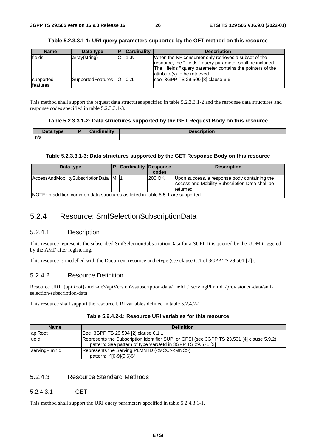#### **Table 5.2.3.3.1-1: URI query parameters supported by the GET method on this resource**

| <b>Name</b>            | Data type             | <b>Cardinality</b> | <b>Description</b>                                                                                                                                                                                             |
|------------------------|-----------------------|--------------------|----------------------------------------------------------------------------------------------------------------------------------------------------------------------------------------------------------------|
| fields                 | array(string)         | 1N                 | When the NF consumer only retrieves a subset of the<br>resource, the "fields" query parameter shall be included.<br>The "fields" query parameter contains the pointers of the<br>attribute(s) to be retrieved. |
| supported-<br>features | SupportedFeatures   O | 0.1                | see 3GPP TS 29.500 [8] clause 6.6                                                                                                                                                                              |

This method shall support the request data structures specified in table 5.2.3.3.1-2 and the response data structures and response codes specified in table 5.2.3.3.1-3.

#### **Table 5.2.3.3.1-2: Data structures supported by the GET Request Body on this resource**

| Data tvpe<br>— <i>c</i> ata | Travelin office | narintian<br><b>Description</b> |
|-----------------------------|-----------------|---------------------------------|
| n/a                         |                 |                                 |

#### **Table 5.2.3.3.1-3: Data structures supported by the GET Response Body on this resource**

| Data type                                                                        |  | <b>Cardinality Response</b> | codes  | <b>Description</b>                                                                                          |
|----------------------------------------------------------------------------------|--|-----------------------------|--------|-------------------------------------------------------------------------------------------------------------|
| AccessAndMobilitySubscriptionData M  1                                           |  |                             | 200 OK | Upon success, a response body containing the<br>Access and Mobility Subscription Data shall be<br>returned. |
| NOTE: In addition common data structures as listed in table 5.5-1 are supported. |  |                             |        |                                                                                                             |

# 5.2.4 Resource: SmfSelectionSubscriptionData

#### 5.2.4.1 Description

This resource represents the subscribed SmfSelectionSubscriptionData for a SUPI. It is queried by the UDM triggered by the AMF after registering.

This resource is modelled with the Document resource archetype (see clause C.1 of 3GPP TS 29.501 [7]).

### 5.2.4.2 Resource Definition

Resource URI: {apiRoot}/nudr-dr/<apiVersion>/subscription-data/{ueId}/{servingPlmnId}/provisioned-data/smfselection-subscription-data

This resource shall support the resource URI variables defined in table 5.2.4.2-1.

#### **Table 5.2.4.2-1: Resource URI variables for this resource**

| <b>Name</b>   | <b>Definition</b>                                                                                                                                       |
|---------------|---------------------------------------------------------------------------------------------------------------------------------------------------------|
| apiRoot       | See 3GPP TS 29.504 [2] clause 6.1.1                                                                                                                     |
| lueld         | Represents the Subscription Identifier SUPI or GPSI (see 3GPP TS 23.501 [4] clause 5.9.2)<br>pattern: See pattern of type VarUeld in 3GPP TS 29.571 [3] |
| servingPlmnld | Represents the Serving PLMN ID ( <mcc><mnc>)<br/>pattern: "^[0-9]{5,6}\$"</mnc></mcc>                                                                   |

### 5.2.4.3 Resource Standard Methods

#### 5.2.4.3.1 GET

This method shall support the URI query parameters specified in table 5.2.4.3.1-1.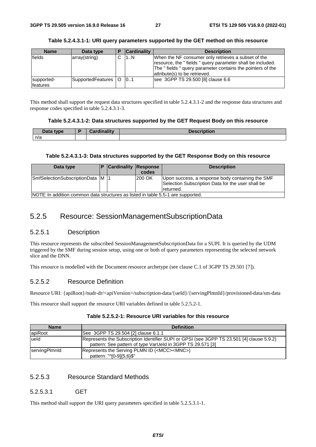supportedfeatures

| <b>Name</b> | Data type     | <b>Cardinality</b> | <b>Description</b>                                                                                                                                                                                             |
|-------------|---------------|--------------------|----------------------------------------------------------------------------------------------------------------------------------------------------------------------------------------------------------------|
| fields      | array(string) | 1N                 | When the NF consumer only retrieves a subset of the<br>resource, the "fields" query parameter shall be included.<br>The "fields" query parameter contains the pointers of the<br>attribute(s) to be retrieved. |

### **Table 5.2.4.3.1-1: URI query parameters supported by the GET method on this resource**

This method shall support the request data structures specified in table 5.2.4.3.1-2 and the response data structures and response codes specified in table 5.2.4.3.1-3.

SupportedFeatures 0 0.1 see 3GPP TS 29.500 [8] clause 6.6

#### **Table 5.2.4.3.1-2: Data structures supported by the GET Request Body on this resource**

| <b>Data type</b><br>Putu | Cordinality | <b>Description</b> |
|--------------------------|-------------|--------------------|
| n/a                      |             |                    |

#### **Table 5.2.4.3.1-3: Data structures supported by the GET Response Body on this resource**

| Data type                                                                        |  | <b>Cardinality Response</b> | codes  | <b>Description</b>                                                                                                 |  |
|----------------------------------------------------------------------------------|--|-----------------------------|--------|--------------------------------------------------------------------------------------------------------------------|--|
| SmfSelectionSubscriptionData M                                                   |  |                             | 200 OK | Upon success, a response body containing the SMF<br>Selection Subscription Data for the user shall be<br>returned. |  |
| NOTE: In addition common data structures as listed in table 5.5-1 are supported. |  |                             |        |                                                                                                                    |  |

# 5.2.5 Resource: SessionManagementSubscriptionData

# 5.2.5.1 Description

This resource represents the subscribed SessionManagementSubscriptionData for a SUPI. It is queried by the UDM triggered by the SMF during session setup, using one or both of query parameters representing the selected network slice and the DNN.

This resource is modelled with the Document resource archetype (see clause C.1 of 3GPP TS 29.501 [7]).

# 5.2.5.2 Resource Definition

Resource URI: {apiRoot}/nudr-dr/<apiVersion>/subscription-data/{ueId}/{servingPlmnId}/provisioned-data/sm-data

This resource shall support the resource URI variables defined in table 5.2.5.2-1.

# **Table 5.2.5.2-1: Resource URI variables for this resource**

| <b>Name</b>   | <b>Definition</b>                                                                                                                                       |
|---------------|---------------------------------------------------------------------------------------------------------------------------------------------------------|
| apiRoot       | See 3GPP TS 29.504 [2] clause 6.1.1                                                                                                                     |
| lueld         | Represents the Subscription Identifier SUPI or GPSI (see 3GPP TS 23.501 [4] clause 5.9.2)<br>pattern: See pattern of type VarUeld in 3GPP TS 29.571 [3] |
| servingPlmnld | Represents the Serving PLMN ID ( <mcc><mnc>)<br/>pattern: "^[0-9]{5,6}\$"</mnc></mcc>                                                                   |

# 5.2.5.3 Resource Standard Methods

# 5.2.5.3.1 GET

This method shall support the URI query parameters specified in table 5.2.5.3.1-1.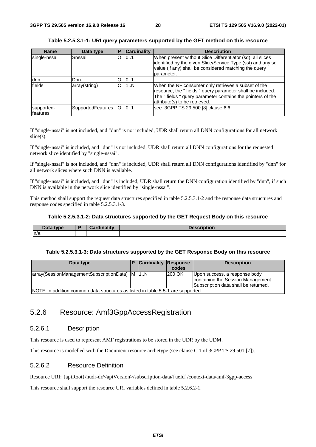#### **Table 5.2.5.3.1-1: URI query parameters supported by the GET method on this resource**

| <b>Name</b>             | Data type                | Р | <b>Cardinality</b> | <b>Description</b>                                                                                                                                                                                              |
|-------------------------|--------------------------|---|--------------------|-----------------------------------------------------------------------------------------------------------------------------------------------------------------------------------------------------------------|
| single-nssai            | Snssai                   | O | 101                | When present without Slice Differentiator (sd), all slices<br>identified by the given Slice/Service Type (sst) and any sd<br>value (if any) shall be considered matching the query<br>parameter.                |
| ldnn.                   | D <sub>nn</sub>          | O | 101                |                                                                                                                                                                                                                 |
| fields                  | array(string)            | C | 1N                 | When the NF consumer only retrieves a subset of the<br>resource, the "fields " query parameter shall be included.<br>The "fields" query parameter contains the pointers of the<br>attribute(s) to be retrieved. |
| supported-<br>lfeatures | <b>SupportedFeatures</b> | O | 0.1                | see 3GPP TS 29.500 [8] clause 6.6                                                                                                                                                                               |

If "single-nssai" is not included, and "dnn" is not included, UDR shall return all DNN configurations for all network slice(s).

If "single-nssai" is included, and "dnn" is not included, UDR shall return all DNN configurations for the requested network slice identified by "single-nssai".

If "single-nssai" is not included, and "dnn" is included, UDR shall return all DNN configurations identified by "dnn" for all network slices where such DNN is available.

If "single-nssai" is included, and "dnn" is included, UDR shall return the DNN configuration identified by "dnn", if such DNN is available in the network slice identified by "single-nssai".

This method shall support the request data structures specified in table 5.2.5.3.1-2 and the response data structures and response codes specified in table 5.2.5.3.1-3.

#### **Table 5.2.5.3.1-2: Data structures supported by the GET Request Body on this resource**

| $\Delta$ ata type | المستحققا والمستحققة | -----<br>וטווטו. |
|-------------------|----------------------|------------------|
| n/a               |                      |                  |

#### **Table 5.2.5.3.1-3: Data structures supported by the GET Response Body on this resource**

| Data type                                                                         |  | <b>Cardinality Response</b> | codes         | <b>Description</b>                                                                                         |  |  |  |
|-----------------------------------------------------------------------------------|--|-----------------------------|---------------|------------------------------------------------------------------------------------------------------------|--|--|--|
| array (SessionManagementSubscriptionData) M   1N                                  |  |                             | <b>200 OK</b> | Upon success, a response body<br>containing the Session Management<br>Subscription data shall be returned. |  |  |  |
| INOTE: In addition common data structures as listed in table 5.5-1 are supported. |  |                             |               |                                                                                                            |  |  |  |

5.2.6 Resource: Amf3GppAccessRegistration

#### 5.2.6.1 Description

This resource is used to represent AMF registrations to be stored in the UDR by the UDM.

This resource is modelled with the Document resource archetype (see clause C.1 of 3GPP TS 29.501 [7]).

### 5.2.6.2 Resource Definition

Resource URI: {apiRoot}/nudr-dr/<apiVersion>/subscription-data/{ueId}/context-data/amf-3gpp-access

This resource shall support the resource URI variables defined in table 5.2.6.2-1.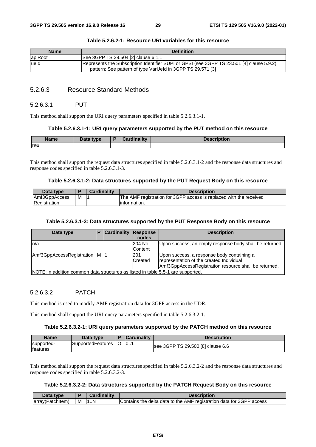| <b>Name</b> | <b>Definition</b>                                                                                                                                       |
|-------------|---------------------------------------------------------------------------------------------------------------------------------------------------------|
| apiRoot     | See 3GPP TS 29.504 [2] clause 6.1.1                                                                                                                     |
| lueld       | Represents the Subscription Identifier SUPI or GPSI (see 3GPP TS 23.501 [4] clause 5.9.2)<br>pattern: See pattern of type VarUeld in 3GPP TS 29.571 [3] |

#### **Table 5.2.6.2-1: Resource URI variables for this resource**

# 5.2.6.3 Resource Standard Methods

#### 5.2.6.3.1 PUT

This method shall support the URI query parameters specified in table 5.2.6.3.1-1.

#### **Table 5.2.6.3.1-1: URI query parameters supported by the PUT method on this resource**

| <b>Name</b> | Data type | - | Cardinality<br>.71111 | <b>IOOOFINIAR</b><br>онон |
|-------------|-----------|---|-----------------------|---------------------------|
| n/a         |           |   |                       |                           |

This method shall support the request data structures specified in table 5.2.6.3.1-2 and the response data structures and response codes specified in table 5.2.6.3.1-3.

#### **Table 5.2.6.3.1-2: Data structures supported by the PUT Request Body on this resource**

| Data type     |   | Cardinalitv | <b>Description</b>                                                 |
|---------------|---|-------------|--------------------------------------------------------------------|
| Amf3GppAccess | М |             | The AMF registration for 3GPP access is replaced with the received |
| Registration  |   |             | linformation.                                                      |

#### **Table 5.2.6.3.1-3: Data structures supported by the PUT Response Body on this resource**

| Data type                                                                        | D | <b>Cardinality Response</b> |         | <b>Description</b>                                     |
|----------------------------------------------------------------------------------|---|-----------------------------|---------|--------------------------------------------------------|
|                                                                                  |   |                             | codes   |                                                        |
| ln/a                                                                             |   |                             | 204 No  | Upon success, an empty response body shall be returned |
|                                                                                  |   |                             | Content |                                                        |
| Amf3GppAccessRegistration M                                                      |   |                             | 201     | Upon success, a response body containing a             |
|                                                                                  |   |                             | Created | representation of the created Individual               |
|                                                                                  |   |                             |         | Amf3GppAccessRegistration resource shall be returned.  |
| NOTE: In addition common data structures as listed in table 5.5-1 are supported. |   |                             |         |                                                        |

#### 5.2.6.3.2 PATCH

This method is used to modify AMF registration data for 3GPP access in the UDR.

This method shall support the URI query parameters specified in table 5.2.6.3.2-1.

#### **Table 5.2.6.3.2-1: URI query parameters supported by the PATCH method on this resource**

| <b>Name</b>                    | Data type         | <b>Cardinality</b> | Description                       |
|--------------------------------|-------------------|--------------------|-----------------------------------|
| supported-<br><b>Ifeatures</b> | SupportedFeatures | 10                 | see 3GPP TS 29.500 [8] clause 6.6 |

This method shall support the request data structures specified in table 5.2.6.3.2-2 and the response data structures and response codes specified in table 5.2.6.3.2-3.

#### **Table 5.2.6.3.2-2: Data structures supported by the PATCH Request Body on this resource**

| Data<br>tvne          |   | .  | cription                                                                          |
|-----------------------|---|----|-----------------------------------------------------------------------------------|
| larra<br>hltem:<br>эπ | м | .N | data for 3GPP access<br>e delta data to the AMF registration o<br>Contains<br>the |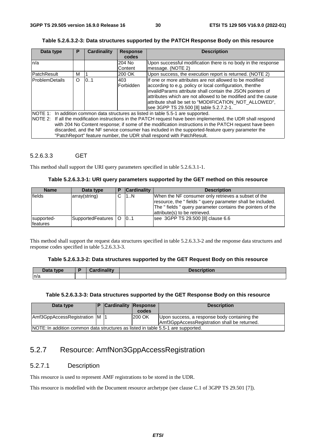#### **Table 5.2.6.3.2-3: Data structures supported by the PATCH Response Body on this resource**

| Data type              | P                                                                                                                                                                                                                                                                                                                                                                                                                                                                                          | Cardinality | <b>Response</b>          | <b>Description</b>                                                                                                                                                                                                                                                                                                                                      |  |  |  |  |
|------------------------|--------------------------------------------------------------------------------------------------------------------------------------------------------------------------------------------------------------------------------------------------------------------------------------------------------------------------------------------------------------------------------------------------------------------------------------------------------------------------------------------|-------------|--------------------------|---------------------------------------------------------------------------------------------------------------------------------------------------------------------------------------------------------------------------------------------------------------------------------------------------------------------------------------------------------|--|--|--|--|
|                        |                                                                                                                                                                                                                                                                                                                                                                                                                                                                                            |             | codes                    |                                                                                                                                                                                                                                                                                                                                                         |  |  |  |  |
| n/a                    |                                                                                                                                                                                                                                                                                                                                                                                                                                                                                            |             | 204 No<br><b>Content</b> | Upon successful modification there is no body in the response<br>message. (NOTE 2)                                                                                                                                                                                                                                                                      |  |  |  |  |
| PatchResult            | м                                                                                                                                                                                                                                                                                                                                                                                                                                                                                          |             | 200 OK                   | Upon success, the execution report is returned. (NOTE 2)                                                                                                                                                                                                                                                                                                |  |  |  |  |
| <b>IProblemDetails</b> | $\Omega$                                                                                                                                                                                                                                                                                                                                                                                                                                                                                   | 0.1         | 403<br>Forbidden         | If one or more attributes are not allowed to be modified<br>according to e.g. policy or local configuration, thenthe<br>invalidParams attribute shall contain the JSON pointers of<br>attributes which are not allowed to be modified and the cause<br>attribute shall be set to "MODIFICATION NOT ALLOWED",<br>see 3GPP TS 29.500 [8] table 5.2.7.2-1. |  |  |  |  |
|                        | NOTE 1: In addition common data structures as listed in table 5.5-1 are supported.<br>NOTE 2: If all the modification instructions in the PATCH request have been implemented, the UDR shall respond<br>with 204 No Content response; if some of the modification instructions in the PATCH request have been<br>discarded, and the NF service consumer has included in the supported-feature query parameter the<br>"PatchReport" feature number, the UDR shall respond with PatchResult. |             |                          |                                                                                                                                                                                                                                                                                                                                                         |  |  |  |  |

#### 5.2.6.3.3 GET

This method shall support the URI query parameters specified in table 5.2.6.3.1-1.

| <b>Name</b>                   | Data type             | <b>Cardinality</b> | <b>Description</b>                                                                                                                                                                                             |
|-------------------------------|-----------------------|--------------------|----------------------------------------------------------------------------------------------------------------------------------------------------------------------------------------------------------------|
| fields                        | array(string)         | 1N                 | When the NF consumer only retrieves a subset of the<br>resource, the "fields" query parameter shall be included.<br>The "fields" query parameter contains the pointers of the<br>attribute(s) to be retrieved. |
| supported-<br><b>features</b> | SupportedFeatures   O | 0.1                | see 3GPP TS 29.500 [8] clause 6.6                                                                                                                                                                              |

This method shall support the request data structures specified in table 5.2.6.3.3-2 and the response data structures and response codes specified in table 5.2.6.3.3-3.

#### **Table 5.2.6.3.3-2: Data structures supported by the GET Request Body on this resource**

| Data type | Cardinalitv | <b>Description</b> |
|-----------|-------------|--------------------|
| n/a       |             |                    |

#### **Table 5.2.6.3.3-3: Data structures supported by the GET Response Body on this resource**

| Data type                                                                        | <b>Cardinality Response</b> | codes         | <b>Description</b>                                                                           |
|----------------------------------------------------------------------------------|-----------------------------|---------------|----------------------------------------------------------------------------------------------|
| Amf3GppAccessRegistration M                                                      |                             | <b>200 OK</b> | Upon success, a response body containing the<br>Amf3GppAccessRegistration shall be returned. |
| NOTE: In addition common data structures as listed in table 5.5-1 are supported. |                             |               |                                                                                              |

# 5.2.7 Resource: AmfNon3GppAccessRegistration

#### 5.2.7.1 Description

This resource is used to represent AMF registrations to be stored in the UDR.

This resource is modelled with the Document resource archetype (see clause C.1 of 3GPP TS 29.501 [7]).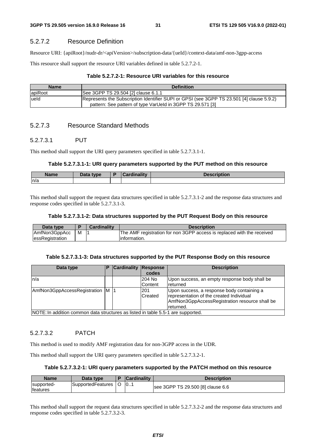# 5.2.7.2 Resource Definition

Resource URI: {apiRoot}/nudr-dr/<apiVersion>/subscription-data/{ueId}/context-data/amf-non-3gpp-access

This resource shall support the resource URI variables defined in table 5.2.7.2-1.

### **Table 5.2.7.2-1: Resource URI variables for this resource**

| <b>Name</b> | <b>Definition</b>                                                                                                                                       |
|-------------|---------------------------------------------------------------------------------------------------------------------------------------------------------|
| apiRoot     | See 3GPP TS 29.504 [2] clause 6.1.1                                                                                                                     |
| lueld       | Represents the Subscription Identifier SUPI or GPSI (see 3GPP TS 23.501 [4] clause 5.9.2)<br>pattern: See pattern of type VarUeld in 3GPP TS 29.571 [3] |

# 5.2.7.3 Resource Standard Methods

# 5.2.7.3.1 PUT

This method shall support the URI query parameters specified in table 5.2.7.3.1-1.

### **Table 5.2.7.3.1-1: URI query parameters supported by the PUT method on this resource**

| Name | Data type<br>Dala | .<br><b>THE R.</b> | $\cdots$<br><b>DESCRIPTION</b> |
|------|-------------------|--------------------|--------------------------------|
| n/a  |                   |                    |                                |

This method shall support the request data structures specified in table 5.2.7.3.1-2 and the response data structures and response codes specified in table 5.2.7.3.1-3.

#### **Table 5.2.7.3.1-2: Data structures supported by the PUT Request Body on this resource**

| Data type              |   | Cardinality | <b>Description</b>                                                     |
|------------------------|---|-------------|------------------------------------------------------------------------|
| AmfNon3GppAcc          | м |             | The AMF registration for non 3GPP access is replaced with the received |
| <b>essRegistration</b> |   |             | linformation.                                                          |

#### **Table 5.2.7.3.1-3: Data structures supported by the PUT Response Body on this resource**

| Data type                                                                         | P | <b>Cardinality Response</b> | codes                    | <b>Description</b>                                                                                                                                    |
|-----------------------------------------------------------------------------------|---|-----------------------------|--------------------------|-------------------------------------------------------------------------------------------------------------------------------------------------------|
| ln/a                                                                              |   |                             | 204 No<br><b>Content</b> | Upon success, an empty response body shall be<br>returned                                                                                             |
| AmfNon3GppAccessRegistration M  1                                                 |   |                             | 201<br>Created           | Upon success, a response body containing a<br>representation of the created Individual<br>AmfNon3GppAccessRegistration resource shall be<br>returned. |
| INOTE: In addition common data structures as listed in table 5.5-1 are supported. |   |                             |                          |                                                                                                                                                       |

able 5.5-1 are supported.

# 5.2.7.3.2 PATCH

This method is used to modify AMF registration data for non-3GPP access in the UDR.

This method shall support the URI query parameters specified in table 5.2.7.3.2-1.

### **Table 5.2.7.3.2-1: URI query parameters supported by the PATCH method on this resource**

| <b>Name</b>                   | Data type         | <b>Cardinality</b> | Description                       |
|-------------------------------|-------------------|--------------------|-----------------------------------|
| supported-<br><b>features</b> | SupportedFeatures | 10                 | see 3GPP TS 29.500 [8] clause 6.6 |

This method shall support the request data structures specified in table 5.2.7.3.2-2 and the response data structures and response codes specified in table 5.2.7.3.2-3.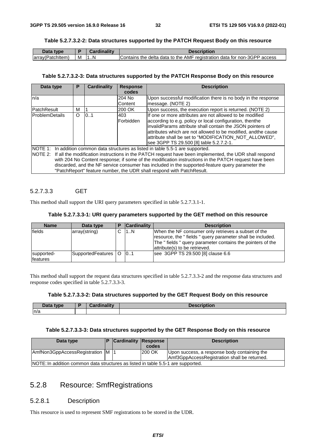#### **Table 5.2.7.3.2-2: Data structures supported by the PATCH Request Body on this resource**

| Data type        |   | <b>Cardinality</b> | <b>Description</b>                                                       |
|------------------|---|--------------------|--------------------------------------------------------------------------|
| array(Patchitem) | M | 1N                 | Contains the delta data to the AMF registration data for non-3GPP access |

#### **Table 5.2.7.3.2-3: Data structures supported by the PATCH Response Body on this resource**

| Data type                                                                          | P        | Cardinality | <b>Response</b>  | <b>Description</b>                                                                                             |  |  |  |
|------------------------------------------------------------------------------------|----------|-------------|------------------|----------------------------------------------------------------------------------------------------------------|--|--|--|
|                                                                                    |          |             | codes            |                                                                                                                |  |  |  |
| n/a                                                                                |          |             | 204 No           | Upon successful modification there is no body in the response                                                  |  |  |  |
|                                                                                    |          |             | Content          | message. (NOTE 2)                                                                                              |  |  |  |
| PatchResult                                                                        | м        |             | 200 OK           | Upon success, the execution report is returned. (NOTE 2)                                                       |  |  |  |
| <b>IProblemDetails</b>                                                             | $\Omega$ | 0.1         | 403              | If one or more attributes are not allowed to be modified                                                       |  |  |  |
|                                                                                    |          |             | <b>Forbidden</b> | according to e.g. policy or local configuration, thenthe                                                       |  |  |  |
|                                                                                    |          |             |                  | invalidParams attribute shall contain the JSON pointers of                                                     |  |  |  |
|                                                                                    |          |             |                  | attributes which are not allowed to be modified, andthe cause                                                  |  |  |  |
|                                                                                    |          |             |                  | attribute shall be set to "MODIFICATION_NOT_ALLOWED",                                                          |  |  |  |
|                                                                                    |          |             |                  | see 3GPP TS 29.500 [8] table 5.2.7.2-1.                                                                        |  |  |  |
| NOTE 1: In addition common data structures as listed in table 5.5-1 are supported. |          |             |                  |                                                                                                                |  |  |  |
|                                                                                    |          |             |                  | NOTE 2: If all the modification instructions in the PATCH request have been implemented, the UDR shall respond |  |  |  |
|                                                                                    |          |             |                  | with 204 No Content response; if some of the modification instructions in the PATCH request have been          |  |  |  |
|                                                                                    |          |             |                  | discarded, and the NF service consumer has included in the supported-feature query parameter the               |  |  |  |
|                                                                                    |          |             |                  | "PatchReport" feature number, the UDR shall respond with PatchResult.                                          |  |  |  |

# 5.2.7.3.3 GET

This method shall support the URI query parameters specified in table 5.2.7.3.1-1.

#### **Table 5.2.7.3.3-1: URI query parameters supported by the GET method on this resource**

| <b>Name</b>                   | Data type             | <b>Cardinality</b> | <b>Description</b>                                                                                                                                                                                               |
|-------------------------------|-----------------------|--------------------|------------------------------------------------------------------------------------------------------------------------------------------------------------------------------------------------------------------|
| fields                        | array(string)         | 1N                 | When the NF consumer only retrieves a subset of the<br>resource, the "fields" query parameter shall be included.<br>The " fields " query parameter contains the pointers of the<br>attribute(s) to be retrieved. |
| supported-<br><b>features</b> | SupportedFeatures   O | 0.1                | see 3GPP TS 29.500 [8] clause 6.6                                                                                                                                                                                |

This method shall support the request data structures specified in table 5.2.7.3.3-2 and the response data structures and response codes specified in table 5.2.7.3.3-3.

#### **Table 5.2.7.3.3-2: Data structures supported by the GET Request Body on this resource**

| Data type | Condination | <b>Description</b> |
|-----------|-------------|--------------------|
| n/a       |             |                    |

#### **Table 5.2.7.3.3-3: Data structures supported by the GET Response Body on this resource**

| Data type                                                                         | <b>Cardinality Response</b> | codes  | <b>Description</b>                                                                           |
|-----------------------------------------------------------------------------------|-----------------------------|--------|----------------------------------------------------------------------------------------------|
| AmfNon3GppAccessRegistration M  1                                                 |                             | 200 OK | Upon success, a response body containing the<br>Amf3GppAccessRegistration shall be returned. |
| INOTE: In addition common data structures as listed in table 5.5-1 are supported. |                             |        |                                                                                              |

# 5.2.8 Resource: SmfRegistrations

#### 5.2.8.1 Description

This resource is used to represent SMF registrations to be stored in the UDR.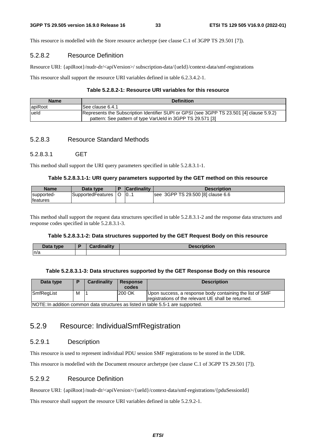This resource is modelled with the Store resource archetype (see clause C.1 of 3GPP TS 29.501 [7]).

# 5.2.8.2 Resource Definition

Resource URI: {apiRoot}/nudr-dr/<apiVersion>/ subscription-data/{ueId}/context-data/smf-registrations

This resource shall support the resource URI variables defined in table 6.2.3.4.2-1.

### **Table 5.2.8.2-1: Resource URI variables for this resource**

| <b>Name</b> | <b>Definition</b>                                                                         |
|-------------|-------------------------------------------------------------------------------------------|
| lapiRoot    | ISee clause 6.4.1                                                                         |
| lueld       | Represents the Subscription Identifier SUPI or GPSI (see 3GPP TS 23.501 [4] clause 5.9.2) |
|             | pattern: See pattern of type VarUeld in 3GPP TS 29.571 [3]                                |

# 5.2.8.3 Resource Standard Methods

# 5.2.8.3.1 GET

This method shall support the URI query parameters specified in table 5.2.8.3.1-1.

#### **Table 5.2.8.3.1-1: URI query parameters supported by the GET method on this resource**

| <b>Name</b>      | Data type         | <b>Cardinality</b> | <b>Description</b>                |
|------------------|-------------------|--------------------|-----------------------------------|
| supported-       | SupportedFeatures | 10                 | see 3GPP TS 29.500 [8] clause 6.6 |
| <b>Ifeatures</b> |                   |                    |                                   |

This method shall support the request data structures specified in table 5.2.8.3.1-2 and the response data structures and response codes specified in table 5.2.8.3.1-3.

#### **Table 5.2.8.3.1-2: Data structures supported by the GET Request Body on this resource**

| Doto.<br>type<br>Dala | œ | <b>Contract Made and State Advisers</b> | Descr<br>snouon |
|-----------------------|---|-----------------------------------------|-----------------|
| n/a                   |   |                                         |                 |

#### **Table 5.2.8.3.1-3: Data structures supported by the GET Response Body on this resource**

| Data type  |                                                                                  | Cardinality | <b>Response</b><br>codes | <b>Description</b>                                                                                              |  |  |  |
|------------|----------------------------------------------------------------------------------|-------------|--------------------------|-----------------------------------------------------------------------------------------------------------------|--|--|--|
| SmfRegList | М                                                                                |             | 200 OK                   | Upon success, a response body containing the list of SMF<br>registrations of the relevant UE shall be returned. |  |  |  |
|            | NOTE: In addition common data structures as listed in table 5.5-1 are supported. |             |                          |                                                                                                                 |  |  |  |

# 5.2.9 Resource: IndividualSmfRegistration

# 5.2.9.1 Description

This resource is used to represent individual PDU session SMF registrations to be stored in the UDR.

This resource is modelled with the Document resource archetype (see clause C.1 of 3GPP TS 29.501 [7]).

# 5.2.9.2 Resource Definition

Resource URI: {apiRoot}/nudr-dr/<apiVersion>/{ueId}/context-data/smf-registrations/{pduSessionId}

This resource shall support the resource URI variables defined in table 5.2.9.2-1.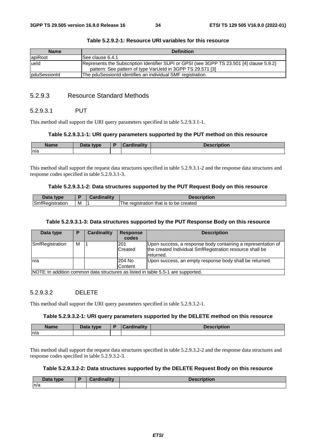| <b>Name</b>          | <b>Definition</b>                                                                                                                                       |
|----------------------|---------------------------------------------------------------------------------------------------------------------------------------------------------|
| apiRoot              | See clause 6.4.1                                                                                                                                        |
| lueld                | Represents the Subscription Identifier SUPI or GPSI (see 3GPP TS 23.501 [4] clause 5.9.2)<br>pattern: See pattern of type VarUeld in 3GPP TS 29.571 [3] |
| <b>IpduSessionId</b> | The pduSessionId identifies an individual SMF registration.                                                                                             |

#### **Table 5.2.9.2-1: Resource URI variables for this resource**

# 5.2.9.3 Resource Standard Methods

#### 5.2.9.3.1 PUT

This method shall support the URI query parameters specified in table 5.2.9.3.1-1.

#### **Table 5.2.9.3.1-1: URI query parameters supported by the PUT method on this resource**

| <b>Name</b> | <b>Pata type</b><br><u>.</u> | $m_{\rm B}$ $\sim$ 114 $\sim$ 114 $\sim$<br><b>CONTRACTOR</b> CONTRACTOR | , |
|-------------|------------------------------|--------------------------------------------------------------------------|---|
| n/a         |                              |                                                                          |   |

This method shall support the request data structures specified in table 5.2.9.3.1-2 and the response data structures and response codes specified in table 5.2.9.3.1-3.

#### **Table 5.2.9.3.1-2: Data structures supported by the PUT Request Body on this resource**

| Data type       |   | <b>dinality</b> | <b>Description</b>                              |
|-----------------|---|-----------------|-------------------------------------------------|
| SmfRegistration | м |                 | i that is to be created<br>registration<br>l he |

#### **Table 5.2.9.3.1-3: Data structures supported by the PUT Response Body on this resource**

| Data type                                                                        | P | Cardinality | <b>Response</b><br>codes | <b>Description</b>                                                                                                                    |  |  |
|----------------------------------------------------------------------------------|---|-------------|--------------------------|---------------------------------------------------------------------------------------------------------------------------------------|--|--|
| SmfRegistration                                                                  | м |             | l201<br>Created          | Upon success, a response body containing a representation of<br>the created Individual SmfRegistration resource shall be<br>returned. |  |  |
| ln/a                                                                             |   |             | 204 No<br>Content        | Upon success, an empty response body shall be returned.                                                                               |  |  |
| NOTE: In addition common data structures as listed in table 5.5-1 are supported. |   |             |                          |                                                                                                                                       |  |  |

#### 5.2.9.3.2 DELETE

This method shall support the URI query parameters specified in table 5.2.9.3.2-1.

#### **Table 5.2.9.3.2-1: URI query parameters supported by the DELETE method on this resource**

|     | Data type | <b>Description</b> |
|-----|-----------|--------------------|
| n/a |           |                    |

This method shall support the request data structures specified in table 5.2.9.3.2-2 and the response data structures and response codes specified in table 5.2.9.3.2-3.

#### **Table 5.2.9.3.2-2: Data structures supported by the DELETE Request Body on this resource**

| <b>Data type</b><br>Pata |  | <b>Description</b> |
|--------------------------|--|--------------------|
| n/a                      |  |                    |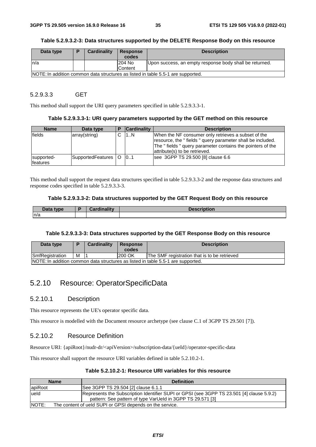#### **Table 5.2.9.3.2-3: Data structures supported by the DELETE Response Body on this resource**

| Data type | D                                                                                | Cardinality | <b>Response</b> | <b>Description</b>                                      |  |  |  |
|-----------|----------------------------------------------------------------------------------|-------------|-----------------|---------------------------------------------------------|--|--|--|
|           |                                                                                  |             | codes           |                                                         |  |  |  |
| ln/a      |                                                                                  |             | 204 No          | Upon success, an empty response body shall be returned. |  |  |  |
|           |                                                                                  |             | Content         |                                                         |  |  |  |
|           | NOTE: In addition common data structures as listed in table 5.5-1 are supported. |             |                 |                                                         |  |  |  |

#### 5.2.9.3.3 GET

This method shall support the URI query parameters specified in table 5.2.9.3.3-1.

#### **Table 5.2.9.3.3-1: URI query parameters supported by the GET method on this resource**

| <b>Name</b>            | Data type             | <b>Cardinality</b> | <b>Description</b>                                                                                                                                                                                               |
|------------------------|-----------------------|--------------------|------------------------------------------------------------------------------------------------------------------------------------------------------------------------------------------------------------------|
| fields                 | array(string)         | 11N                | When the NF consumer only retrieves a subset of the<br>resource, the "fields" query parameter shall be included.<br>The " fields " query parameter contains the pointers of the<br>attribute(s) to be retrieved. |
| supported-<br>features | SupportedFeatures   O | 0.1                | see 3GPP TS 29.500 [8] clause 6.6                                                                                                                                                                                |

This method shall support the request data structures specified in table 5.2.9.3.3-2 and the response data structures and response codes specified in table 5.2.9.3.3-3.

#### **Table 5.2.9.3.3-2: Data structures supported by the GET Request Body on this resource**

| <b>Pata type</b><br>Dala | $-1$ Cardinality | <b>Description</b><br>nonc |
|--------------------------|------------------|----------------------------|
| n/a                      |                  |                            |

#### **Table 5.2.9.3.3-3: Data structures supported by the GET Response Body on this resource**

| Data type                                                                        |   | Cardinality | Response<br>codes | <b>Description</b>                           |  |  |
|----------------------------------------------------------------------------------|---|-------------|-------------------|----------------------------------------------|--|--|
| <b>SmfRegistration</b>                                                           | M |             | 200 OK            | The SMF registration that is to be retrieved |  |  |
| NOTE: In addition common data structures as listed in table 5.5-1 are supported. |   |             |                   |                                              |  |  |

# 5.2.10 Resource: OperatorSpecificData

#### 5.2.10.1 Description

This resource represents the UE's operator specific data.

This resource is modelled with the Document resource archetype (see clause C.1 of 3GPP TS 29.501 [7]).

### 5.2.10.2 Resource Definition

Resource URI: {apiRoot}/nudr-dr/<apiVersion>/subscription-data/{ueId}/operator-specific-data

This resource shall support the resource URI variables defined in table 5.2.10.2-1.

#### **Table 5.2.10.2-1: Resource URI variables for this resource**

| <b>Name</b>                                                       | <b>Definition</b>                                                                                                                                       |
|-------------------------------------------------------------------|---------------------------------------------------------------------------------------------------------------------------------------------------------|
| apiRoot                                                           | See 3GPP TS 29.504 [2] clause 6.1.1                                                                                                                     |
| lueld                                                             | Represents the Subscription Identifier SUPI or GPSI (see 3GPP TS 23.501 [4] clause 5.9.2)<br>pattern: See pattern of type VarUeld in 3GPP TS 29.571 [3] |
| NOTE:<br>The content of ueld SUPI or GPSI depends on the service. |                                                                                                                                                         |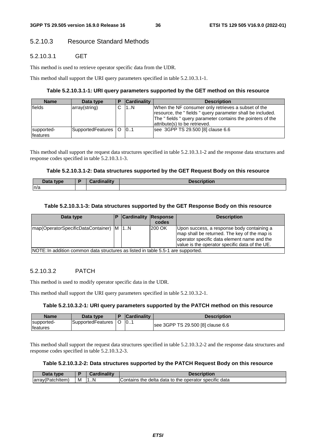# 5.2.10.3 Resource Standard Methods

## 5.2.10.3.1 GET

This method is used to retrieve operator specific data from the UDR.

This method shall support the URI query parameters specified in table 5.2.10.3.1-1.

### **Table 5.2.10.3.1-1: URI query parameters supported by the GET method on this resource**

| <b>Name</b>            | Data type             | <b>Cardinality</b> | <b>Description</b>                                                                                                                                                                                               |
|------------------------|-----------------------|--------------------|------------------------------------------------------------------------------------------------------------------------------------------------------------------------------------------------------------------|
| fields                 | array(string)         | 1N                 | When the NF consumer only retrieves a subset of the<br>resource, the "fields" query parameter shall be included.<br>The " fields " query parameter contains the pointers of the<br>attribute(s) to be retrieved. |
| supported-<br>features | SupportedFeatures   O | 0.1                | see 3GPP TS 29.500 [8] clause 6.6                                                                                                                                                                                |

This method shall support the request data structures specified in table 5.2.10.3.1-2 and the response data structures and response codes specified in table 5.2.10.3.1-3.

#### **Table 5.2.10.3.1-2: Data structures supported by the GET Request Body on this resource**

| Data type<br>Dala | n | <b>Cordinality</b> | Descr<br>ווטווט |
|-------------------|---|--------------------|-----------------|
| n/a               |   |                    |                 |

#### **Table 5.2.10.3.1-3: Data structures supported by the GET Response Body on this resource**

| Data type                                                                        | <b>Cardinality Response</b> | codes         | <b>Description</b>                                                                                                                                                                          |
|----------------------------------------------------------------------------------|-----------------------------|---------------|---------------------------------------------------------------------------------------------------------------------------------------------------------------------------------------------|
| map(OperatorSpecificDataContainer)   M   1N                                      |                             | <b>200 OK</b> | Upon success, a response body containing a<br>map shall be returned. The key of the map is<br>operator specific data element name and the<br>value is the operator specific data of the UE. |
| NOTE: In addition common data structures as listed in table 5.5-1 are supported. |                             |               |                                                                                                                                                                                             |

### 5.2.10.3.2 PATCH

This method is used to modify operator specific data in the UDR.

This method shall support the URI query parameters specified in table 5.2.10.3.2-1.

## **Table 5.2.10.3.2-1: URI query parameters supported by the PATCH method on this resource**

| Name                    | Data type         |         | <b>Cardinality</b> | Description                       |
|-------------------------|-------------------|---------|--------------------|-----------------------------------|
| supported-<br>lfeatures | SupportedFeatures | $\circ$ | $\vert 0$          | see 3GPP TS 29.500 [8] clause 6.6 |

This method shall support the request data structures specified in table 5.2.10.3.2-2 and the response data structures and response codes specified in table 5.2.10.3.2-3.

### **Table 5.2.10.3.2-2: Data structures supported by the PATCH Request Body on this resource**

| Data<br>type               |   | `ordinolity | Description                                                        |
|----------------------------|---|-------------|--------------------------------------------------------------------|
| Jarray (Patc<br>PatchItem⊥ | м | ۱N          | ⊧ delta<br>a data to the operator specific<br>data<br>Contains the |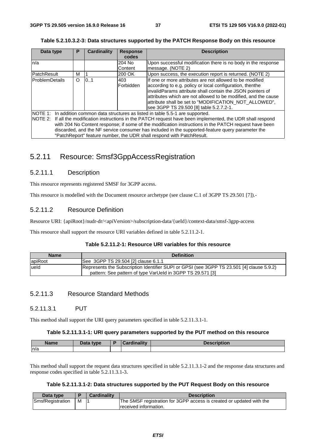**Table 5.2.10.3.2-3: Data structures supported by the PATCH Response Body on this resource** 

| Data type             | Р        | Cardinality | <b>Response</b> | <b>Description</b>                                                                                             |
|-----------------------|----------|-------------|-----------------|----------------------------------------------------------------------------------------------------------------|
|                       |          |             | codes           |                                                                                                                |
| n/a                   |          |             | 204 No          | Upon successful modification there is no body in the response                                                  |
|                       |          |             | Content         | message. (NOTE 2)                                                                                              |
| PatchResult           | м        |             | 200 OK          | Upon success, the execution report is returned. (NOTE 2)                                                       |
| <b>ProblemDetails</b> | $\Omega$ | 0.1         | 403             | If one or more attributes are not allowed to be modified                                                       |
|                       |          |             | Forbidden       | according to e.g. policy or local configuration, thenthe                                                       |
|                       |          |             |                 | invalidParams attribute shall contain the JSON pointers of                                                     |
|                       |          |             |                 | attributes which are not allowed to be modified, and the cause                                                 |
|                       |          |             |                 | attribute shall be set to "MODIFICATION_NOT_ALLOWED",                                                          |
|                       |          |             |                 | see 3GPP TS 29.500 [8] table 5.2.7.2-1.                                                                        |
|                       |          |             |                 | NOTE 1: In addition common data structures as listed in table 5.5-1 are supported.                             |
|                       |          |             |                 | NOTE 2: If all the modification instructions in the PATCH request have been implemented, the UDR shall respond |
|                       |          |             |                 | with 204 No Content response; if some of the modification instructions in the PATCH request have been          |
|                       |          |             |                 | discarded, and the NF service consumer has included in the supported-feature query parameter the               |

# 5.2.11 Resource: Smsf3GppAccessRegistration

"PatchReport" feature number, the UDR shall respond with PatchResult.

# 5.2.11.1 Description

This resource represents registered SMSF for 3GPP access.

This resource is modelled with the Document resource archetype (see clause C.1 of 3GPP TS 29.501 [7]).-

## 5.2.11.2 Resource Definition

Resource URI: {apiRoot}/nudr-dr/<apiVersion>/subscription-data/{ueId}/context-data/smsf-3gpp-access

This resource shall support the resource URI variables defined in table 5.2.11.2-1.

### **Table 5.2.11.2-1: Resource URI variables for this resource**

| <b>Name</b> | <b>Definition</b>                                                                                                                                       |
|-------------|---------------------------------------------------------------------------------------------------------------------------------------------------------|
| apiRoot     | See 3GPP TS 29.504 [2] clause 6.1.1                                                                                                                     |
| lueld       | Represents the Subscription Identifier SUPI or GPSI (see 3GPP TS 23.501 [4] clause 5.9.2)<br>pattern: See pattern of type VarUeld in 3GPP TS 29.571 [3] |

# 5.2.11.3 Resource Standard Methods

### 5.2.11.3.1 PUT

This method shall support the URI query parameters specified in table 5.2.11.3.1-1.

#### **Table 5.2.11.3.1-1: URI query parameters supported by the PUT method on this resource**

| <b>Name</b> | <b>Data type</b> | <b>Hinolity</b> | <b>Execution</b> |
|-------------|------------------|-----------------|------------------|
| n/a         |                  |                 |                  |

This method shall support the request data structures specified in table 5.2.11.3.1-2 and the response data structures and response codes specified in table 5.2.11.3.1-3.

#### **Table 5.2.11.3.1-2: Data structures supported by the PUT Request Body on this resource**

| Data type        |   | <b>Cardinality</b> | <b>Description</b>                                                   |
|------------------|---|--------------------|----------------------------------------------------------------------|
| SmsfRegistration | M |                    | The SMSF registration for 3GPP access is created or updated with the |
|                  |   |                    | received information.                                                |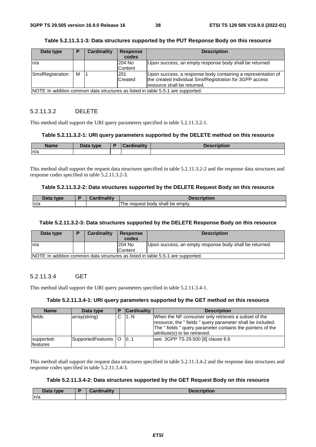| Data type                                                                        | P | Cardinality | <b>Response</b><br>codes | <b>Description</b>                                           |
|----------------------------------------------------------------------------------|---|-------------|--------------------------|--------------------------------------------------------------|
| ln/a                                                                             |   |             | 204 No                   | Upon success, an empty response body shall be returned       |
|                                                                                  |   |             | Content                  |                                                              |
| SmsfRegistration                                                                 | м |             | 201                      | Upon success, a response body containing a representation of |
|                                                                                  |   |             | Created                  | the created Individual SmsfRegistration for 3GPP access      |
|                                                                                  |   |             |                          | resource shall be returned.                                  |
| NOTE: In addition common data structures as listed in table 5.5-1 are supported. |   |             |                          |                                                              |

### **Table 5.2.11.3.1-3: Data structures supported by the PUT Response Body on this resource**

# 5.2.11.3.2 DELETE

This method shall support the URI query parameters specified in table 5.2.11.3.2-1.

#### **Table 5.2.11.3.2-1: URI query parameters supported by the DELETE method on this resource**

| <b>Name</b> | <b>Pata type</b><br>Dald | <b>Hinolity</b> | <b><i><u>Innervinting</u></i></b><br><b>UESCHDUUI</b> |
|-------------|--------------------------|-----------------|-------------------------------------------------------|
| n/a         |                          |                 |                                                       |

This method shall support the request data structures specified in table 5.2.11.3.2-2 and the response data structures and response codes specified in table 5.2.11.3.2-3.

#### **Table 5.2.11.3.2-2: Data structures supported by the DELETE Request Body on this resource**

| $\mathbf{a}$<br>tvne | والمقال والمسافرة | iption                                        |
|----------------------|-------------------|-----------------------------------------------|
| n/a                  |                   | body shall<br>l he<br>emptv.<br>request<br>be |

#### **Table 5.2.11.3.2-3: Data structures supported by the DELETE Response Body on this resource**

| Data type | ь                                                                                | Cardinality | <b>Response</b><br>codes | <b>Description</b>                                      |  |  |
|-----------|----------------------------------------------------------------------------------|-------------|--------------------------|---------------------------------------------------------|--|--|
| ln/a      |                                                                                  |             | 204 No                   | Upon success, an empty response body shall be returned. |  |  |
|           |                                                                                  |             | lContent                 |                                                         |  |  |
|           | NOTE: In addition common data structures as listed in table 5.5-1 are supported. |             |                          |                                                         |  |  |

# 5.2.11.3.4 GET

This method shall support the URI query parameters specified in table 5.2.11.3.4-1.

### **Table 5.2.11.3.4-1: URI query parameters supported by the GET method on this resource**

| <b>Name</b>            | Data type                  | <b>Cardinality</b> | <b>Description</b>                                                                                                                                                                                             |
|------------------------|----------------------------|--------------------|----------------------------------------------------------------------------------------------------------------------------------------------------------------------------------------------------------------|
| fields                 | array(string)              | 1N                 | When the NF consumer only retrieves a subset of the<br>resource, the "fields" query parameter shall be included.<br>The "fields" query parameter contains the pointers of the<br>attribute(s) to be retrieved. |
| supported-<br>features | SupportedFeatures   O   01 |                    | see 3GPP TS 29.500 [8] clause 6.6                                                                                                                                                                              |

This method shall support the request data structures specified in table 5.2.11.3.4-2 and the response data structures and response codes specified in table 5.2.11.3.4-3.

# **Table 5.2.11.3.4-2: Data structures supported by the GET Request Body on this resource**

| Data type | <b>Cardinality</b> | <b>Description</b> |
|-----------|--------------------|--------------------|
| n/a       |                    |                    |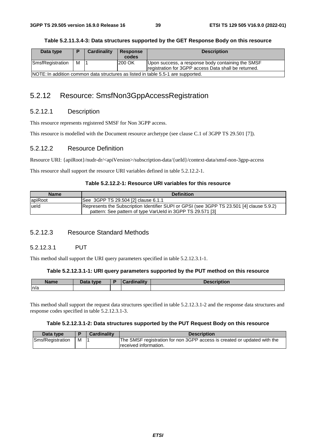|           |                        | Table 5.2.11.3.4-3: Data structures supported by the GET Response Body on this resource |
|-----------|------------------------|-----------------------------------------------------------------------------------------|
| Data type | Cardinality   Response | <b>Description</b>                                                                      |

| Data type        |   | Cardinality | <b>Response</b> | <b>Description</b>                                                                                        |
|------------------|---|-------------|-----------------|-----------------------------------------------------------------------------------------------------------|
|                  |   |             | codes           |                                                                                                           |
| SmsfRegistration | м |             | 200 OK          | Upon success, a response body containing the SMSF<br>registration for 3GPP access Data shall be returned. |
|                  |   |             |                 | NOTE: In addition common data structures as listed in table 5.5-1 are supported.                          |

# 5.2.12 Resource: SmsfNon3GppAccessRegistration

# 5.2.12.1 Description

This resource represents registered SMSF for Non 3GPP access.

This resource is modelled with the Document resource archetype (see clause C.1 of 3GPP TS 29.501 [7]).

# 5.2.12.2 Resource Definition

Resource URI: {apiRoot}/nudr-dr/<apiVersion>/subscription-data/{ueId}/context-data/smsf-non-3gpp-access

This resource shall support the resource URI variables defined in table 5.2.12.2-1.

# **Table 5.2.12.2-1: Resource URI variables for this resource**

| <b>Name</b> | <b>Definition</b>                                                                                                                                       |
|-------------|---------------------------------------------------------------------------------------------------------------------------------------------------------|
| apiRoot     | See 3GPP TS 29.504 [2] clause 6.1.1                                                                                                                     |
| lueld       | Represents the Subscription Identifier SUPI or GPSI (see 3GPP TS 23.501 [4] clause 5.9.2)<br>pattern: See pattern of type VarUeld in 3GPP TS 29.571 [3] |

# 5.2.12.3 Resource Standard Methods

# 5.2.12.3.1 PUT

This method shall support the URI query parameters specified in table 5.2.12.3.1-1.

# **Table 5.2.12.3.1-1: URI query parameters supported by the PUT method on this resource**

| <b>Name</b> | Data type | $\Delta$ $\Delta$ $\Delta$ $\Delta$ $\Delta$ $\Delta$ $\Delta$ $\Delta$ | <b>Description</b> |
|-------------|-----------|-------------------------------------------------------------------------|--------------------|
| n/a         |           |                                                                         |                    |

This method shall support the request data structures specified in table 5.2.12.3.1-2 and the response data structures and response codes specified in table 5.2.12.3.1-3.

# **Table 5.2.12.3.1-2: Data structures supported by the PUT Request Body on this resource**

| Data type        |   | <b>Cardinality</b> | <b>Description</b>                                                       |
|------------------|---|--------------------|--------------------------------------------------------------------------|
| SmsfRegistration | M |                    | The SMSF registration for non 3GPP access is created or updated with the |
|                  |   |                    | received information.                                                    |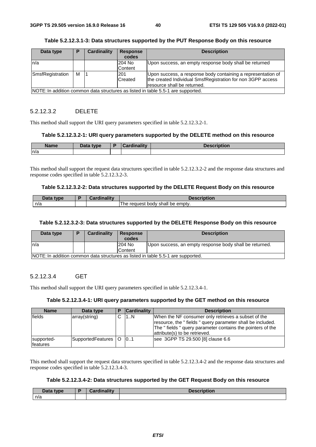| Data type        | P | Cardinality | <b>Response</b><br>codes | <b>Description</b>                                                               |
|------------------|---|-------------|--------------------------|----------------------------------------------------------------------------------|
| ln/a             |   |             | 204 No<br>Content        | Upon success, an empty response body shall be returned                           |
|                  |   |             |                          |                                                                                  |
| SmsfRegistration | м |             | <b>201</b>               | Upon success, a response body containing a representation of                     |
|                  |   |             | <b>Created</b>           | the created Individual SmsfRegistration for non 3GPP access                      |
|                  |   |             |                          | resource shall be returned.                                                      |
|                  |   |             |                          | NOTE: In addition common data structures as listed in table 5.5-1 are supported. |

### **Table 5.2.12.3.1-3: Data structures supported by the PUT Response Body on this resource**

# 5.2.12.3.2 DELETE

This method shall support the URI query parameters specified in table 5.2.12.3.2-1.

#### **Table 5.2.12.3.2-1: URI query parameters supported by the DELETE method on this resource**

| <b>Name</b> | Data type | <b>Cardinality</b> | <b>Decerintian</b><br>чон |
|-------------|-----------|--------------------|---------------------------|
| ln/a        |           |                    |                           |

This method shall support the request data structures specified in table 5.2.12.3.2-2 and the response data structures and response codes specified in table 5.2.12.3.2-3.

#### **Table 5.2.12.3.2-2: Data structures supported by the DELETE Request Body on this resource**

| Data type | <b>Cardinality</b> | Description                             |
|-----------|--------------------|-----------------------------------------|
| n/a       |                    | t body shall be empty.<br>reauest<br>he |

#### **Table 5.2.12.3.2-3: Data structures supported by the DELETE Response Body on this resource**

| Data type                                                                         |  | Cardinality | Response<br>codes | <b>Description</b>                                      |  |  |
|-----------------------------------------------------------------------------------|--|-------------|-------------------|---------------------------------------------------------|--|--|
| ln/a                                                                              |  |             | 204 No            | Upon success, an empty response body shall be returned. |  |  |
|                                                                                   |  |             | <b>Content</b>    |                                                         |  |  |
| INOTE: In addition common data structures as listed in table 5.5-1 are supported. |  |             |                   |                                                         |  |  |

# 5.2.12.3.4 GET

This method shall support the URI query parameters specified in table 5.2.12.3.4-1.

### **Table 5.2.12.3.4-1: URI query parameters supported by the GET method on this resource**

| <b>Name</b>            | Data type             | <b>Cardinality</b> | <b>Description</b>                                                                                                                                                                                             |
|------------------------|-----------------------|--------------------|----------------------------------------------------------------------------------------------------------------------------------------------------------------------------------------------------------------|
| fields                 | array(string)         | 11N                | When the NF consumer only retrieves a subset of the<br>resource, the "fields" query parameter shall be included.<br>The "fields" query parameter contains the pointers of the<br>attribute(s) to be retrieved. |
| supported-<br>features | SupportedFeatures   O | 0.1                | see 3GPP TS 29.500 [8] clause 6.6                                                                                                                                                                              |

This method shall support the request data structures specified in table 5.2.12.3.4-2 and the response data structures and response codes specified in table 5.2.12.3.4-3.

## **Table 5.2.12.3.4-2: Data structures supported by the GET Request Body on this resource**

| Data type | Cardinality | <b>Description</b> |
|-----------|-------------|--------------------|
| n/a       |             |                    |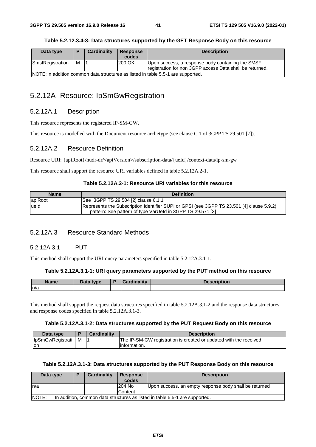| Table 5.2.12.3.4-3: Data structures supported by the GET Response Body on this resource |
|-----------------------------------------------------------------------------------------|
|                                                                                         |

| Data type        | D                                                                                | Cardinality | <b>Response</b> | <b>Description</b>                                                                                            |  |  |  |
|------------------|----------------------------------------------------------------------------------|-------------|-----------------|---------------------------------------------------------------------------------------------------------------|--|--|--|
|                  |                                                                                  |             | codes           |                                                                                                               |  |  |  |
| SmsfRegistration | м                                                                                |             | 200 OK          | Upon success, a response body containing the SMSF<br>registration for non 3GPP access Data shall be returned. |  |  |  |
|                  | NOTE: In addition common data structures as listed in table 5.5-1 are supported. |             |                 |                                                                                                               |  |  |  |

# 5.2.12A Resource: IpSmGwRegistration

# 5.2.12A.1 Description

This resource represents the registered IP-SM-GW.

This resource is modelled with the Document resource archetype (see clause C.1 of 3GPP TS 29.501 [7]).

# 5.2.12A.2 Resource Definition

Resource URI: {apiRoot}/nudr-dr/<apiVersion>/subscription-data/{ueId}/context-data/ip-sm-gw

This resource shall support the resource URI variables defined in table 5.2.12A.2-1.

## **Table 5.2.12A.2-1: Resource URI variables for this resource**

| <b>Name</b> | <b>Definition</b>                                                                         |
|-------------|-------------------------------------------------------------------------------------------|
| apiRoot     | See 3GPP TS 29.504 [2] clause 6.1.1                                                       |
| ueld        | Represents the Subscription Identifier SUPI or GPSI (see 3GPP TS 23.501 [4] clause 5.9.2) |
|             | pattern: See pattern of type VarUeld in 3GPP TS 29.571 [3]                                |

# 5.2.12A.3 Resource Standard Methods

# 5.2.12A.3.1 PUT

This method shall support the URI query parameters specified in table 5.2.12A.3.1-1.

#### **Table 5.2.12A.3.1-1: URI query parameters supported by the PUT method on this resource**

| <b>Name</b> | Data type | `ordinoli‡v<br>arantv<br>$\sim$ | <b>Description</b> |
|-------------|-----------|---------------------------------|--------------------|
| n/a         |           |                                 |                    |

This method shall support the request data structures specified in table 5.2.12A.3.1-2 and the response data structures and response codes specified in table 5.2.12A.3.1-3.

### **Table 5.2.12A.3.1-2: Data structures supported by the PUT Request Body on this resource**

| Data type          |   | <b>Cardinality</b> | <b>Description</b>                                                |
|--------------------|---|--------------------|-------------------------------------------------------------------|
| IpSmGwRegistrati I | M |                    | The IP-SM-GW registration is created or updated with the received |
| lon                |   |                    | linformation.                                                     |

### **Table 5.2.12A.3.1-3: Data structures supported by the PUT Response Body on this resource**

| Data type                                                                                   | Þ | Cardinality | <b>Response</b><br>codes | <b>Description</b>                                     |  |  |
|---------------------------------------------------------------------------------------------|---|-------------|--------------------------|--------------------------------------------------------|--|--|
| ln/a                                                                                        |   |             | 204 No                   | Upon success, an empty response body shall be returned |  |  |
|                                                                                             |   |             | Content                  |                                                        |  |  |
| <b>NOTE:</b><br>In addition, common data structures as listed in table 5.5-1 are supported. |   |             |                          |                                                        |  |  |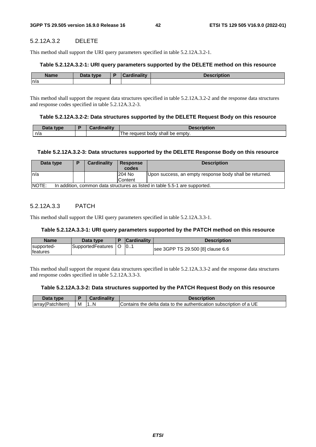# 5.2.12A.3.2 DELETE

This method shall support the URI query parameters specified in table 5.2.12A.3.2-1.

#### **Table 5.2.12A.3.2-1: URI query parameters supported by the DELETE method on this resource**

| <b>Name</b> | <b>Data type</b> | inalitu<br>-- | rintian<br>чoг. |
|-------------|------------------|---------------|-----------------|
| n/a         |                  |               |                 |

This method shall support the request data structures specified in table 5.2.12A.3.2-2 and the response data structures and response codes specified in table 5.2.12A.3.2-3.

#### **Table 5.2.12A.3.2-2: Data structures supported by the DELETE Request Body on this resource**

| Then.<br>tvpe. | $\blacksquare$<br>™oınan.<br>- 0 |                                                |
|----------------|----------------------------------|------------------------------------------------|
| n/a            |                                  | emptv.<br>request<br>shall<br>be<br>body<br>he |

#### **Table 5.2.12A.3.2-3: Data structures supported by the DELETE Response Body on this resource**

| Data type                                                                                   | D | Cardinality | <b>Response</b><br>codes | <b>Description</b>                                      |  |  |
|---------------------------------------------------------------------------------------------|---|-------------|--------------------------|---------------------------------------------------------|--|--|
| In/a                                                                                        |   |             | 204 No                   | Upon success, an empty response body shall be returned. |  |  |
|                                                                                             |   |             | Content                  |                                                         |  |  |
| <b>NOTE:</b><br>In addition, common data structures as listed in table 5.5-1 are supported. |   |             |                          |                                                         |  |  |

## 5.2.12A.3.3 PATCH

This method shall support the URI query parameters specified in table 5.2.12A.3.3-1.

### **Table 5.2.12A.3.3-1: URI query parameters supported by the PATCH method on this resource**

| <b>Name</b>                    | Data type         | <b>Cardinality</b> | Description                       |
|--------------------------------|-------------------|--------------------|-----------------------------------|
| supported-<br><b>Ifeatures</b> | SupportedFeatures | 10                 | see 3GPP TS 29.500 [8] clause 6.6 |

This method shall support the request data structures specified in table 5.2.12A.3.3-2 and the response data structures and response codes specified in table 5.2.12A.3.3-3.

#### **Table 5.2.12A.3.3-2: Data structures supported by the PATCH Request Body on this resource**

| Data type        |   | <b>Cardinality</b> | <b>Description</b>                                                 |
|------------------|---|--------------------|--------------------------------------------------------------------|
| array(Patchitem) | м | 11N                | Contains the delta data to the authentication subscription of a UE |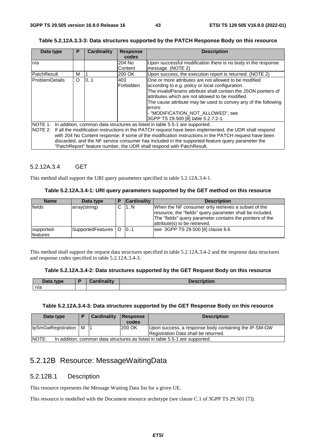| Table 5.2.12A.3.3-3: Data structures supported by the PATCH Response Body on this resource |  |  |  |
|--------------------------------------------------------------------------------------------|--|--|--|
|                                                                                            |  |  |  |

|                                                                                                  |   |                    | <b>Description</b>                                                                                             |  |  |  |
|--------------------------------------------------------------------------------------------------|---|--------------------|----------------------------------------------------------------------------------------------------------------|--|--|--|
|                                                                                                  |   |                    |                                                                                                                |  |  |  |
|                                                                                                  |   | 204 No             | Upon successful modification there is no body in the response                                                  |  |  |  |
|                                                                                                  |   | Content            | message. (NOTE 2)                                                                                              |  |  |  |
| м                                                                                                |   | 200 OK             | Upon success, the execution report is returned. (NOTE 2)                                                       |  |  |  |
| O                                                                                                |   | 403                | One or more attributes are not allowed to be modified                                                          |  |  |  |
|                                                                                                  |   | Forbidden          | according to e.g. policy or local configuration.                                                               |  |  |  |
|                                                                                                  |   |                    | The invalidParams attribute shall contain the JSON pointers of                                                 |  |  |  |
|                                                                                                  |   |                    | attributes which are not allowed to be modified.                                                               |  |  |  |
|                                                                                                  |   |                    | The cause attribute may be used to convey any of the following                                                 |  |  |  |
|                                                                                                  |   |                    | errors:                                                                                                        |  |  |  |
|                                                                                                  |   |                    | - "MODIFICATION NOT ALLOWED", see                                                                              |  |  |  |
|                                                                                                  |   |                    | 3GPP TS 29.500 [8] table 5.2.7.2-1.                                                                            |  |  |  |
| NOTE 1: In addition, common data structures as listed in table 5.5-1 are supported.              |   |                    |                                                                                                                |  |  |  |
|                                                                                                  |   |                    | NOTE 2: If all the modification instructions in the PATCH request have been implemented, the UDR shall respond |  |  |  |
|                                                                                                  |   |                    | with 204 No Content response; if some of the modification instructions in the PATCH request have been          |  |  |  |
| discarded, and the NF service consumer has included in the supported-feature query parameter the |   |                    |                                                                                                                |  |  |  |
|                                                                                                  |   |                    |                                                                                                                |  |  |  |
|                                                                                                  | P | Cardinality<br>0.1 | <b>Response</b><br>codes<br>"PatchReport" feature number, the UDR shall respond with PatchResult.              |  |  |  |

## 5.2.12A.3.4 GET

This method shall support the URI query parameters specified in table 5.2.12A.3.4-1.

#### **Table 5.2.12A.3.4-1: URI query parameters supported by the GET method on this resource**

| <b>Name</b>            | Data type             | D | <b>Cardinality</b> | <b>Description</b>                                                                                                                                                                                             |
|------------------------|-----------------------|---|--------------------|----------------------------------------------------------------------------------------------------------------------------------------------------------------------------------------------------------------|
| fields                 | array(string)         |   | 1N                 | When the NF consumer only retrieves a subset of the<br>resource, the "fields" query parameter shall be included.<br>The "fields" query parameter contains the pointers of the<br>attribute(s) to be retrieved. |
| supported-<br>features | SupportedFeatures   O |   | 0.1                | see 3GPP TS 29.500 [8] clause 6.6                                                                                                                                                                              |

This method shall support the request data structures specified in table 5.2.12A.3.4-2 and the response data structures and response codes specified in table 5.2.12A.3.4-3.

### **Table 5.2.12A.3.4-2: Data structures supported by the GET Request Body on this resource**

| Data type | $\mathcal{O}$ and in all in .<br>.<br>$\sim$ | <b>Description</b> |
|-----------|----------------------------------------------|--------------------|
| n/a       |                                              |                    |

## **Table 5.2.12A.3.4-3: Data structures supported by the GET Response Body on this resource**

| Data type                                                                                    |     | Cardinality | Response<br>codes | <b>Description</b>                                                                            |
|----------------------------------------------------------------------------------------------|-----|-------------|-------------------|-----------------------------------------------------------------------------------------------|
| <b>IpSmGwRegistration</b>                                                                    | M 1 |             | 200 OK            | Upon success, a response body containing the IP-SM-GW<br>Registration Data shall be returned. |
| <b>INOTE:</b><br>In addition, common data structures as listed in table 5.5-1 are supported. |     |             |                   |                                                                                               |

# 5.2.12B Resource: MessageWaitingData

# 5.2.12B.1 Description

This resource represents the Message Waiting Data list for a given UE.

This resource is modelled with the Document resource archetype (see clause C.1 of 3GPP TS 29.501 [7]).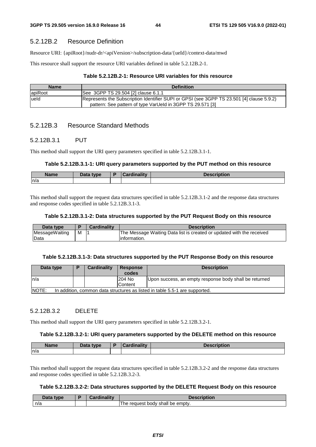# 5.2.12B.2 Resource Definition

Resource URI: {apiRoot}/nudr-dr/<apiVersion>/subscription-data/{ueId}/context-data/mwd

This resource shall support the resource URI variables defined in table 5.2.12B.2-1.

#### **Table 5.2.12B.2-1: Resource URI variables for this resource**

| <b>Name</b> | <b>Definition</b>                                                                                                                                       |
|-------------|---------------------------------------------------------------------------------------------------------------------------------------------------------|
| apiRoot     | See 3GPP TS 29.504 [2] clause 6.1.1                                                                                                                     |
| lueld       | Represents the Subscription Identifier SUPI or GPSI (see 3GPP TS 23.501 [4] clause 5.9.2)<br>pattern: See pattern of type VarUeld in 3GPP TS 29.571 [3] |

# 5.2.12B.3 Resource Standard Methods

### 5.2.12B.3.1 PUT

This method shall support the URI query parameters specified in table 5.2.12B.3.1-1.

#### **Table 5.2.12B.3.1-1: URI query parameters supported by the PUT method on this resource**

| - -<br>Name | Data type | المتقالم متلاميمك | <b>Description</b> |
|-------------|-----------|-------------------|--------------------|
| n/a         |           |                   |                    |

This method shall support the request data structures specified in table 5.2.12B.3.1-2 and the response data structures and response codes specified in table 5.2.12B.3.1-3.

#### **Table 5.2.12B.3.1-2: Data structures supported by the PUT Request Body on this resource**

| Data type      |   | <b>Cardinality</b> | <b>Description</b>                                                    |
|----------------|---|--------------------|-----------------------------------------------------------------------|
| MessageWaiting | M |                    | The Message Waiting Data list is created or updated with the received |
| Data           |   |                    | linformation.                                                         |

#### **Table 5.2.12B.3.1-3: Data structures supported by the PUT Response Body on this resource**

| Data type                                                                                   |  | <b>Cardinality</b> | <b>Response</b><br>codes | <b>Description</b>                                     |  |
|---------------------------------------------------------------------------------------------|--|--------------------|--------------------------|--------------------------------------------------------|--|
| ln/a                                                                                        |  |                    | 204 No                   | Upon success, an empty response body shall be returned |  |
|                                                                                             |  |                    | Content                  |                                                        |  |
| <b>NOTE:</b><br>In addition, common data structures as listed in table 5.5-1 are supported. |  |                    |                          |                                                        |  |

# 5.2.12B.3.2 DELETE

This method shall support the URI query parameters specified in table 5.2.12B.3.2-1.

### **Table 5.2.12B.3.2-1: URI query parameters supported by the DELETE method on this resource**

| <b>Name</b> | Data type | $\sqrt{R}$ | <i>'ordinality</i><br>41 L V | <b>Description</b> |
|-------------|-----------|------------|------------------------------|--------------------|
| n/a         |           |            |                              |                    |

This method shall support the request data structures specified in table 5.2.12B.3.2-2 and the response data structures and response codes specified in table 5.2.12B.3.2-3.

### **Table 5.2.12B.3.2-2: Data structures supported by the DELETE Request Body on this resource**

| Data<br>type | <b>Cardinality</b> | :ription<br>Descri                        |
|--------------|--------------------|-------------------------------------------|
| n/a          |                    | t body shall be empty.<br>l he<br>request |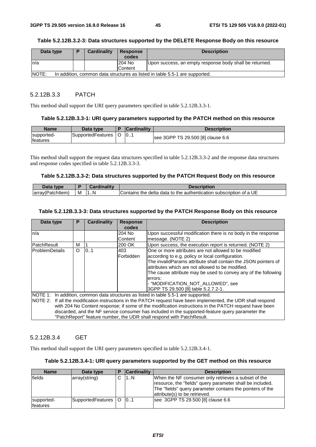### **Table 5.2.12B.3.2-3: Data structures supported by the DELETE Response Body on this resource**

| Data type                                                                                   | D | <b>Cardinality</b> | <b>Response</b> | <b>Description</b>                                      |  |  |
|---------------------------------------------------------------------------------------------|---|--------------------|-----------------|---------------------------------------------------------|--|--|
|                                                                                             |   |                    | codes           |                                                         |  |  |
| ln/a                                                                                        |   |                    | 204 No          | Upon success, an empty response body shall be returned. |  |  |
|                                                                                             |   |                    | Content         |                                                         |  |  |
| <b>NOTE:</b><br>In addition, common data structures as listed in table 5.5-1 are supported. |   |                    |                 |                                                         |  |  |

### 5.2.12B.3.3 PATCH

This method shall support the URI query parameters specified in table 5.2.12B.3.3-1.

#### **Table 5.2.12B.3.3-1: URI query parameters supported by the PATCH method on this resource**

| <b>Name</b>            | Data type         | <b>Cardinality</b> | <b>Description</b>                |
|------------------------|-------------------|--------------------|-----------------------------------|
| supported-<br>features | SupportedFeatures | $\overline{0}$     | see 3GPP TS 29.500 [8] clause 6.6 |

This method shall support the request data structures specified in table 5.2.12B.3.3-2 and the response data structures and response codes specified in table 5.2.12B.3.3-3.

#### **Table 5.2.12B.3.3-2: Data structures supported by the PATCH Request Body on this resource**

| Data<br>type          |   |     | Description                                                        |
|-----------------------|---|-----|--------------------------------------------------------------------|
| array(<br>`'atchItem) | м | . N | Contains the delta data to the authentication subscription of a UE |

#### **Table 5.2.12B.3.3-3: Data structures supported by the PATCH Response Body on this resource**

| Data type             | P                                                                                                              | <b>Cardinality</b> | <b>Response</b> | <b>Description</b>                                                                               |  |  |
|-----------------------|----------------------------------------------------------------------------------------------------------------|--------------------|-----------------|--------------------------------------------------------------------------------------------------|--|--|
|                       |                                                                                                                |                    | codes           |                                                                                                  |  |  |
| n/a                   |                                                                                                                |                    | 204 No          | Upon successful modification there is no body in the response                                    |  |  |
|                       |                                                                                                                |                    | Content         | message. (NOTE 2)                                                                                |  |  |
| <b>PatchResult</b>    | м                                                                                                              |                    | 200 OK          | Upon success, the execution report is returned. (NOTE 2)                                         |  |  |
| <b>ProblemDetails</b> | O                                                                                                              | 0.1                | 403             | One or more attributes are not allowed to be modified                                            |  |  |
|                       |                                                                                                                |                    | Forbidden       | according to e.g. policy or local configuration.                                                 |  |  |
|                       |                                                                                                                |                    |                 | The invalidParams attribute shall contain the JSON pointers of                                   |  |  |
|                       |                                                                                                                |                    |                 | attributes which are not allowed to be modified.                                                 |  |  |
|                       |                                                                                                                |                    |                 | The cause attribute may be used to convey any of the following                                   |  |  |
|                       |                                                                                                                |                    |                 | errors:                                                                                          |  |  |
|                       |                                                                                                                |                    |                 | - "MODIFICATION NOT ALLOWED", see                                                                |  |  |
|                       |                                                                                                                |                    |                 | 3GPP TS 29.500 [8] table 5.2.7.2-1.                                                              |  |  |
|                       | NOTE 1: In addition, common data structures as listed in table 5.5-1 are supported.                            |                    |                 |                                                                                                  |  |  |
|                       | NOTE 2: If all the modification instructions in the PATCH request have been implemented, the UDR shall respond |                    |                 |                                                                                                  |  |  |
|                       | with 204 No Content response; if some of the modification instructions in the PATCH request have been          |                    |                 |                                                                                                  |  |  |
|                       |                                                                                                                |                    |                 | discarded, and the NF service consumer has included in the supported-feature query parameter the |  |  |
|                       |                                                                                                                |                    |                 | "PatchReport" feature number, the UDR shall respond with PatchResult.                            |  |  |

## 5.2.12B.3.4 GET

This method shall support the URI query parameters specified in table 5.2.12B.3.4-1.

### **Table 5.2.12B.3.4-1: URI query parameters supported by the GET method on this resource**

| <b>Name</b>                   | Data type         |          | <b>Cardinality</b> | <b>Description</b>                                                                                                                                                                                             |
|-------------------------------|-------------------|----------|--------------------|----------------------------------------------------------------------------------------------------------------------------------------------------------------------------------------------------------------|
| fields                        | array(string)     | ⌒        | 1N                 | When the NF consumer only retrieves a subset of the<br>resource, the "fields" query parameter shall be included.<br>The "fields" query parameter contains the pointers of the<br>attribute(s) to be retrieved. |
| supported-<br><b>features</b> | SupportedFeatures | $\Omega$ | 10.1               | see 3GPP TS 29.500 [8] clause 6.6                                                                                                                                                                              |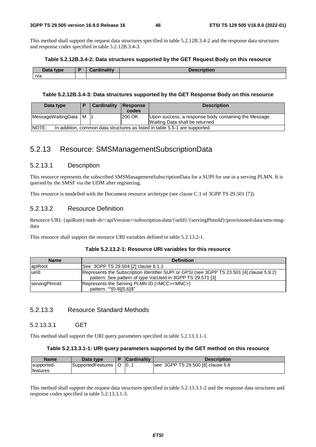This method shall support the request data structures specified in table 5.2.12B.3.4-2 and the response data structures and response codes specified in table 5.2.12B.3.4-3.

#### **Table 5.2.12B.3.4-2: Data structures supported by the GET Request Body on this resource**

| Data type | Cardinality<br>-ш. | <b>Naccrintion</b><br>NDUOL. |
|-----------|--------------------|------------------------------|
| n/a       |                    |                              |

#### **Table 5.2.12B.3.4-3: Data structures supported by the GET Response Body on this resource**

| Data type                                                                                   |  | Cardinality | Response | <b>Description</b>                                   |  |
|---------------------------------------------------------------------------------------------|--|-------------|----------|------------------------------------------------------|--|
|                                                                                             |  |             | codes    |                                                      |  |
| MessageWaitingData   M   1                                                                  |  |             | 200 OK   | Upon success, a response body containing the Message |  |
| Waiting Data shall be returned.                                                             |  |             |          |                                                      |  |
| <b>NOTE:</b><br>In addition, common data structures as listed in table 5.5-1 are supported. |  |             |          |                                                      |  |

# 5.2.13 Resource: SMSManagementSubscriptionData

## 5.2.13.1 Description

This resource represents the subscribed SMSManagementSubscriptionData for a SUPI for use in a serving PLMN. It is queried by the SMSF via the UDM after registering.

This resource is modelled with the Document resource archetype (see clause C.1 of 3GPP TS 29.501 [7]).

# 5.2.13.2 Resource Definition

Resource URI: {apiRoot}/nudr-dr/<apiVersion>/subscription-data/{ueId}/{servingPlmnId}/provisioned-data/sms-mngdata

This resource shall support the resource URI variables defined in table 5.2.13.2-1.

| <b>Name</b>   | <b>Definition</b>                                                                         |
|---------------|-------------------------------------------------------------------------------------------|
| apiRoot       | See 3GPP TS 29.504 [2] clause 6.1.1                                                       |
| lueld         | Represents the Subscription Identifier SUPI or GPSI (see 3GPP TS 23.501 [4] clause 5.9.2) |
|               | pattern: See pattern of type VarUeld in 3GPP TS 29.571 [3]                                |
| servingPlmnld | Represents the Serving PLMN ID ( <mcc><mnc>)</mnc></mcc>                                  |
|               | pattern: "^[0-9]{5,6}\$"                                                                  |

# 5.2.13.3 Resource Standard Methods

# 5.2.13.3.1 GET

This method shall support the URI query parameters specified in table 5.2.13.3.1-1.

### **Table 5.2.13.3.1-1: URI query parameters supported by the GET method on this resource**

| <b>Name</b>                    | Data type         | <b>Cardinality</b> | Description                       |
|--------------------------------|-------------------|--------------------|-----------------------------------|
| supported-<br><b>Ifeatures</b> | SupportedFeatures | 10                 | see 3GPP TS 29.500 [8] clause 6.6 |

This method shall support the request data structures specified in table 5.2.13.3.1-2 and the response data structures and response codes specified in table 5.2.13.3.1-3.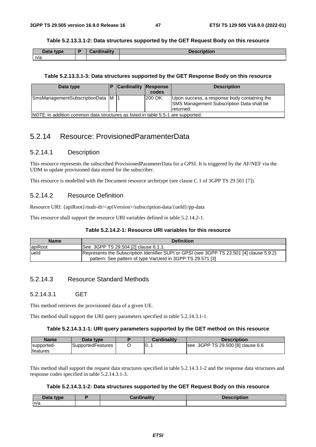#### **Table 5.2.13.3.1-2: Data structures supported by the GET Request Body on this resource**

| Data type | <b>Cardinality</b> | <b>Description</b> |
|-----------|--------------------|--------------------|
| n/a       |                    |                    |

#### **Table 5.2.13.3.1-3: Data structures supported by the GET Response Body on this resource**

| Data type                                                                        |  | <b>Cardinality Response</b> | codes  | <b>Description</b>                                                                                            |  |  |  |
|----------------------------------------------------------------------------------|--|-----------------------------|--------|---------------------------------------------------------------------------------------------------------------|--|--|--|
| SmsManagementSubscriptionData M  1                                               |  |                             | 200 OK | Upon success, a response body containing the<br><b>SMS Management Subscription Data shall be</b><br>returned. |  |  |  |
| NOTE: In addition common data structures as listed in table 5.5-1 are supported. |  |                             |        |                                                                                                               |  |  |  |

# 5.2.14 Resource: ProvisionedParamenterData

## 5.2.14.1 Description

This resource represents the subscribed ProvisionedParameterData for a GPSI. It is triggered by the AF/NEF via the UDM to update provisioned data stored for the subscriber.

This resource is modelled with the Document resource archetype (see clause C.1 of 3GPP TS 29.501 [7]).

# 5.2.14.2 Resource Definition

Resource URI: {apiRoot}/nudr-dr/<apiVersion>/subscription-data/{ueId}/pp-data

This resource shall support the resource URI variables defined in table 5.2.14.2-1.

# **Table 5.2.14.2-1: Resource URI variables for this resource**

| <b>Name</b> | <b>Definition</b>                                                                         |
|-------------|-------------------------------------------------------------------------------------------|
| apiRoot     | See 3GPP TS 29.504 [2] clause 6.1.1                                                       |
| lueld       | Represents the Subscription Identifier SUPI or GPSI (see 3GPP TS 23.501 [4] clause 5.9.2) |
|             | pattern: See pattern of type VarUeld in 3GPP TS 29.571 [3]                                |

# 5.2.14.3 Resource Standard Methods

# 5.2.14.3.1 GET

This method retrieves the provisioned data of a given UE.

This method shall support the URI query parameters specified in table 5.2.14.3.1-1.

# **Table 5.2.14.3.1-1: URI query parameters supported by the GET method on this resource**

| <b>Name</b>      | Data type         | <b>Cardinality</b> | <b>Description</b>                |
|------------------|-------------------|--------------------|-----------------------------------|
| supported-       | SupportedFeatures | $\vert 0$          | see 3GPP TS 29.500 [8] clause 6.6 |
| <b>Ifeatures</b> |                   |                    |                                   |

This method shall support the request data structures specified in table 5.2.14.3.1-2 and the response data structures and response codes specified in table 5.2.14.3.1-3.

## **Table 5.2.14.3.1-2: Data structures supported by the GET Request Body on this resource**

| Data type | <br><br><u>Cardinality</u> | <b>Boogniahing</b><br><b>Description</b> |
|-----------|----------------------------|------------------------------------------|
| m/a       |                            |                                          |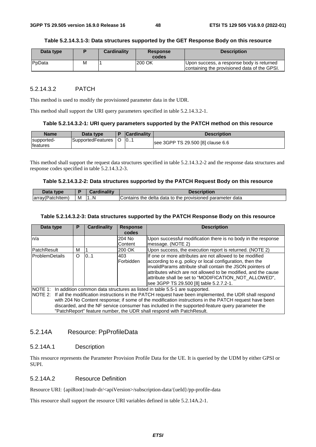#### **Table 5.2.14.3.1-3: Data structures supported by the GET Response Body on this resource**

| Data type      |   | <b>Cardinality</b> | <b>Response</b><br>codes | <b>Description</b>                                                                        |
|----------------|---|--------------------|--------------------------|-------------------------------------------------------------------------------------------|
| <b>P</b> pData | М |                    | 200 OK                   | Upon success, a response body is returned<br>containing the provisioned data of the GPSI. |

## 5.2.14.3.2 PATCH

This method is used to modify the provisioned parameter data in the UDR.

This method shall support the URI query parameters specified in table 5.2.14.3.2-1.

#### **Table 5.2.14.3.2-1: URI query parameters supported by the PATCH method on this resource**

| <b>Name</b>                   | Data type         | <b>Cardinality</b> | <b>Description</b>                |
|-------------------------------|-------------------|--------------------|-----------------------------------|
| supported-<br><b>features</b> | SupportedFeatures | 10                 | see 3GPP TS 29.500 [8] clause 6.6 |

This method shall support the request data structures specified in table 5.2.14.3.2-2 and the response data structures and response codes specified in table 5.2.14.3.2-3.

#### **Table 5.2.14.3.2-2: Data structures supported by the PATCH Request Body on this resource**

| Jata<br>tvne                      |   | inalitv | <b>Description</b>                                                                 |
|-----------------------------------|---|---------|------------------------------------------------------------------------------------|
| (PatchItem)<br>array <sup>r</sup> | M | 1N      | gparameter data<br>. to the :<br>delta<br>. data<br>provisioned<br>Contains<br>the |

#### **Table 5.2.14.3.2-3: Data structures supported by the PATCH Response Body on this resource**

| Data type          | P        | <b>Cardinality</b> | <b>Response</b><br>codes | <b>Description</b>                                                                                                                                                                                                                                                                                                                                                                                                                                                                         |
|--------------------|----------|--------------------|--------------------------|--------------------------------------------------------------------------------------------------------------------------------------------------------------------------------------------------------------------------------------------------------------------------------------------------------------------------------------------------------------------------------------------------------------------------------------------------------------------------------------------|
| n/a                |          |                    | 204 No<br>Content        | Upon successful modification there is no body in the response<br>message. (NOTE 2)                                                                                                                                                                                                                                                                                                                                                                                                         |
| <b>PatchResult</b> | м        |                    | 200 OK                   | Upon success, the execution report is returned. (NOTE 2)                                                                                                                                                                                                                                                                                                                                                                                                                                   |
| ProblemDetails     | $\Omega$ | 0.1                | 403<br>Forbidden         | If one or more attributes are not allowed to be modified<br>according to e.g. policy or local configuration, then the<br>invalidParams attribute shall contain the JSON pointers of<br>attributes which are not allowed to be modified, and the cause<br>attribute shall be set to "MODIFICATION NOT ALLOWED",<br>lsee 3GPP TS 29.500 [8] table 5.2.7.2-1.                                                                                                                                 |
|                    |          |                    |                          | NOTE 1: In addition common data structures as listed in table 5.5-1 are supported.<br>NOTE 2: If all the modification instructions in the PATCH request have been implemented, the UDR shall respond<br>with 204 No Content response; if some of the modification instructions in the PATCH request have been<br>discarded, and the NF service consumer has included in the supported-feature query parameter the<br>"PatchReport" feature number, the UDR shall respond with PatchResult. |

## 5.2.14A Resource: PpProfileData

### 5.2.14A.1 Description

This resource represents the Parameter Provision Profile Data for the UE. It is queried by the UDM by either GPSI or SUPI.

### 5.2.14A.2 Resource Definition

Resource URI: {apiRoot}/nudr-dr/<apiVersion>/subscription-data/{ueId}/pp-profile-data

This resource shall support the resource URI variables defined in table 5.2.14A.2-1.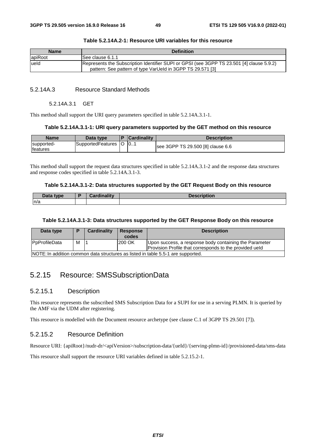| <b>Name</b> | <b>Definition</b>                                                                                                                                       |
|-------------|---------------------------------------------------------------------------------------------------------------------------------------------------------|
| lapiRoot    | See clause 6.1.1                                                                                                                                        |
| ueld        | Represents the Subscription Identifier SUPI or GPSI (see 3GPP TS 23.501 [4] clause 5.9.2)<br>pattern: See pattern of type VarUeld in 3GPP TS 29.571 [3] |

#### **Table 5.2.14A.2-1: Resource URI variables for this resource**

# 5.2.14A.3 Resource Standard Methods

### 5.2.14A.3.1 GET

This method shall support the URI query parameters specified in table 5.2.14A.3.1-1.

#### **Table 5.2.14A.3.1-1: URI query parameters supported by the GET method on this resource**

| Name                           | Data type                  | <b>Cardinality</b> | <b>Description</b>                |
|--------------------------------|----------------------------|--------------------|-----------------------------------|
| supported-<br><b>Ifeatures</b> | SupportedFeatures   O   01 |                    | see 3GPP TS 29.500 [8] clause 6.6 |

This method shall support the request data structures specified in table 5.2.14A.3.1-2 and the response data structures and response codes specified in table 5.2.14A.3.1-3.

#### **Table 5.2.14A.3.1-2: Data structures supported by the GET Request Body on this resource**

| Data<br>type. | $\blacksquare$ Cordinality<br>Valutilality | Description |
|---------------|--------------------------------------------|-------------|
| n/a           |                                            |             |

#### **Table 5.2.14A.3.1-3: Data structures supported by the GET Response Body on this resource**

| Data type                                                                        |   | <b>Cardinality</b> | <b>Response</b> | <b>Description</b>                                      |
|----------------------------------------------------------------------------------|---|--------------------|-----------------|---------------------------------------------------------|
|                                                                                  |   |                    | codes           |                                                         |
| <b>P</b> pProfileData                                                            | M |                    | 200 OK          | Upon success, a response body containing the Parameter  |
|                                                                                  |   |                    |                 | Provision Profile that corresponds to the provided ueld |
| NOTE: In addition common data structures as listed in table 5.5-1 are supported. |   |                    |                 |                                                         |

# 5.2.15 Resource: SMSSubscriptionData

# 5.2.15.1 Description

This resource represents the subscribed SMS Subscription Data for a SUPI for use in a serving PLMN. It is queried by the AMF via the UDM after registering.

This resource is modelled with the Document resource archetype (see clause C.1 of 3GPP TS 29.501 [7]).

# 5.2.15.2 Resource Definition

Resource URI: {apiRoot}/nudr-dr/<apiVersion>/subscription-data/{ueId}/{serving-plmn-id}/provisioned-data/sms-data

This resource shall support the resource URI variables defined in table 5.2.15.2-1.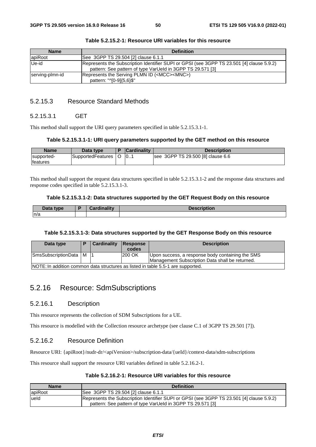| <b>Name</b>     | <b>Definition</b>                                                                                                                                       |
|-----------------|---------------------------------------------------------------------------------------------------------------------------------------------------------|
| apiRoot         | See 3GPP TS 29.504 [2] clause 6.1.1                                                                                                                     |
| Ue-id           | Represents the Subscription Identifier SUPI or GPSI (see 3GPP TS 23.501 [4] clause 5.9.2)<br>pattern: See pattern of type VarUeld in 3GPP TS 29.571 [3] |
| serving-plmn-id | Represents the Serving PLMN ID ( <mcc><mnc>)<br/>pattern: "^[0-9]{5,6}\$"</mnc></mcc>                                                                   |

# 5.2.15.3 Resource Standard Methods

# 5.2.15.3.1 GET

This method shall support the URI query parameters specified in table 5.2.15.3.1-1.

#### **Table 5.2.15.3.1-1: URI query parameters supported by the GET method on this resource**

| <b>Name</b>                    | Data type         | <b>Cardinality</b> | <b>Description</b>                |
|--------------------------------|-------------------|--------------------|-----------------------------------|
| supported-<br><b>Ifeatures</b> | SupportedFeatures | 0                  | see 3GPP TS 29.500 [8] clause 6.6 |

This method shall support the request data structures specified in table 5.2.15.3.1-2 and the response data structures and response codes specified in table 5.2.15.3.1-3.

#### **Table 5.2.15.3.1-2: Data structures supported by the GET Request Body on this resource**

| Data type | Cordinality | <b>Description</b> |
|-----------|-------------|--------------------|
| n/a       |             |                    |

#### **Table 5.2.15.3.1-3: Data structures supported by the GET Response Body on this resource**

| Data type               | Cardinality | Response<br>codes | <b>Description</b>                                                                                  |
|-------------------------|-------------|-------------------|-----------------------------------------------------------------------------------------------------|
| SmsSubscriptionData   M |             | 200 OK            | Upon success, a response body containing the SMS<br>Management Subscription Data shall be returned. |
|                         |             |                   | NOTE: In addition common data structures as listed in table 5.5-1 are supported.                    |

# 5.2.16 Resource: SdmSubscriptions

# 5.2.16.1 Description

This resource represents the collection of SDM Subscriptions for a UE.

This resource is modelled with the Collection resource archetype (see clause C.1 of 3GPP TS 29.501 [7]).

# 5.2.16.2 Resource Definition

Resource URI: {apiRoot}/nudr-dr/<apiVersion>/subscription-data/{ueId}/context-data/sdm-subscriptions

This resource shall support the resource URI variables defined in table 5.2.16.2-1.

## **Table 5.2.16.2-1: Resource URI variables for this resource**

| <b>Name</b> | <b>Definition</b>                                                                                                                                       |
|-------------|---------------------------------------------------------------------------------------------------------------------------------------------------------|
| apiRoot     | See 3GPP TS 29.504 [2] clause 6.1.1                                                                                                                     |
| lueld       | Represents the Subscription Identifier SUPI or GPSI (see 3GPP TS 23.501 [4] clause 5.9.2)<br>pattern: See pattern of type VarUeld in 3GPP TS 29.571 [3] |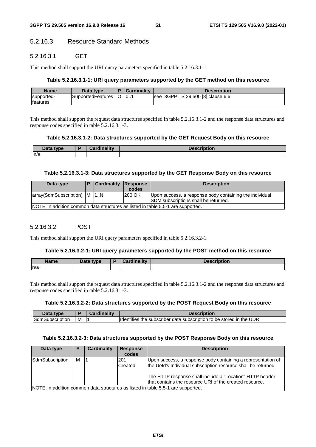# 5.2.16.3 Resource Standard Methods

## 5.2.16.3.1 GET

This method shall support the URI query parameters specified in table 5.2.16.3.1-1.

#### **Table 5.2.16.3.1-1: URI query parameters supported by the GET method on this resource**

| <b>Name</b>                    | Data type         | <b>Cardinality</b> | Description                       |
|--------------------------------|-------------------|--------------------|-----------------------------------|
| supported-<br><b>Ifeatures</b> | SupportedFeatures | 10                 | see 3GPP TS 29.500 [8] clause 6.6 |

This method shall support the request data structures specified in table 5.2.16.3.1-2 and the response data structures and response codes specified in table 5.2.16.3.1-3.

### **Table 5.2.16.3.1-2: Data structures supported by the GET Request Body on this resource**

| Data type | Cardinalitv | Descri<br>:ription |
|-----------|-------------|--------------------|
| n/a       |             |                    |

### **Table 5.2.16.3.1-3: Data structures supported by the GET Response Body on this resource**

| Data type                                                                        | <b>Cardinality Response</b> | codes  | <b>Description</b>                                                                                      |
|----------------------------------------------------------------------------------|-----------------------------|--------|---------------------------------------------------------------------------------------------------------|
| array(SdmSubscription)   M   1N                                                  |                             | 200 OK | Upon success, a response body containing the individual<br><b>ISDM</b> subscriptions shall be returned. |
| NOTE: In addition common data structures as listed in table 5.5-1 are supported. |                             |        |                                                                                                         |

### 5.2.16.3.2 POST

This method shall support the URI query parameters specified in table 5.2.16.3.2-1.

#### **Table 5.2.16.3.2-1: URI query parameters supported by the POST method on this resource**

| <b>Name</b> | <b>Pata type</b> | Cardinality | <b>Description</b> |
|-------------|------------------|-------------|--------------------|
| n/a         |                  |             |                    |

This method shall support the request data structures specified in table 5.2.16.3.1-2 and the response data structures and response codes specified in table 5.2.16.3.1-3.

#### **Table 5.2.16.3.2-2: Data structures supported by the POST Request Body on this resource**

| tvne       |   | <b>ALC</b> |                                                                                                                       |
|------------|---|------------|-----------------------------------------------------------------------------------------------------------------------|
| DSCriduor' | M |            | UDR.<br>$\cdot$<br>the<br>stored<br><b>Ildentifies</b><br>subscriber<br>subscription<br>data<br>the<br>ır<br>to<br>be |

#### **Table 5.2.16.3.2-3: Data structures supported by the POST Response Body on this resource**

| Data type       | P | Cardinality | <b>Response</b><br>codes | <b>Description</b>                                                                                                                                                                                                                                    |
|-----------------|---|-------------|--------------------------|-------------------------------------------------------------------------------------------------------------------------------------------------------------------------------------------------------------------------------------------------------|
| SdmSubscription | м |             | 201<br>Created           | Upon success, a response body containing a representation of<br>the Ueld's Individual subscription resource shall be returned.<br>The HTTP response shall include a "Location" HTTP header<br>that contains the resource URI of the created resource. |
|                 |   |             |                          | INOTE: In addition common data structures as listed in table 5.5-1 are supported                                                                                                                                                                      |

NOTE: In addition common data structures as listed in table 5.5-1 are supported.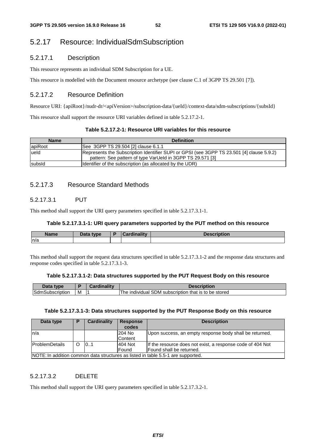# 5.2.17 Resource: IndividualSdmSubscription

# 5.2.17.1 Description

This resource represents an individual SDM Subscription for a UE.

This resource is modelled with the Document resource archetype (see clause C.1 of 3GPP TS 29.501 [7]).

# 5.2.17.2 Resource Definition

Resource URI: {apiRoot}/nudr-dr/<apiVersion>/subscription-data/{ueId}/context-data/sdm-subscriptions/{subsId}

This resource shall support the resource URI variables defined in table 5.2.17.2-1.

| Table 5.2.17.2-1: Resource URI variables for this resource_ |  |  |
|-------------------------------------------------------------|--|--|
|-------------------------------------------------------------|--|--|

| <b>Name</b> | <b>Definition</b>                                                                                                                                       |
|-------------|---------------------------------------------------------------------------------------------------------------------------------------------------------|
| apiRoot     | See 3GPP TS 29.504 [2] clause 6.1.1                                                                                                                     |
| ueld        | Represents the Subscription Identifier SUPI or GPSI (see 3GPP TS 23.501 [4] clause 5.9.2)<br>pattern: See pattern of type VarUeld in 3GPP TS 29.571 [3] |
| subsid      | Identifier of the subscription (as allocated by the UDR)                                                                                                |

# 5.2.17.3 Resource Standard Methods

# 5.2.17.3.1 PUT

This method shall support the URI query parameters specified in table 5.2.17.3.1-1.

### **Table 5.2.17.3.1-1: URI query parameters supported by the PUT method on this resource**

| <b>Name</b> | Data type<br><i>_J</i> ala - | inaliŧw<br><b>THE 200</b> | $\sim$ $\sim$ $\sim$<br>$-100$<br>vesci<br>лючон |
|-------------|------------------------------|---------------------------|--------------------------------------------------|
| n/a         |                              |                           |                                                  |

This method shall support the request data structures specified in table 5.2.17.3.1-2 and the response data structures and response codes specified in table 5.2.17.3.1-3.

### **Table 5.2.17.3.1-2: Data structures supported by the PUT Request Body on this resource**

| ---<br>tvne                   |   | . |                                                                                      |
|-------------------------------|---|---|--------------------------------------------------------------------------------------|
| <b>ISdm</b><br>ubscription ات | M |   | -SDM-<br>be stored<br>l subscription<br>that is<br>∣he<br>$+\sim$<br>individual<br>w |

### **Table 5.2.17.3.1-3: Data structures supported by the PUT Response Body on this resource**

| Data type             | D        | Cardinality | <b>Response</b><br>codes | <b>Description</b>                                                               |
|-----------------------|----------|-------------|--------------------------|----------------------------------------------------------------------------------|
|                       |          |             |                          |                                                                                  |
| In/a                  |          |             | 204 No                   | Upon success, an empty response body shall be returned.                          |
|                       |          |             | <b>Content</b>           |                                                                                  |
| <b>ProblemDetails</b> | $\Omega$ | 101         | 404 Not                  | If the resource does not exist, a response code of 404 Not                       |
|                       |          |             | <b>Found</b>             | Found shall be returned.                                                         |
|                       |          |             |                          | NOTE: In addition common data structures as listed in table 5.5-1 are supported. |

# 5.2.17.3.2 DELETE

This method shall support the URI query parameters specified in table 5.2.17.3.2-1.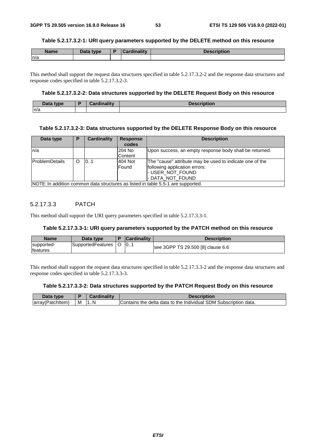#### **Table 5.2.17.3.2-1: URI query parameters supported by the DELETE method on this resource**

| <b>Name</b> | <b>Pata type</b> | تنازله وباز<br><b>STATISTICS</b><br><b><i>CONTINUES</i></b> | 10000<br>≈πption. |
|-------------|------------------|-------------------------------------------------------------|-------------------|
| ln/a        |                  |                                                             |                   |

This method shall support the request data structures specified in table 5.2.17.3.2-2 and the response data structures and response codes specified in table 5.2.17.3.2-3.

### **Table 5.2.17.3.2-2: Data structures supported by the DELETE Request Body on this resource**

| <b>Pata type</b><br><b>Data</b> | $-15$ and $-15$ data.<br>---- | a marca |
|---------------------------------|-------------------------------|---------|
| ln/a                            |                               |         |

### **Table 5.2.17.3.2-3: Data structures supported by the DELETE Response Body on this resource**

| Data type              | D | <b>Cardinality</b> | <b>Response</b> | <b>Description</b>                                                               |
|------------------------|---|--------------------|-----------------|----------------------------------------------------------------------------------|
|                        |   |                    | codes           |                                                                                  |
| In/a                   |   |                    | 204 No          | Upon success, an empty response body shall be returned.                          |
|                        |   |                    | Content         |                                                                                  |
| <b>IProblemDetails</b> | O | 101                | 404 Not         | The "cause" attribute may be used to indicate one of the                         |
|                        |   |                    | Found           | following application errors:                                                    |
|                        |   |                    |                 | - USER_NOT_FOUND                                                                 |
|                        |   |                    |                 | - DATA NOT FOUND                                                                 |
|                        |   |                    |                 | NOTE: In addition common data structures as listed in table 5.5-1 are supported. |

### 5.2.17.3.3 PATCH

This method shall support the URI query parameters specified in table 5.2.17.3.3-1.

#### **Table 5.2.17.3.3-1: URI query parameters supported by the PATCH method on this resource**

| <b>Name</b>                    | Data type         | <b>Cardinality</b> | <b>Description</b>                |
|--------------------------------|-------------------|--------------------|-----------------------------------|
| supported-<br><b>Ifeatures</b> | SupportedFeatures | 0                  | see 3GPP TS 29.500 [8] clause 6.6 |

This method shall support the request data structures specified in table 5.2.17.3.3-2 and the response data structures and response codes specified in table 5.2.17.3.3-3.

#### **Table 5.2.17.3.3-2: Data structures supported by the PATCH Request Body on this resource**

| Data<br>type     |   | Cardinality | Description                                                                 |
|------------------|---|-------------|-----------------------------------------------------------------------------|
| array(Patchitem) | M | 7N          | 'Subscription<br>I Contains the delta data to the Individual SDM S<br>data. |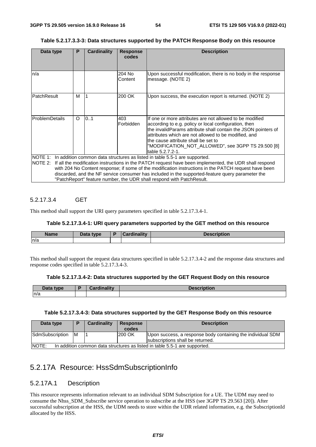### **Table 5.2.17.3.3-3: Data structures supported by the PATCH Response Body on this resource**

| Data type             | P        | <b>Cardinality</b> | <b>Response</b><br>codes | <b>Description</b>                                                                                                                                                                                                                                                                                                                                                                                                                                                                         |
|-----------------------|----------|--------------------|--------------------------|--------------------------------------------------------------------------------------------------------------------------------------------------------------------------------------------------------------------------------------------------------------------------------------------------------------------------------------------------------------------------------------------------------------------------------------------------------------------------------------------|
|                       |          |                    |                          |                                                                                                                                                                                                                                                                                                                                                                                                                                                                                            |
| n/a                   |          |                    | 204 No<br>Content        | Upon successful modification, there is no body in the response<br>message. (NOTE 2)                                                                                                                                                                                                                                                                                                                                                                                                        |
| <b>PatchResult</b>    | м        |                    | 200 OK                   | Upon success, the execution report is returned. (NOTE 2)                                                                                                                                                                                                                                                                                                                                                                                                                                   |
| <b>ProblemDetails</b> | $\Omega$ | 0.1                | 403<br>Forbidden         | If one or more attributes are not allowed to be modified<br>according to e.g. policy or local configuration, then<br>the invalidParams attribute shall contain the JSON pointers of<br>attributes which are not allowed to be modified, and<br>the cause attribute shall be set to<br>"MODIFICATION_NOT_ALLOWED", see 3GPP TS 29.500 [8]<br>table 5.2.7.2-1.                                                                                                                               |
|                       |          |                    |                          | NOTE 1: In addition common data structures as listed in table 5.5-1 are supported.<br>NOTE 2: If all the modification instructions in the PATCH request have been implemented, the UDR shall respond<br>with 204 No Content response; if some of the modification instructions in the PATCH request have been<br>discarded, and the NF service consumer has included in the supported-feature query parameter the<br>"PatchReport" feature number, the UDR shall respond with PatchResult. |

# 5.2.17.3.4 GET

This method shall support the URI query parameters specified in table 5.2.17.3.4-1.

#### **Table 5.2.17.3.4-1: URI query parameters supported by the GET method on this resource**

| <b>Name</b><br>Dala | Data type | $\sim$ $\sim$ 114.4 | <b>Description</b> |
|---------------------|-----------|---------------------|--------------------|
| n/a                 |           |                     |                    |

This method shall support the request data structures specified in table 5.2.17.3.4-2 and the response data structures and response codes specified in table 5.2.17.3.4-3.

#### **Table 5.2.17.3.4-2: Data structures supported by the GET Request Body on this resource**

| Data type | Cardinalitv | <b>Description</b> |
|-----------|-------------|--------------------|
| n/a       |             |                    |

#### **Table 5.2.17.3.4-3: Data structures supported by the GET Response Body on this resource**

| Data type                                                                                   | D   | Cardinality | <b>Response</b><br>codes | <b>Description</b>                                                                              |  |
|---------------------------------------------------------------------------------------------|-----|-------------|--------------------------|-------------------------------------------------------------------------------------------------|--|
| SdmSubscription                                                                             | IM. |             | 200 OK                   | Upon success, a response body containing the individual SDM<br>subscriptions shall be returned. |  |
| <b>INOTE:</b><br>In addition common data structures as listed in table 5.5-1 are supported. |     |             |                          |                                                                                                 |  |

# 5.2.17A Resource: HssSdmSubscriptionInfo

# 5.2.17A.1 Description

This resource represents information relevant to an individual SDM Subscription for a UE. The UDM may need to consume the Nhss\_SDM\_Subscribe service operation to subscribe at the HSS (see 3GPP TS 29.563 [20]). After successful subscription at the HSS, the UDM needs to store within the UDR related information, e.g. the SubscriptionId allocated by the HSS.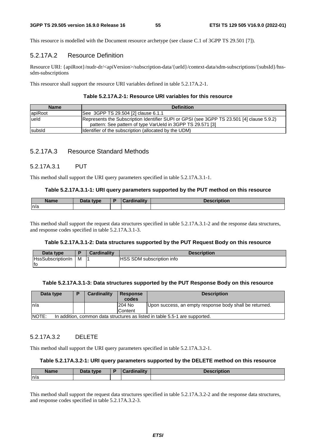This resource is modelled with the Document resource archetype (see clause C.1 of 3GPP TS 29.501 [7]).

# 5.2.17A.2 Resource Definition

Resource URI: {apiRoot}/nudr-dr/<apiVersion>/subscription-data/{ueId}/context-data/sdm-subscriptions/{subsId}/hsssdm-subscriptions

This resource shall support the resource URI variables defined in table 5.2.17A.2-1.

### **Table 5.2.17A.2-1: Resource URI variables for this resource**

| <b>Name</b> | <b>Definition</b>                                                                                                                                       |
|-------------|---------------------------------------------------------------------------------------------------------------------------------------------------------|
| apiRoot     | See 3GPP TS 29.504 [2] clause 6.1.1                                                                                                                     |
| lueld       | Represents the Subscription Identifier SUPI or GPSI (see 3GPP TS 23.501 [4] clause 5.9.2)<br>pattern: See pattern of type VarUeld in 3GPP TS 29.571 [3] |
| subsid      | Identifier of the subscription (allocated by the UDM)                                                                                                   |

# 5.2.17A.3 Resource Standard Methods

# 5.2.17A.3.1 PUT

This method shall support the URI query parameters specified in table 5.2.17A.3.1-1.

### **Table 5.2.17A.3.1-1: URI query parameters supported by the PUT method on this resource**

| <b>Name</b> | <b>Pata type</b> | and an Idea of the United States<br><b>The Company's Company's Company's</b><br>adille – | <u>ension</u><br>NUUUN |
|-------------|------------------|------------------------------------------------------------------------------------------|------------------------|
| n/a         |                  |                                                                                          |                        |

This method shall support the request data structures specified in table 5.2.17A.3.1-2 and the response data structures, and response codes specified in table 5.2.17A.3.1-3.

# **Table 5.2.17A.3.1-2: Data structures supported by the PUT Request Body on this resource**

| Data type                |   | <b>Cardinality</b> | <b>Description</b>               |
|--------------------------|---|--------------------|----------------------------------|
| <b>HssSubscriptionIn</b> | м |                    | <b>HSS SDM subscription info</b> |
| lfo                      |   |                    |                                  |

#### **Table 5.2.17A.3.1-3: Data structures supported by the PUT Response Body on this resource**

| Data type    | Ð                                                                           | Cardinality | <b>Response</b><br>codes | <b>Description</b>                                      |  |  |  |
|--------------|-----------------------------------------------------------------------------|-------------|--------------------------|---------------------------------------------------------|--|--|--|
| ln/a         |                                                                             |             | 204 No                   | Upon success, an empty response body shall be returned. |  |  |  |
|              |                                                                             |             | Content                  |                                                         |  |  |  |
| <b>NOTE:</b> | In addition, common data structures as listed in table 5.5-1 are supported. |             |                          |                                                         |  |  |  |

### 5.2.17A.3.2 DELETE

This method shall support the URI query parameters specified in table 5.2.17A.3.2-1.

#### **Table 5.2.17A.3.2-1: URI query parameters supported by the DELETE method on this resource**

| <b>Name</b> | Data type | Cardinality | <b>Description</b> |
|-------------|-----------|-------------|--------------------|
| n/a         |           |             |                    |

This method shall support the request data structures specified in table 5.2.17A.3.2-2 and the response data structures, and response codes specified in table 5.2.17A.3.2-3.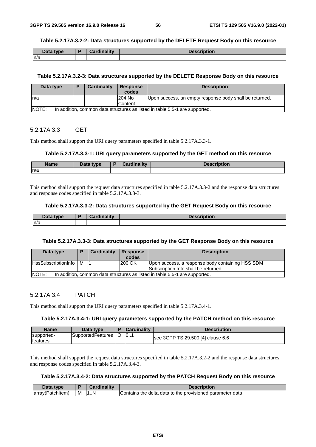#### **Table 5.2.17A.3.2-2: Data structures supported by the DELETE Request Body on this resource**

| ∴ c+c<br>type<br>Data | Cardinality | <b>Description</b> |
|-----------------------|-------------|--------------------|
| n/a                   |             |                    |

#### **Table 5.2.17A.3.2-3: Data structures supported by the DELETE Response Body on this resource**

| Data type                                                                             | D | Cardinality | <b>Response</b><br>codes | <b>Description</b>                                      |  |  |
|---------------------------------------------------------------------------------------|---|-------------|--------------------------|---------------------------------------------------------|--|--|
| In/a                                                                                  |   |             | 204 No                   | Upon success, an empty response body shall be returned. |  |  |
|                                                                                       |   |             | Content                  |                                                         |  |  |
| INOTE:<br>In addition, common data structures as listed in table 5.5-1 are supported. |   |             |                          |                                                         |  |  |

### 5.2.17A.3.3 GET

This method shall support the URI query parameters specified in table 5.2.17A.3.3-1.

#### **Table 5.2.17A.3.3-1: URI query parameters supported by the GET method on this resource**

| <b>Name</b> | Data type | Cardinality | <b>Description</b> |
|-------------|-----------|-------------|--------------------|
| n/a         |           |             |                    |

This method shall support the request data structures specified in table 5.2.17A.3.3-2 and the response data structures and response codes specified in table 5.2.17A.3.3-3.

### **Table 5.2.17A.3.3-2: Data structures supported by the GET Request Body on this resource**

| Data type | <b>Cardinality</b><br>Tumality | <b>Description</b> |
|-----------|--------------------------------|--------------------|
| n/a       |                                |                    |

#### **Table 5.2.17A.3.3-3: Data structures supported by the GET Response Body on this resource**

| Data type               |                                                                             | <b>Cardinality</b> | <b>Response</b><br>codes | <b>Description</b>                                                                       |  |  |
|-------------------------|-----------------------------------------------------------------------------|--------------------|--------------------------|------------------------------------------------------------------------------------------|--|--|
| HssSubscriptionInfo   M |                                                                             |                    | 200 OK                   | Upon success, a response body containing HSS SDM<br>Subscription Info shall be returned. |  |  |
| NOTE:                   | In addition, common data structures as listed in table 5.5-1 are supported. |                    |                          |                                                                                          |  |  |

# 5.2.17A.3.4 PATCH

This method shall support the URI query parameters specified in table 5.2.17A.3.4-1.

#### **Table 5.2.17A.3.4-1: URI query parameters supported by the PATCH method on this resource**

| <b>Name</b>                    | Data type             | D | <b>Cardinality</b> | <b>Description</b>                |
|--------------------------------|-----------------------|---|--------------------|-----------------------------------|
| supported-<br><b>Ifeatures</b> | SupportedFeatures   O |   | $\vert 0$          | see 3GPP TS 29.500 [4] clause 6.6 |

This method shall support the request data structures specified in table 5.2.17A.3.2-2 and the response data structures, and response codes specified in table 5.2.17A.3.4-3.

# **Table 5.2.17A.3.4-2: Data structures supported by the PATCH Request Body on this resource**

| <b>Data</b><br>type |   | inalitv<br>:ard | <b>Description</b>                                        |
|---------------------|---|-----------------|-----------------------------------------------------------|
| array(Patchitem,    | м | .N              | Contains the delta data to the provisioned parameter data |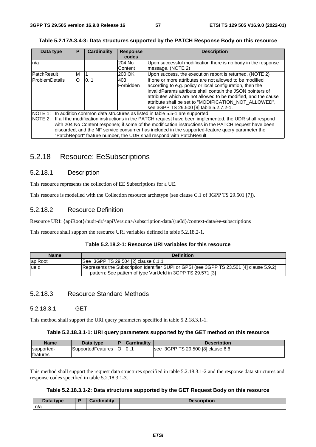| Table 5.2.17A.3.4-3: Data structures supported by the PATCH Response Body on this resource |  |  |  |
|--------------------------------------------------------------------------------------------|--|--|--|
|                                                                                            |  |  |  |

| Data type              | Р | Cardinality | <b>Response</b>   | <b>Description</b>                                                                                             |
|------------------------|---|-------------|-------------------|----------------------------------------------------------------------------------------------------------------|
|                        |   |             | codes             |                                                                                                                |
| n/a                    |   |             | 204 No            | Upon successful modification there is no body in the response                                                  |
|                        |   |             | Content           | message. (NOTE 2)                                                                                              |
| <b>PatchResult</b>     | м |             | 200 OK            | Upon success, the execution report is returned. (NOTE 2)                                                       |
| <b>IProblemDetails</b> | O | 0.1         | 403               | If one or more attributes are not allowed to be modified                                                       |
|                        |   |             | <b>IForbidden</b> | according to e.g. policy or local configuration, then the                                                      |
|                        |   |             |                   | invalidParams attribute shall contain the JSON pointers of                                                     |
|                        |   |             |                   | attributes which are not allowed to be modified, and the cause                                                 |
|                        |   |             |                   | attribute shall be set to "MODIFICATION NOT ALLOWED",                                                          |
|                        |   |             |                   | see 3GPP TS 29.500 [8] table 5.2.7.2-1.                                                                        |
|                        |   |             |                   | NOTE 1: In addition common data structures as listed in table 5.5-1 are supported.                             |
|                        |   |             |                   | NOTE 2: If all the modification instructions in the PATCH request have been implemented, the UDR shall respond |
|                        |   |             |                   | with 204 No Content response; if some of the modification instructions in the PATCH request have been          |
|                        |   |             |                   | discarded, and the NF service consumer has included in the supported-feature query parameter the               |
|                        |   |             |                   | "PatchReport" feature number, the UDR shall respond with PatchResult.                                          |

# 5.2.18 Resource: EeSubscriptions

# 5.2.18.1 Description

This resource represents the collection of EE Subscriptions for a UE.

This resource is modelled with the Collection resource archetype (see clause C.1 of 3GPP TS 29.501 [7]).

# 5.2.18.2 Resource Definition

Resource URI: {apiRoot}/nudr-dr/<apiVersion>/subscription-data/{ueId}/context-data/ee-subscriptions

This resource shall support the resource URI variables defined in table 5.2.18.2-1.

#### **Table 5.2.18.2-1: Resource URI variables for this resource**

| <b>Name</b> | <b>Definition</b>                                                                                                                                       |
|-------------|---------------------------------------------------------------------------------------------------------------------------------------------------------|
| apiRoot     | See 3GPP TS 29.504 [2] clause 6.1.1                                                                                                                     |
| lueld       | Represents the Subscription Identifier SUPI or GPSI (see 3GPP TS 23.501 [4] clause 5.9.2)<br>pattern: See pattern of type VarUeld in 3GPP TS 29.571 [3] |

# 5.2.18.3 Resource Standard Methods

### 5.2.18.3.1 GET

This method shall support the URI query parameters specified in table 5.2.18.3.1-1.

#### **Table 5.2.18.3.1-1: URI query parameters supported by the GET method on this resource**

| <b>Name</b>                    | Data type         | <b>Cardinality</b> | Description                       |
|--------------------------------|-------------------|--------------------|-----------------------------------|
| supported-<br><b>Ifeatures</b> | SupportedFeatures | 10                 | see 3GPP TS 29.500 [8] clause 6.6 |

This method shall support the request data structures specified in table 5.2.18.3.1-2 and the response data structures and response codes specified in table 5.2.18.3.1-3.

#### **Table 5.2.18.3.1-2: Data structures supported by the GET Request Body on this resource**

| Data type | Cardinality | <b>Description</b> |
|-----------|-------------|--------------------|
| n/a       |             |                    |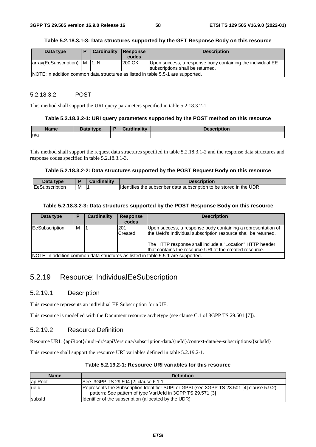### **Table 5.2.18.3.1-3: Data structures supported by the GET Response Body on this resource**

| Data type                                                                        |  | Cardinality | <b>Response</b> | <b>Description</b>                                         |  |
|----------------------------------------------------------------------------------|--|-------------|-----------------|------------------------------------------------------------|--|
|                                                                                  |  |             | codes           |                                                            |  |
| array(EeSubscription)   M                                                        |  | 11N         | 1200 OK         | Upon success, a response body containing the individual EE |  |
|                                                                                  |  |             |                 | subscriptions shall be returned.                           |  |
| NOTE: In addition common data structures as listed in table 5.5-1 are supported. |  |             |                 |                                                            |  |

#### 5.2.18.3.2 POST

This method shall support the URI query parameters specified in table 5.2.18.3.2-1.

#### **Table 5.2.18.3.2-1: URI query parameters supported by the POST method on this resource**

| <b>Name</b> | Data type | <b>Cardinality</b> | Description |
|-------------|-----------|--------------------|-------------|
| n/a         |           |                    |             |

This method shall support the request data structures specified in table 5.2.18.3.1-2 and the response data structures and response codes specified in table 5.2.18.3.1-3.

#### **Table 5.2.18.3.2-2: Data structures supported by the POST Request Body on this resource**

| anto -<br>type    |   | Description                                                                                |
|-------------------|---|--------------------------------------------------------------------------------------------|
| IEe:<br>τιυτιοι . | M | o be stored in the UDR.<br><b>Identifies</b><br>: subscriber data subscription to '<br>the |

#### **Table 5.2.18.3.2-3: Data structures supported by the POST Response Body on this resource**

| Data type                                                                        | P | Cardinality | <b>Response</b><br>codes | <b>Description</b>                                                                                                                                                                                                                                    |  |
|----------------------------------------------------------------------------------|---|-------------|--------------------------|-------------------------------------------------------------------------------------------------------------------------------------------------------------------------------------------------------------------------------------------------------|--|
| EeSubscription                                                                   | м |             | 201<br>Created           | Upon success, a response body containing a representation of<br>the Ueld's Individual subscription resource shall be returned.<br>The HTTP response shall include a "Location" HTTP header<br>that contains the resource URI of the created resource. |  |
| NOTE: In addition common data structures as listed in table 5.5-1 are supported. |   |             |                          |                                                                                                                                                                                                                                                       |  |

# 5.2.19 Resource: IndividualEeSubscription

# 5.2.19.1 Description

This resource represents an individual EE Subscription for a UE.

This resource is modelled with the Document resource archetype (see clause C.1 of 3GPP TS 29.501 [7]).

# 5.2.19.2 Resource Definition

Resource URI: {apiRoot}/nudr-dr/<apiVersion>/subscription-data/{ueId}/context-data/ee-subscriptions/{subsId}

This resource shall support the resource URI variables defined in table 5.2.19.2-1.

| <b>Name</b> | <b>Definition</b>                                                                                                                                       |
|-------------|---------------------------------------------------------------------------------------------------------------------------------------------------------|
| apiRoot     | See 3GPP TS 29.504 [2] clause 6.1.1                                                                                                                     |
| ueld        | Represents the Subscription Identifier SUPI or GPSI (see 3GPP TS 23.501 [4] clause 5.9.2)<br>pattern: See pattern of type VarUeld in 3GPP TS 29.571 [3] |
| subsid      | Identifier of the subscription (allocated by the UDR)                                                                                                   |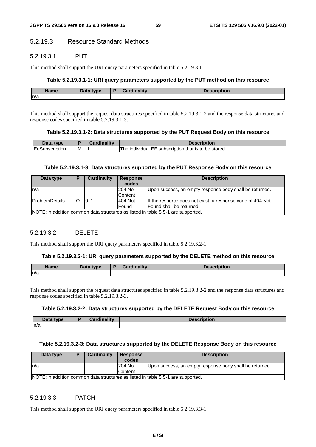# 5.2.19.3 Resource Standard Methods

## 5.2.19.3.1 PUT

This method shall support the URI query parameters specified in table 5.2.19.3.1-1.

#### **Table 5.2.19.3.1-1: URI query parameters supported by the PUT method on this resource**

| <b>Name</b> | <b>Pata type</b><br>Dala | ╺ | السنانا ومؤالست | <b>Deepwickien</b><br>vuvı. |
|-------------|--------------------------|---|-----------------|-----------------------------|
| n/a         |                          |   |                 |                             |

This method shall support the request data structures specified in table 5.2.19.3.1-2 and the response data structures and response codes specified in table 5.2.19.3.1-3.

#### **Table 5.2.19.3.1-2: Data structures supported by the PUT Request Body on this resource**

| <b>Data</b><br>type |   | <b>Description</b>                                             |
|---------------------|---|----------------------------------------------------------------|
| EeSubscription      | M | be stored<br>LEE subscription that is to<br>l he<br>individual |

#### **Table 5.2.19.3.1-3: Data structures supported by the PUT Response Body on this resource**

| Data type       | в        | Cardinality | <b>Response</b><br>codes | <b>Description</b>                                                                |
|-----------------|----------|-------------|--------------------------|-----------------------------------------------------------------------------------|
| ln/a            |          |             | 204 No                   | Upon success, an empty response body shall be returned.                           |
|                 |          |             | Content                  |                                                                                   |
| lProblemDetails | $\Omega$ | 101         | 404 Not                  | If the resource does not exist, a response code of 404 Not                        |
|                 |          |             | <b>Found</b>             | Found shall be returned.                                                          |
|                 |          |             |                          | INOTE: In addition common data structures as listed in table 5.5-1 are supported. |

### 5.2.19.3.2 DELETE

This method shall support the URI query parameters specified in table 5.2.19.3.2-1.

#### **Table 5.2.19.3.2-1: URI query parameters supported by the DELETE method on this resource**

| <b>Name</b> | Data type | <b>Cardinality</b> | Description |
|-------------|-----------|--------------------|-------------|
| n/a         |           |                    |             |

This method shall support the request data structures specified in table 5.2.19.3.2-2 and the response data structures and response codes specified in table 5.2.19.3.2-3.

#### **Table 5.2.19.3.2-2: Data structures supported by the DELETE Request Body on this resource**

| <b>Pata type</b><br><b>Data</b> | <b>Time little</b> | ויאםר<br>ноп |
|---------------------------------|--------------------|--------------|
| ln/a                            |                    |              |

#### **Table 5.2.19.3.2-3: Data structures supported by the DELETE Response Body on this resource**

| Data type | Ð                                                                                | Cardinality | <b>Response</b><br>codes | <b>Description</b>                                      |  |  |
|-----------|----------------------------------------------------------------------------------|-------------|--------------------------|---------------------------------------------------------|--|--|
| In/a      |                                                                                  |             | 204 No                   | Upon success, an empty response body shall be returned. |  |  |
|           |                                                                                  |             | Content                  |                                                         |  |  |
|           | NOTE: In addition common data structures as listed in table 5.5-1 are supported. |             |                          |                                                         |  |  |

# 5.2.19.3.3 PATCH

This method shall support the URI query parameters specified in table 5.2.19.3.3-1.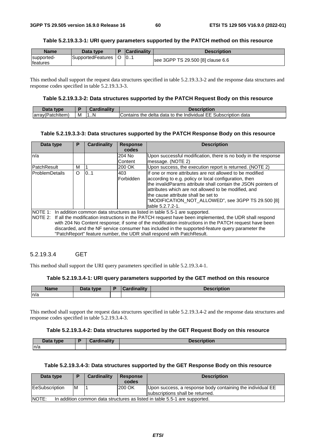### **Table 5.2.19.3.3-1: URI query parameters supported by the PATCH method on this resource**

| <b>Name</b>                   | Data type         | <b>Cardinality</b> | <b>Description</b>                |
|-------------------------------|-------------------|--------------------|-----------------------------------|
| supported-<br><b>features</b> | SupportedFeatures | 10                 | see 3GPP TS 29.500 [8] clause 6.6 |

This method shall support the request data structures specified in table 5.2.19.3.3-2 and the response data structures and response codes specified in table 5.2.19.3.3-3.

#### **Table 5.2.19.3.3-2: Data structures supported by the PATCH Request Body on this resource**

| Data<br>type      |   | Cardinality |                                                                          |
|-------------------|---|-------------|--------------------------------------------------------------------------|
| (array(Patchitem) | M | N<br>1N     | s the delta data to the Individual EE Subscription .<br>data<br>Contains |

#### **Table 5.2.19.3.3-3: Data structures supported by the PATCH Response Body on this resource**

| Data type                                                                                             | Р                                                                                                              | <b>Cardinality</b> | <b>Response</b> | <b>Description</b>                                                                               |  |  |
|-------------------------------------------------------------------------------------------------------|----------------------------------------------------------------------------------------------------------------|--------------------|-----------------|--------------------------------------------------------------------------------------------------|--|--|
|                                                                                                       |                                                                                                                |                    | codes           |                                                                                                  |  |  |
| n/a                                                                                                   |                                                                                                                |                    | 204 No          | Upon successful modification, there is no body in the response                                   |  |  |
|                                                                                                       |                                                                                                                |                    | Content         | message. (NOTE 2)                                                                                |  |  |
| <b>PatchResult</b>                                                                                    | м                                                                                                              |                    | 200 OK          | Upon success, the execution report is returned. (NOTE 2)                                         |  |  |
| <b>IProblemDetails</b>                                                                                | $\Omega$                                                                                                       | 10.1               | 403             | If one or more attributes are not allowed to be modified                                         |  |  |
|                                                                                                       |                                                                                                                |                    | Forbidden       | according to e.g. policy or local configuration, then                                            |  |  |
|                                                                                                       |                                                                                                                |                    |                 | the invalidParams attribute shall contain the JSON pointers of                                   |  |  |
|                                                                                                       |                                                                                                                |                    |                 | attributes which are not allowed to be modified, and                                             |  |  |
|                                                                                                       |                                                                                                                |                    |                 | the cause attribute shall be set to                                                              |  |  |
|                                                                                                       |                                                                                                                |                    |                 | "MODIFICATION_NOT_ALLOWED", see 3GPP TS 29.500 [8]                                               |  |  |
|                                                                                                       |                                                                                                                |                    |                 | ltable 5.2.7.2-1.                                                                                |  |  |
|                                                                                                       |                                                                                                                |                    |                 | NOTE 1: In addition common data structures as listed in table 5.5-1 are supported.               |  |  |
|                                                                                                       | NOTE 2: If all the modification instructions in the PATCH request have been implemented, the UDR shall respond |                    |                 |                                                                                                  |  |  |
| with 204 No Content response; if some of the modification instructions in the PATCH request have been |                                                                                                                |                    |                 |                                                                                                  |  |  |
|                                                                                                       |                                                                                                                |                    |                 | discarded, and the NF service consumer has included in the supported-feature query parameter the |  |  |
|                                                                                                       |                                                                                                                |                    |                 | "PatchReport" feature number, the UDR shall respond with PatchResult.                            |  |  |

# 5.2.19.3.4 GET

This method shall support the URI query parameters specified in table 5.2.19.3.4-1.

# **Table 5.2.19.3.4-1: URI query parameters supported by the GET method on this resource**

| <b>Name</b> | Data type<br>Putu | and a Hitchnetts<br>$\sim$ | iption |
|-------------|-------------------|----------------------------|--------|
| n/a         |                   |                            |        |

This method shall support the request data structures specified in table 5.2.19.3.4-2 and the response data structures and response codes specified in table 5.2.19.3.4-3.

#### **Table 5.2.19.3.4-2: Data structures supported by the GET Request Body on this resource**

| Data type | <b>Cordinality</b><br>. | <b>Description</b> |
|-----------|-------------------------|--------------------|
| In/a      |                         |                    |

### **Table 5.2.19.3.4-3: Data structures supported by the GET Response Body on this resource**

| Data type                                                                           | D | <b>Cardinality</b> | <b>Response</b> | <b>Description</b>                                                                             |  |
|-------------------------------------------------------------------------------------|---|--------------------|-----------------|------------------------------------------------------------------------------------------------|--|
|                                                                                     |   |                    | codes           |                                                                                                |  |
| <b>EeSubscription</b>                                                               | M |                    | 200 OK          | Upon success, a response body containing the individual EE<br>subscriptions shall be returned. |  |
| NOTE:<br>In addition common data structures as listed in table 5.5-1 are supported. |   |                    |                 |                                                                                                |  |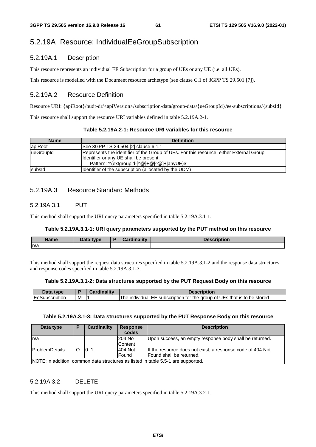# 5.2.19A Resource: IndividualEeGroupSubscription

# 5.2.19A.1 Description

This resource represents an individual EE Subscription for a group of UEs or any UE (i.e. all UEs).

This resource is modelled with the Document resource archetype (see clause C.1 of 3GPP TS 29.501 [7]).

# 5.2.19A.2 Resource Definition

Resource URI: {apiRoot}/nudr-dr/<apiVersion>/subscription-data/group-data/{ueGroupId}/ee-subscriptions/{subsId}

This resource shall support the resource URI variables defined in table 5.2.19A.2-1.

|  | Table 5.2.19A.2-1: Resource URI variables for this resource |
|--|-------------------------------------------------------------|
|--|-------------------------------------------------------------|

| <b>Name</b> | <b>Definition</b>                                                                                                                                                                 |
|-------------|-----------------------------------------------------------------------------------------------------------------------------------------------------------------------------------|
| apiRoot     | See 3GPP TS 29.504 [2] clause 6.1.1                                                                                                                                               |
| lueGroupId  | Represents the identifier of the Group of UEs. For this resource, either External Group<br>Identifier or any UE shall be present.<br>Pattern: '^(extgroupid-[^@]+@[^@]+ anyUE)\$' |
| subsid      | Identifier of the subscription (allocated by the UDM)                                                                                                                             |

# 5.2.19A.3 Resource Standard Methods

## 5.2.19A.3.1 PUT

This method shall support the URI query parameters specified in table 5.2.19A.3.1-1.

### **Table 5.2.19A.3.1-1: URI query parameters supported by the PUT method on this resource**

| <b>Name</b> | Data type | ۰. | <b>Cardinality</b> | <b>Description</b> |
|-------------|-----------|----|--------------------|--------------------|
| n/a         |           |    |                    |                    |

This method shall support the request data structures specified in table 5.2.19A.3.1-2 and the response data structures and response codes specified in table 5.2.19A.3.1-3.

#### **Table 5.2.19A.3.1-2: Data structures supported by the PUT Request Body on this resource**

| type<br><b>Jata</b> |     | Description                                                                         |
|---------------------|-----|-------------------------------------------------------------------------------------|
| EeSubscription      | ΙVΙ | subscription for the group of UEs that is to be stored<br>l he<br>individual<br>FF. |

### **Table 5.2.19A.3.1-3: Data structures supported by the PUT Response Body on this resource**

| Data type             | D                                                                                 | Cardinality | <b>Response</b><br>codes | <b>Description</b>                                         |  |  |  |
|-----------------------|-----------------------------------------------------------------------------------|-------------|--------------------------|------------------------------------------------------------|--|--|--|
| ln/a                  |                                                                                   |             | 204 No                   | Upon success, an empty response body shall be returned.    |  |  |  |
|                       |                                                                                   |             | Content                  |                                                            |  |  |  |
| <b>ProblemDetails</b> | O                                                                                 | 101         | 404 Not                  | If the resource does not exist, a response code of 404 Not |  |  |  |
|                       |                                                                                   |             | Found                    | Found shall be returned.                                   |  |  |  |
|                       | NOTE: In addition, common data structures as listed in table 5.5-1 are supported. |             |                          |                                                            |  |  |  |

### 5.2.19A.3.2 DELETE

This method shall support the URI query parameters specified in table 5.2.19A.3.2-1.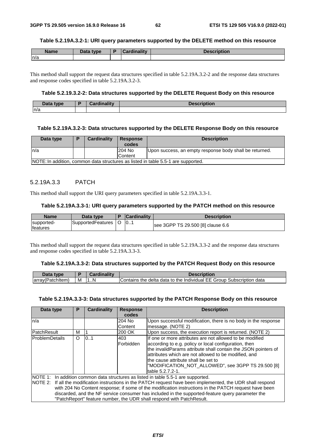#### **Table 5.2.19A.3.2-1: URI query parameters supported by the DELETE method on this resource**

| <b>Name</b> | Data type | Cardinality | <b>Description</b> |
|-------------|-----------|-------------|--------------------|
| n/a         |           |             |                    |

This method shall support the request data structures specified in table 5.2.19A.3.2-2 and the response data structures and response codes specified in table 5.2.19A.3.2-3.

### **Table 5.2.19.3.2-2: Data structures supported by the DELETE Request Body on this resource**

| Data type | Cordinality | .<br><b>Descrir</b><br>TIDUOH. |
|-----------|-------------|--------------------------------|
| n/a       |             |                                |

#### **Table 5.2.19A.3.2-3: Data structures supported by the DELETE Response Body on this resource**

| Data type | <b>Cardinality</b> | <b>Response</b><br>codes | <b>Description</b>                                                                |
|-----------|--------------------|--------------------------|-----------------------------------------------------------------------------------|
| ln/a      |                    | 204 No                   | Upon success, an empty response body shall be returned.                           |
|           |                    | Content                  |                                                                                   |
|           |                    |                          | NOTE: In addition, common data structures as listed in table 5.5-1 are supported. |

### 5.2.19A.3.3 PATCH

This method shall support the URI query parameters specified in table 5.2.19A.3.3-1.

### **Table 5.2.19A.3.3-1: URI query parameters supported by the PATCH method on this resource**

| <b>Name</b>                   | Data type         | <b>Cardinality</b> | <b>Description</b>                |
|-------------------------------|-------------------|--------------------|-----------------------------------|
| supported-<br><b>features</b> | SupportedFeatures | 10                 | see 3GPP TS 29.500 [8] clause 6.6 |

This method shall support the request data structures specified in table 5.2.19A.3.3-2 and the response data structures and response codes specified in table 5.2.19A.3.3-3.

#### **Table 5.2.19A.3.3-2: Data structures supported by the PATCH Request Body on this resource**

| Data type        |   | Cardinality | Description                                                          |
|------------------|---|-------------|----------------------------------------------------------------------|
| array(Patchitem) | м | 1N          | Contains the delta data to the Individual EE Group Subscription data |

#### **Table 5.2.19A.3.3-3: Data structures supported by the PATCH Response Body on this resource**

| Data type                                                                                             | P        | Cardinality | <b>Response</b> | <b>Description</b>                                                                                             |  |  |
|-------------------------------------------------------------------------------------------------------|----------|-------------|-----------------|----------------------------------------------------------------------------------------------------------------|--|--|
|                                                                                                       |          |             | codes           |                                                                                                                |  |  |
| n/a                                                                                                   |          |             | 204 No          | Upon successful modification, there is no body in the response                                                 |  |  |
|                                                                                                       |          |             | <b>Content</b>  | message. (NOTE 2)                                                                                              |  |  |
| <b>PatchResult</b>                                                                                    | м        |             | 200 OK          | Upon success, the execution report is returned. (NOTE 2)                                                       |  |  |
| <b>ProblemDetails</b>                                                                                 | $\Omega$ | 0.1         | 403             | If one or more attributes are not allowed to be modified                                                       |  |  |
|                                                                                                       |          |             | Forbidden       | according to e.g. policy or local configuration, then                                                          |  |  |
|                                                                                                       |          |             |                 | the invalidParams attribute shall contain the JSON pointers of                                                 |  |  |
|                                                                                                       |          |             |                 | attributes which are not allowed to be modified, and                                                           |  |  |
|                                                                                                       |          |             |                 | the cause attribute shall be set to                                                                            |  |  |
|                                                                                                       |          |             |                 | "MODIFICATION_NOT_ALLOWED", see 3GPP TS 29.500 [8]                                                             |  |  |
|                                                                                                       |          |             |                 | table 5.2.7.2-1.                                                                                               |  |  |
| NOTE 1: In addition common data structures as listed in table 5.5-1 are supported.                    |          |             |                 |                                                                                                                |  |  |
|                                                                                                       |          |             |                 | NOTE 2: If all the modification instructions in the PATCH request have been implemented, the UDR shall respond |  |  |
| with 204 No Content response; if some of the modification instructions in the PATCH request have been |          |             |                 |                                                                                                                |  |  |
|                                                                                                       |          |             |                 | discarded, and the NF service consumer has included in the supported-feature query parameter the               |  |  |
|                                                                                                       |          |             |                 | "PatchReport" feature number, the UDR shall respond with PatchResult.                                          |  |  |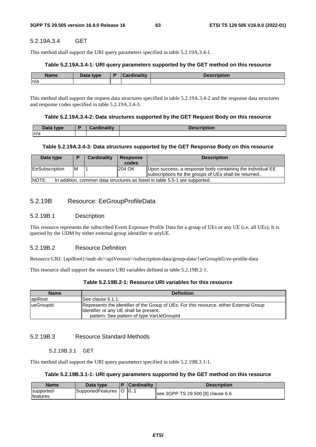# 5.2.19A.3.4 GET

This method shall support the URI query parameters specified in table 5.2.19A.3.4-1.

#### **Table 5.2.19A.3.4-1: URI query parameters supported by the GET method on this resource**

| <b>Name</b> | <b>Pata type</b> | $-$ and in other than $-$<br>$\sim$ $\sim$ $\sim$ $\sim$ | <b>Description</b> |
|-------------|------------------|----------------------------------------------------------|--------------------|
| n/a         |                  |                                                          |                    |

This method shall support the request data structures specified in table 5.2.19A.3.4-2 and the response data structures and response codes specified in table 5.2.19A.3.4-3.

#### **Table 5.2.19A.3.4-2: Data structures supported by the GET Request Body on this resource**

| Data type | <b>Cardinality</b> | <b>Description</b> |
|-----------|--------------------|--------------------|
| n/a       |                    |                    |

#### **Table 5.2.19A.3.4-3: Data structures supported by the GET Response Body on this resource**

| Data type             |    | Cardinality | <b>Response</b><br>codes | <b>Description</b>                                                                                                  |
|-----------------------|----|-------------|--------------------------|---------------------------------------------------------------------------------------------------------------------|
| <b>EeSubscription</b> | ΙM |             | 204 OK                   | Upon success, a response body containing the individual EE<br>subscriptions for the groups of UEs shall be returned |
| <b>INOTE:</b>         |    |             |                          | In addition, common data structures as listed in table 5.5-1 are supported.                                         |

# 5.2.19B Resource: EeGroupProfileData

#### 5.2.19B.1 Description

This resource represents the subscribed Event Exposure Profile Data for a group of UEs or any UE (i.e. all UEs). It is queried by the UDM by either external group identifier or anyUE.

### 5.2.19B.2 Resource Definition

Resource URI: {apiRoot}/nudr-dr/<apiVersion>/subscription-data/group-data/{ueGroupId}/ee-profile-data

This resource shall support the resource URI variables defined in table 5.2.19B.2-1.

| <b>Name</b> | <b>Definition</b>                                                                                                                                                              |  |  |  |  |  |
|-------------|--------------------------------------------------------------------------------------------------------------------------------------------------------------------------------|--|--|--|--|--|
| apiRoot     | See clause 6.1.1                                                                                                                                                               |  |  |  |  |  |
| lueGroupId  | Represents the identifier of the Group of UEs. For this resource, either External Group<br>Identifier or any UE shall be present.<br>pattern: See pattern of type VarUeGroupId |  |  |  |  |  |

# 5.2.19B.3 Resource Standard Methods

#### 5.2.19B.3.1 GET

This method shall support the URI query parameters specified in table 5.2.19B.3.1-1.

# **Table 5.2.19B.3.1-1: URI query parameters supported by the GET method on this resource**

| <b>Name</b>            | Data tvpe             | <b>Cardinality</b> | <b>Description</b>                |
|------------------------|-----------------------|--------------------|-----------------------------------|
| supported-<br>features | SupportedFeatures   O | ີ 10…              | see 3GPP TS 29.500 [8] clause 6.6 |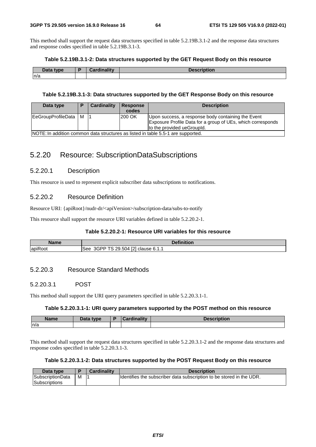This method shall support the request data structures specified in table 5.2.19B.3.1-2 and the response data structures and response codes specified in table 5.2.19B.3.1-3.

#### **Table 5.2.19B.3.1-2: Data structures supported by the GET Request Body on this resource**

| Data type | والمتوازن والمستورة | <b>Description</b> |
|-----------|---------------------|--------------------|
| n/a       |                     |                    |

#### **Table 5.2.19B.3.1-3: Data structures supported by the GET Response Body on this resource**

| Data type              | D | Cardinality | <b>Response</b><br>codes | <b>Description</b>                                                                                                                              |
|------------------------|---|-------------|--------------------------|-------------------------------------------------------------------------------------------------------------------------------------------------|
| EeGroupProfileData   M |   |             | l200 OK                  | Upon success, a response body containing the Event<br>Exposure Profile Data for a group of UEs, which corresponds<br>to the provided ueGroupId. |
|                        |   |             |                          | NOTE: In addition common data structures as listed in table 5.5-1 are supported.                                                                |

# 5.2.20 Resource: SubscriptionDataSubscriptions

# 5.2.20.1 Description

This resource is used to represent explicit subscriber data subscriptions to notifications.

# 5.2.20.2 Resource Definition

Resource URI: {apiRoot}/nudr-dr/<apiVersion>/subscription-data/subs-to-notify

This resource shall support the resource URI variables defined in table 5.2.20.2-1.

### **Table 5.2.20.2-1: Resource URI variables for this resource**

| Name                                 | <b>Definition</b><br>чног.                                               |
|--------------------------------------|--------------------------------------------------------------------------|
| $\overline{\phantom{a}}$<br>lapiRoot | EO <sub>1</sub><br>504.,<br>$AGPP^*$<br>ാവ<br>see<br>clause 6.1.1<br>. . |

## 5.2.20.3 Resource Standard Methods

# 5.2.20.3.1 POST

This method shall support the URI query parameters specified in table 5.2.20.3.1-1.

### **Table 5.2.20.3.1-1: URI query parameters supported by the POST method on this resource**

| <b>Name</b> | Data type | ъ. | المستقل والمستقل<br><b>THE ROOM</b> | DUUI |
|-------------|-----------|----|-------------------------------------|------|
| n/a         |           |    |                                     |      |

This method shall support the request data structures specified in table 5.2.20.3.1-2 and the response data structures and response codes specified in table 5.2.20.3.1-3.

### **Table 5.2.20.3.1-2: Data structures supported by the POST Request Body on this resource**

| Data type        |   | <b>Cardinality</b> | <b>Description</b>                                                    |
|------------------|---|--------------------|-----------------------------------------------------------------------|
| SubscriptionData | м |                    | Ildentifies the subscriber data subscription to be stored in the UDR. |
| Subscriptions    |   |                    |                                                                       |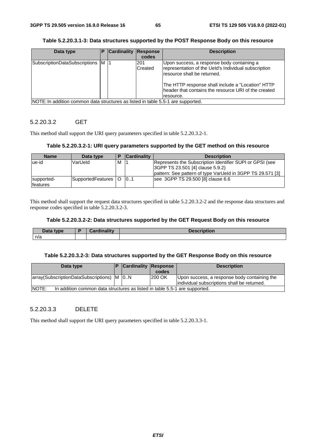**Table 5.2.20.3.1-3: Data structures supported by the POST Response Body on this resource** 

| Data type                                                                        | Р | <b>Cardinality</b> | <b>Response</b><br>codes | <b>Description</b>                                                                                                                                                                                                                                          |
|----------------------------------------------------------------------------------|---|--------------------|--------------------------|-------------------------------------------------------------------------------------------------------------------------------------------------------------------------------------------------------------------------------------------------------------|
| SubscriptionDataSubscriptions M  1                                               |   |                    | 1201<br>Created          | Upon success, a response body containing a<br>representation of the Ueld's Individual subscription<br>resource shall be returned.<br>The HTTP response shall include a "Location" HTTP<br>header that contains the resource URI of the created<br>resource. |
| NOTE: In addition common data structures as listed in table 5.5-1 are supported. |   |                    |                          |                                                                                                                                                                                                                                                             |

# 5.2.20.3.2 GET

This method shall support the URI query parameters specified in table 5.2.20.3.2-1.

#### **Table 5.2.20.3.2-1: URI query parameters supported by the GET method on this resource**

| <b>Name</b>            | Data type             |   | <b>Cardinality</b> | <b>Description</b>                                                                                                                                         |
|------------------------|-----------------------|---|--------------------|------------------------------------------------------------------------------------------------------------------------------------------------------------|
| ue-id                  | VarUeld               | M |                    | Represents the Subscription Identifier SUPI or GPSI (see<br>3GPP TS 23.501 [4] clause 5.9.2)<br>pattern: See pattern of type VarUeld in 3GPP TS 29.571 [3] |
| supported-<br>features | SupportedFeatures   O |   | 0.1                | see 3GPP TS 29.500 [8] clause 6.6                                                                                                                          |

This method shall support the request data structures specified in table 5.2.20.3.2-2 and the response data structures and response codes specified in table 5.2.20.3.2-3.

#### **Table 5.2.20.3.2-2: Data structures supported by the GET Request Body on this resource**

| Data type | Cardinalitv | <b>Description</b> |
|-----------|-------------|--------------------|
| n/a       |             |                    |

### **Table 5.2.20.3.2-3: Data structures supported by the GET Response Body on this resource**

| Data type                                                                            |  | <b>Cardinality Response</b> |        | <b>Description</b>                           |  |  |
|--------------------------------------------------------------------------------------|--|-----------------------------|--------|----------------------------------------------|--|--|
|                                                                                      |  |                             | codes  |                                              |  |  |
| array (Subscription Data Subscriptions) M   0.N                                      |  |                             | 200 OK | Upon success, a response body containing the |  |  |
|                                                                                      |  |                             |        | individual subscriptions shall be returned.  |  |  |
| INOTE:<br>In addition common data structures as listed in table 5.5-1 are supported. |  |                             |        |                                              |  |  |

### 5.2.20.3.3 DELETE

This method shall support the URI query parameters specified in table 5.2.20.3.3-1.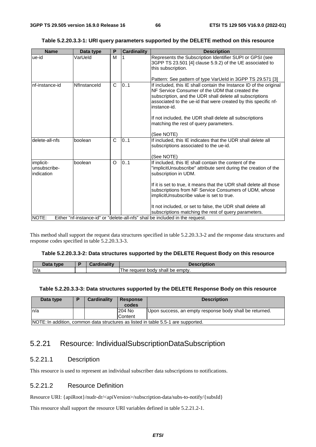### **Table 5.2.20.3.3-1: URI query parameters supported by the DELETE method on this resource**

| <b>Name</b>                             | Data type    | P            | <b>Cardinality</b> | <b>Description</b>                                                                                                                                                                                                                                                                                                             |
|-----------------------------------------|--------------|--------------|--------------------|--------------------------------------------------------------------------------------------------------------------------------------------------------------------------------------------------------------------------------------------------------------------------------------------------------------------------------|
| ue-id                                   | VarUeld      | M            |                    | Represents the Subscription Identifier SUPI or GPSI (see<br>3GPP TS 23.501 [4] clause 5.9.2) of the UE associated to<br>this subscription.                                                                                                                                                                                     |
|                                         |              |              |                    | Pattern: See pattern of type VarUeld in 3GPP TS 29.571 [3]                                                                                                                                                                                                                                                                     |
| nf-instance-id                          | Nflnstanceld | $\mathsf{C}$ | 0.1                | If included, this IE shall contain the Instance ID of the original<br>NF Service Consumer of the UDM that created the<br>subscription, and the UDR shall delete all subscriptions<br>associated to the ue-id that were created by this specific nf-<br>instance-id.<br>If not included, the UDR shall delete all subscriptions |
|                                         |              |              |                    | matching the rest of query parameters.<br>(See NOTE)                                                                                                                                                                                                                                                                           |
| delete-all-nfs                          | boolean      | $\mathsf{C}$ | 0.1                | If included, this IE indicates that the UDR shall delete all<br>subscriptions associated to the ue-id.<br>(See NOTE)                                                                                                                                                                                                           |
| implicit-<br>unsubscribe-<br>indication | boolean      | O            | 0.1                | If included, this IE shall contain the content of the<br>"implicitUnsubscribe" attribute sent during the creation of the<br>subscription in UDM.                                                                                                                                                                               |
|                                         |              |              |                    | If it is set to true, it means that the UDR shall delete all those<br>subscriptions from NF Service Consumers of UDM, whose<br>implicitUnsubscribe value is set to true.                                                                                                                                                       |
|                                         |              |              |                    | It not included, or set to false, the UDR shall delete all<br>subscriptions matching the rest of query parameters.                                                                                                                                                                                                             |
| NOTE:                                   |              |              |                    | Either "nf-instance-id" or "delete-all-nfs" shal be included in the request.                                                                                                                                                                                                                                                   |

This method shall support the request data structures specified in table 5.2.20.3.3-2 and the response data structures and response codes specified in table 5.2.20.3.3-3.

#### **Table 5.2.20.3.3-2: Data structures supported by the DELETE Request Body on this resource**

| Dota -<br><b>tyne</b><br><b>Dala</b> | $\frac{1}{2}$ is a set of $\frac{1}{2}$<br>. . | Description                          |
|--------------------------------------|------------------------------------------------|--------------------------------------|
| 77 C                                 |                                                | request body shall<br>≧ emptv.<br>be |

#### **Table 5.2.20.3.3-3: Data structures supported by the DELETE Response Body on this resource**

| Data type                                                                          | Ð | Cardinality | <b>Response</b><br>codes | <b>Description</b>                                      |  |
|------------------------------------------------------------------------------------|---|-------------|--------------------------|---------------------------------------------------------|--|
| In/a                                                                               |   |             | 204 No                   | Upon success, an empty response body shall be returned. |  |
|                                                                                    |   |             | Content                  |                                                         |  |
| INOTE: In addition, common data structures as listed in table 5.5-1 are supported. |   |             |                          |                                                         |  |

# 5.2.21 Resource: IndividualSubscriptionDataSubscription

# 5.2.21.1 Description

This resource is used to represent an individual subscriber data subscriptions to notifications.

# 5.2.21.2 Resource Definition

Resource URI: {apiRoot}/nudr-dr/<apiVersion>/subscription-data/subs-to-notify/{subsId}

This resource shall support the resource URI variables defined in table 5.2.21.2-1.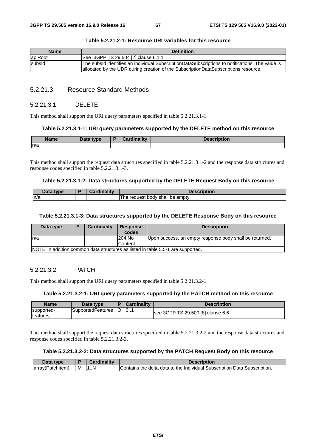| <b>Name</b> | <b>Definition</b>                                                                                                                                                                       |
|-------------|-----------------------------------------------------------------------------------------------------------------------------------------------------------------------------------------|
| apiRoot     | See 3GPP TS 29.504 [2] clause 6.1.1                                                                                                                                                     |
| subsId      | The subsId identifies an individual SubscriptionDataSubscriptions to notifications. The value is<br>allocated by the UDR during creation of the SubscriptionDataSubscriptions resource. |

### **Table 5.2.21.2-1: Resource URI variables for this resource**

# 5.2.21.3 Resource Standard Methods

#### 5.2.21.3.1 DELETE

This method shall support the URI query parameters specified in table 5.2.21.3.1-1.

#### **Table 5.2.21.3.1-1: URI query parameters supported by the DELETE method on this resource**

| <b>Name</b> | Data type | -<br>г | <b>Cardinality</b> | Description |
|-------------|-----------|--------|--------------------|-------------|
| ln/a        |           |        |                    |             |

This method shall support the request data structures specified in table 5.2.21.3.1-2 and the response data structures and response codes specified in table 5.2.21.3.1-3.

#### **Table 5.2.21.3.1-2: Data structures supported by the DELETE Request Body on this resource**

| Doto.<br>type. | <b>Cordinality</b><br>REIN | Description                                       |
|----------------|----------------------------|---------------------------------------------------|
| n/a            |                            | emptv.<br>≅shall<br>request<br>body<br>be<br>' he |

#### **Table 5.2.21.3.1-3: Data structures supported by the DELETE Response Body on this resource**

| Data type                                                                        | D | <b>Cardinality</b> | <b>Response</b><br>codes | <b>Description</b>                                      |  |
|----------------------------------------------------------------------------------|---|--------------------|--------------------------|---------------------------------------------------------|--|
| ln/a                                                                             |   |                    | 204 No                   | Upon success, an empty response body shall be returned. |  |
|                                                                                  |   |                    | Content                  |                                                         |  |
| NOTE: In addition common data structures as listed in table 5.5-1 are supported. |   |                    |                          |                                                         |  |

### 5.2.21.3.2 PATCH

This method shall support the URI query parameters specified in table 5.2.21.3.2-1.

### **Table 5.2.21.3.2-1: URI query parameters supported by the PATCH method on this resource**

| <b>Name</b>                    | Data type         |   | <b>Cardinality</b> | Description                       |
|--------------------------------|-------------------|---|--------------------|-----------------------------------|
| supported-<br><b>Ifeatures</b> | SupportedFeatures | O | $\vert 0$          | see 3GPP TS 29.500 [8] clause 6.6 |

This method shall support the request data structures specified in table 5.2.21.3.2-2 and the response data structures and response codes specified in table 5.2.21.3.2-3.

### **Table 5.2.21.3.2-2: Data structures supported by the PATCH Request Body on this resource**

| Data<br>type      |   | Cardinality | Description                                                                       |
|-------------------|---|-------------|-----------------------------------------------------------------------------------|
| (array(Patchitem) | M | .N          | l Subscription Data Subscription.<br>lContains the delta data to the Individual : |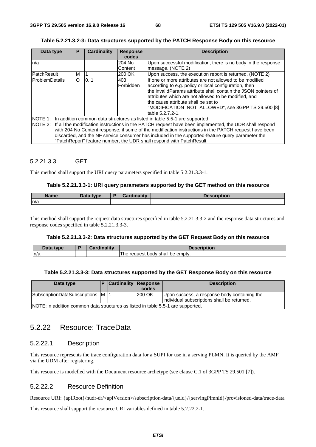### **Table 5.2.21.3.2-3: Data structures supported by the PATCH Response Body on this resource**

| Data type                                                                                                                                                                                                                                                                                                                                                                                                                                                                                  | P        | <b>Cardinality</b> | <b>Response</b>  | <b>Description</b>                                                                                                                                                                                                                                                                                                                                            |  |  |
|--------------------------------------------------------------------------------------------------------------------------------------------------------------------------------------------------------------------------------------------------------------------------------------------------------------------------------------------------------------------------------------------------------------------------------------------------------------------------------------------|----------|--------------------|------------------|---------------------------------------------------------------------------------------------------------------------------------------------------------------------------------------------------------------------------------------------------------------------------------------------------------------------------------------------------------------|--|--|
|                                                                                                                                                                                                                                                                                                                                                                                                                                                                                            |          |                    | codes            |                                                                                                                                                                                                                                                                                                                                                               |  |  |
| n/a                                                                                                                                                                                                                                                                                                                                                                                                                                                                                        |          |                    | 204 No           | Upon successful modification, there is no body in the response                                                                                                                                                                                                                                                                                                |  |  |
|                                                                                                                                                                                                                                                                                                                                                                                                                                                                                            |          |                    | Content          | message. (NOTE 2)                                                                                                                                                                                                                                                                                                                                             |  |  |
| PatchResult                                                                                                                                                                                                                                                                                                                                                                                                                                                                                | м        |                    | 200 OK           | Upon success, the execution report is returned. (NOTE 2)                                                                                                                                                                                                                                                                                                      |  |  |
| <b>ProblemDetails</b>                                                                                                                                                                                                                                                                                                                                                                                                                                                                      | $\Omega$ | 0.1                | 403<br>Forbidden | If one or more attributes are not allowed to be modified<br>according to e.g. policy or local configuration, then<br>the invalidParams attribute shall contain the JSON pointers of<br>attributes which are not allowed to be modified, and<br>lthe cause attribute shall be set to<br>"MODIFICATION NOT ALLOWED", see 3GPP TS 29.500 [8]<br>table 5.2.7.2-1. |  |  |
| NOTE 1: In addition common data structures as listed in table 5.5-1 are supported.<br>NOTE 2: If all the modification instructions in the PATCH request have been implemented, the UDR shall respond<br>with 204 No Content response; if some of the modification instructions in the PATCH request have been<br>discarded, and the NF service consumer has included in the supported-feature query parameter the<br>"PatchReport" feature number, the UDR shall respond with PatchResult. |          |                    |                  |                                                                                                                                                                                                                                                                                                                                                               |  |  |

# 5.2.21.3.3 GET

This method shall support the URI query parameters specified in table 5.2.21.3.3-1.

#### **Table 5.2.21.3.3-1: URI query parameters supported by the GET method on this resource**

| Name | Data type | $\frac{1}{2}$ in all $\frac{1}{2}$<br>. | <b>Description</b> |
|------|-----------|-----------------------------------------|--------------------|
| n/a  |           |                                         |                    |

This method shall support the request data structures specified in table 5.2.21.3.3-2 and the response data structures and response codes specified in table 5.2.21.3.3-3.

#### **Table 5.2.21.3.3-2: Data structures supported by the GET Request Body on this resource**

| Data<br>∶tvpe | <b>THE R</b><br>------- | Description                                      |
|---------------|-------------------------|--------------------------------------------------|
| n/a           |                         | emptv.<br>l he<br>request<br>body<br>shall<br>be |

#### **Table 5.2.21.3.3-3: Data structures supported by the GET Response Body on this resource**

| Data type                                                                        | <b>Cardinality Response</b> |               | <b>Description</b>                                                                          |
|----------------------------------------------------------------------------------|-----------------------------|---------------|---------------------------------------------------------------------------------------------|
|                                                                                  |                             | codes         |                                                                                             |
| SubscriptionDataSubscriptions M  1                                               |                             | <b>200 OK</b> | Upon success, a response body containing the<br>individual subscriptions shall be returned. |
| NOTE: In addition common data structures as listed in table 5.5-1 are supported. |                             |               |                                                                                             |

# 5.2.22 Resource: TraceData

## 5.2.22.1 Description

This resource represents the trace configuration data for a SUPI for use in a serving PLMN. It is queried by the AMF via the UDM after registering.

This resource is modelled with the Document resource archetype (see clause C.1 of 3GPP TS 29.501 [7]).

# 5.2.22.2 Resource Definition

Resource URI: {apiRoot}/nudr-dr/<apiVersion>/subscription-data/{ueId}/{servingPlmnId}/provisioned-data/trace-data

This resource shall support the resource URI variables defined in table 5.2.22.2-1.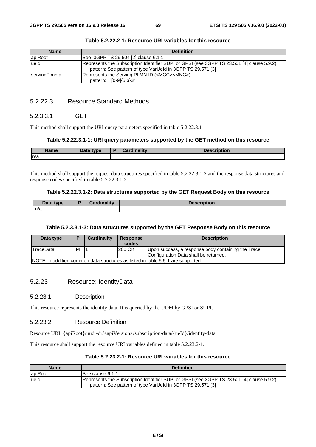| <b>Name</b>          | <b>Definition</b>                                                                                                                                       |
|----------------------|---------------------------------------------------------------------------------------------------------------------------------------------------------|
| apiRoot              | See 3GPP TS 29.504 [2] clause 6.1.1                                                                                                                     |
| lueld                | Represents the Subscription Identifier SUPI or GPSI (see 3GPP TS 23.501 [4] clause 5.9.2)<br>pattern: See pattern of type VarUeld in 3GPP TS 29.571 [3] |
| <b>servingPlmnld</b> | Represents the Serving PLMN ID ( <mcc><mnc>)<br/>pattern: "^[0-9]{5,6}\$"</mnc></mcc>                                                                   |

# 5.2.22.3 Resource Standard Methods

# 5.2.3.3.1 GET

This method shall support the URI query parameters specified in table 5.2.22.3.1-1.

#### **Table 5.2.22.3.1-1: URI query parameters supported by the GET method on this resource**

| <b>Name</b> | Data type<br>Putu | <b>Doubling</b> litie | <b>Description</b> |
|-------------|-------------------|-----------------------|--------------------|
| n/a         |                   |                       |                    |

This method shall support the request data structures specified in table 5.2.22.3.1-2 and the response data structures and response codes specified in table 5.2.22.3.1-3.

#### **Table 5.2.22.3.1-2: Data structures supported by the GET Request Body on this resource**

| Data type | <b>Cardinality</b> | <b>Description</b> |
|-----------|--------------------|--------------------|
| n/a       |                    |                    |

#### **Table 5.2.3.3.1-3: Data structures supported by the GET Response Body on this resource**

| Data type                                                                        | D | Cardinality | Response<br>codes | <b>Description</b>                                 |  |
|----------------------------------------------------------------------------------|---|-------------|-------------------|----------------------------------------------------|--|
| <b>TraceData</b>                                                                 | м |             | 200 OK            | Upon success, a response body containing the Trace |  |
|                                                                                  |   |             |                   | Configuration Data shall be returned.              |  |
| NOTE: In addition common data structures as listed in table 5.5-1 are supported. |   |             |                   |                                                    |  |

# 5.2.23 Resource: IdentityData

### 5.2.23.1 Description

This resource represents the identity data. It is queried by the UDM by GPSI or SUPI.

### 5.2.23.2 Resource Definition

Resource URI: {apiRoot}/nudr-dr/<apiVersion>/subscription-data/{ueId}/identity-data

This resource shall support the resource URI variables defined in table 5.2.23.2-1.

| Table 5.2.23.2-1: Resource URI variables for this resource |  |
|------------------------------------------------------------|--|
|------------------------------------------------------------|--|

| <b>Name</b> | <b>Definition</b>                                                                                                                                       |
|-------------|---------------------------------------------------------------------------------------------------------------------------------------------------------|
| apiRoot     | See clause 6.1.1                                                                                                                                        |
| lueld       | Represents the Subscription Identifier SUPI or GPSI (see 3GPP TS 23.501 [4] clause 5.9.2)<br>pattern: See pattern of type VarUeld in 3GPP TS 29.571 [3] |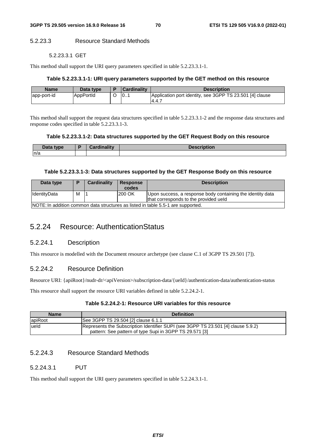# 5.2.23.3 Resource Standard Methods

#### 5.2.23.3.1 GET

This method shall support the URI query parameters specified in table 5.2.23.3.1-1.

### **Table 5.2.23.3.1-1: URI query parameters supported by the GET method on this resource**

| <b>Name</b> | Data type | <b>Cardinality</b> | <b>Description</b>                                               |
|-------------|-----------|--------------------|------------------------------------------------------------------|
| app-port-id | AppPortId | $\overline{0}$     | Application port identity, see 3GPP TS 23.501 [4] clause<br>14.4 |

This method shall support the request data structures specified in table 5.2.23.3.1-2 and the response data structures and response codes specified in table 5.2.23.3.1-3.

### **Table 5.2.23.3.1-2: Data structures supported by the GET Request Body on this resource**

| Data type | Cardinalitv | <b>Description</b> |
|-----------|-------------|--------------------|
| n/a       |             |                    |

### **Table 5.2.23.3.1-3: Data structures supported by the GET Response Body on this resource**

| Data type                                                                        | Ð | <b>Cardinality</b> | <b>Response</b><br>codes | <b>Description</b>                                                                                  |  |
|----------------------------------------------------------------------------------|---|--------------------|--------------------------|-----------------------------------------------------------------------------------------------------|--|
| <b>I</b> IdentitvData                                                            | M |                    | 200 OK                   | Upon success, a response body containing the identity data<br>that corresponds to the provided ueld |  |
| INOTE: In addition common data structures as listed in table 5.5-1 are supported |   |                    |                          |                                                                                                     |  |

NOTE: In addition common data structures as listed in table 5.5-1 are supported.

# 5.2.24 Resource: AuthenticationStatus

# 5.2.24.1 Description

This resource is modelled with the Document resource archetype (see clause C.1 of 3GPP TS 29.501 [7]).

# 5.2.24.2 Resource Definition

Resource URI: {apiRoot}/nudr-dr/<apiVersion>/subscription-data/{ueId}/authentication-data/authentication-status

This resource shall support the resource URI variables defined in table 5.2.24.2-1.

### **Table 5.2.24.2-1: Resource URI variables for this resource**

| <b>Name</b> | <b>Definition</b>                                                                 |
|-------------|-----------------------------------------------------------------------------------|
| apiRoot     | See 3GPP TS 29.504 [2] clause 6.1.1                                               |
| lueld       | Represents the Subscription Identifier SUPI (see 3GPP TS 23.501 [4] clause 5.9.2) |
|             | pattern: See pattern of type Supi in 3GPP TS 29.571 [3]                           |

# 5.2.24.3 Resource Standard Methods

# 5.2.24.3.1 PUT

This method shall support the URI query parameters specified in table 5.2.24.3.1-1.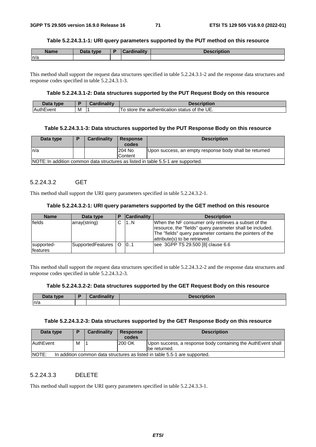#### **Table 5.2.24.3.1-1: URI query parameters supported by the PUT method on this resource**

| <b>Name</b> | Data type | Cardinality | <b>Description</b> |
|-------------|-----------|-------------|--------------------|
| n/a         |           |             |                    |

This method shall support the request data structures specified in table 5.2.24.3.1-2 and the response data structures and response codes specified in table 5.2.24.3.1-3.

### **Table 5.2.24.3.1-2: Data structures supported by the PUT Request Body on this resource**

| Data<br>type   |   | amality and<br>`ord<br>Caromanty | <b>Description</b>                                          |
|----------------|---|----------------------------------|-------------------------------------------------------------|
| vent<br>lAuthE | M |                                  | UE<br>the<br>status of<br>store<br>the authentication<br>10 |

#### **Table 5.2.24.3.1-3: Data structures supported by the PUT Response Body on this resource**

| Data type                                                                        |  | Cardinality | <b>Response</b><br>codes | <b>Description</b>                                     |  |  |
|----------------------------------------------------------------------------------|--|-------------|--------------------------|--------------------------------------------------------|--|--|
| n/a                                                                              |  |             | 204 No                   | Upon success, an empty response body shall be returned |  |  |
|                                                                                  |  |             | <b>Content</b>           |                                                        |  |  |
| NOTE: In addition common data structures as listed in table 5.5-1 are supported. |  |             |                          |                                                        |  |  |

## 5.2.24.3.2 GET

This method shall support the URI query parameters specified in table 5.2.24.3.2-1.

### **Table 5.2.24.3.2-1: URI query parameters supported by the GET method on this resource**

| <b>Name</b>                    | Data type                  | <b>Cardinality</b> | <b>Description</b>                                                                                                                                                                                             |
|--------------------------------|----------------------------|--------------------|----------------------------------------------------------------------------------------------------------------------------------------------------------------------------------------------------------------|
| lfields                        | array(string)              | 1N                 | When the NF consumer only retrieves a subset of the<br>resource, the "fields" query parameter shall be included.<br>The "fields" query parameter contains the pointers of the<br>attribute(s) to be retrieved. |
| supported-<br><b>Ifeatures</b> | SupportedFeatures   O   01 |                    | see 3GPP TS 29.500 [8] clause 6.6                                                                                                                                                                              |

This method shall support the request data structures specified in table 5.2.24.3.2-2 and the response data structures and response codes specified in table 5.2.24.3.2-3.

#### **Table 5.2.24.3.2-2: Data structures supported by the GET Request Body on this resource**

| Data<br>type | and an interval of the state of the<br><b>Pord</b> | <b>Description</b> |
|--------------|----------------------------------------------------|--------------------|
| n/a          |                                                    |                    |

#### **Table 5.2.24.3.2-3: Data structures supported by the GET Response Body on this resource**

| Data type                                                                                  | D | Cardinality | <b>Response</b><br>codes | <b>Description</b>                                                            |  |
|--------------------------------------------------------------------------------------------|---|-------------|--------------------------|-------------------------------------------------------------------------------|--|
| AuthEvent                                                                                  | M |             | 200 OK                   | Upon success, a response body containing the AuthEvent shall<br>Ibe returned. |  |
| <b>NOTE:</b><br>In addition common data structures as listed in table 5.5-1 are supported. |   |             |                          |                                                                               |  |

# 5.2.24.3.3 DELETE

This method shall support the URI query parameters specified in table 5.2.24.3.3-1.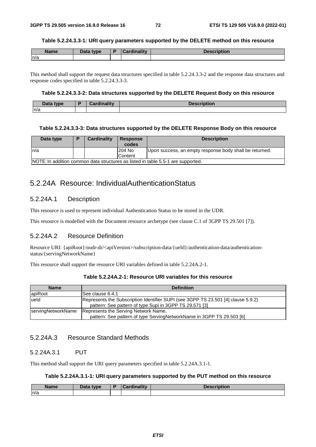#### **Table 5.2.24.3.3-1: URI query parameters supported by the DELETE method on this resource**

| <b>Name</b> | Data type | Cardinality | <b>Description</b> |
|-------------|-----------|-------------|--------------------|
| ln/a        |           |             |                    |

This method shall support the request data structures specified in table 5.2.24.3.3-2 and the response data structures and response codes specified in table 5.2.24.3.3-3.

## **Table 5.2.24.3.3-2: Data structures supported by the DELETE Request Body on this resource**

| Data type | <b>Cordinality</b> | the contract of the contract of<br>$\mathbf{L}$ |
|-----------|--------------------|-------------------------------------------------|
| ln/a      |                    |                                                 |

#### **Table 5.2.24.3.3-3: Data structures supported by the DELETE Response Body on this resource**

| Data type | Cardinality | <b>Response</b><br>codes | <b>Description</b>                                                               |
|-----------|-------------|--------------------------|----------------------------------------------------------------------------------|
| n/a       |             | 204 No                   | Upon success, an empty response body shall be returned.                          |
|           |             | <b>Content</b>           |                                                                                  |
|           |             |                          | NOTE: In addition common data structures as listed in table 5.5-1 are supported. |

# 5.2.24A Resource: IndividualAuthenticationStatus

## 5.2.24A.1 Description

This resource is used to represent individual Authentication Status to be stored in the UDR.

This resource is modelled with the Document resource archetype (see clause C.1 of 3GPP TS 29.501 [7]).

# 5.2.24A.2 Resource Definition

Resource URI: {apiRoot}/nudr-dr/<apiVersion>/subscription-data/{ueId}/authentication-data/authenticationstatus/{servingNetworkName}

This resource shall support the resource URI variables defined in table 5.2.24A.2-1.

| <b>Name</b>        | <b>Definition</b>                                                                                                                            |
|--------------------|----------------------------------------------------------------------------------------------------------------------------------------------|
| apiRoot            | ISee clause 6.4.1                                                                                                                            |
| lueld              | Represents the Subscription Identifier SUPI (see 3GPP TS 23.501 [4] clause 5.9.2)<br>pattern: See pattern of type Supi in 3GPP TS 29.571 [3] |
| servingNetworkName | Represents the Serving Network Name.<br>pattern: See pattern of type ServingNetworkName in 3GPP TS 29.503 [6]                                |

## **Table 5.2.24A.2-1: Resource URI variables for this resource**

# 5.2.24A.3 Resource Standard Methods

## 5.2.24A.3.1 PUT

This method shall support the URI query parameters specified in table 5.2.24A.3.1-1.

### **Table 5.2.24A.3.1-1: URI query parameters supported by the PUT method on this resource**

| <b>Name</b> | Data type | <b>Cardinality</b> | <b>Description</b> |
|-------------|-----------|--------------------|--------------------|
| n/a         |           |                    |                    |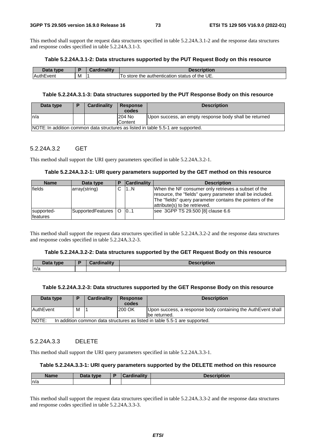This method shall support the request data structures specified in table 5.2.24A.3.1-2 and the response data structures and response codes specified in table 5.2.24A.3.1-3.

#### **Table 5.2.24A.3.1-2: Data structures supported by the PUT Request Body on this resource**

| Then,<br><b>type</b> |          | ardinalitv: |                                                          |
|----------------------|----------|-------------|----------------------------------------------------------|
| Auth<br><b>vent</b>  | <b>M</b> |             | f the UE.<br>the<br>store<br>status of<br>authentication |

#### **Table 5.2.24A.3.1-3: Data structures supported by the PUT Response Body on this resource**

| Data type                                                                        | D | <b>Cardinality</b> | <b>Response</b><br>codes | <b>Description</b>                                     |  |
|----------------------------------------------------------------------------------|---|--------------------|--------------------------|--------------------------------------------------------|--|
| ln/a                                                                             |   |                    | 204 No                   | Upon success, an empty response body shall be returned |  |
|                                                                                  |   |                    | Content                  |                                                        |  |
| NOTE: In addition common data structures as listed in table 5.5-1 are supported. |   |                    |                          |                                                        |  |

### 5.2.24A.3.2 GET

This method shall support the URI query parameters specified in table 5.2.24A.3.2-1.

### **Table 5.2.24A.3.2-1: URI query parameters supported by the GET method on this resource**

| <b>Name</b>            | Data type             | <b>Cardinality</b> | <b>Description</b>                                                                                                                                                                                             |
|------------------------|-----------------------|--------------------|----------------------------------------------------------------------------------------------------------------------------------------------------------------------------------------------------------------|
| lfields                | array(string)         | 1N                 | When the NF consumer only retrieves a subset of the<br>resource, the "fields" query parameter shall be included.<br>The "fields" query parameter contains the pointers of the<br>attribute(s) to be retrieved. |
| supported-<br>features | SupportedFeatures   O | 0.1                | see 3GPP TS 29.500 [8] clause 6.6                                                                                                                                                                              |

This method shall support the request data structures specified in table 5.2.24A.3.2-2 and the response data structures and response codes specified in table 5.2.24A.3.2-3.

#### **Table 5.2.24A.3.2-2: Data structures supported by the GET Request Body on this resource**

| Data type | <b>Pordinolity</b><br>→arumality → | <b>Description</b> |
|-----------|------------------------------------|--------------------|
| n/a       |                                    |                    |

#### **Table 5.2.24A.3.2-3: Data structures supported by the GET Response Body on this resource**

| Data type                                                                            |   | Cardinality | <b>Response</b><br>codes | <b>Description</b>                                                            |  |
|--------------------------------------------------------------------------------------|---|-------------|--------------------------|-------------------------------------------------------------------------------|--|
| <b>AuthEvent</b>                                                                     | М |             | 200 OK                   | Upon success, a response body containing the AuthEvent shall<br>Ibe returned. |  |
| INOTE:<br>In addition common data structures as listed in table 5.5-1 are supported. |   |             |                          |                                                                               |  |

### 5.2.24A.3.3 DELETE

This method shall support the URI query parameters specified in table 5.2.24A.3.3-1.

#### **Table 5.2.24A.3.3-1: URI query parameters supported by the DELETE method on this resource**

| <b>Name</b> | Data tyne<br>Putu | $m = 11$ |  |
|-------------|-------------------|----------|--|
| n/a         |                   |          |  |

This method shall support the request data structures specified in table 5.2.24A.3.3-2 and the response data structures and response codes specified in table 5.2.24A.3.3-3.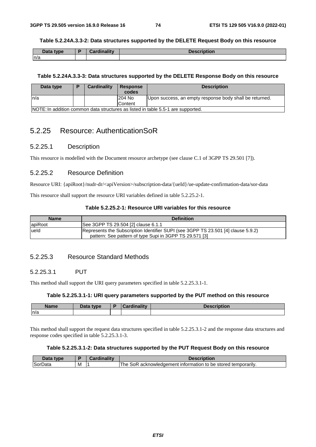#### **Table 5.2.24A.3.3-2: Data structures supported by the DELETE Request Body on this resource**

| Data type<br>Putu | Cardinality | <b>Description</b> |
|-------------------|-------------|--------------------|
| n/a               |             |                    |

### **Table 5.2.24A.3.3-3: Data structures supported by the DELETE Response Body on this resource**

| Data type | Cardinality | <b>Response</b><br>codes | <b>Description</b>                                                               |
|-----------|-------------|--------------------------|----------------------------------------------------------------------------------|
| ln/a      |             | 204 No                   | Upon success, an empty response body shall be returned.                          |
|           |             | Content                  |                                                                                  |
|           |             |                          | NOTE: In addition common data structures as listed in table 5.5-1 are supported. |

# 5.2.25 Resource: AuthenticationSoR

## 5.2.25.1 Description

This resource is modelled with the Document resource archetype (see clause C.1 of 3GPP TS 29.501 [7]).

# 5.2.25.2 Resource Definition

Resource URI: {apiRoot}/nudr-dr/<apiVersion>/subscription-data/{ueId}/ue-update-confirmation-data/sor-data

This resource shall support the resource URI variables defined in table 5.2.25.2-1.

## **Table 5.2.25.2-1: Resource URI variables for this resource**

| <b>Name</b> | <b>Definition</b>                                                                 |  |  |  |  |  |  |
|-------------|-----------------------------------------------------------------------------------|--|--|--|--|--|--|
| apiRoot     | See 3GPP TS 29.504 [2] clause 6.1.1                                               |  |  |  |  |  |  |
| lueld       | Represents the Subscription Identifier SUPI (see 3GPP TS 23.501 [4] clause 5.9.2) |  |  |  |  |  |  |
|             | pattern: See pattern of type Supi in 3GPP TS 29.571 [3]                           |  |  |  |  |  |  |

## 5.2.25.3 Resource Standard Methods

## 5.2.25.3.1 PUT

This method shall support the URI query parameters specified in table 5.2.25.3.1-1.

### **Table 5.2.25.3.1-1: URI query parameters supported by the PUT method on this resource**

| <b>Name</b> | Data type | ъ. | and in a little control | Description |
|-------------|-----------|----|-------------------------|-------------|
| n/a         |           |    |                         |             |

This method shall support the request data structures specified in table 5.2.25.3.1-2 and the response data structures and response codes specified in table 5.2.25.3.1-3.

### **Table 5.2.25.3.1-2: Data structures supported by the PUT Request Body on this resource**

| Jata<br>V <sub>D</sub> <sub>e</sub> |   | --- - - - - - |                                                                                   |
|-------------------------------------|---|---------------|-----------------------------------------------------------------------------------|
| <b>SorData</b>                      | м |               | be stored<br>' temporarılv.<br>intormation<br>acknowledgement<br>l he<br>കല<br>to |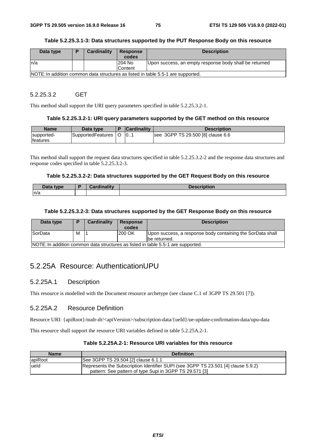#### **Table 5.2.25.3.1-3: Data structures supported by the PUT Response Body on this resource**

| Data type | D | <b>Cardinality</b> | <b>Response</b> | <b>Description</b>                                                               |
|-----------|---|--------------------|-----------------|----------------------------------------------------------------------------------|
|           |   |                    | codes           |                                                                                  |
| In/a      |   |                    | 204 No          | Upon success, an empty response body shall be returned                           |
|           |   |                    | Content         |                                                                                  |
|           |   |                    |                 | NOTE: In addition common data structures as listed in table 5.5-1 are supported. |

### 5.2.25.3.2 GET

This method shall support the URI query parameters specified in table 5.2.25.3.2-1.

#### **Table 5.2.25.3.2-1: URI query parameters supported by the GET method on this resource**

| <b>Name</b>      | Data type         | <b>Cardinality</b> | <b>Description</b>                |
|------------------|-------------------|--------------------|-----------------------------------|
| supported-       | SupportedFeatures | 10                 | see 3GPP TS 29.500 [8] clause 6.6 |
| <b>Ifeatures</b> |                   |                    |                                   |

This method shall support the request data structures specified in table 5.2.25.3.2-2 and the response data structures and response codes specified in table 5.2.25.3.2-3.

#### **Table 5.2.25.3.2-2: Data structures supported by the GET Request Body on this resource**

| <b>D.L.</b><br>tyne<br>Putu | $P$ ordinality<br>. | <b>Naccrintion</b><br>чUН. |
|-----------------------------|---------------------|----------------------------|
| n/a                         |                     |                            |

#### **Table 5.2.25.3.2-3: Data structures supported by the GET Response Body on this resource**

| Data type      |   | Cardinality | <b>Response</b><br>codes | <b>Description</b>                                                               |
|----------------|---|-------------|--------------------------|----------------------------------------------------------------------------------|
| <b>SorData</b> | м |             | 200 OK                   | Upon success, a response body containing the SorData shall<br>Ibe returned.      |
|                |   |             |                          | NOTE: In addition common data structures as listed in table 5.5-1 are supported. |

5.2.25A Resource: AuthenticationUPU

## 5.2.25A.1 Description

This resource is modelled with the Document resource archetype (see clause C.1 of 3GPP TS 29.501 [7]).

## 5.2.25A.2 Resource Definition

Resource URI: {apiRoot}/nudr-dr/<apiVersion>/subscription-data/{ueId}/ue-update-confirmation-data/upu-data

This resource shall support the resource URI variables defined in table 5.2.25A.2-1.

#### **Table 5.2.25A.2-1: Resource URI variables for this resource**

| <b>Name</b> | <b>Definition</b>                                                                                                                            |
|-------------|----------------------------------------------------------------------------------------------------------------------------------------------|
| apiRoot     | See 3GPP TS 29.504 [2] clause 6.1.1                                                                                                          |
| lueld       | Represents the Subscription Identifier SUPI (see 3GPP TS 23.501 [4] clause 5.9.2)<br>pattern: See pattern of type Supi in 3GPP TS 29.571 [3] |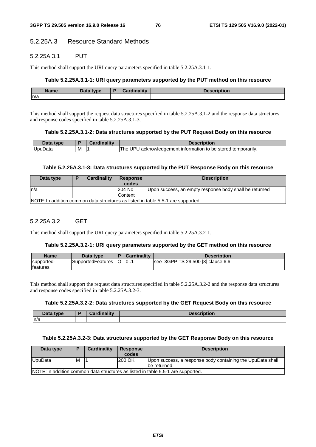# 5.2.25A.3 Resource Standard Methods

## 5.2.25A.3.1 PUT

This method shall support the URI query parameters specified in table 5.2.25A.3.1-1.

### **Table 5.2.25A.3.1-1: URI query parameters supported by the PUT method on this resource**

| <b>Name</b> | <b>Pata type</b> | min o litre de | 1000rintian<br>Description |
|-------------|------------------|----------------|----------------------------|
| n/a         |                  |                |                            |

This method shall support the request data structures specified in table 5.2.25A.3.1-2 and the response data structures and response codes specified in table 5.2.25A.3.1-3.

#### **Table 5.2.25A.3.1-2: Data structures supported by the PUT Request Body on this resource**

| Jata<br>type |   | $\mathbf{1} \cdot \mathbf{1}$ . The set of $\mathbf{1} \cdot \mathbf{1}$ | :rintion                                                                    |
|--------------|---|--------------------------------------------------------------------------|-----------------------------------------------------------------------------|
| UpuData      | M |                                                                          | . JPL<br>™he<br>be stored temporarily.<br>acknowledgement information<br>τО |

#### **Table 5.2.25A.3.1-3: Data structures supported by the PUT Response Body on this resource**

| Data type                                                                                   | D | Cardinality | <b>Response</b><br>codes | <b>Description</b>                                     |  |  |  |
|---------------------------------------------------------------------------------------------|---|-------------|--------------------------|--------------------------------------------------------|--|--|--|
| In/a                                                                                        |   |             | 204 No                   | Upon success, an empty response body shall be returned |  |  |  |
| Content<br>NOTE: In addition common data structures as listed in table 5.5-1 are supported. |   |             |                          |                                                        |  |  |  |

# 5.2.25A.3.2 GET

This method shall support the URI query parameters specified in table 5.2.25A.3.2-1.

#### **Table 5.2.25A.3.2-1: URI query parameters supported by the GET method on this resource**

| <b>Name</b>      | Data type         | <b>Cardinality</b> | <b>Description</b>                |
|------------------|-------------------|--------------------|-----------------------------------|
| supported-       | SupportedFeatures | 10                 | see 3GPP TS 29.500 [8] clause 6.6 |
| <b>Ifeatures</b> |                   |                    |                                   |

This method shall support the request data structures specified in table 5.2.25A.3.2-2 and the response data structures and response codes specified in table 5.2.25A.3.2-3.

#### **Table 5.2.25A.3.2-2: Data structures supported by the GET Request Body on this resource**

| Data type | - | . 15 de e<br><b>The Country of Country</b><br>ᄀᇰᆸ<br> | -----<br>40L |
|-----------|---|-------------------------------------------------------|--------------|
| ln/a      |   |                                                       |              |

#### **Table 5.2.25A.3.2-3: Data structures supported by the GET Response Body on this resource**

| Data type |   | <b>Cardinality</b> | <b>Response</b><br>codes | <b>Description</b>                                                               |
|-----------|---|--------------------|--------------------------|----------------------------------------------------------------------------------|
| UpuData   | м |                    | 200 OK                   | Upon success, a response body containing the UpuData shall<br>Ibe returned.      |
|           |   |                    |                          | NOTE: In addition common data structures as listed in table 5.5-1 are supported. |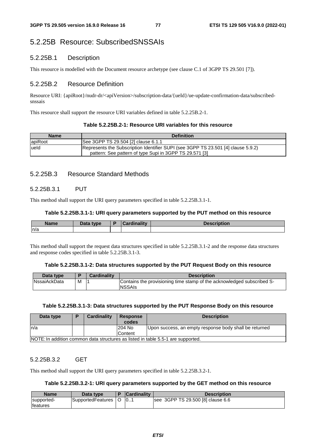# 5.2.25B Resource: SubscribedSNSSAIs

# 5.2.25B.1 Description

This resource is modelled with the Document resource archetype (see clause C.1 of 3GPP TS 29.501 [7]).

# 5.2.25B.2 Resource Definition

Resource URI: {apiRoot}/nudr-dr/<apiVersion>/subscription-data/{ueId}/ue-update-confirmation-data/subscribedsnssais

This resource shall support the resource URI variables defined in table 5.2.25B.2-1.

# **Table 5.2.25B.2-1: Resource URI variables for this resource**

| <b>Name</b> | <b>Definition</b>                                                                                                                            |
|-------------|----------------------------------------------------------------------------------------------------------------------------------------------|
| apiRoot     | See 3GPP TS 29.504 [2] clause 6.1.1                                                                                                          |
| lueld       | Represents the Subscription Identifier SUPI (see 3GPP TS 23.501 [4] clause 5.9.2)<br>pattern: See pattern of type Supi in 3GPP TS 29.571 [3] |

# 5.2.25B.3 Resource Standard Methods

# 5.2.25B.3.1 PUT

This method shall support the URI query parameters specified in table 5.2.25B.3.1-1.

# **Table 5.2.25B.3.1-1: URI query parameters supported by the PUT method on this resource**

| <b>Name</b> | $\Box$ ata type<br>Dala | $m = 124$<br> | יכטע<br>80 B |
|-------------|-------------------------|---------------|--------------|
| ln/a        |                         |               |              |

This method shall support the request data structures specified in table 5.2.25B.3.1-2 and the response data structures and response codes specified in table 5.2.25B.3.1-3.

## **Table 5.2.25B.3.1-2: Data structures supported by the PUT Request Body on this resource**

| Data type           |   | <b>Cardinality</b> | <b>Description</b>                                                                      |
|---------------------|---|--------------------|-----------------------------------------------------------------------------------------|
| <b>NssaiAckData</b> | М |                    | Contains the provisioning time stamp of the acknowledged subscribed S-<br><b>NSSAIs</b> |

# **Table 5.2.25B.3.1-3: Data structures supported by the PUT Response Body on this resource**

| Data type | Cardinality | <b>Response</b><br>codes | <b>Description</b>                                                               |
|-----------|-------------|--------------------------|----------------------------------------------------------------------------------|
| ln/a      |             | 204 No<br>Content        | Upon success, an empty response body shall be returned                           |
|           |             |                          | NOTE: In addition common data structures as listed in table 5.5-1 are supported. |

# 5.2.25B.3.2 GET

This method shall support the URI query parameters specified in table 5.2.25B.3.2-1.

# **Table 5.2.25B.3.2-1: URI query parameters supported by the GET method on this resource**

| <b>Name</b> | Data type         | <b>Cardinality</b> | <b>Description</b>                |
|-------------|-------------------|--------------------|-----------------------------------|
| supported-  | SupportedFeatures | 10                 | see 3GPP TS 29.500 [8] clause 6.6 |
| features    |                   |                    |                                   |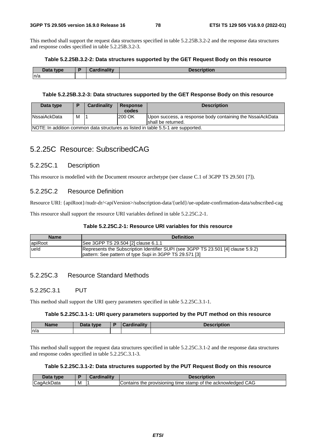This method shall support the request data structures specified in table 5.2.25B.3.2-2 and the response data structures and response codes specified in table 5.2.25B.3.2-3.

#### **Table 5.2.25B.3.2-2: Data structures supported by the GET Request Body on this resource**

| Data type | <b>Cordinality</b> | <b>Description</b> |
|-----------|--------------------|--------------------|
| n/a       |                    |                    |

#### **Table 5.2.25B.3.2-3: Data structures supported by the GET Response Body on this resource**

| Data type            | P                                                                                | Cardinality | <b>Response</b><br>codes | <b>Description</b>                                                               |  |  |  |
|----------------------|----------------------------------------------------------------------------------|-------------|--------------------------|----------------------------------------------------------------------------------|--|--|--|
| <b>INssaiAckData</b> | м                                                                                |             | 200 OK                   | Upon success, a response body containing the NssaiAckData<br>Ishall be returned. |  |  |  |
|                      | NOTE: In addition common data structures as listed in table 5.5-1 are supported. |             |                          |                                                                                  |  |  |  |

# 5.2.25C Resource: SubscribedCAG

## 5.2.25C.1 Description

This resource is modelled with the Document resource archetype (see clause C.1 of 3GPP TS 29.501 [7]).

## 5.2.25C.2 Resource Definition

Resource URI: {apiRoot}/nudr-dr/<apiVersion>/subscription-data/{ueId}/ue-update-confirmation-data/subscribed-cag

This resource shall support the resource URI variables defined in table 5.2.25C.2-1.

### **Table 5.2.25C.2-1: Resource URI variables for this resource**

| <b>Name</b> | <b>Definition</b>                                                                                                                            |
|-------------|----------------------------------------------------------------------------------------------------------------------------------------------|
| apiRoot     | See 3GPP TS 29.504 [2] clause 6.1.1                                                                                                          |
| lueld       | Represents the Subscription Identifier SUPI (see 3GPP TS 23.501 [4] clause 5.9.2)<br>pattern: See pattern of type Supi in 3GPP TS 29.571 [3] |

# 5.2.25C.3 Resource Standard Methods

## 5.2.25C.3.1 PUT

This method shall support the URI query parameters specified in table 5.2.25C.3.1-1.

#### **Table 5.2.25C.3.1-1: URI query parameters supported by the PUT method on this resource**

| <b>Name</b> | Data type | R | $-$ ardinality $-$ | $\blacksquare$<br>Description |
|-------------|-----------|---|--------------------|-------------------------------|
| n/a         |           |   |                    |                               |

This method shall support the request data structures specified in table 5.2.25C.3.1-2 and the response data structures and response codes specified in table 5.2.25C.3.1-3.

#### **Table 5.2.25C.3.1-2: Data structures supported by the PUT Request Body on this resource**

| Data<br>tvpe      |   | . | <b>Descr</b> i                                                                                       |
|-------------------|---|---|------------------------------------------------------------------------------------------------------|
| ١C<br> CaqAckData | M |   | ' CAG<br>acknowledged .<br>stamp of<br>Contains <sup>+</sup><br>, provisionina<br>the<br>time<br>the |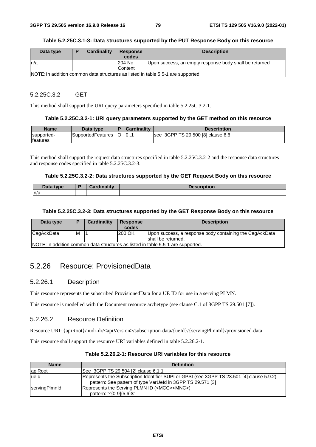#### **Table 5.2.25C.3.1-3: Data structures supported by the PUT Response Body on this resource**

| Data type | Ð | Cardinality | <b>Response</b> | <b>Description</b>                                                               |
|-----------|---|-------------|-----------------|----------------------------------------------------------------------------------|
|           |   |             | codes           |                                                                                  |
| ln/a      |   |             | 204 No          | Upon success, an empty response body shall be returned                           |
|           |   |             | Content         |                                                                                  |
|           |   |             |                 | NOTE: In addition common data structures as listed in table 5.5-1 are supported. |

#### 5.2.25C.3.2 GET

This method shall support the URI query parameters specified in table 5.2.25C.3.2-1.

#### **Table 5.2.25C.3.2-1: URI query parameters supported by the GET method on this resource**

| <b>Name</b>     | Data type         | <b>Cardinality</b> | <b>Description</b>                |
|-----------------|-------------------|--------------------|-----------------------------------|
| supported-      | SupportedFeatures | 10                 | see 3GPP TS 29.500 [8] clause 6.6 |
| <b>features</b> |                   |                    |                                   |

This method shall support the request data structures specified in table 5.2.25C.3.2-2 and the response data structures and response codes specified in table 5.2.25C.3.2-3.

#### **Table 5.2.25C.3.2-2: Data structures supported by the GET Request Body on this resource**

| n     | والمتراوية والمستحدث | <b>Taecr</b>                                                                                                                                                                                                                                     |
|-------|----------------------|--------------------------------------------------------------------------------------------------------------------------------------------------------------------------------------------------------------------------------------------------|
| type. |                      | <b><i><u>Property and the second contract of the second contract of the second contract of the second contract of the second contract of the second contract of the second contract of the second contract of the second contract of</u></i></b> |
| Putu  | `ord                 | JUON.                                                                                                                                                                                                                                            |
| n/a   |                      |                                                                                                                                                                                                                                                  |

#### **Table 5.2.25C.3.2-3: Data structures supported by the GET Response Body on this resource**

| Data type  | D | <b>Cardinality</b> | <b>Response</b><br>codes | <b>Description</b>                                                               |
|------------|---|--------------------|--------------------------|----------------------------------------------------------------------------------|
| CagAckData | M |                    | 200 OK                   | Upon success, a response body containing the CagAckData<br>Ishall be returned.   |
|            |   |                    |                          | NOTE: In addition common data structures as listed in table 5.5-1 are supported. |

5.2.26 Resource: ProvisionedData

## 5.2.26.1 Description

This resource represents the subscribed ProvisionedData for a UE ID for use in a serving PLMN.

This resource is modelled with the Document resource archetype (see clause C.1 of 3GPP TS 29.501 [7]).

# 5.2.26.2 Resource Definition

Resource URI: {apiRoot}/nudr-dr/<apiVersion>/subscription-data/{ueId}/{servingPlmnId}/provisioned-data

This resource shall support the resource URI variables defined in table 5.2.26.2-1.

| <b>Name</b>   | <b>Definition</b>                                                                                                                                       |
|---------------|---------------------------------------------------------------------------------------------------------------------------------------------------------|
| apiRoot       | See 3GPP TS 29.504 [2] clause 6.1.1                                                                                                                     |
| lueld         | Represents the Subscription Identifier SUPI or GPSI (see 3GPP TS 23.501 [4] clause 5.9.2)<br>pattern: See pattern of type VarUeld in 3GPP TS 29.571 [3] |
| servingPlmnld | Represents the Serving PLMN ID ( <mcc><mnc>)<br/>pattern: "^[0-9]{5,6}\$"</mnc></mcc>                                                                   |

**Table 5.2.26.2-1: Resource URI variables for this resource**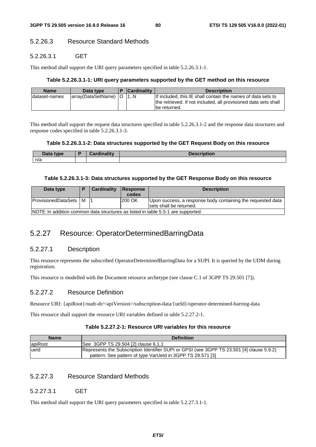# 5.2.26.3 Resource Standard Methods

## 5.2.26.3.1 GET

This method shall support the URI query parameters specified in table 5.2.26.3.1-1.

### **Table 5.2.26.3.1-1: URI query parameters supported by the GET method on this resource**

| <b>Name</b>    | Data type                   | <b>Cardinality</b> | <b>Description</b>                                                                                                              |
|----------------|-----------------------------|--------------------|---------------------------------------------------------------------------------------------------------------------------------|
| Idataset-names | array(DataSetName)   O   1N |                    | If included, this IE shall contain the names of data sets to<br>the retrieved. If not included, all provisioned data sets shall |
|                |                             |                    | lbe returned.                                                                                                                   |

This method shall support the request data structures specified in table 5.2.26.3.1-2 and the response data structures and response codes specified in table 5.2.26.3.1-3.

### **Table 5.2.26.3.1-2: Data structures supported by the GET Request Body on this resource**

| Data type | .<br>.<br>Cordinality<br>vrginali. | .<br><b>Description</b><br><b>ASCIBRIQUE</b> |
|-----------|------------------------------------|----------------------------------------------|
| n/a       |                                    |                                              |

#### **Table 5.2.26.3.1-3: Data structures supported by the GET Response Body on this resource**

| Data type                      | <b>Cardinality</b> | <b>Response</b><br>codes | <b>Description</b>                                                                     |
|--------------------------------|--------------------|--------------------------|----------------------------------------------------------------------------------------|
| <b>ProvisionedDataSets   M</b> |                    | 200 OK                   | Upon success, a response body containing the requested data<br>sets shall be returned. |
|                                |                    |                          | NOTE: In addition common data structures as listed in table 5.5-1 are supported.       |

# 5.2.27 Resource: OperatorDeterminedBarringData

# 5.2.27.1 Description

This resource represents the subscribed OperatorDeterminedBarringData for a SUPI. It is queried by the UDM during registration.

This resource is modelled with the Document resource archetype (see clause C.1 of 3GPP TS 29.501 [7]).

# 5.2.27.2 Resource Definition

Resource URI: {apiRoot}/nudr-dr/<apiVersion>/subscription-data/{ueId}/operator-determined-barring-data

This resource shall support the resource URI variables defined in table 5.2.27.2-1.

## **Table 5.2.27.2-1: Resource URI variables for this resource**

| <b>Name</b> | <b>Definition</b>                                                                                                                                       |
|-------------|---------------------------------------------------------------------------------------------------------------------------------------------------------|
| apiRoot     | See 3GPP TS 29.504 [2] clause 6.1.1                                                                                                                     |
| lueld       | Represents the Subscription Identifier SUPI or GPSI (see 3GPP TS 23.501 [4] clause 5.9.2)<br>pattern: See pattern of type VarUeld in 3GPP TS 29.571 [3] |

# 5.2.27.3 Resource Standard Methods

## 5.2.27.3.1 GET

This method shall support the URI query parameters specified in table 5.2.27.3.1-1.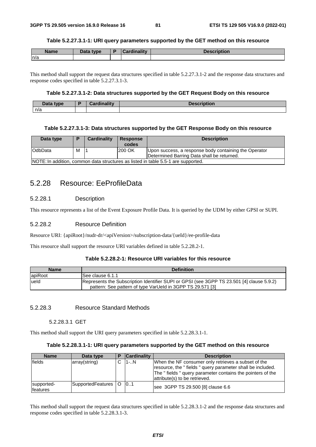#### **Table 5.2.27.3.1-1: URI query parameters supported by the GET method on this resource**

| Name | <b>Pata type</b> | D | الممتلئ والمستلومات | <b>Dooorintian</b><br>*SCHDUOIL |
|------|------------------|---|---------------------|---------------------------------|
| n/a  |                  |   |                     |                                 |

This method shall support the request data structures specified in table 5.2.27.3.1-2 and the response data structures and response codes specified in table 5.2.27.3.1-3.

### **Table 5.2.27.3.1-2: Data structures supported by the GET Request Body on this resource**

| Data type | Cardinalitv | <b>Description</b> |
|-----------|-------------|--------------------|
| n/a       |             |                    |

#### **Table 5.2.27.3.1-3: Data structures supported by the GET Response Body on this resource**

| Data type                                                                         | D | Cardinality | <b>Response</b><br>codes | <b>Description</b>                                                                                  |  |  |
|-----------------------------------------------------------------------------------|---|-------------|--------------------------|-----------------------------------------------------------------------------------------------------|--|--|
| <b>OdbData</b>                                                                    | м |             | 200 OK                   | Upon success, a response body containing the Operator<br>Determined Barring Data shall be returned. |  |  |
| NOTE: In addition, common data structures as listed in table 5.5-1 are supported. |   |             |                          |                                                                                                     |  |  |

# 5.2.28 Resource: EeProfileData

## 5.2.28.1 Description

This resource represents a list of the Event Exposure Profile Data. It is queried by the UDM by either GPSI or SUPI.

### 5.2.28.2 Resource Definition

Resource URI: {apiRoot}/nudr-dr/<apiVersion>/subscription-data/{ueId}/ee-profile-data

This resource shall support the resource URI variables defined in table 5.2.28.2-1.

#### **Table 5.2.28.2-1: Resource URI variables for this resource**

| <b>Name</b> | <b>Definition</b>                                                                                                                                       |
|-------------|---------------------------------------------------------------------------------------------------------------------------------------------------------|
| apiRoot     | ISee clause 6.1.1                                                                                                                                       |
| lueld       | Represents the Subscription Identifier SUPI or GPSI (see 3GPP TS 23.501 [4] clause 5.9.2)<br>pattern: See pattern of type VarUeld in 3GPP TS 29.571 [3] |

## 5.2.28.3 Resource Standard Methods

### 5.2.28.3.1 GET

This method shall support the URI query parameters specified in table 5.2.28.3.1-1.

### **Table 5.2.28.3.1-1: URI query parameters supported by the GET method on this resource**

| <b>Name</b>                   | Data type             | <b>Cardinality</b> | <b>Description</b>                                                                                                                                                                                             |
|-------------------------------|-----------------------|--------------------|----------------------------------------------------------------------------------------------------------------------------------------------------------------------------------------------------------------|
| fields                        | array(string)         | 11-N               | When the NF consumer only retrieves a subset of the<br>resource, the "fields" query parameter shall be included.<br>The "fields" query parameter contains the pointers of the<br>attribute(s) to be retrieved. |
| supported-<br><b>features</b> | SupportedFeatures   O | 0.1                | see 3GPP TS 29.500 [8] clause 6.6                                                                                                                                                                              |

This method shall support the request data structures specified in table 5.2.28.3.1-2 and the response data structures and response codes specified in table 5.2.28.3.1-3.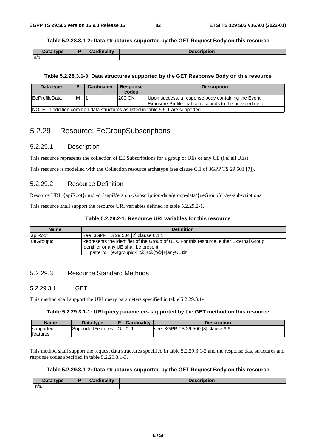#### **Table 5.2.28.3.1-2: Data structures supported by the GET Request Body on this resource**

| Data type | The adjustment of the contract of the<br>$-211$ | Description |
|-----------|-------------------------------------------------|-------------|
| n/a       |                                                 |             |

## **Table 5.2.28.3.1-3: Data structures supported by the GET Response Body on this resource**

| Data type                                                                         | D | Cardinality | Response<br>codes | <b>Description</b>                                     |  |  |
|-----------------------------------------------------------------------------------|---|-------------|-------------------|--------------------------------------------------------|--|--|
| <b>IEeProfileData</b>                                                             | М |             | 200 OK            | Upon success, a response body containing the Event     |  |  |
|                                                                                   |   |             |                   | Exposure Profile that corresponds to the provided ueld |  |  |
| INOTE: In addition common data structures as listed in table 5.5-1 are supported. |   |             |                   |                                                        |  |  |

# 5.2.29 Resource: EeGroupSubscriptions

## 5.2.29.1 Description

This resource represents the collection of EE Subscriptions for a group of UEs or any UE (i.e. all UEs).

This resource is modelled with the Collection resource archetype (see clause C.1 of 3GPP TS 29.501 [7]).

## 5.2.29.2 Resource Definition

Resource URI: {apiRoot}/nudr-dr/<apiVersion>/subscription-data/group-data/{ueGroupId}/ee-subscriptions

This resource shall support the resource URI variables defined in table 5.2.29.2-1.

## **Table 5.2.29.2-1: Resource URI variables for this resource**

| <b>Name</b> | <b>Definition</b>                                                                                                                 |
|-------------|-----------------------------------------------------------------------------------------------------------------------------------|
| apiRoot     | See 3GPP TS 29.504 [2] clause 6.1.1                                                                                               |
| lueGroupId  | Represents the identifier of the Group of UEs. For this resource, either External Group<br>Identifier or any UE shall be present. |
|             | pattern: '^(extgroupid-[^@]+@[^@]+ anyUE)\$'                                                                                      |

## 5.2.29.3 Resource Standard Methods

## 5.2.29.3.1 GET

This method shall support the URI query parameters specified in table 5.2.29.3.1-1.

### **Table 5.2.29.3.1-1: URI query parameters supported by the GET method on this resource**

| <b>Name</b>                    | Data type         | <b>Cardinality</b> | <b>Description</b>                |
|--------------------------------|-------------------|--------------------|-----------------------------------|
| supported-<br><b>Ifeatures</b> | SupportedFeatures | 10                 | see 3GPP TS 29.500 [8] clause 6.6 |

This method shall support the request data structures specified in table 5.2.29.3.1-2 and the response data structures and response codes specified in table 5.2.29.3.1-3.

#### **Table 5.2.29.3.1-2: Data structures supported by the GET Request Body on this resource**

| Data type | Cordinality<br>ardınalıtv<br>$-0$ | <b>Description</b> |
|-----------|-----------------------------------|--------------------|
| n/a       |                                   |                    |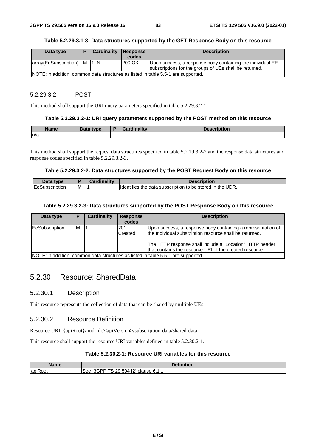#### **Table 5.2.29.3.1-3: Data structures supported by the GET Response Body on this resource**

| Data type                 |                                                                                   | Cardinality | Response | <b>Description</b>                                         |  |  |  |
|---------------------------|-----------------------------------------------------------------------------------|-------------|----------|------------------------------------------------------------|--|--|--|
|                           |                                                                                   |             | codes    |                                                            |  |  |  |
| array(EeSubscription)   M |                                                                                   | 11N         | 200 OK   | Upon success, a response body containing the individual EE |  |  |  |
|                           |                                                                                   |             |          | subscriptions for the groups of UEs shall be returned.     |  |  |  |
|                           | NOTE: In addition, common data structures as listed in table 5.5-1 are supported. |             |          |                                                            |  |  |  |

#### 5.2.29.3.2 POST

This method shall support the URI query parameters specified in table 5.2.29.3.2-1.

#### **Table 5.2.29.3.2-1: URI query parameters supported by the POST method on this resource**

| <b>Name</b> | Data type | <b>Cardinality</b> | <b>Description</b> |
|-------------|-----------|--------------------|--------------------|
| n/a         |           |                    |                    |

This method shall support the request data structures specified in table 5.2.19.3.2-2 and the response data structures and response codes specified in table 5.2.29.3.2-3.

#### **Table 5.2.29.3.2-2: Data structures supported by the POST Request Body on this resource**

| nata.<br>tvne                  |   | <br>Description                                                                      |
|--------------------------------|---|--------------------------------------------------------------------------------------|
| <b>IEeS</b><br>ridtion<br>udsc | M | <b>Identifies</b><br>UDR.<br>the<br>, to be stored<br>data subscription<br>the<br>ın |

#### **Table 5.2.29.3.2-3: Data structures supported by the POST Response Body on this resource**

| Data type      | P | <b>Cardinality</b> | <b>Response</b><br>codes | <b>Description</b>                                                                                                      |
|----------------|---|--------------------|--------------------------|-------------------------------------------------------------------------------------------------------------------------|
| EeSubscription | м |                    | 201<br>Created           | Upon success, a response body containing a representation of<br>the Individual subscription resource shall be returned. |
|                |   |                    |                          | The HTTP response shall include a "Location" HTTP header<br>that contains the resource URI of the created resource.     |
|                |   |                    |                          | NOTE: In addition, common data structures as listed in table 5.5-1 are supported.                                       |

# 5.2.30 Resource: SharedData

## 5.2.30.1 Description

This resource represents the collection of data that can be shared by multiple UEs.

## 5.2.30.2 Resource Definition

Resource URI: {apiRoot}/nudr-dr/<apiVersion>/subscription-data/shared-data

This resource shall support the resource URI variables defined in table 5.2.30.2-1.

# **Table 5.2.30.2-1: Resource URI variables for this resource**

| Name                                 | <b>Pefinition</b>                                                            |
|--------------------------------------|------------------------------------------------------------------------------|
| $\overline{\phantom{a}}$<br>lapiRoot | <b>ECT</b><br>TS 20<br>$29.504$ M<br>3GPP<br>-<br>clause 6.1.1<br>See<br>121 |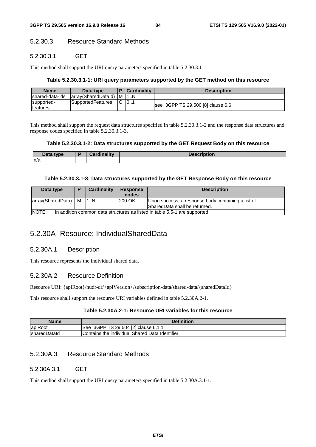# 5.2.30.3 Resource Standard Methods

# 5.2.30.3.1 GET

This method shall support the URI query parameters specified in table 5.2.30.3.1-1.

## **Table 5.2.30.3.1-1: URI query parameters supported by the GET method on this resource**

| <b>Name</b>                    | Data type               |    | <b>Cardinality</b> | <b>Description</b>                |
|--------------------------------|-------------------------|----|--------------------|-----------------------------------|
| Ishared-data-ids               | array(SharedDatald)   M |    |                    |                                   |
| supported-<br><b>Ifeatures</b> | SupportedFeatures       | ΙO | 101                | see 3GPP TS 29.500 [8] clause 6.6 |

This method shall support the request data structures specified in table 5.2.30.3.1-2 and the response data structures and response codes specified in table 5.2.30.3.1-3.

## **Table 5.2.30.3.1-2: Data structures supported by the GET Request Body on this resource**

| Data type | $\mathcal{O}$ and in all in $\mathcal{O}$ | Пааанімііам<br><b>Description</b> |
|-----------|-------------------------------------------|-----------------------------------|
| n/a       |                                           |                                   |

## **Table 5.2.30.3.1-3: Data structures supported by the GET Response Body on this resource**

| Data type                                                                                  |  | Cardinality | Response<br>codes | <b>Description</b>                                                                  |
|--------------------------------------------------------------------------------------------|--|-------------|-------------------|-------------------------------------------------------------------------------------|
| array(SharedData)   M                                                                      |  | 1N          | 200 OK            | Upon success, a response body containing a list of<br>SharedData shall be returned. |
| <b>NOTE:</b><br>In addition common data structures as listed in table 5.5-1 are supported. |  |             |                   |                                                                                     |

# 5.2.30A Resource: IndividualSharedData

# 5.2.30A.1 Description

This resource represents the individual shared data.

# 5.2.30A.2 Resource Definition

Resource URI: {apiRoot}/nudr-dr/<apiVersion>/subscription-data/shared-data/{sharedDataId}

This resource shall support the resource URI variables defined in table 5.2.30A.2-1.

# **Table 5.2.30A.2-1: Resource URI variables for this resource**

| Name                 | <b>Definition</b>                                |
|----------------------|--------------------------------------------------|
| apiRoot              | See 3GPP TS 29.504 [2] clause 6.1.1              |
| <b>IsharedDataId</b> | 'Contains the individual Shared Data Identifier. |

# 5.2.30A.3 Resource Standard Methods

# 5.2.30A.3.1 GET

This method shall support the URI query parameters specified in table 5.2.30A.3.1-1.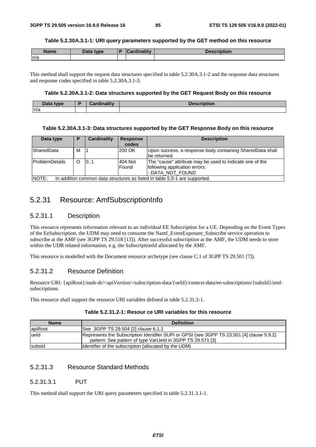#### **Table 5.2.30A.3.1-1: URI query parameters supported by the GET method on this resource**

| <b>Name</b> | Data type | R | <b>Cardinality</b> | <b>Description</b> |
|-------------|-----------|---|--------------------|--------------------|
| n/a         |           |   |                    |                    |

This method shall support the request data structures specified in table 5.2.30A.3.1-2 and the response data structures and response codes specified in table 5.2.30A.3.1-3.

### **Table 5.2.30A.3.1-2: Data structures supported by the GET Request Body on this resource**

| <b>Data</b><br>type. | Orașe al III-lea de la II-lea de | - - - - -<br>$\sim$ 11000 $\sim$ |
|----------------------|----------------------------------|----------------------------------|
| n/a                  |                                  |                                  |

#### **Table 5.2.30A.3.1-3: Data structures supported by the GET Response Body on this resource**

| Data type                                                                                   | P | Cardinality | <b>Response</b><br>codes | <b>Description</b>                                                                                            |
|---------------------------------------------------------------------------------------------|---|-------------|--------------------------|---------------------------------------------------------------------------------------------------------------|
| <b>ISharedData</b>                                                                          | М |             | 200 OK                   | Upon success, a response body containing SharedData shall<br>be returned.                                     |
| <b>ProblemDetails</b>                                                                       | Ω | 101         | 404 Not<br>Found         | The "cause" attribute may be used to indicate one of the<br>following application errors:<br>- DATA_NOT_FOUND |
| <b>INOTE:</b><br>In addition common data structures as listed in table 5.5-1 are supported. |   |             |                          |                                                                                                               |

# 5.2.31 Resource: AmfSubscriptionInfo

## 5.2.31.1 Description

This resource represents information relevant to an individual EE Subscription for a UE. Depending on the Event Types of the EeSubscription, the UDM may need to consume the Namf\_EventExposure\_Subscribe service operation to subscribe at the AMF (see 3GPP TS 29.518 [13]). After successful subscription at the AMF, the UDM needs to store within the UDR related information, e.g. the SubscriptionId allocated by the AMF.

This resource is modelled with the Document resource archetype (see clause C.1 of 3GPP TS 29.501 [7]).

# 5.2.31.2 Resource Definition

Resource URI: {apiRoot}/nudr-dr/<apiVersion>/subscription-data/{ueId}/context-data/ee-subscriptions/{subsId}/amfsubscriptions

This resource shall support the resource URI variables defined in table 5.2.31.2-1.

| <b>Name</b> | <b>Definition</b>                                                                                                                                       |
|-------------|---------------------------------------------------------------------------------------------------------------------------------------------------------|
| apiRoot     | See 3GPP TS 29.504 [2] clause 6.1.1                                                                                                                     |
| ueld        | Represents the Subscription Identifier SUPI or GPSI (see 3GPP TS 23.501 [4] clause 5.9.2)<br>pattern: See pattern of type VarUeld in 3GPP TS 29.571 [3] |
| subsid      | Identifier of the subscription (allocated by the UDM)                                                                                                   |

# 5.2.31.3 Resource Standard Methods

### 5.2.31.3.1 PUT

This method shall support the URI query parameters specified in table 5.2.31.3.1-1.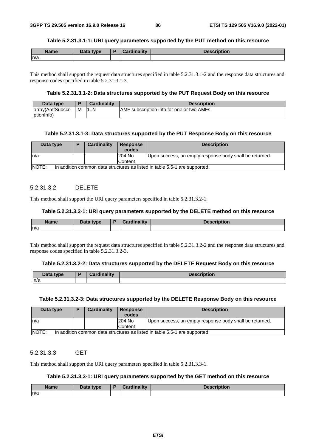#### **Table 5.2.31.3.1-1: URI query parameters supported by the PUT method on this resource**

| <b>Name</b> | Data type | Cardinality | <b>Description</b> |
|-------------|-----------|-------------|--------------------|
| n/a         |           |             |                    |

This method shall support the request data structures specified in table 5.2.31.3.1-2 and the response data structures and response codes specified in table 5.2.31.3.1-3.

### **Table 5.2.31.3.1-2: Data structures supported by the PUT Request Body on this resource**

| Data type        |   | <b>Cardinality</b> | <b>Description</b>                        |
|------------------|---|--------------------|-------------------------------------------|
| array(AmfSubscri | M | 1N                 | AMF subscription info for one or two AMFs |
| (ptionInfo       |   |                    |                                           |

#### **Table 5.2.31.3.1-3: Data structures supported by the PUT Response Body on this resource**

| Data type | D                                                                          | Cardinality | <b>Response</b> | <b>Description</b>                                      |  |  |
|-----------|----------------------------------------------------------------------------|-------------|-----------------|---------------------------------------------------------|--|--|
|           |                                                                            |             | codes           |                                                         |  |  |
| In/a      |                                                                            |             | 204 No          | Upon success, an empty response body shall be returned. |  |  |
|           |                                                                            |             | Content         |                                                         |  |  |
| NOTE:     | In addition common data structures as listed in table 5.5-1 are supported. |             |                 |                                                         |  |  |

### 5.2.31.3.2 DELETE

This method shall support the URI query parameters specified in table 5.2.31.3.2-1.

#### **Table 5.2.31.3.2-1: URI query parameters supported by the DELETE method on this resource**

| <b>Name</b> | Data type | anna litreata | .<br>101 |
|-------------|-----------|---------------|----------|
| n/a         |           |               |          |

This method shall support the request data structures specified in table 5.2.31.3.2-2 and the response data structures and response codes specified in table 5.2.31.3.2-3.

#### **Table 5.2.31.3.2-2: Data structures supported by the DELETE Request Body on this resource**

| <b>Pata type</b> | D | <b>Cordinality</b> | <b>Description</b> |
|------------------|---|--------------------|--------------------|
| n/a              |   |                    |                    |

#### **Table 5.2.31.3.2-3: Data structures supported by the DELETE Response Body on this resource**

| Data type    | D                                                                          | Cardinality | <b>Response</b><br>codes | <b>Description</b>                                      |  |  |  |
|--------------|----------------------------------------------------------------------------|-------------|--------------------------|---------------------------------------------------------|--|--|--|
| In/a         |                                                                            |             | 204 No                   | Upon success, an empty response body shall be returned. |  |  |  |
|              |                                                                            |             | <b>Content</b>           |                                                         |  |  |  |
| <b>NOTE:</b> | In addition common data structures as listed in table 5.5-1 are supported. |             |                          |                                                         |  |  |  |

## 5.2.31.3.3 GET

This method shall support the URI query parameters specified in table 5.2.31.3.3-1.

## **Table 5.2.31.3.3-1: URI query parameters supported by the GET method on this resource**

| <b>Name</b> | <b>Data type</b> | Cardinality<br>. | <b>Description</b> |
|-------------|------------------|------------------|--------------------|
| n/a         |                  |                  |                    |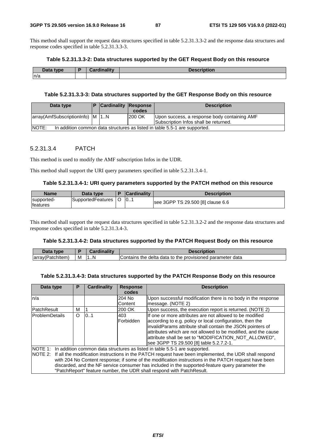This method shall support the request data structures specified in table 5.2.31.3.3-2 and the response data structures and response codes specified in table 5.2.31.3.3-3.

#### **Table 5.2.31.3.3-2: Data structures supported by the GET Request Body on this resource**

| Data type | Cordinalis- | <b>Description</b> |
|-----------|-------------|--------------------|
| n/a       |             |                    |

### **Table 5.2.31.3.3-3: Data structures supported by the GET Response Body on this resource**

| Data type                       |                                                                            | <b>Cardinality Response</b> |        | <b>Description</b>                                                                    |  |  |
|---------------------------------|----------------------------------------------------------------------------|-----------------------------|--------|---------------------------------------------------------------------------------------|--|--|
|                                 |                                                                            |                             | codes  |                                                                                       |  |  |
| array(AmfSubscriptionInfo) M 1N |                                                                            |                             | 200 OK | Upon success, a response body containing AMF<br>Subscription Infos shall be returned. |  |  |
| <b>NOTE:</b>                    | In addition common data structures as listed in table 5.5-1 are supported. |                             |        |                                                                                       |  |  |

### 5.2.31.3.4 PATCH

This method is used to modify the AMF subscription Infos in the UDR.

This method shall support the URI query parameters specified in table 5.2.31.3.4-1.

#### **Table 5.2.31.3.4-1: URI query parameters supported by the PATCH method on this resource**

| <b>Name</b>                   | Data type         | <b>Cardinality</b> | <b>Description</b>                |
|-------------------------------|-------------------|--------------------|-----------------------------------|
| supported-<br><b>features</b> | SupportedFeatures | 0                  | see 3GPP TS 29.500 [8] clause 6.6 |

This method shall support the request data structures specified in table 5.2.31.3.2-2 and the response data structures and response codes specified in table 5.2.31.3.4-3.

#### **Table 5.2.31.3.4-2: Data structures supported by the PATCH Request Body on this resource**

| Data type        |   | Cardinality | <b>Description</b>                                        |
|------------------|---|-------------|-----------------------------------------------------------|
| (array(Patchitem | M | N           | Contains the delta data to the provisioned parameter data |

#### **Table 5.2.31.3.4-3: Data structures supported by the PATCH Response Body on this resource**

| Data type                                                                                                                                                                                                                                                                                                                                                                                                                                                                                  | P       | <b>Cardinality</b> | <b>Response</b>         | <b>Description</b>                                                                                                                                                                                                                                                                                                                                        |  |
|--------------------------------------------------------------------------------------------------------------------------------------------------------------------------------------------------------------------------------------------------------------------------------------------------------------------------------------------------------------------------------------------------------------------------------------------------------------------------------------------|---------|--------------------|-------------------------|-----------------------------------------------------------------------------------------------------------------------------------------------------------------------------------------------------------------------------------------------------------------------------------------------------------------------------------------------------------|--|
|                                                                                                                                                                                                                                                                                                                                                                                                                                                                                            |         |                    | codes                   |                                                                                                                                                                                                                                                                                                                                                           |  |
| n/a                                                                                                                                                                                                                                                                                                                                                                                                                                                                                        |         |                    | 204 No                  | Upon successful modification there is no body in the response                                                                                                                                                                                                                                                                                             |  |
|                                                                                                                                                                                                                                                                                                                                                                                                                                                                                            |         |                    | Content                 | message. (NOTE 2)                                                                                                                                                                                                                                                                                                                                         |  |
| PatchResult                                                                                                                                                                                                                                                                                                                                                                                                                                                                                | м       |                    | 200 OK                  | Upon success, the execution report is returned. (NOTE 2)                                                                                                                                                                                                                                                                                                  |  |
| lProblemDetails                                                                                                                                                                                                                                                                                                                                                                                                                                                                            | $\circ$ | 0.1                | 403<br><b>Forbidden</b> | If one or more attributes are not allowed to be modified<br>according to e.g. policy or local configuration, then the<br>invalidParams attribute shall contain the JSON pointers of<br>attributes which are not allowed to be modified, and the cause<br>attribute shall be set to "MODIFICATION_NOT_ALLOWED",<br>see 3GPP TS 29.500 [8] table 5.2.7.2-1. |  |
| NOTE 1: In addition common data structures as listed in table 5.5-1 are supported.<br>NOTE 2: If all the modification instructions in the PATCH request have been implemented, the UDR shall respond<br>with 204 No Content response; if some of the modification instructions in the PATCH request have been<br>discarded, and the NF service consumer has included in the supported-feature query parameter the<br>"PatchReport" feature number, the UDR shall respond with PatchResult. |         |                    |                         |                                                                                                                                                                                                                                                                                                                                                           |  |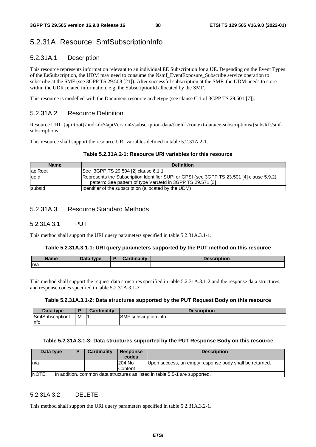# 5.2.31A Resource: SmfSubscriptionInfo

# 5.2.31A.1 Description

This resource represents information relevant to an individual EE Subscription for a UE. Depending on the Event Types of the EeSubscription, the UDM may need to consume the Nsmf\_EventExposure\_Subscribe service operation to subscribe at the SMF (see 3GPP TS 29.508 [21]). After successful subscription at the SMF, the UDM needs to store within the UDR related information, e.g. the SubscriptionId allocated by the SMF.

This resource is modelled with the Document resource archetype (see clause C.1 of 3GPP TS 29.501 [7]).

# 5.2.31A.2 Resource Definition

Resource URI: {apiRoot}/nudr-dr/<apiVersion>/subscription-data/{ueId}/context-data/ee-subscriptions/{subsId}/smfsubscriptions

This resource shall support the resource URI variables defined in table 5.2.31A.2-1.

### **Table 5.2.31A.2-1: Resource URI variables for this resource**

| <b>Name</b> | <b>Definition</b>                                                                                                                                       |
|-------------|---------------------------------------------------------------------------------------------------------------------------------------------------------|
| apiRoot     | See 3GPP TS 29.504 [2] clause 6.1.1                                                                                                                     |
| lueld       | Represents the Subscription Identifier SUPI or GPSI (see 3GPP TS 23.501 [4] clause 5.9.2)<br>pattern: See pattern of type VarUeld in 3GPP TS 29.571 [3] |
| subsid      | Identifier of the subscription (allocated by the UDM)                                                                                                   |

## 5.2.31A.3 Resource Standard Methods

### 5.2.31A.3.1 PUT

This method shall support the URI query parameters specified in table 5.2.31A.3.1-1.

#### **Table 5.2.31A.3.1-1: URI query parameters supported by the PUT method on this resource**

| <b>Name</b> | Data type | تنازله وباز<br>$\sim$<br><b>Contract Contract Contract</b><br>— Mardinality — | <b>Description</b> |
|-------------|-----------|-------------------------------------------------------------------------------|--------------------|
| n/a         |           |                                                                               |                    |

This method shall support the request data structures specified in table 5.2.31A.3.1-2 and the response data structures, and response codes specified in table 5.2.31A.3.1-3.

#### **Table 5.2.31A.3.1-2: Data structures supported by the PUT Request Body on this resource**

| Data type       |   | Cardinality | <b>Description</b>           |
|-----------------|---|-------------|------------------------------|
| SmfSubscription | M |             | <b>SMF</b> subscription info |
| ∣nfc            |   |             |                              |

#### **Table 5.2.31A.3.1-3: Data structures supported by the PUT Response Body on this resource**

| Data type     | D | <b>Cardinality</b> | <b>Response</b> | <b>Description</b>                                                          |  |  |  |  |  |  |  |
|---------------|---|--------------------|-----------------|-----------------------------------------------------------------------------|--|--|--|--|--|--|--|
|               |   |                    | codes           |                                                                             |  |  |  |  |  |  |  |
| In/a          |   |                    | 1204 No         | Upon success, an empty response body shall be returned.                     |  |  |  |  |  |  |  |
|               |   |                    | Content         |                                                                             |  |  |  |  |  |  |  |
| <b>INOTE:</b> |   |                    |                 | In addition, common data structures as listed in table 5.5-1 are supported. |  |  |  |  |  |  |  |

## 5.2.31A.3.2 DELETE

This method shall support the URI query parameters specified in table 5.2.31A.3.2-1.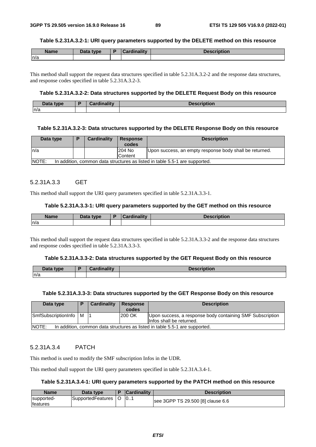#### **Table 5.2.31A.3.2-1: URI query parameters supported by the DELETE method on this resource**

| <b>Name</b> | Data type | Cardinalitv | <b>Description</b> |
|-------------|-----------|-------------|--------------------|
| n/a         |           |             |                    |

This method shall support the request data structures specified in table 5.2.31A.3.2-2 and the response data structures, and response codes specified in table 5.2.31A.3.2-3.

#### **Table 5.2.31A.3.2-2: Data structures supported by the DELETE Request Body on this resource**

| $-1$<br>type.<br>ын<br><b>Data</b> | ۰. | Consultation of Links | . |
|------------------------------------|----|-----------------------|---|
| n/a                                |    |                       |   |

#### **Table 5.2.31A.3.2-3: Data structures supported by the DELETE Response Body on this resource**

| Data type                                                                                    | D | Cardinality | <b>Response</b><br>codes | <b>Description</b>                                      |  |  |  |
|----------------------------------------------------------------------------------------------|---|-------------|--------------------------|---------------------------------------------------------|--|--|--|
| ln/a                                                                                         |   |             | 204 No                   | Upon success, an empty response body shall be returned. |  |  |  |
|                                                                                              |   |             | Content                  |                                                         |  |  |  |
| <b>INOTE:</b><br>In addition, common data structures as listed in table 5.5-1 are supported. |   |             |                          |                                                         |  |  |  |

### 5.2.31A.3.3 GET

This method shall support the URI query parameters specified in table 5.2.31A.3.3-1.

### **Table 5.2.31A.3.3-1: URI query parameters supported by the GET method on this resource**

| <b>Name</b> | Data type<br>Dala | $- dim (i)$ | <b>Description</b> |
|-------------|-------------------|-------------|--------------------|
| n/a         |                   |             |                    |

This method shall support the request data structures specified in table 5.2.31A.3.3-2 and the response data structures and response codes specified in table 5.2.31A.3.3-3.

#### **Table 5.2.31A.3.3-2: Data structures supported by the GET Request Body on this resource**

| <b>Data</b><br>type | <b>Pordinality</b><br>IMIN<br>. | <b>Description</b> |
|---------------------|---------------------------------|--------------------|
| n/a                 |                                 |                    |

#### **Table 5.2.31A.3.3-3: Data structures supported by the GET Response Body on this resource**

| Data type                                                                             | в | <b>Cardinality</b> | <b>Response</b><br>codes | <b>Description</b>                                                                    |  |  |
|---------------------------------------------------------------------------------------|---|--------------------|--------------------------|---------------------------------------------------------------------------------------|--|--|
| SmfSubscriptionInfo   M                                                               |   |                    | 200 OK                   | Upon success, a response body containing SMF Subscription<br>Infos shall be returned. |  |  |
| INOTE:<br>In addition, common data structures as listed in table 5.5-1 are supported. |   |                    |                          |                                                                                       |  |  |

#### 5.2.31A.3.4 PATCH

This method is used to modify the SMF subscription Infos in the UDR.

This method shall support the URI query parameters specified in table 5.2.31A.3.4-1.

### **Table 5.2.31A.3.4-1: URI query parameters supported by the PATCH method on this resource**

| <b>Name</b>                    | Data type         | <b>Cardinality</b> | <b>Description</b>                |
|--------------------------------|-------------------|--------------------|-----------------------------------|
| supported-<br><b>Ifeatures</b> | SupportedFeatures | 10                 | see 3GPP TS 29.500 [8] clause 6.6 |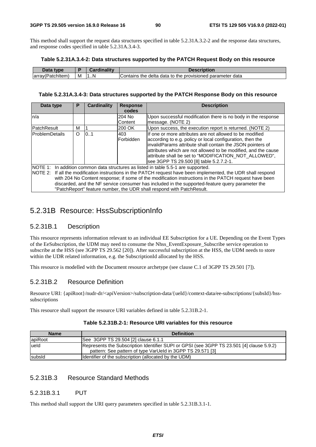This method shall support the request data structures specified in table 5.2.31A.3.2-2 and the response data structures, and response codes specified in table 5.2.31A.3.4-3.

#### **Table 5.2.31A.3.4-2: Data structures supported by the PATCH Request Body on this resource**

| tvne                |            | $-m$ ality | <b>Description</b>                                                                             |
|---------------------|------------|------------|------------------------------------------------------------------------------------------------|
| - atchItem<br>array | <b>IVI</b> | N<br>. 1   | data<br>parameter<br>the delta<br>data<br>Contains<br>$\sim$<br>provisioned<br>---<br>το<br>me |

#### **Table 5.2.31A.3.4-3: Data structures supported by the PATCH Response Body on this resource**

| Data type                                                                                                                                                                                                                                                                                                                                                                                                         | P        | Cardinality | <b>Response</b><br>codes | <b>Description</b>                                                                                                                                                                                                                                                                                                                                        |  |  |
|-------------------------------------------------------------------------------------------------------------------------------------------------------------------------------------------------------------------------------------------------------------------------------------------------------------------------------------------------------------------------------------------------------------------|----------|-------------|--------------------------|-----------------------------------------------------------------------------------------------------------------------------------------------------------------------------------------------------------------------------------------------------------------------------------------------------------------------------------------------------------|--|--|
| n/a                                                                                                                                                                                                                                                                                                                                                                                                               |          |             | 204 No<br>Content        | Upon successful modification there is no body in the response<br>message. (NOTE 2)                                                                                                                                                                                                                                                                        |  |  |
| PatchResult                                                                                                                                                                                                                                                                                                                                                                                                       | м        |             | 200 OK                   | Upon success, the execution report is returned. (NOTE 2)                                                                                                                                                                                                                                                                                                  |  |  |
| <b>ProblemDetails</b>                                                                                                                                                                                                                                                                                                                                                                                             | $\Omega$ | 0.1         | 403<br>Forbidden         | If one or more attributes are not allowed to be modified<br>according to e.g. policy or local configuration, then the<br>invalidParams attribute shall contain the JSON pointers of<br>attributes which are not allowed to be modified, and the cause<br>attribute shall be set to "MODIFICATION NOT ALLOWED",<br>see 3GPP TS 29.500 [8] table 5.2.7.2-1. |  |  |
| NOTE 1: In addition common data structures as listed in table 5.5-1 are supported.<br>NOTE 2: If all the modification instructions in the PATCH request have been implemented, the UDR shall respond<br>with 204 No Content response; if some of the modification instructions in the PATCH request have been<br>discarded, and the NF service consumer has included in the supported-feature query parameter the |          |             |                          |                                                                                                                                                                                                                                                                                                                                                           |  |  |

# 5.2.31B Resource: HssSubscriptionInfo

## 5.2.31B.1 Description

This resource represents information relevant to an individual EE Subscription for a UE. Depending on the Event Types of the EeSubscription, the UDM may need to consume the Nhss\_EventExposure\_Subscribe service operation to subscribe at the HSS (see 3GPP TS 29.562 [20]). After successful subscription at the HSS, the UDM needs to store within the UDR related information, e.g. the SubscriptionId allocated by the HSS.

This resource is modelled with the Document resource archetype (see clause C.1 of 3GPP TS 29.501 [7]).

"PatchReport" feature number, the UDR shall respond with PatchResult.

# 5.2.31B.2 Resource Definition

Resource URI: {apiRoot}/nudr-dr/<apiVersion>/subscription-data/{ueId}/context-data/ee-subscriptions/{subsId}/hsssubscriptions

This resource shall support the resource URI variables defined in table 5.2.31B.2-1.

| <b>Name</b>    | <b>Definition</b>                                                                                                                                       |
|----------------|---------------------------------------------------------------------------------------------------------------------------------------------------------|
| <b>apiRoot</b> | See 3GPP TS 29.504 [2] clause 6.1.1                                                                                                                     |
| lueld          | Represents the Subscription Identifier SUPI or GPSI (see 3GPP TS 23.501 [4] clause 5.9.2)<br>pattern: See pattern of type VarUeld in 3GPP TS 29.571 [3] |
| subsid         | Identifier of the subscription (allocated by the UDM)                                                                                                   |

## 5.2.31B.3 Resource Standard Methods

## 5.2.31B.3.1 PUT

This method shall support the URI query parameters specified in table 5.2.31B.3.1-1.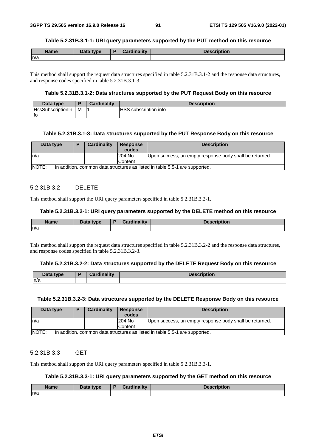#### **Table 5.2.31B.3.1-1: URI query parameters supported by the PUT method on this resource**

| <b>Name</b> | Data type | <b>Cardinality</b> | <b>Description</b> |
|-------------|-----------|--------------------|--------------------|
| ln/a        |           |                    |                    |

This method shall support the request data structures specified in table 5.2.31B.3.1-2 and the response data structures, and response codes specified in table 5.2.31B.3.1-3.

### **Table 5.2.31B.3.1-2: Data structures supported by the PUT Request Body on this resource**

| Data type                |   | <b>Cardinality</b> | <b>Description</b>    |
|--------------------------|---|--------------------|-----------------------|
| <b>HssSubscriptionIn</b> | м |                    | HSS subscription info |
| lfo                      |   |                    |                       |

#### **Table 5.2.31B.3.1-3: Data structures supported by the PUT Response Body on this resource**

| Data type     | D | Cardinality | <b>Response</b> | <b>Description</b>                                                          |
|---------------|---|-------------|-----------------|-----------------------------------------------------------------------------|
|               |   |             | codes           |                                                                             |
| ln/a          |   |             | 204 No          | Upon success, an empty response body shall be returned.                     |
|               |   |             | Content         |                                                                             |
| <b>INOTE:</b> |   |             |                 | In addition, common data structures as listed in table 5.5-1 are supported. |

### 5.2.31B.3.2 DELETE

This method shall support the URI query parameters specified in table 5.2.31B.3.2-1.

#### **Table 5.2.31B.3.2-1: URI query parameters supported by the DELETE method on this resource**

| <b>Name</b> | Data type | Cardinality | Description |
|-------------|-----------|-------------|-------------|
| n/a         |           |             |             |

This method shall support the request data structures specified in table 5.2.31B.3.2-2 and the response data structures, and response codes specified in table 5.2.31B.3.2-3.

#### **Table 5.2.31B.3.2-2: Data structures supported by the DELETE Request Body on this resource**

| <b>Data type</b><br><b>Dald</b> | æ | `ardinaliŧv |  |
|---------------------------------|---|-------------|--|
| n/a                             |   |             |  |

#### **Table 5.2.31B.3.2-3: Data structures supported by the DELETE Response Body on this resource**

| Data type                                                                                   | D | Cardinality | <b>Response</b><br>codes | <b>Description</b>                                      |  |
|---------------------------------------------------------------------------------------------|---|-------------|--------------------------|---------------------------------------------------------|--|
| In/a                                                                                        |   |             | 204 No                   | Upon success, an empty response body shall be returned. |  |
|                                                                                             |   |             | <b>Content</b>           |                                                         |  |
| <b>NOTE:</b><br>In addition, common data structures as listed in table 5.5-1 are supported. |   |             |                          |                                                         |  |

### 5.2.31B.3.3 GET

This method shall support the URI query parameters specified in table 5.2.31B.3.3-1.

#### **Table 5.2.31B.3.3-1: URI query parameters supported by the GET method on this resource**

| <b>Name</b> | Data type | <b>Cardinality</b> | <b>Description</b> |
|-------------|-----------|--------------------|--------------------|
| ln/a        |           |                    |                    |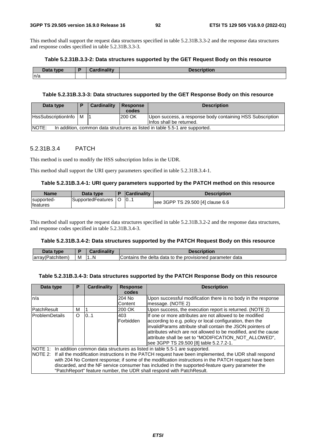This method shall support the request data structures specified in table 5.2.31B.3.3-2 and the response data structures and response codes specified in table 5.2.31B.3.3-3.

#### **Table 5.2.31B.3.3-2: Data structures supported by the GET Request Body on this resource**

| Data type | Orana Maria 1960a | <b>Description</b> |
|-----------|-------------------|--------------------|
| n/a       |                   |                    |

### **Table 5.2.31B.3.3-3: Data structures supported by the GET Response Body on this resource**

| Data type                                                                            | D | Cardinality | Response<br>codes | <b>Description</b>                                                                     |
|--------------------------------------------------------------------------------------|---|-------------|-------------------|----------------------------------------------------------------------------------------|
| HssSubscriptionInfo   M                                                              |   |             | <b>200 OK</b>     | Upon success, a response body containing HSS Subscription<br>linfos shall be returned. |
| NOTE:<br>In addition, common data structures as listed in table 5.5-1 are supported. |   |             |                   |                                                                                        |

### 5.2.31B.3.4 PATCH

This method is used to modify the HSS subscription Infos in the UDR.

This method shall support the URI query parameters specified in table 5.2.31B.3.4-1.

#### **Table 5.2.31B.3.4-1: URI query parameters supported by the PATCH method on this resource**

| <b>Name</b>                    | Data type         | <b>Cardinality</b> | <b>Description</b>                |
|--------------------------------|-------------------|--------------------|-----------------------------------|
| supported-<br><b>Ifeatures</b> | SupportedFeatures | 10                 | see 3GPP TS 29.500 [4] clause 6.6 |

This method shall support the request data structures specified in table 5.2.31B.3.2-2 and the response data structures, and response codes specified in table 5.2.31B.3.4-3.

#### **Table 5.2.31B.3.4-2: Data structures supported by the PATCH Request Body on this resource**

| Data type        |   | <b>Cardinality</b> | <b>Description</b>                                        |
|------------------|---|--------------------|-----------------------------------------------------------|
| array(Patchitem) | M | 11N                | Contains the delta data to the provisioned parameter data |

#### **Table 5.2.31B.3.4-3: Data structures supported by the PATCH Response Body on this resource**

| Data type      | Р       | <b>Cardinality</b> | <b>Response</b>         | <b>Description</b>                                                                                                                                                                                                                                                                                                                                                                                                                                                                         |
|----------------|---------|--------------------|-------------------------|--------------------------------------------------------------------------------------------------------------------------------------------------------------------------------------------------------------------------------------------------------------------------------------------------------------------------------------------------------------------------------------------------------------------------------------------------------------------------------------------|
|                |         |                    | codes                   |                                                                                                                                                                                                                                                                                                                                                                                                                                                                                            |
| n/a            |         |                    | 204 No                  | Upon successful modification there is no body in the response                                                                                                                                                                                                                                                                                                                                                                                                                              |
|                |         |                    | Content                 | message. (NOTE 2)                                                                                                                                                                                                                                                                                                                                                                                                                                                                          |
| PatchResult    | м       |                    | 200 OK                  | Upon success, the execution report is returned. (NOTE 2)                                                                                                                                                                                                                                                                                                                                                                                                                                   |
| ProblemDetails | $\circ$ | 0.1                | 403<br><b>Forbidden</b> | If one or more attributes are not allowed to be modified<br>according to e.g. policy or local configuration, then the<br>invalidParams attribute shall contain the JSON pointers of<br>attributes which are not allowed to be modified, and the cause<br>attribute shall be set to "MODIFICATION NOT ALLOWED",<br>see 3GPP TS 29.500 [8] table 5.2.7.2-1.                                                                                                                                  |
|                |         |                    |                         | NOTE 1: In addition common data structures as listed in table 5.5-1 are supported.<br>NOTE 2: If all the modification instructions in the PATCH request have been implemented, the UDR shall respond<br>with 204 No Content response; if some of the modification instructions in the PATCH request have been<br>discarded, and the NF service consumer has included in the supported-feature query parameter the<br>"PatchReport" feature number, the UDR shall respond with PatchResult. |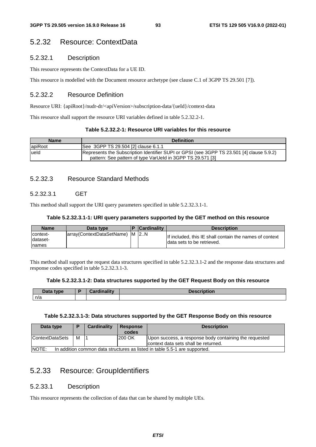# 5.2.32 Resource: ContextData

# 5.2.32.1 Description

This resource represents the ContextData for a UE ID.

This resource is modelled with the Document resource archetype (see clause C.1 of 3GPP TS 29.501 [7]).

# 5.2.32.2 Resource Definition

Resource URI: {apiRoot}/nudr-dr/<apiVersion>/subscription-data/{ueId}/context-data

This resource shall support the resource URI variables defined in table 5.2.32.2-1.

# **Table 5.2.32.2-1: Resource URI variables for this resource**

| <b>Name</b> | <b>Definition</b>                                                                                                                                       |
|-------------|---------------------------------------------------------------------------------------------------------------------------------------------------------|
| apiRoot     | See 3GPP TS 29.504 [2] clause 6.1.1                                                                                                                     |
| lueld       | Represents the Subscription Identifier SUPI or GPSI (see 3GPP TS 23.501 [4] clause 5.9.2)<br>pattern: See pattern of type VarUeld in 3GPP TS 29.571 [3] |

# 5.2.32.3 Resource Standard Methods

# 5.2.32.3.1 GET

This method shall support the URI query parameters specified in table 5.2.32.3.1-1.

## **Table 5.2.32.3.1-1: URI query parameters supported by the GET method on this resource**

| <b>Name</b>                     | Data type                      | <b>Cardinality</b> | <b>Description</b>                                                                    |
|---------------------------------|--------------------------------|--------------------|---------------------------------------------------------------------------------------|
| context-<br>Idataset-<br>Inames | array(ContextDataSetName) M 2N |                    | If included, this IE shall contain the names of context<br>data sets to be retrieved. |

This method shall support the request data structures specified in table 5.2.32.3.1-2 and the response data structures and response codes specified in table 5.2.32.3.1-3.

## **Table 5.2.32.3.1-2: Data structures supported by the GET Request Body on this resource**

| Data type | <b>The Alberta</b> | - -<br><b>DESCRIPTION</b> |
|-----------|--------------------|---------------------------|
| n/a       |                    |                           |

## **Table 5.2.32.3.1-3: Data structures supported by the GET Response Body on this resource**

| Data type                                                                           |   | <b>Cardinality</b> | <b>Response</b><br>codes | <b>Description</b>                                                                             |
|-------------------------------------------------------------------------------------|---|--------------------|--------------------------|------------------------------------------------------------------------------------------------|
| <b>ContextDataSets</b>                                                              | м |                    | 200 OK                   | Upon success, a response body containing the requested<br>context data sets shall be returned. |
| NOTE:<br>In addition common data structures as listed in table 5.5-1 are supported. |   |                    |                          |                                                                                                |

# 5.2.33 Resource: GroupIdentifiers

# 5.2.33.1 Description

This resource represents the collection of data that can be shared by multiple UEs.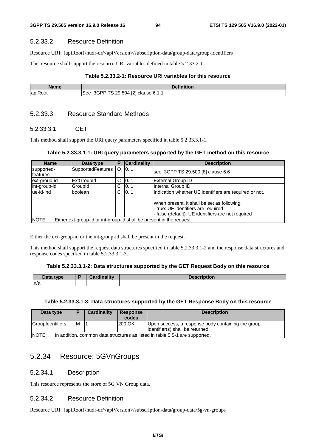## 5.2.33.2 Resource Definition

Resource URI: {apiRoot}/nudr-dr/<apiVersion>/subscription-data/group-data/group-identifiers

This resource shall support the resource URI variables defined in table 5.2.33.2-1.

#### **Table 5.2.33.2-1: Resource URI variables for this resource**

| <b>Name</b>                             | <b><i>Change Committee States</i></b><br>n <sub>0</sub><br>uon. |
|-----------------------------------------|-----------------------------------------------------------------|
| $\overline{\phantom{a}}$<br>apiF<br>oot | <b>PAT</b><br>ററ<br>See<br>clause 6.1.1<br>504<br>…–⊢<br>. .    |

# 5.2.33.3 Resource Standard Methods

### 5.2.33.3.1 GET

This method shall support the URI query parameters specified in table 5.2.33.3.1-1.

#### **Table 5.2.33.3.1-1: URI query parameters supported by the GET method on this resource**

| <b>Name</b>             | Data type                                                            | Р  | <b>Cardinality</b> | <b>Description</b>                                                                                                                       |
|-------------------------|----------------------------------------------------------------------|----|--------------------|------------------------------------------------------------------------------------------------------------------------------------------|
| supported-<br>lfeatures | <b>SupportedFeatures</b>                                             | O  | 10.1               | see 3GPP TS 29.500 [8] clause 6.6                                                                                                        |
| ext-groud-id            | <b>ExtGroupId</b>                                                    | C  | 10.1               | External Group ID                                                                                                                        |
| int-group-id            | GroupId                                                              | С  | 101                | Internal Group ID                                                                                                                        |
| lue-id-ind              | boolean                                                              | C. | 101                | Indication whether UE identifiers are required or not.                                                                                   |
|                         |                                                                      |    |                    | When present, it shall be set as following:<br>- true: UE identifiers are required<br>- false (default): UE identifiers are not required |
| <b>NOTE:</b>            | Either ext-group-id or int-group-id shall be present in the request. |    |                    |                                                                                                                                          |

Either the ext-group-id or the int-group-id shall be present in the request.

This method shall support the request data structures specified in table 5.2.33.3.1-2 and the response data structures and response codes specified in table 5.2.33.3.1-3.

#### **Table 5.2.33.3.1-2: Data structures supported by the GET Request Body on this resource**

| Data type | والمترافية والمستورة<br>. .<br>$-1$ or $-$<br><b>Mulletille</b> | $\blacksquare$<br>- - - - -<br>NDUVIL. |
|-----------|-----------------------------------------------------------------|----------------------------------------|
| n/a       |                                                                 |                                        |

#### **Table 5.2.33.3.1-3: Data structures supported by the GET Response Body on this resource**

| Data type                                                                                   | D | Cardinality | <b>Response</b><br>codes | <b>Description</b>                                                                      |
|---------------------------------------------------------------------------------------------|---|-------------|--------------------------|-----------------------------------------------------------------------------------------|
| GroupIdentifiers                                                                            | м |             | 200 OK                   | Upon success, a response body containing the group<br>lidentifier(s) shall be returned. |
| <b>NOTE:</b><br>In addition, common data structures as listed in table 5.5-1 are supported. |   |             |                          |                                                                                         |

# 5.2.34 Resource: 5GVnGroups

# 5.2.34.1 Description

This resource represents the store of 5G VN Group data.

## 5.2.34.2 Resource Definition

Resource URI: {apiRoot}/nudr-dr/<apiVersion>/subscription-data/group-data/5g-vn-groups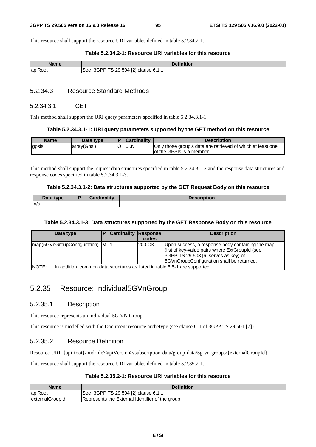This resource shall support the resource URI variables defined in table 5.2.34.2-1.

### **Table 5.2.34.2-1: Resource URI variables for this resource**

| Name                                 | <b>Definition</b>                                                       |
|--------------------------------------|-------------------------------------------------------------------------|
| $\overline{\phantom{a}}$<br>lapiRoot | ∠9.504 [2]<br>$\overline{\phantom{0}}$<br>3GPP<br>' clause 6.1.1<br>See |

### 5.2.34.3 Resource Standard Methods

### 5.2.34.3.1 GET

This method shall support the URI query parameters specified in table 5.2.34.3.1-1.

#### **Table 5.2.34.3.1-1: URI query parameters supported by the GET method on this resource**

| <b>Name</b> | Data type   | <b>Cardinality</b> | <b>Description</b>                                                                      |
|-------------|-------------|--------------------|-----------------------------------------------------------------------------------------|
| gpsis       | array(Gpsi) | 10N                | Only those group's data are retrieved of which at least one<br>of the GPSIs is a member |

This method shall support the request data structures specified in table 5.2.34.3.1-2 and the response data structures and response codes specified in table 5.2.34.3.1-3.

#### **Table 5.2.34.3.1-2: Data structures supported by the GET Request Body on this resource**

| Data tvne<br>Pata | <b>Cordinality</b> | <b>Description</b> |
|-------------------|--------------------|--------------------|
| n/a               |                    |                    |

### **Table 5.2.34.3.1-3: Data structures supported by the GET Response Body on this resource**

| Data type                        |                                                                             | <b>Cardinality Response</b> |         | <b>Description</b>                                                                                                                                                                      |  |  |  |  |
|----------------------------------|-----------------------------------------------------------------------------|-----------------------------|---------|-----------------------------------------------------------------------------------------------------------------------------------------------------------------------------------------|--|--|--|--|
|                                  |                                                                             |                             | codes   |                                                                                                                                                                                         |  |  |  |  |
| map(5GVnGroupConfiguration) M  1 |                                                                             |                             | l200 OK | Upon success, a response body containing the map<br>(list of key-value pairs where ExtGroupId (see<br>3GPP TS 29.503 [6] serves as key) of<br>5GVnGroupConfiguration shall be returned. |  |  |  |  |
| <b>INOTE:</b>                    | In addition, common data structures as listed in table 5.5-1 are supported. |                             |         |                                                                                                                                                                                         |  |  |  |  |

# 5.2.35 Resource: Individual5GVnGroup

## 5.2.35.1 Description

This resource represents an individual 5G VN Group.

This resource is modelled with the Document resource archetype (see clause C.1 of 3GPP TS 29.501 [7]).

## 5.2.35.2 Resource Definition

Resource URI: {apiRoot}/nudr-dr/<apiVersion>/subscription-data/group-data/5g-vn-groups/{externalGroupId}

This resource shall support the resource URI variables defined in table 5.2.35.2-1.

### **Table 5.2.35.2-1: Resource URI variables for this resource**

| Name             | <b>Definition</b>                               |
|------------------|-------------------------------------------------|
| apiRoot          | 3GPP TS 29.504 [2] clause 6.1.1<br><b>See</b>   |
| lexternalGroupId | Represents the External Identifier of the group |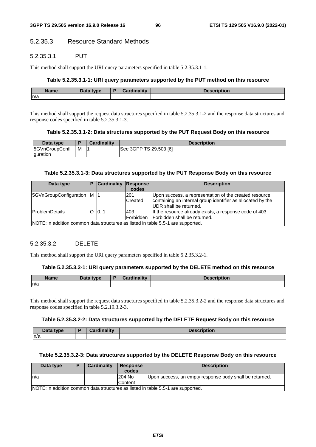# 5.2.35.3 Resource Standard Methods

## 5.2.35.3.1 PUT

This method shall support the URI query parameters specified in table 5.2.35.3.1-1.

#### **Table 5.2.35.3.1-1: URI query parameters supported by the PUT method on this resource**

| <b>Name</b> | Data type.<br>Dala | .<br>.<br>inolity | 1000<br>Description |
|-------------|--------------------|-------------------|---------------------|
| m/a         |                    |                   |                     |

This method shall support the request data structures specified in table 5.2.35.3.1-2 and the response data structures and response codes specified in table 5.2.35.3.1-3.

#### **Table 5.2.35.3.1-2: Data structures supported by the PUT Request Body on this resource**

| Data type      |   | <b>Cardinality</b> | <b>Description</b>     |
|----------------|---|--------------------|------------------------|
| 5GVnGroupConfi | M |                    | See 3GPP TS 29.503 [6] |
| guration       |   |                    |                        |

#### **Table 5.2.35.3.1-3: Data structures supported by the PUT Response Body on this resource**

| Data type                  |                                                                                  | <b>Cardinality</b> | Response<br>codes       | <b>Description</b>                                                                                                                               |  |  |  |  |
|----------------------------|----------------------------------------------------------------------------------|--------------------|-------------------------|--------------------------------------------------------------------------------------------------------------------------------------------------|--|--|--|--|
| 5GVnGroupConfiguration M 1 |                                                                                  |                    | 201<br>Created          | Upon success, a representation of the created resource<br>containing an internal group identifier as allocated by the<br>IUDR shall be returned. |  |  |  |  |
| <b>IProblemDetails</b>     |                                                                                  | $O$ $O.1$          | 403<br><b>Forbidden</b> | If the resource already exists, a response code of 403<br>Forbidden shall be returned.                                                           |  |  |  |  |
|                            | NOTE: In addition common data structures as listed in table 5.5-1 are supported. |                    |                         |                                                                                                                                                  |  |  |  |  |

# 5.2.35.3.2 DELETE

This method shall support the URI query parameters specified in table 5.2.35.3.2-1.

#### **Table 5.2.35.3.2-1: URI query parameters supported by the DELETE method on this resource**

| <b>Name</b> | Data type | Cardinalitv | <b>Description</b> |
|-------------|-----------|-------------|--------------------|
| n/a         |           |             |                    |

This method shall support the request data structures specified in table 5.2.35.3.2-2 and the response data structures and response codes specified in table 5.2.19.3.2-3.

#### **Table 5.2.35.3.2-2: Data structures supported by the DELETE Request Body on this resource**

| Data type | ъ | <b>Cordinality</b><br>$\sim$ | <b>Description</b> |
|-----------|---|------------------------------|--------------------|
| n/a       |   |                              |                    |

### **Table 5.2.35.3.2-3: Data structures supported by the DELETE Response Body on this resource**

| Data type | <b>Cardinality</b> | <b>Response</b><br>codes | <b>Description</b>                                                               |
|-----------|--------------------|--------------------------|----------------------------------------------------------------------------------|
| ln/a      |                    | 204 No                   | Upon success, an empty response body shall be returned.                          |
|           |                    | lContent                 |                                                                                  |
|           |                    |                          | NOTE: In addition common data structures as listed in table 5.5-1 are supported. |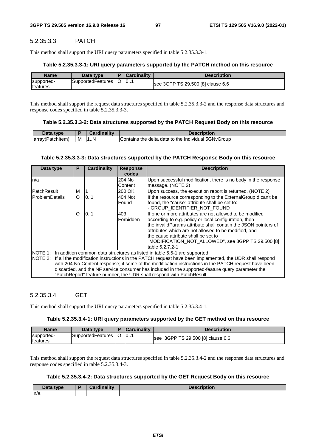# 5.2.35.3.3 PATCH

This method shall support the URI query parameters specified in table 5.2.35.3.3-1.

## **Table 5.2.35.3.3-1: URI query parameters supported by the PATCH method on this resource**

| <b>Name</b>                    | Data type         | <b>Cardinality</b> | <b>Description</b>                |
|--------------------------------|-------------------|--------------------|-----------------------------------|
| supported-<br><b>Ifeatures</b> | SupportedFeatures | 10                 | see 3GPP TS 29.500 [8] clause 6.6 |

This method shall support the request data structures specified in table 5.2.35.3.3-2 and the response data structures and response codes specified in table 5.2.35.3.3-3.

## **Table 5.2.35.3.3-2: Data structures supported by the PATCH Request Body on this resource**

| <b>DAL-1</b><br>type   |   | .  | scription                                                             |
|------------------------|---|----|-----------------------------------------------------------------------|
| larrav(<br>'(Patchitem | м | 1N | 5GNvGroup<br>data<br>to the<br>delta<br>Contains<br>Individual<br>the |

## **Table 5.2.35.3.3-3: Data structures supported by the PATCH Response Body on this resource**

| Data type             | P        | <b>Cardinality</b> | <b>Response</b><br>codes | <b>Description</b>                                                                                                                                                                                                                                                                                                                                                                                                                                                                         |
|-----------------------|----------|--------------------|--------------------------|--------------------------------------------------------------------------------------------------------------------------------------------------------------------------------------------------------------------------------------------------------------------------------------------------------------------------------------------------------------------------------------------------------------------------------------------------------------------------------------------|
| n/a                   |          |                    | 204 No<br>Content        | Upon successful modification, there is no body in the response<br>message. (NOTE 2)                                                                                                                                                                                                                                                                                                                                                                                                        |
| <b>PatchResult</b>    | м        |                    | 200 OK                   | Upon success, the execution report is returned. (NOTE 2)                                                                                                                                                                                                                                                                                                                                                                                                                                   |
| <b>ProblemDetails</b> | $\circ$  | 0.1                | 404 Not<br>Found         | If the resource corresponding to the External Groupld can't be<br>found, the "cause" attribute shall be set to:<br>- GROUP_IDENTIFIER_NOT_FOUND                                                                                                                                                                                                                                                                                                                                            |
|                       | $\Omega$ | 101                | 403<br>Forbidden         | If one or more attributes are not allowed to be modified<br>according to e.g. policy or local configuration, then<br>the invalidParams attribute shall contain the JSON pointers of<br>attributes which are not allowed to be modified, and<br>the cause attribute shall be set to<br>"MODIFICATION_NOT_ALLOWED", see 3GPP TS 29.500 [8]<br>table 5.2.7.2-1                                                                                                                                |
|                       |          |                    |                          | NOTE 1: In addition common data structures as listed in table 5.5-1 are supported.<br>NOTE 2: If all the modification instructions in the PATCH request have been implemented, the UDR shall respond<br>with 204 No Content response; if some of the modification instructions in the PATCH request have been<br>discarded, and the NF service consumer has included in the supported-feature query parameter the<br>"PatchReport" feature number, the UDR shall respond with PatchResult. |

# 5.2.35.3.4 GET

This method shall support the URI query parameters specified in table 5.2.35.3.4-1.

## **Table 5.2.35.3.4-1: URI query parameters supported by the GET method on this resource**

| <b>Name</b>                    | Data type         | <b>Cardinality</b> | Description                       |
|--------------------------------|-------------------|--------------------|-----------------------------------|
| supported-<br><b>Ifeatures</b> | SupportedFeatures | 10                 | see 3GPP TS 29.500 [8] clause 6.6 |

This method shall support the request data structures specified in table 5.2.35.3.4-2 and the response data structures and response codes specified in table 5.2.35.3.4-3.

# **Table 5.2.35.3.4-2: Data structures supported by the GET Request Body on this resource**

| $\sim$ $\sim$ $\sim$<br>type<br>Data | والمتوازن والمستحدث<br>----- | <b>Department</b><br>uvil |
|--------------------------------------|------------------------------|---------------------------|
| n/a                                  |                              |                           |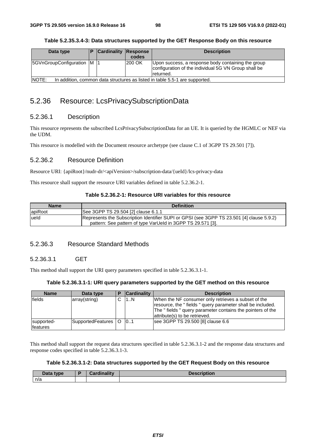#### **Table 5.2.35.3.4-3: Data structures supported by the GET Response Body on this resource**

| Data type                                                                                   |  | <b>Cardinality Response</b> | codes  | <b>Description</b>                                                                                                      |
|---------------------------------------------------------------------------------------------|--|-----------------------------|--------|-------------------------------------------------------------------------------------------------------------------------|
| 5GVnGroupConfiguration M                                                                    |  |                             | 200 OK | Upon success, a response body containing the group<br>configuration of the individual 5G VN Group shall be<br>returned. |
| <b>NOTE:</b><br>In addition, common data structures as listed in table 5.5-1 are supported. |  |                             |        |                                                                                                                         |

# 5.2.36 Resource: LcsPrivacySubscriptionData

# 5.2.36.1 Description

This resource represents the subscribed LcsPrivacySubscriptionData for an UE. It is queried by the HGMLC or NEF via the UDM.

This resource is modelled with the Document resource archetype (see clause C.1 of 3GPP TS 29.501 [7]).

# 5.2.36.2 Resource Definition

Resource URI: {apiRoot}/nudr-dr/<apiVersion>/subscription-data/{ueId}/lcs-privacy-data

This resource shall support the resource URI variables defined in table 5.2.36.2-1.

## **Table 5.2.36.2-1: Resource URI variables for this resource**

| <b>Name</b> | <b>Definition</b>                                                                                                                                        |
|-------------|----------------------------------------------------------------------------------------------------------------------------------------------------------|
| apiRoot     | See 3GPP TS 29.504 [2] clause 6.1.1                                                                                                                      |
| lueld       | Represents the Subscription Identifier SUPI or GPSI (see 3GPP TS 23.501 [4] clause 5.9.2)<br>pattern: See pattern of type VarUeld in 3GPP TS 29.571 [3]. |

# 5.2.36.3 Resource Standard Methods

## 5.2.36.3.1 GET

This method shall support the URI query parameters specified in table 5.2.36.3.1-1.

#### **Table 5.2.36.3.1-1: URI query parameters supported by the GET method on this resource**

| <b>Name</b>             | Data type             | <b>Cardinality</b> | <b>Description</b>                                                                                                                                                                                             |
|-------------------------|-----------------------|--------------------|----------------------------------------------------------------------------------------------------------------------------------------------------------------------------------------------------------------|
| fields                  | array(string)         | 1N                 | When the NF consumer only retrieves a subset of the<br>resource, the "fields" query parameter shall be included.<br>The "fields" query parameter contains the pointers of the<br>attribute(s) to be retrieved. |
| supported-<br>lfeatures | SupportedFeatures   O | 0.1                | see 3GPP TS 29.500 [8] clause 6.6                                                                                                                                                                              |

This method shall support the request data structures specified in table 5.2.36.3.1-2 and the response data structures and response codes specified in table 5.2.36.3.1-3.

### **Table 5.2.36.3.1-2: Data structures supported by the GET Request Body on this resource**

| <b>Pata type</b><br>Data | ويتقالم وبالموجود<br>штангү | <b>Description</b> |
|--------------------------|-----------------------------|--------------------|
| n/a                      |                             |                    |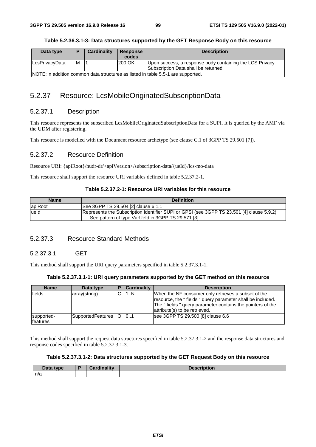| Table 5.2.36.3.1-3: Data structures supported by the GET Response Body on this resource |  |
|-----------------------------------------------------------------------------------------|--|
|-----------------------------------------------------------------------------------------|--|

| Data type                                                                        |   | Cardinality | <b>Response</b> | <b>Description</b>                                       |
|----------------------------------------------------------------------------------|---|-------------|-----------------|----------------------------------------------------------|
|                                                                                  |   |             | codes           |                                                          |
| LcsPrivacyData                                                                   | м |             | 200 OK          | Upon success, a response body containing the LCS Privacy |
|                                                                                  |   |             |                 | Subscription Data shall be returned.                     |
| NOTE: In addition common data structures as listed in table 5.5-1 are supported. |   |             |                 |                                                          |

# 5.2.37 Resource: LcsMobileOriginatedSubscriptionData

# 5.2.37.1 Description

This resource represents the subscribed LcsMobileOriginatedSubscriptionData for a SUPI. It is queried by the AMF via the UDM after registering.

This resource is modelled with the Document resource archetype (see clause C.1 of 3GPP TS 29.501 [7]).

# 5.2.37.2 Resource Definition

Resource URI: {apiRoot}/nudr-dr/<apiVersion>/subscription-data/{ueId}/lcs-mo-data

This resource shall support the resource URI variables defined in table 5.2.37.2-1.

# **Table 5.2.37.2-1: Resource URI variables for this resource**

| <b>Name</b> | <b>Definition</b>                                                                                                                              |
|-------------|------------------------------------------------------------------------------------------------------------------------------------------------|
| apiRoot     | See 3GPP TS 29.504 [2] clause 6.1.1                                                                                                            |
| lueld       | Represents the Subscription Identifier SUPI or GPSI (see 3GPP TS 23.501 [4] clause 5.9.2)<br>See pattern of type VarUeld in 3GPP TS 29.571 [3] |

# 5.2.37.3 Resource Standard Methods

# 5.2.37.3.1 GET

This method shall support the URI query parameters specified in table 5.2.37.3.1-1.

# **Table 5.2.37.3.1-1: URI query parameters supported by the GET method on this resource**

| <b>Name</b>                   | Data type             | <b>Cardinality</b> | <b>Description</b>                                                                                                                                                                                             |
|-------------------------------|-----------------------|--------------------|----------------------------------------------------------------------------------------------------------------------------------------------------------------------------------------------------------------|
| fields                        | array(string)         | 1N                 | When the NF consumer only retrieves a subset of the<br>resource, the "fields" query parameter shall be included.<br>The "fields" query parameter contains the pointers of the<br>attribute(s) to be retrieved. |
| supported-<br><b>features</b> | SupportedFeatures   O | 0.1                | see 3GPP TS 29.500 [8] clause 6.6                                                                                                                                                                              |

This method shall support the request data structures specified in table 5.2.37.3.1-2 and the response data structures and response codes specified in table 5.2.37.3.1-3.

# **Table 5.2.37.3.1-2: Data structures supported by the GET Request Body on this resource**

| <b>Data type</b><br>Dala | Cardinality | <b>Description</b> |
|--------------------------|-------------|--------------------|
| n/a                      |             |                    |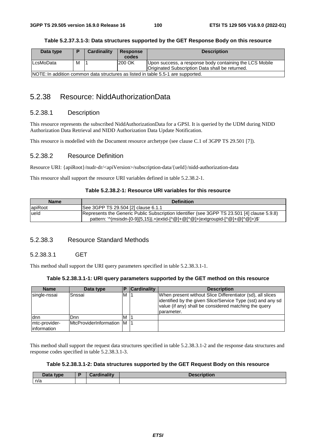| Data type                                                                        |   | <b>Cardinality</b> | Response<br>codes | <b>Description</b>                                      |
|----------------------------------------------------------------------------------|---|--------------------|-------------------|---------------------------------------------------------|
| lLcsMoData                                                                       | M |                    | 200 OK            | Upon success, a response body containing the LCS Mobile |
|                                                                                  |   |                    |                   | Originated Subscription Data shall be returned.         |
| NOTE: In addition common data structures as listed in table 5.5-1 are supported. |   |                    |                   |                                                         |

### **Table 5.2.37.3.1-3: Data structures supported by the GET Response Body on this resource**

# 5.2.38 Resource: NiddAuthorizationData

# 5.2.38.1 Description

This resource represents the subscribed NiddAuthorizationData for a GPSI. It is queried by the UDM during NIDD Authorization Data Retrieval and NIDD Authorization Data Update Notification.

This resource is modelled with the Document resource archetype (see clause C.1 of 3GPP TS 29.501 [7]).

## 5.2.38.2 Resource Definition

Resource URI: {apiRoot}/nudr-dr/<apiVersion>/subscription-data/{ueId}/nidd-authorization-data

This resource shall support the resource URI variables defined in table 5.2.38.2-1.

#### **Table 5.2.38.2-1: Resource URI variables for this resource**

| <b>Name</b> | <b>Definition</b>                                                                           |
|-------------|---------------------------------------------------------------------------------------------|
| apiRoot     | See 3GPP TS 29.504 [2] clause 6.1.1                                                         |
| lueld       | Represents the Generic Public Subscription Identifier (see 3GPP TS 23.501 [4] clause 5.9.8) |
|             | pattern: '^(msisdn-[0-9]{5,15} .+ extid-[^@]+@[^@]+ extgroupid-[^@]+@[^@]+)\$'              |

## 5.2.38.3 Resource Standard Methods

### 5.2.38.3.1 GET

This method shall support the URI query parameters specified in table 5.2.38.3.1-1.

#### **Table 5.2.38.3.1-1: URI query parameters supported by the GET method on this resource**

| <b>Name</b>                   | Data type                            | D | <b>Cardinality</b> | <b>Description</b>                                                                                                                                                                                 |
|-------------------------------|--------------------------------------|---|--------------------|----------------------------------------------------------------------------------------------------------------------------------------------------------------------------------------------------|
| single-nssai                  | Snssai                               | M |                    | When present without Slice Differentiator (sd), all slices<br>lidentified by the given Slice/Service Type (sst) and any sd<br>value (if any) shall be considered matching the query<br>Iparameter. |
| ldnn                          | Dnn                                  | M |                    |                                                                                                                                                                                                    |
| mtc-provider-<br>linformation | <b>IMtcProviderInformation IM 11</b> |   |                    |                                                                                                                                                                                                    |

This method shall support the request data structures specified in table 5.2.38.3.1-2 and the response data structures and response codes specified in table 5.2.38.3.1-3.

#### **Table 5.2.38.3.1-2: Data structures supported by the GET Request Body on this resource**

| Data type | Desartio e Barc<br>oarumantv | <b>Description</b> |
|-----------|------------------------------|--------------------|
| n/a       |                              |                    |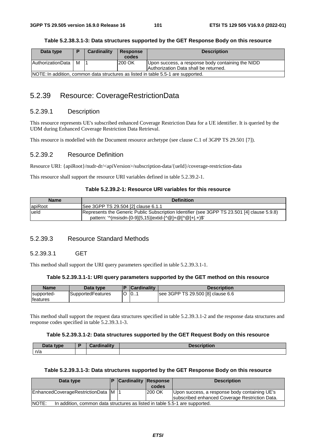#### **Table 5.2.38.3.1-3: Data structures supported by the GET Response Body on this resource**

| Data type                                                                         | D | Cardinality | Response | <b>Description</b>                                |  |
|-----------------------------------------------------------------------------------|---|-------------|----------|---------------------------------------------------|--|
|                                                                                   |   |             | codes    |                                                   |  |
| <b>AuthorizationData</b>                                                          | м |             | 200 OK   | Upon success, a response body containing the NIDD |  |
|                                                                                   |   |             |          | Authorization Data shall be returned.             |  |
| NOTE: In addition, common data structures as listed in table 5.5-1 are supported. |   |             |          |                                                   |  |

# 5.2.39 Resource: CoverageRestrictionData

## 5.2.39.1 Description

This resource represents UE's subscribed enhanced Coverage Restriction Data for a UE identifier. It is queried by the UDM during Enhanced Coverage Restriction Data Retrieval.

This resource is modelled with the Document resource archetype (see clause C.1 of 3GPP TS 29.501 [7]).

### 5.2.39.2 Resource Definition

Resource URI: {apiRoot}/nudr-dr/<apiVersion>/subscription-data/{ueId}/coverage-restriction-data

This resource shall support the resource URI variables defined in table 5.2.39.2-1.

### **Table 5.2.39.2-1: Resource URI variables for this resource**

| Name           | <b>Definition</b>                                                                            |
|----------------|----------------------------------------------------------------------------------------------|
| <b>apiRoot</b> | See 3GPP TS 29.504 [2] clause 6.1.1                                                          |
| lueld          | [Represents the Generic Public Subscription Identifier (see 3GPP TS 23.501 [4] clause 5.9.8) |
|                | pattern: '^(msisdn-[0-9]{5,15} extid-[^@]+@[^@]+ .+)\$'                                      |

# 5.2.39.3 Resource Standard Methods

### 5.2.39.3.1 GET

This method shall support the URI query parameters specified in table 5.2.39.3.1-1.

#### **Table 5.2.39.3.1-1: URI query parameters supported by the GET method on this resource**

| <b>Name</b>      | Data type         | <b>Cardinality</b> | <b>Description</b>                |
|------------------|-------------------|--------------------|-----------------------------------|
| supported-       | SupportedFeatures | 0.1                | see 3GPP TS 29.500 [8] clause 6.6 |
| <b>Ifeatures</b> |                   |                    |                                   |

This method shall support the request data structures specified in table 5.2.39.3.1-2 and the response data structures and response codes specified in table 5.2.39.3.1-3.

#### **Table 5.2.39.3.1-2: Data structures supported by the GET Request Body on this resource**

| Data type | Cardinality<br>шаш | $\blacksquare$ |
|-----------|--------------------|----------------|
| n/a       |                    |                |

## **Table 5.2.39.3.1-3: Data structures supported by the GET Response Body on this resource**

| Data type                                                                            |  | <b>Cardinality Response</b> |        | <b>Description</b>                                                                              |
|--------------------------------------------------------------------------------------|--|-----------------------------|--------|-------------------------------------------------------------------------------------------------|
|                                                                                      |  |                             | codes  |                                                                                                 |
| EnhancedCoverageRestrictionData M                                                    |  |                             | 200 OK | Upon success, a response body containing UE's<br>subscribed enhanced Coverage Restriction Data. |
| NOTE:<br>In addition, common data structures as listed in table 5.5-1 are supported. |  |                             |        |                                                                                                 |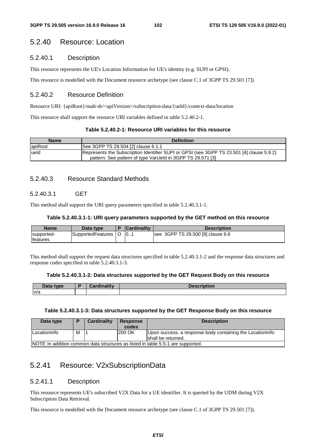# 5.2.40 Resource: Location

# 5.2.40.1 Description

This resource represents the UE's Location Information for UE's identity (e.g. SUPI or GPSI).

This resource is modelled with the Document resource archetype (see clause C.1 of 3GPP TS 29.501 [7]).

# 5.2.40.2 Resource Definition

Resource URI: {apiRoot}/nudr-dr/<apiVersion>/subscription-data/{ueId}/context-data/location

This resource shall support the resource URI variables defined in table 5.2.40.2-1.

#### **Table 5.2.40.2-1: Resource URI variables for this resource**

| <b>Name</b> | <b>Definition</b>                                                                                                                                       |
|-------------|---------------------------------------------------------------------------------------------------------------------------------------------------------|
| apiRoot     | See 3GPP TS 29.504 [2] clause 6.1.1                                                                                                                     |
| ueld        | Represents the Subscription Identifier SUPI or GPSI (see 3GPP TS 23.501 [4] clause 5.9.2)<br>pattern: See pattern of type VarUeld in 3GPP TS 29.571 [3] |

# 5.2.40.3 Resource Standard Methods

## 5.2.40.3.1 GET

This method shall support the URI query parameters specified in table 5.2.40.3.1-1.

#### **Table 5.2.40.3.1-1: URI query parameters supported by the GET method on this resource**

| <b>Name</b>                    | Data type         | <b>Cardinality</b> | <b>Description</b>                |
|--------------------------------|-------------------|--------------------|-----------------------------------|
| supported-<br><b>Ifeatures</b> | SupportedFeatures | 10                 | see 3GPP TS 29.500 [8] clause 6.6 |

This method shall support the request data structures specified in table 5.2.40.3.1-2 and the response data structures and response codes specified in table 5.2.40.3.1-3.

#### **Table 5.2.40.3.1-2: Data structures supported by the GET Request Body on this resource**

| Data type | Cardinalitv | <b>Description</b> |
|-----------|-------------|--------------------|
| n/a       |             |                    |

### **Table 5.2.40.3.1-3: Data structures supported by the GET Response Body on this resource**

| Data type            |   | Cardinality | <b>Response</b><br>codes | <b>Description</b>                                                                |
|----------------------|---|-------------|--------------------------|-----------------------------------------------------------------------------------|
| <b>ILocationInfo</b> | м |             | 200 OK                   | Upon success, a response body containing the Location Info                        |
|                      |   |             |                          | Ishall be returned.                                                               |
|                      |   |             |                          | INOTE: In addition common data structures as listed in table 5.5-1 are supported. |

NOTE: In addition common data structures as listed in table 5.5-1 are supported.

# 5.2.41 Resource: V2xSubscriptionData

## 5.2.41.1 Description

This resource represents UE's subscribed V2X Data for a UE identifier. It is queried by the UDM during V2X Subscription Data Retrieval.

This resource is modelled with the Document resource archetype (see clause C.1 of 3GPP TS 29.501 [7]).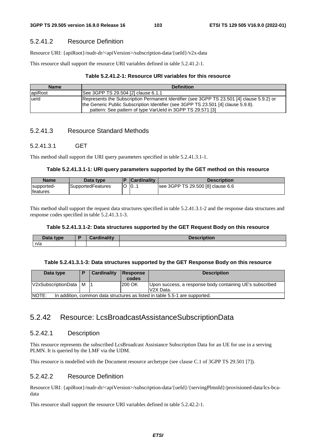# 5.2.41.2 Resource Definition

Resource URI: {apiRoot}/nudr-dr/<apiVersion>/subscription-data/{ueId}/v2x-data

This resource shall support the resource URI variables defined in table 5.2.41.2-1.

# **Table 5.2.41.2-1: Resource URI variables for this resource**

| <b>Name</b> | <b>Definition</b>                                                                                                                                                                                                                            |
|-------------|----------------------------------------------------------------------------------------------------------------------------------------------------------------------------------------------------------------------------------------------|
| apiRoot     | See 3GPP TS 29.504 [2] clause 6.1.1                                                                                                                                                                                                          |
| lueld       | Represents the Subscription Permanent Identifier (see 3GPP TS 23.501 [4] clause 5.9.2) or<br>the Generic Public Subscription Identifier (see 3GPP TS 23.501 [4] clause 5.9.8).<br>pattern: See pattern of type VarUeld in 3GPP TS 29.571 [3] |

# 5.2.41.3 Resource Standard Methods

# 5.2.41.3.1 GET

This method shall support the URI query parameters specified in table 5.2.41.3.1-1.

# **Table 5.2.41.3.1-1: URI query parameters supported by the GET method on this resource**

| <b>Name</b>                    | Data type                |   | <b>Cardinality</b> | <b>Description</b>                |
|--------------------------------|--------------------------|---|--------------------|-----------------------------------|
| supported-<br><b>Ifeatures</b> | <b>SupportedFeatures</b> | ╰ | 10                 | see 3GPP TS 29.500 [8] clause 6.6 |

This method shall support the request data structures specified in table 5.2.41.3.1-2 and the response data structures and response codes specified in table 5.2.41.3.1-3.

# **Table 5.2.41.3.1-2: Data structures supported by the GET Request Body on this resource**

| Data <sup>-</sup><br>type | Condination | - 45 - - -<br>uvn |
|---------------------------|-------------|-------------------|
| n/a                       |             |                   |

## **Table 5.2.41.3.1-3: Data structures supported by the GET Response Body on this resource**

| Data type                                                                                   | Ð | Cardinality | Response<br>codes | <b>Description</b>                                                                |  |  |
|---------------------------------------------------------------------------------------------|---|-------------|-------------------|-----------------------------------------------------------------------------------|--|--|
| V2xSubscriptionData   M                                                                     |   |             | 200 OK            | Upon success, a response body containing UE's subscribed<br>V <sub>2X</sub> Data. |  |  |
| <b>NOTE:</b><br>In addition, common data structures as listed in table 5.5-1 are supported. |   |             |                   |                                                                                   |  |  |

# 5.2.42 Resource: LcsBroadcastAssistanceSubscriptionData

# 5.2.42.1 Description

This resource represents the subscribed LcsBroadcast Assistance Subscription Data for an UE for use in a serving PLMN. It is queried by the LMF via the UDM.

This resource is modelled with the Document resource archetype (see clause C.1 of 3GPP TS 29.501 [7]).

# 5.2.42.2 Resource Definition

Resource URI: {apiRoot}/nudr-dr/<apiVersion>/subscription-data/{ueId}/{servingPlmnId}/provisioned-data/lcs-bcadata

This resource shall support the resource URI variables defined in table 5.2.42.2-1.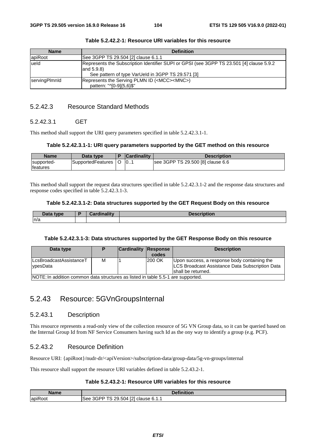| <b>Name</b>   | <b>Definition</b>                                                                                                                                              |
|---------------|----------------------------------------------------------------------------------------------------------------------------------------------------------------|
| apiRoot       | See 3GPP TS 29.504 [2] clause 6.1.1                                                                                                                            |
| lueld         | Represents the Subscription Identifier SUPI or GPSI (see 3GPP TS 23.501 [4] clause 5.9.2<br>and $5.9.8$ )<br>See pattern of type VarUeld in 3GPP TS 29.571 [3] |
| servingPlmnld | Represents the Serving PLMN ID ( <mcc><mnc>)<br/>pattern: "^[0-9]{5,6}\$"</mnc></mcc>                                                                          |

| Table 5.2.42.2-1: Resource URI variables for this resource |  |
|------------------------------------------------------------|--|
|------------------------------------------------------------|--|

# 5.2.42.3 Resource Standard Methods

## 5.2.42.3.1 GET

This method shall support the URI query parameters specified in table 5.2.42.3.1-1.

#### **Table 5.2.42.3.1-1: URI query parameters supported by the GET method on this resource**

| <b>Name</b>                   | Data type         | <b>Cardinality</b> | <b>Description</b>                |
|-------------------------------|-------------------|--------------------|-----------------------------------|
| supported-<br><b>features</b> | SupportedFeatures | 10                 | see 3GPP TS 29.500 [8] clause 6.6 |

This method shall support the request data structures specified in table 5.2.42.3.1-2 and the response data structures and response codes specified in table 5.2.42.3.1-3.

#### **Table 5.2.42.3.1-2: Data structures supported by the GET Request Body on this resource**

| Data type | <b>Cardinality</b> | <b>Description</b> |
|-----------|--------------------|--------------------|
| n/a       |                    |                    |

#### **Table 5.2.42.3.1-3: Data structures supported by the GET Response Body on this resource**

| Data type                                                                        |   | <b>Cardinality Response</b> | codes  | <b>Description</b>                                                                                                     |
|----------------------------------------------------------------------------------|---|-----------------------------|--------|------------------------------------------------------------------------------------------------------------------------|
| <b>ILcsBroadcastAssistanceT</b><br><b>v</b> pesData                              | M |                             | 200 OK | Upon success, a response body containing the<br>LCS Broadcast Assistance Data Subscription Data<br>Ishall be returned. |
| NOTE: In addition common data structures as listed in table 5.5-1 are supported. |   |                             |        |                                                                                                                        |

# 5.2.43 Resource: 5GVnGroupsInternal

## 5.2.43.1 Description

This resource represents a read-only view of the collection resource of 5G VN Group data, so it can be queried based on the Internal Group Id from NF Service Consumers having such Id as the ony way to identify a group (e.g. PCF).

# 5.2.43.2 Resource Definition

Resource URI: {apiRoot}/nudr-dr/<apiVersion>/subscription-data/group-data/5g-vn-groups/internal

This resource shall support the resource URI variables defined in table 5.2.43.2-1.

## **Table 5.2.43.2-1: Resource URI variables for this resource**

| Name                                 | <b>Definition</b>                                                               |
|--------------------------------------|---------------------------------------------------------------------------------|
| $\overline{\phantom{a}}$<br>lapiRoot | <b>FO1</b><br>$T^{\sim}$<br>.504<br>29<br>3GPP<br>6.1.1<br>See<br>clause<br>-14 |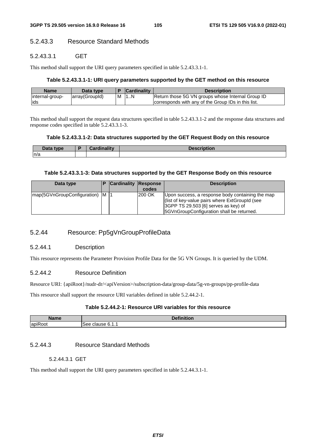# 5.2.43.3 Resource Standard Methods

## 5.2.43.3.1 GET

This method shall support the URI query parameters specified in table 5.2.43.3.1-1.

#### **Table 5.2.43.3.1-1: URI query parameters supported by the GET method on this resource**

| <b>Name</b>     | Data type      |   | <b>Cardinality</b> | Description                                          |
|-----------------|----------------|---|--------------------|------------------------------------------------------|
| internal-group- | array(GroupId) | M | 11N                | Return those 5G VN groups whose Internal Group ID    |
| lids            |                |   |                    | Icorresponds with any of the Group IDs in this list. |

This method shall support the request data structures specified in table 5.2.43.3.1-2 and the response data structures and response codes specified in table 5.2.43.3.1-3.

### **Table 5.2.43.3.1-2: Data structures supported by the GET Request Body on this resource**

| Data type | <b>Cardinality</b> | <b>Description</b> |
|-----------|--------------------|--------------------|
| n/a       |                    |                    |

#### **Table 5.2.43.3.1-3: Data structures supported by the GET Response Body on this resource**

| Data type                   |           | <b>Cardinality Response</b> | codes  | <b>Description</b>                                                                                                                                                                         |
|-----------------------------|-----------|-----------------------------|--------|--------------------------------------------------------------------------------------------------------------------------------------------------------------------------------------------|
| map(5GVnGroupConfiguration) | <b>M1</b> |                             | 200 OK | Upon success, a response body containing the map<br>(list of key-value pairs where ExtGroupId (see<br>$ 3GPP$ TS 29.503 [6] serves as key) of<br>5GVnGroupConfiguration shall be returned. |

# 5.2.44 Resource: Pp5gVnGroupProfileData

## 5.2.44.1 Description

This resource represents the Parameter Provision Profile Data for the 5G VN Groups. It is queried by the UDM.

#### 5.2.44.2 Resource Definition

Resource URI: {apiRoot}/nudr-dr/<apiVersion>/subscription-data/group-data/5g-vn-groups/pp-profile-data

This resource shall support the resource URI variables defined in table 5.2.44.2-1.

### **Table 5.2.44.2-1: Resource URI variables for this resource**

| $1 - \omega$             | $D = 0.111$<br>וטוי |
|--------------------------|---------------------|
| $\overline{\phantom{a}}$ | `6.1…               |
| apil                     | clause              |
| oot?                     | ء⊿∶                 |

### 5.2.44.3 Resource Standard Methods

### 5.2.44.3.1 GET

This method shall support the URI query parameters specified in table 5.2.44.3.1-1.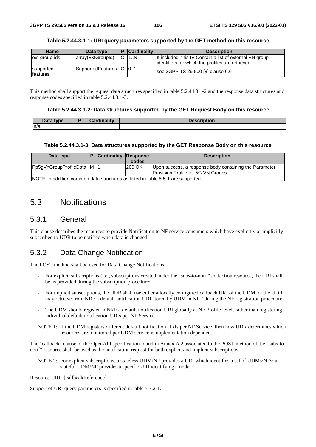| <b>Name</b>                    | Data type                  | <b>Cardinality</b> | <b>Description</b>                                                                                             |
|--------------------------------|----------------------------|--------------------|----------------------------------------------------------------------------------------------------------------|
| ext-group-ids                  | array(ExtGroupId)          | 11N                | If included, this IE Contain a list of external VN group<br>lidentifiers for which the profiles are retrieved. |
| supported-<br><b>Ifeatures</b> | SupportedFeatures   O   01 |                    | see 3GPP TS 29.500 [8] clause 6.6                                                                              |

#### **Table 5.2.44.3.1-1: URI query parameters supported by the GET method on this resource**

This method shall support the request data structures specified in table 5.2.44.3.1-2 and the response data structures and response codes specified in table 5.2.44.3.1-3.

#### **Table 5.2.44.3.1-2: Data structures supported by the GET Request Body on this resource**

| Data type | Cardinality<br>. | <b>Description</b> |
|-----------|------------------|--------------------|
| ln/a      |                  |                    |

#### **Table 5.2.44.3.1-3: Data structures supported by the GET Response Body on this resource**

| Data type                                                                        |  | <b>P</b> Cardinality Response |        | <b>Description</b>                                                                            |  |  |
|----------------------------------------------------------------------------------|--|-------------------------------|--------|-----------------------------------------------------------------------------------------------|--|--|
|                                                                                  |  |                               | codes  |                                                                                               |  |  |
| Pp5gVnGroupProfileData M  1                                                      |  |                               | 200 OK | Upon success, a response body containing the Parameter<br>Provision Profile for 5G VN Groups. |  |  |
| NOTE: In addition common data structures as listed in table 5.5-1 are supported. |  |                               |        |                                                                                               |  |  |

# 5.3 Notifications

# 5.3.1 General

This clause describes the resources to provide Notification to NF service consumers which have explicitly or implicitly subscribed to UDR to be notified when data is changed.

# 5.3.2 Data Change Notification

The POST method shall be used for Data Change Notifications.

- For explicit subscriptions (i.e., subscriptions created under the "subs-to-notif" collection resource, the URI shall be as provided during the subscription procedure;
- For implicit subscriptions, the UDR shall use either a locally configured callback URI of the UDM, or the UDR may retrieve from NRF a default notification URI stored by UDM in NRF during the NF registration procedure.
- The UDM should register in NRF a default notification URI globally at NF Profile level, rather than registering individual default notification URIs per NF Service.
- NOTE 1: If the UDM registers different default notification URIs per NF Service, then how UDR determines which resources are monitored per UDM service is implementation dependent.

The "callback" clause of the OpenAPI specification found in Annex A.2 associated to the POST method of the "subs-tonotif" resource shall be used as the notification request for both explicit and implicit subscriptions.

NOTE 2: For explicit subscriptions, a stateless UDM/NF provides a URI which identifies a set of UDMs/NFs; a stateful UDM/NF provides a specific URI identifying a node.

Resource URI: {callbackReference}

Support of URI query parameters is specified in table 5.3.2-1.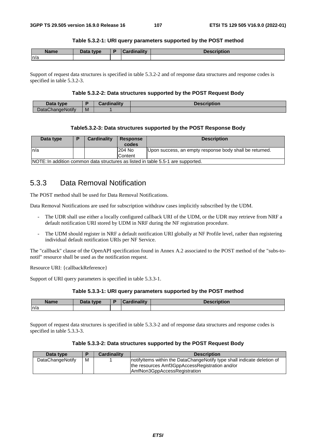#### **Table 5.3.2-1: URI query parameters supported by the POST method**

| <b>Name</b> | Data type | <b>Cordinality</b> | <b>Description</b> |
|-------------|-----------|--------------------|--------------------|
| n/a         |           |                    |                    |

Support of request data structures is specified in table 5.3.2-2 and of response data structures and response codes is specified in table 5.3.2-3.

#### **Table 5.3.2-2: Data structures supported by the POST Request Body**

| Data type               |   | <b>Cardinality</b> | Description |
|-------------------------|---|--------------------|-------------|
| <b>DataChangeNotify</b> | M |                    |             |

#### **Table5.3.2-3: Data structures supported by the POST Response Body**

| Data type                                                                        |  | <b>Cardinality</b> | <b>Response</b><br>codes | <b>Description</b>                                      |  |
|----------------------------------------------------------------------------------|--|--------------------|--------------------------|---------------------------------------------------------|--|
| n/a                                                                              |  |                    | 204 No                   | Upon success, an empty response body shall be returned. |  |
|                                                                                  |  |                    | Content                  |                                                         |  |
| NOTE: In addition common data structures as listed in table 5.5-1 are supported. |  |                    |                          |                                                         |  |

# 5.3.3 Data Removal Notification

The POST method shall be used for Data Removal Notifications.

Data Removal Notifications are used for subscription withdraw cases implicitly subscribed by the UDM.

- The UDR shall use either a locally configured callback URI of the UDM, or the UDR may retrieve from NRF a default notification URI stored by UDM in NRF during the NF registration procedure.
- The UDM should register in NRF a default notification URI globally at NF Profile level, rather than registering individual default notification URIs per NF Service.

The "callback" clause of the OpenAPI specification found in Annex A.2 associated to the POST method of the "subs-tonotif" resource shall be used as the notification request.

Resource URI: {callbackReference}

Support of URI query parameters is specified in table 5.3.3-1.

#### **Table 5.3.3-1: URI query parameters supported by the POST method**

| <b>Name</b> | <b>Data type</b><br><b>Data</b> |  | --------<br>IIUUUII |
|-------------|---------------------------------|--|---------------------|
| n/a         |                                 |  |                     |

Support of request data structures is specified in table 5.3.3-2 and of response data structures and response codes is specified in table 5.3.3-3.

#### **Table 5.3.3-2: Data structures supported by the POST Request Body**

| Data type        |   | <b>Cardinality</b> | <b>Description</b>                                                       |
|------------------|---|--------------------|--------------------------------------------------------------------------|
| DataChangeNotify | M |                    | Inotifyltems within the DataChangeNotify type shall indicate deletion of |
|                  |   |                    | the resources Amf3GppAccessRegistration and/or                           |
|                  |   |                    | AmfNon3GppAccessRegistration                                             |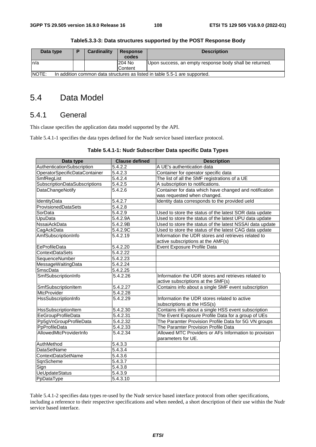| Data type                                                                                  | D | Cardinality | Response | <b>Description</b>                                      |  |  |  |
|--------------------------------------------------------------------------------------------|---|-------------|----------|---------------------------------------------------------|--|--|--|
|                                                                                            |   |             | codes    |                                                         |  |  |  |
| ∣n/a                                                                                       |   |             | 1204 No  | Upon success, an empty response body shall be returned. |  |  |  |
|                                                                                            |   |             | Content  |                                                         |  |  |  |
| <b>NOTE:</b><br>In addition common data structures as listed in table 5.5-1 are supported. |   |             |          |                                                         |  |  |  |

**Table5.3.3-3: Data structures supported by the POST Response Body** 

# 5.4 Data Model

## 5.4.1 General

This clause specifies the application data model supported by the API.

Table 5.4.1-1 specifies the data types defined for the Nudr service based interface protocol.

#### **Table 5.4.1-1: Nudr Subscriber Data specific Data Types**

| Data type                     | <b>Clause defined</b> | <b>Description</b>                                       |
|-------------------------------|-----------------------|----------------------------------------------------------|
| AuthenticationSubscription    | 5.4.2.2               | A UE's authentication data                               |
| OperatorSpecificDataContainer | 5.4.2.3               | Container for operator specific data                     |
| SmfRegList                    | 5.4.2.4               | The list of all the SMF registrations of a UE            |
| SubscriptionDataSubscriptions | 5.4.2.5               | A subscription to notifications.                         |
| <b>DataChangeNotify</b>       | 5.4.2.6               | Container for data which have changed and notification   |
|                               |                       | was requested when changed.                              |
| IdentityData                  | 5.4.2.7               | Identity data corresponds to the provided ueld           |
| ProvisionedDataSets           | 5.4.2.8               |                                                          |
| SorData                       | 5.4.2.9               | Used to store the status of the latest SOR data update   |
| UpuData                       | 5.4.2.9A              | Used to store the status of the latest UPU data update   |
| <b>NssaiAckData</b>           | 5.4.2.9B              | Used to store the status of the latest NSSAI data update |
| CagAckData                    | 5.4.2.9C              | Used to store the status of the latest CAG data update   |
| AmfSubscriptionInfo           | 5.4.2.19              | Information the UDR stores and retrieves related to      |
|                               |                       | active subscriptions at the AMF(s)                       |
| EeProfileData                 | 5.4.2.20              | Event Exposure Profile Data                              |
| ContextDataSets               | 5.4.2.22              |                                                          |
| SequenceNumber                | 5.4.2.23              |                                                          |
| MessageWaitingData            | 5.4.2.24              |                                                          |
| <b>SmscData</b>               | 5.4.2.25              |                                                          |
| SmfSubscriptionInfo           | 5.4.2.26              | Information the UDR stores and retrieves related to      |
|                               |                       | active subscriptions at the SMF(s)                       |
| SmfSubscriptionItem           | 5.4.2.27              | Contains info about a single SMF event subscription      |
| <b>MtcProvider</b>            | 5.4.2.28              |                                                          |
| HssSubscriptionInfo           | 5.4.2.29              | Information the UDR stores related to active             |
|                               |                       | subscriptions at the HSS(s)                              |
| <b>HssSubscriptionItem</b>    | 5.4.2.30              | Contains info about a single HSS event subscription      |
| EeGroupProfileData            | $\overline{5.4.2.31}$ | The Event Exposure Profile Data for a group of UEs       |
| Pp5gVnGroupProfileData        | 5.4.2.32              | The Paramter Provision Profile Data for 5G VN groups     |
| PpProfileData                 | 5.4.2.33              | The Paramter Provision Profile Data                      |
| AllowedMtcProviderInfo        | $\overline{5.4.2.34}$ | Allowed MTC Providers or AFs Information to provision    |
|                               |                       | parameters for UE.                                       |
| AuthMethod                    | 5.4.3.3               |                                                          |
| <b>DataSetName</b>            | $\overline{5.4.3.4}$  |                                                          |
| ContextDataSetName            | 5.4.3.6               |                                                          |
| SqnScheme                     | 5.4.3.7               |                                                          |
| Sign                          | 5.4.3.8               |                                                          |
| <b>UeUpdateStatus</b>         | 5.4.3.9               |                                                          |
| PpDataType                    | 5.4.3.10              |                                                          |

Table 5.4.1-2 specifies data types re-used by the Nudr service based interface protocol from other specifications, including a reference to their respective specifications and when needed, a short description of their use within the Nudr service based interface.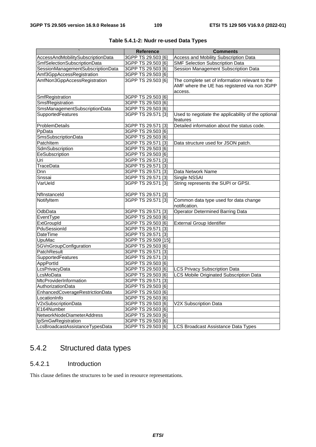|                                   | <b>Reference</b>    | <b>Comments</b>                                     |
|-----------------------------------|---------------------|-----------------------------------------------------|
| AccessAndMobilitySubscriptionData | 3GPP TS 29.503 [6]  | Access and Mobility Subscription Data               |
| SmfSelectionSubscriptionData      | 3GPP TS 29.503 [6]  | <b>SMF Selection Subscription Data</b>              |
| SessionManagementSubscriptionData | 3GPP TS 29.503 [6]  | Session Management Subscription Data                |
| Amf3GppAccessRegistration         | 3GPP TS 29.503 [6]  |                                                     |
| AmfNon3GppAccessRegistration      | 3GPP TS 29.503 [6]  | The complete set of information relevant to the     |
|                                   |                     | AMF where the UE has registered via non 3GPP        |
|                                   |                     | access.                                             |
| SmfRegistration                   | 3GPP TS 29.503 [6]  |                                                     |
| SmsfRegistration                  | 3GPP TS 29.503 [6]  |                                                     |
| SmsManagementSubscriptionData     | 3GPP TS 29.503 [6]  |                                                     |
| SupportedFeatures                 | 3GPP TS 29.571 [3]  | Used to negotiate the applicability of the optional |
|                                   |                     | features                                            |
| ProblemDetails                    | 3GPP TS 29.571 [3]  | Detailed information about the status code.         |
| PpData                            | 3GPP TS 29.503 [6]  |                                                     |
| SmsSubscriptionData               | 3GPP TS 29.503 [6]  |                                                     |
| PatchItem                         | 3GPP TS 29.571 [3]  | Data structure used for JSON patch.                 |
| SdmSubscription                   | 3GPP TS 29.503 [6]  |                                                     |
| EeSubscription                    | 3GPP TS 29.503 [6]  |                                                     |
| Uri                               | 3GPP TS 29.571 [3]  |                                                     |
| TraceData                         | 3GPP TS 29.571 [3]  |                                                     |
| Dnn                               | 3GPP TS 29.571 [3]  | Data Network Name                                   |
| Snssai                            | 3GPP TS 29.571 [3]  | Single NSSAI                                        |
| VarUeld                           | 3GPP TS 29.571 [3]  | String represents the SUPI or GPSI.                 |
| Nflnstanceld                      | 3GPP TS 29.571 [3]  |                                                     |
| NotifyItem                        | 3GPP TS 29.571 [3]  | Common data type used for data change               |
|                                   |                     | notification.                                       |
| OdbData                           | 3GPP TS 29.571 [3]  | <b>Operator Determined Barring Data</b>             |
| EventType                         | 3GPP TS 29.503 [6]  |                                                     |
| ExtGroupId                        | 3GPP TS 29.503 [6]  | <b>External Group Identifier</b>                    |
| PduSessionId                      | 3GPP TS 29.571 [3]  |                                                     |
| DateTime                          | 3GPP TS 29.571 [3]  |                                                     |
| <b>UpuMac</b>                     | 3GPP TS 29.509 [15] |                                                     |
| 5GVnGroupConfiguration            | 3GPP TS 29.503 [6]  |                                                     |
| PatchResult                       | 3GPP TS 29.571 [3]  |                                                     |
| SupportedFeatures                 | 3GPP TS 29.571 [3]  |                                                     |
| AppPortId                         | 3GPP TS 29.503 [6]  |                                                     |
| LcsPrivacyData                    | 3GPP TS 29.503 [6]  | <b>LCS Privacy Subscription Data</b>                |
| LcsMoData                         | 3GPP TS 29.503 [6]  | LCS Mobile Originated Subscription Data             |
| MtcProviderInformation            | 3GPP TS 29.571 [3]  |                                                     |
| AuthorizationData                 | 3GPP TS 29.503 [6]  |                                                     |
| EnhancedCoverageRestrictionData   | 3GPP TS 29.503 [6]  |                                                     |
| LocationInfo                      | 3GPP TS 29.503 [6]  |                                                     |
| V2xSubscriptionData               | 3GPP TS 29.503 [6]  | V2X Subscription Data                               |
| E164Number                        | 3GPP TS 29.503 [6]  |                                                     |
| NetworkNodeDiameterAddress        | 3GPP TS 29.503 [6]  |                                                     |
| IpSmGwRegistration                | 3GPP TS 29.503 [6]  |                                                     |
| LcsBroadcastAssistanceTypesData   | 3GPP TS 29.503 [6]  | LCS Broadcast Assistance Data Types                 |

|  | Table 5.4.1-2: Nudr re-used Data Types |  |
|--|----------------------------------------|--|
|--|----------------------------------------|--|

# 5.4.2 Structured data types

## 5.4.2.1 Introduction

This clause defines the structures to be used in resource representations.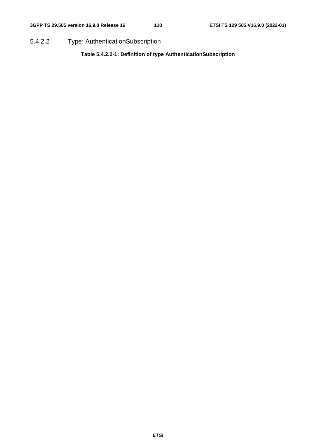5.4.2.2 Type: AuthenticationSubscription

**Table 5.4.2.2-1: Definition of type AuthenticationSubscription**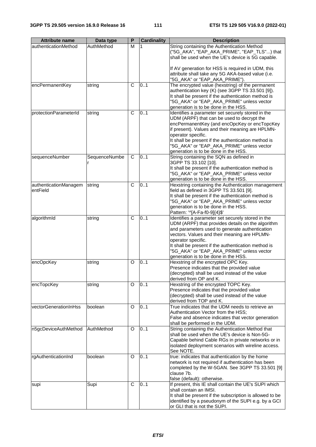| <b>Attribute name</b>             | Data type     | $\overline{P}$ | <b>Cardinality</b> | <b>Description</b>                                                                                                                                                                                                                                                                                                                                                         |
|-----------------------------------|---------------|----------------|--------------------|----------------------------------------------------------------------------------------------------------------------------------------------------------------------------------------------------------------------------------------------------------------------------------------------------------------------------------------------------------------------------|
| authenticationMethod              | AuthMethod    | М              |                    | String containing the Authentication Method<br>("5G_AKA", "EAP_AKA_PRIME", "EAP_TLS") that<br>shall be used when the UE's device is 5G capable.                                                                                                                                                                                                                            |
|                                   |               |                |                    | If AV generation for HSS is required in UDM, this<br>attribute shall take any 5G AKA-based value (i.e.                                                                                                                                                                                                                                                                     |
|                                   |               |                |                    | "5G_AKA" or "EAP_AKA_PRIME").                                                                                                                                                                                                                                                                                                                                              |
| encPermanentKey                   | string        | C              | 0.1                | The encrypted value (hexstring) of the permanent<br>authentication key (K) (see 3GPP TS 33.501 [9]).<br>It shall be present if the authentication method is<br>"5G_AKA" or "EAP_AKA_PRIME" unless vector<br>generation is to be done in the HSS.                                                                                                                           |
| protectionParameterId             | string        | C              | 0.1                | Identifies a parameter set securely stored in the<br>UDM (ARPF) that can be used to decrypt the<br>encPermanentKey (and encOpcKey or encTopcKey<br>if present). Values and their meaning are HPLMN-<br>operator specific.<br>It shall be present if the authentication method is<br>"5G_AKA" or "EAP_AKA_PRIME" unless vector<br>generation is to be done in the HSS.      |
| sequenceNumber                    | SequenceNumbe | C              | 0.1                | String containing the SQN as defined in<br>3GPP TS 33.102 [10].<br>It shall be present if the authentication method is<br>"5G_AKA" or "EAP_AKA_PRIME" unless vector<br>generation is to be done in the HSS.                                                                                                                                                                |
| authenticationManagem<br>entField | string        | C              | 0.1                | Hexstring containing the Authentication management<br>field as defined in 3GPP TS 33.501 [9].<br>It shall be present if the authentication method is<br>"5G_AKA" or "EAP_AKA_PRIME" unless vector<br>generation is to be done in the HSS.<br>Pattern: '^[A-Fa-f0-9]{4}\$'                                                                                                  |
| algorithmId                       | string        | C              | 0.1                | Identifies a parameter set securely stored in the<br>UDM (ARPF) that provides details on the algorithm<br>and parameters used to generate authentication<br>vectors. Values and their meaning are HPLMN-<br>operator specific.<br>It shall be present if the authentication method is<br>"5G_AKA" or "EAP_AKA_PRIME" unless vector<br>generation is to be done in the HSS. |
| encOpcKey                         | string        | O              | 0.1                | Hexstring of the encrypted OPC Key.<br>Presence indicates that the provided value<br>(decrypted) shall be used instead of the value<br>derived from OP and K.                                                                                                                                                                                                              |
| encTopcKey                        | string        | O              | 0.1                | Hexstring of the encrypted TOPC Key.<br>Presence indicates that the provided value<br>(decrypted) shall be used instead of the value<br>derived from TOP and K.                                                                                                                                                                                                            |
| vectorGenerationInHss             | boolean       | O              | 0.1                | True indicates that the UDM needs to retrieve an<br>Authentication Vector from the HSS;<br>False and absence indicates that vector generation<br>shall be performed in the UDM.                                                                                                                                                                                            |
| n5gcDeviceAuthMethod              | AuthMethod    | O              | 0.1                | String containing the Authentication Method that<br>shall be used when the UE's device is Non-5G-<br>Capable behind Cable RGs in private networks or in<br>isolated deployment scenarios with wireline access.<br>See NOTE.                                                                                                                                                |
| rgAuthenticationInd               | boolean       | O              | 0.1                | true: indicates that authentication by the home<br>network is not required if authentication has been<br>completed by the W-5GAN. See 3GPP TS 33.501 [9]<br>clause 7b.<br>false (default): otherwise.                                                                                                                                                                      |
| supi                              | Supi          | C              | 0.1                | If present, this IE shall contain the UE's SUPI which<br>shall contain an IMSI.<br>It shall be present if the subscription is allowed to be<br>identified by a pseudonym of the SUPI e.g. by a GCI<br>or GLI that is not the SUPI.                                                                                                                                         |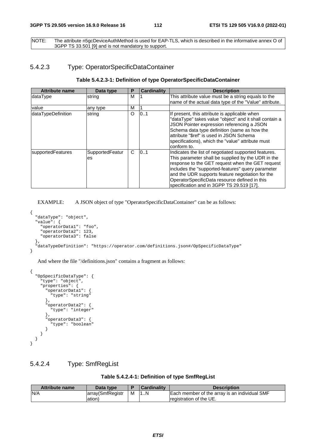NOTE: The attribute n5gcDeviceAuthMethod is used for EAP-TLS, which is described in the informative annex O of 3GPP TS 33.501 [9] and is not mandatory to support.

#### 5.4.2.3 Type: OperatorSpecificDataContainer

#### **Table 5.4.2.3-1: Definition of type OperatorSpecificDataContainer**

| <b>Attribute name</b> | Data type             | P | <b>Cardinality</b> | <b>Description</b>                                                                                                                                                                                                                                                                                                                                                    |
|-----------------------|-----------------------|---|--------------------|-----------------------------------------------------------------------------------------------------------------------------------------------------------------------------------------------------------------------------------------------------------------------------------------------------------------------------------------------------------------------|
| ldataType             | string                | м |                    | This attribute value must be a string equals to the<br>name of the actual data type of the "Value" attribute.                                                                                                                                                                                                                                                         |
| value                 | any type              | M |                    |                                                                                                                                                                                                                                                                                                                                                                       |
| dataTypeDefinition    | string                | O | 10.1               | If present, this attribute is applicable when<br>"dataType" takes value "object" and it shall contain a<br>JSON Pointer expression referencing a JSON<br>Schema data type definition (same as how the<br>attribute "\$ref" is used in JSON Schema<br>specifications), which the "value" attribute must<br>conform to.                                                 |
| supportedFeatures     | SupportedFeatur<br>es | C | 0.1                | Indicates the list of negotiated supported features.<br>This parameter shall be supplied by the UDR in the<br>response to the GET request when the GET request<br>includes the "supported-features" query parameter<br>and the UDR supports feature negotiation for the<br>OperatorSpecificData resource defined in this<br>specification and in 3GPP TS 29.519 [17]. |

EXAMPLE: A JSON object of type "OperatorSpecificDataContainer" can be as follows:

```
{ 
   "dataType": "object", 
   "value": { 
     "operatorData1": "foo", 
     "operatorData2": 123, 
     "operatorData3": false 
   }, 
   "dataTypeDefinition": "https://operator.com/definitions.json#/OpSpecificDataType" 
}
```
And where the file "/definitions.json" contains a fragment as follows:

```
{ 
   "OpSpecificDataType": { 
      "type": "object", 
      "properties": { 
        "operatorData1": { 
           "type": "string" 
        }, 
        "operatorData2": { 
           "type": "integer" 
        }, 
        "operatorData3": { 
          "type": "boolean" 
        } 
      } 
   } 
}
```
#### 5.4.2.4 Type: SmfRegList

| <b>Attribute name</b> | Data type        |   | <b>Cardinality</b> | <b>Description</b>                            |
|-----------------------|------------------|---|--------------------|-----------------------------------------------|
| N/A                   | array(SmfRegistr | м | L.N                | Each member of the array is an individual SMF |
|                       | ation)           |   |                    | Iregistration of the UE.                      |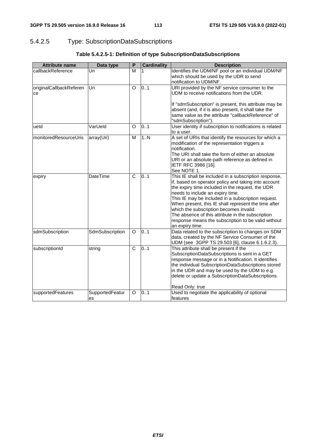## 5.4.2.5 Type: SubscriptionDataSubscriptions

| <b>Attribute name</b>         | Data type             | P            | <b>Cardinality</b> | <b>Description</b>                                                                                                                                                                                                                                                                                                                                                                                                                                                                            |
|-------------------------------|-----------------------|--------------|--------------------|-----------------------------------------------------------------------------------------------------------------------------------------------------------------------------------------------------------------------------------------------------------------------------------------------------------------------------------------------------------------------------------------------------------------------------------------------------------------------------------------------|
| callbackReference             | Uri                   | M            |                    | Identifies the UDM/NF pool or an individual UDM/NF<br>which should be used by the UDR to send<br>notification to UDM/NF.                                                                                                                                                                                                                                                                                                                                                                      |
| originalCallbackReferen<br>ce | Uri                   | O            | 0.1                | URI provided by the NF service consumer to the<br>UDM to receive notifications from the UDR.<br>If "sdmSubscription" is present, this attribute may be<br>absent (and, if it is also present, it shall take the<br>same value as the attribute "callbackReference" of<br>"sdmSubscription").                                                                                                                                                                                                  |
| ueld                          | VarUeld               | O            | 0.1                | User identity if subscription to notifications is related<br>to a user.                                                                                                                                                                                                                                                                                                                                                                                                                       |
| monitoredResourceUris         | array(Uri)            | M            | 1.N                | A set of URIs that identify the resources for which a<br>modification of the representation triggers a<br>notification.<br>The URI shall take the form of either an absolute<br>URI or an absolute-path reference as defined in<br>IETF RFC 3986 [16].<br>See NOTE 1.                                                                                                                                                                                                                         |
| expiry                        | DateTime              | $\mathsf{C}$ | 0.1                | This IE shall be included in a subscription response,<br>if, based on operator policy and taking into account<br>the expiry time included in the request, the UDR<br>needs to include an expiry time.<br>This IE may be included in a subscription request.<br>When present, this IE shall represent the time after<br>which the subscription becomes invalid.<br>The absence of this attribute in the subscription<br>response means the subscription to be valid without<br>an expiry time. |
| sdmSubscription               | SdmSubscription       | O            | 0.1                | Data related to the subscription to changes on SDM<br>data, created by the NF Service Consumer of the<br>UDM (see 3GPP TS 29.503 [6], clause 6.1.6.2.3).                                                                                                                                                                                                                                                                                                                                      |
| subscriptionId                | string                | $\mathsf{C}$ | 0.1                | This attribute shall be present if the<br>SubscriptionDataSubscriptions is sent in a GET<br>response message or in a Notification. It identifies<br>the individual SubscriptionDataSubscriptions stored<br>in the UDR and may be used by the UDM to e.g.<br>delete or update a SubscriptionDataSubscriptions.<br>Read Only: true                                                                                                                                                              |
| supportedFeatures             | SupportedFeatur<br>es | O            | 0.1                | Used to negotiate the applicability of optional<br>features                                                                                                                                                                                                                                                                                                                                                                                                                                   |

### **Table 5.4.2.5-1: Definition of type SubscriptionDataSubscriptions**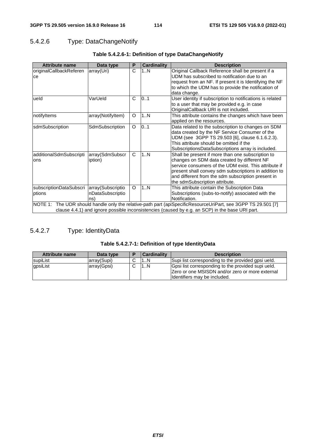## 5.4.2.6 Type: DataChangeNotify

| <b>Attribute name</b>                                                                                            | Data type         | P            | <b>Cardinality</b> | <b>Description</b>                                        |  |  |
|------------------------------------------------------------------------------------------------------------------|-------------------|--------------|--------------------|-----------------------------------------------------------|--|--|
| originalCallbackReferen                                                                                          | array(Uri)        | C            | 1N                 | Original Callback Reference shall be present if a         |  |  |
| ce                                                                                                               |                   |              |                    | UDM has subscribed to notification due to an              |  |  |
|                                                                                                                  |                   |              |                    | request from an NF. If present it is Identifying the NF   |  |  |
|                                                                                                                  |                   |              |                    | to which the UDM has to provide the notification of       |  |  |
|                                                                                                                  |                   |              |                    | data change.                                              |  |  |
| ueld                                                                                                             | VarUeld           | $\mathsf{C}$ | 0.1                | User identity if subscription to notifications is related |  |  |
|                                                                                                                  |                   |              |                    | to a user that may be provided e.g. in case               |  |  |
|                                                                                                                  |                   |              |                    | OriginalCallback URI is not included.                     |  |  |
| notifyltems                                                                                                      | array(NotifyItem) | O            | 1N                 | This attribute contains the changes which have been       |  |  |
|                                                                                                                  |                   |              |                    | applied on the resources.                                 |  |  |
| sdmSubscription                                                                                                  | SdmSubscription   | $\circ$      | 0.1                | Data related to the subscription to changes on SDM        |  |  |
|                                                                                                                  |                   |              |                    | data created by the NF Service Consumer of the            |  |  |
|                                                                                                                  |                   |              |                    | UDM (see 3GPP TS 29.503 [6], clause 6.1.6.2.3).           |  |  |
|                                                                                                                  |                   |              |                    | This attribute should be omitted if the                   |  |  |
|                                                                                                                  |                   |              |                    | SubscriptionsDataSubscriptions array is included.         |  |  |
| additionalSdmSubscripti                                                                                          | array(SdmSubscr   | C            | 1N                 | Shall be present if more than one subscription to         |  |  |
| ons                                                                                                              | iption)           |              |                    | changes on SDM data created by different NF               |  |  |
|                                                                                                                  |                   |              |                    | service consumers of the UDM exist. This attribute if     |  |  |
|                                                                                                                  |                   |              |                    | present shall convey sdm subscriptions in addition to     |  |  |
|                                                                                                                  |                   |              |                    | and different from the sdm subscription present in        |  |  |
|                                                                                                                  |                   |              |                    | the sdmSubscription attribute.                            |  |  |
| subscriptionDataSubscri                                                                                          | array(Subscriptio | $\circ$      | 1N                 | This attribute contain the Subscription Data              |  |  |
| ptions                                                                                                           | nDataSubscriptio  |              |                    | Subscriptions (subs-to-notify) associated with the        |  |  |
|                                                                                                                  | ns)               |              |                    | Notification.                                             |  |  |
| NOTE 1:<br>The UDR should handle only the relative-path part (apiSpecificResourceUriPart, see 3GPP TS 29.501 [7] |                   |              |                    |                                                           |  |  |
| clause 4.4.1) and ignore possible inconsistencies (caused by e.g. an SCP) in the base URI part.                  |                   |              |                    |                                                           |  |  |

## **Table 5.4.2.6-1: Definition of type DataChangeNotify**

# 5.4.2.7 Type: IdentityData

| <b>Attribute name</b> | Data type   | <b>Cardinality</b> | <b>Description</b>                                                                                                                     |
|-----------------------|-------------|--------------------|----------------------------------------------------------------------------------------------------------------------------------------|
| supiList              | array(Supi) | N                  | Supi list corresponding to the provided apsi ueld.                                                                                     |
| gpsiList              | array(Gpsi) | N                  | Gpsi list corresponding to the provided supi ueld.<br>Zero or one MSISDN and/or zero or more external<br>Ildentifiers may be included. |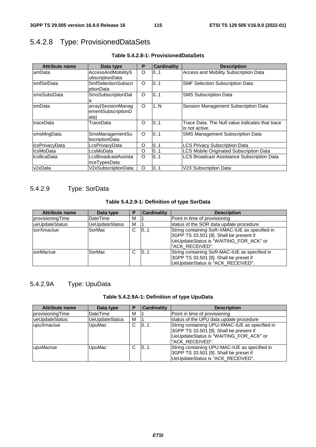# 5.4.2.8 Type: ProvisionedDataSets

| <b>Attribute name</b> | Data type                                        | P       | <b>Cardinality</b> | <b>Description</b>                                                 |
|-----------------------|--------------------------------------------------|---------|--------------------|--------------------------------------------------------------------|
| lamData               | <b>AccessAndMobilityS</b><br>ubscriptionData     | O       | 0.1                | Access and Mobility Subscription Data                              |
| <b>smfSelData</b>     | <b>SmfSelectionSubscri</b><br>ptionData          | $\circ$ | 0.1                | <b>SMF Selection Subscription Data</b>                             |
| smsSubsData           | <b>SmsSubscriptionDat</b>                        | O       | 0.1                | <b>SMS Subscription Data</b>                                       |
| smData                | array(SessionManag<br>ementSubscriptionD<br>ata) | O       | 1N                 | Session Management Subscription Data                               |
| traceData             | TraceData                                        | O       | 0.1                | Trace Data. The Null value indicates that trace<br>lis not active. |
| smsMngData            | SmsManagementSu<br>bscriptionData                | $\circ$ | 0.1                | <b>SMS Management Subscription Data</b>                            |
| <b>IcsPrivacyData</b> | LcsPrivacyData                                   | O       | 01                 | <b>LCS Privacy Subscription Data</b>                               |
| <b>IcsMoData</b>      | LcsMoData                                        | O       | 01                 | LCS Mobile Originated Subscription Data                            |
| <b>IcsBcaData</b>     | LcsBroadcastAssista<br>nceTypesData              | O       | 0.1                | LCS Broadcast Assistance Subscription Data                         |
| v2xData               | V2xSubscriptionData                              | O       | 0.1                | V2X Subscription Data                                              |

#### **Table 5.4.2.8-1: ProvisionedDataSets**

### 5.4.2.9 Type: SorData

#### **Table 5.4.2.9-1: Definition of type SorData**

| Attribute name    | Data type             | P  | <b>Cardinality</b> | <b>Description</b>                                                                                                                                      |
|-------------------|-----------------------|----|--------------------|---------------------------------------------------------------------------------------------------------------------------------------------------------|
| provisioningTime  | <b>DateTime</b>       | м  |                    | Point in time of provisioning                                                                                                                           |
| lueUpdateStatus   | <b>UeUpdateStatus</b> | М  |                    | status of the SOR data update procedure                                                                                                                 |
| sorXmaclue        | SorMac                | C. | 101                | String containing SoR-XMAC-IUE as specified in<br>3GPP TS 33.501 [9]. Shall be present if<br>UeUpdateStatus is "WAITING_FOR_ACK" or<br>l"ACK RECEIVED". |
| <b>IsorMaclue</b> | SorMac                | C. | 101                | String containing SoR-MAC-IUE as specified in<br>3GPP TS 33.501 [9]. Shall be preset if<br>UeUpdateStatus is "ACK_RECEIVED".                            |

## 5.4.2.9A Type: UpuData

#### **Table 5.4.2.9A-1: Definition of type UpuData**

| <b>Attribute name</b> | Data type             | Р | <b>Cardinality</b> | <b>Description</b>                                                                                                                                     |
|-----------------------|-----------------------|---|--------------------|--------------------------------------------------------------------------------------------------------------------------------------------------------|
| provisioningTime      | <b>DateTime</b>       | м |                    | Point in time of provisioning                                                                                                                          |
| ueUpdateStatus        | <b>UeUpdateStatus</b> | м |                    | status of the UPU data update procedure                                                                                                                |
| upuXmaclue            | <b>UpuMac</b>         | C | 101                | String containing UPU-XMAC-IUE as specified in<br>3GPP TS 33.501 [9]. Shall be present if<br>UeUpdateStatus is "WAITING_FOR_ACK" or<br>"ACK RECEIVED". |
| lupuMaclue            | UpuMac                | C | 101                | String containing UPU-MAC-IUE as specified in<br>3GPP TS 33.501 [9]. Shall be preset if<br>UeUpdateStatus is "ACK_RECEIVED".                           |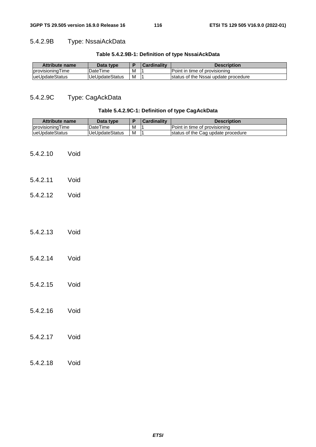## 5.4.2.9B Type: NssaiAckData

### **Table 5.4.2.9B-1: Definition of type NssaiAckData**

| <b>Attribute name</b> | Data type             |   | Cardinalitv | <b>Description</b>                   |
|-----------------------|-----------------------|---|-------------|--------------------------------------|
| Iprovisioning Time    | DateTime              | M |             | Point in time of provisioning        |
| lueUpdateStatus       | <b>UeUpdateStatus</b> | M |             | status of the Nssai update procedure |

## 5.4.2.9C Type: CagAckData

#### **Table 5.4.2.9C-1: Definition of type CagAckData**

| <b>Attribute name</b> |      | Data type             | P              | <b>Cardinality</b> | <b>Description</b>                 |  |
|-----------------------|------|-----------------------|----------------|--------------------|------------------------------------|--|
| provisioningTime      |      | <b>DateTime</b>       | M              | $\mathbf 1$        | Point in time of provisioning      |  |
| ueUpdateStatus        |      | <b>UeUpdateStatus</b> | $\overline{M}$ | $\overline{1}$     | status of the Cag update procedure |  |
| 5.4.2.10              | Void |                       |                |                    |                                    |  |
| 5.4.2.11              | Void |                       |                |                    |                                    |  |
| 5.4.2.12              | Void |                       |                |                    |                                    |  |
|                       |      |                       |                |                    |                                    |  |
| 5.4.2.13              | Void |                       |                |                    |                                    |  |
| 5.4.2.14              | Void |                       |                |                    |                                    |  |
| 5.4.2.15              | Void |                       |                |                    |                                    |  |
| 5.4.2.16              | Void |                       |                |                    |                                    |  |
| 5.4.2.17              | Void |                       |                |                    |                                    |  |
| 5.4.2.18              | Void |                       |                |                    |                                    |  |
|                       |      |                       |                |                    |                                    |  |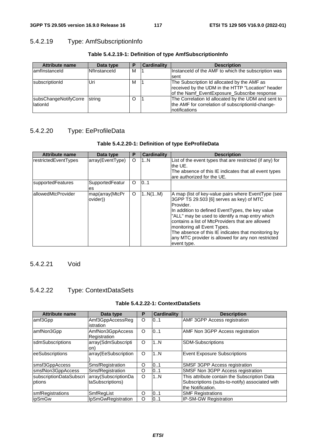## 5.4.2.19 Type: AmfSubscriptionInfo

| <b>Attribute name</b>        | Data type    | P | <b>Cardinality</b> | <b>Description</b>                                  |
|------------------------------|--------------|---|--------------------|-----------------------------------------------------|
| lamfinstanceld               | Nflnstanceld | м |                    | Instanceld of the AMF to which the subscription was |
|                              |              |   |                    | Isent                                               |
| subscriptionId               | Uri          | М |                    | The Subscription Id allocated by the AMF as         |
|                              |              |   |                    | received by the UDM in the HTTP "Location" header   |
|                              |              |   |                    | of the Namf_EventExposure_Subscribe response        |
| subsChangeNotifyCorre string |              | O |                    | The Correlation Id allocated by the UDM and sent to |
| lationId                     |              |   |                    | the AMF for correlation of subscriptionId-change-   |
|                              |              |   |                    | Inotifications                                      |

#### **Table 5.4.2.19-1: Definition of type AmfSubscriptionInfo**

## 5.4.2.20 Type: EeProfileData

#### **Table 5.4.2.20-1: Definition of type EeProfileData**

| <b>Attribute name</b> | Data type                   | P | <b>Cardinality</b> | <b>Description</b>                                                                                                                                                                                                                                                                                                                                                                                                                 |
|-----------------------|-----------------------------|---|--------------------|------------------------------------------------------------------------------------------------------------------------------------------------------------------------------------------------------------------------------------------------------------------------------------------------------------------------------------------------------------------------------------------------------------------------------------|
| restrictedEventTypes  | array(EventType)            | O | 1N                 | List of the event types that are restricted (if any) for<br>the UE.<br>The absence of this IE indicates that all event types<br>are authorized for the UE.                                                                                                                                                                                                                                                                         |
| supportedFeatures     | SupportedFeatur<br>es       | O | 0.1                |                                                                                                                                                                                                                                                                                                                                                                                                                                    |
| allowedMtcProvider    | map(array(MtcPr<br>ovider)) | O | 1N(1M)             | A map (list of key-value pairs where EventType (see<br>3GPP TS 29.503 [6] serves as key) of MTC<br>Provider.<br>In addition to defined EventTypes, the key value<br>"ALL" may be used to identify a map entry which<br>contains a list of MtcProviders that are allowed<br>monitoring all Event Types.<br>The absence of this IE indicates that monitoring by<br>any MTC provider is allowed for any non restricted<br>event type. |

5.4.2.21 Void

## 5.4.2.22 Type: ContextDataSets

#### **Table 5.4.2.22-1: ContextDataSets**

| <b>Attribute name</b>             | Data type                                | Р | <b>Cardinality</b> | <b>Description</b>                                                                                                  |
|-----------------------------------|------------------------------------------|---|--------------------|---------------------------------------------------------------------------------------------------------------------|
| amf3Gpp                           | Amf3GppAccessReg<br>istration            | O | 0.1                | AMF 3GPP Access registration                                                                                        |
| amfNon3Gpp                        | AmfNon3GppAccess<br>Registration         | O | 0.1                | <b>AMF Non 3GPP Access registration</b>                                                                             |
| sdmSubscriptions                  | array(SdmSubscripti<br>on)               | O | 1N                 | <b>SDM-Subscriptions</b>                                                                                            |
| eeSubscriptions                   | array(EeSubscription                     | O | 1N                 | <b>Event Exposure Subscriptions</b>                                                                                 |
| smsf3GppAccess                    | SmsfRegistration                         | O | 0.1                | SMSF 3GPP Access registration                                                                                       |
| smsfNon3GppAccess                 | SmsfRegistration                         | O | 0.1                | SMSF Non 3GPP Access registration                                                                                   |
| subscriptionDataSubscri<br>ptions | array(SubscriptionDa<br>taSubscriptions) | O | 1N                 | This attribute contain the Subscription Data<br>Subscriptions (subs-to-notify) associated with<br>the Notification. |
| smfRegistrations                  | SmfRegList                               | O | 0.1                | <b>SMF Registrations</b>                                                                                            |
| ipSmGw                            | IpSmGwRegistration                       | O | 0.1                | IP-SM-GW Registration                                                                                               |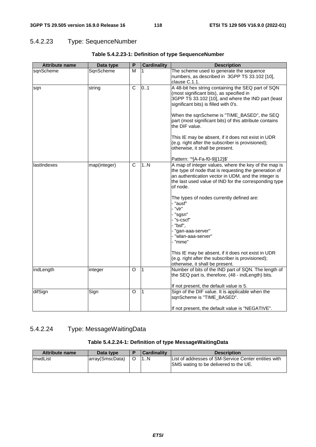## 5.4.2.23 Type: SequenceNumber

| <b>Attribute name</b> | Data type    | P              | <b>Cardinality</b> | <b>Description</b>                                                                                                                                                                                                                                                                                                                                                                                                                                                                                                                                                                         |
|-----------------------|--------------|----------------|--------------------|--------------------------------------------------------------------------------------------------------------------------------------------------------------------------------------------------------------------------------------------------------------------------------------------------------------------------------------------------------------------------------------------------------------------------------------------------------------------------------------------------------------------------------------------------------------------------------------------|
| sqnScheme             | SqnScheme    | М              | 1                  | The scheme used to generate the sequence<br>numbers, as described in 3GPP TS 33.102 [10],<br>clause C.1.1.                                                                                                                                                                                                                                                                                                                                                                                                                                                                                 |
| sqn                   | string       | C              | 0.1                | A 48-bit hex string containing the SEQ part of SQN<br>(most significant bits), as specified in<br>3GPP TS 33.102 [10], and where the IND part (least<br>significant bits) is filled with 0's.<br>When the sqnScheme is "TIME_BASED", the SEQ<br>part (most significant bits) of this attribute contains<br>the DIF value.<br>This IE may be absent, if it does not exist in UDR<br>(e.g. right after the subscriber is provisioned);<br>otherwise, it shall be present.                                                                                                                    |
| lastIndexes           | map(integer) | $\overline{C}$ | 1N                 | Pattern: '^[A-Fa-f0-9]{12}\$'<br>A map of integer values, where the key of the map is<br>the type of node that is requesting the generation of<br>an authentication vector in UDM, and the integer is<br>the last used value of IND for the corresponding type<br>of node.<br>The types of nodes currently defined are:<br>- "ausf"<br>- "vlr"<br>- "sgsn"<br>- "s-cscf"<br>- "bsf",<br>- "gan-aaa-server"<br>- "wlan-aaa-server"<br>- "mme"<br>This IE may be absent, if it does not exist in UDR<br>(e.g. right after the subscriber is provisioned);<br>otherwise, it shall be present. |
| indLength             | integer      | O              | $\overline{1}$     | Number of bits of the IND part of SQN. The length of<br>the SEQ part is, therefore, (48 - indLength) bits.<br>If not present, the default value is 5.                                                                                                                                                                                                                                                                                                                                                                                                                                      |
| difSign               | Sign         | O              | l 1                | Sign of the DIF value. It is applicable when the<br>sqnScheme is "TIME_BASED".<br>If not present, the default value is "NEGATIVE".                                                                                                                                                                                                                                                                                                                                                                                                                                                         |

### **Table 5.4.2.23-1: Definition of type SequenceNumber**

## 5.4.2.24 Type: MessageWaitingData

#### **Table 5.4.2.24-1: Definition of type MessageWaitingData**

| <b>Attribute name</b> | Data type       | Cardinality | <b>Description</b>                                                                            |
|-----------------------|-----------------|-------------|-----------------------------------------------------------------------------------------------|
| ImwdList              | array(SmscData) | 1N          | List of addresses of SM-Service Center entities with<br>SMS wating to be delivered to the UE. |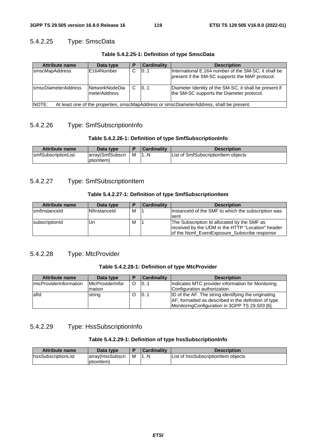## 5.4.2.25 Type: SmscData

**Table 5.4.2.25-1: Definition of type SmscData** 

| <b>Attribute name</b>                                                                              | Data type  |  | <b>Cardinality</b> | <b>Description</b>                                                                                      |  |  |
|----------------------------------------------------------------------------------------------------|------------|--|--------------------|---------------------------------------------------------------------------------------------------------|--|--|
| smscMapAddress                                                                                     | E164Number |  | 101                | International E.164 number of the SM-SC; it shall be<br>present if the SM-SC supports the MAP protocol. |  |  |
| <b>IsmscDiameterAddress</b><br>lNetworkNodeDia<br>10.1<br>meterAddress                             |            |  |                    | Diameter Identity of the SM-SC; it shall be present if<br>the SM-SC supports the Diameter protocol.     |  |  |
| INOTE:<br>At least one of the properties, smscMapAddress or smscDiameterAddress, shall be present. |            |  |                    |                                                                                                         |  |  |

#### 5.4.2.26 Type: SmfSubscriptionInfo

#### **Table 5.4.2.26-1: Definition of type SmfSubscriptionInfo**

| Attribute name              | Data type         |   | <b>Cardinality</b> | <b>Description</b>                  |
|-----------------------------|-------------------|---|--------------------|-------------------------------------|
| <b>IsmfSubscriptionList</b> | larrav(SmfSubscri | M | 1N                 | List of SmfSubscriptionItem objects |
|                             | ptionItem)        |   |                    |                                     |

#### 5.4.2.27 Type: SmfSubscriptionItem

#### **Table 5.4.2.27-1: Definition of type SmfSubscriptionItem**

| <b>Attribute name</b>  | Data type    |   | <b>Cardinality</b> | <b>Description</b>                                                                                                                               |
|------------------------|--------------|---|--------------------|--------------------------------------------------------------------------------------------------------------------------------------------------|
| Ismflnstanceld         | Nflnstanceld | м |                    | Instanceld of the SMF to which the subscription was                                                                                              |
|                        |              |   |                    | sent                                                                                                                                             |
| <b>IsubscriptionId</b> | Uri          | M |                    | The Subscription Id allocated by the SMF as<br>received by the UDM in the HTTP "Location" header<br>of the Nsmf_EventExposure_Subscribe response |

#### 5.4.2.28 Type: MtcProvider

#### **Table 5.4.2.28-1: Definition of type MtcProvider**

| <b>Attribute name</b>   | Data type               |   | <b>Cardinality</b> | <b>Description</b>                                   |
|-------------------------|-------------------------|---|--------------------|------------------------------------------------------|
| ImtcProviderInformation | <b>MtcProviderInfor</b> | O | 101                | Indicates MTC provider information for Monitoring    |
|                         | mation                  |   |                    | Configuration authorization.                         |
| lafld                   | string                  |   | 101                | ID of the AF. The string identifying the originating |
|                         |                         |   |                    | AF, formatted as described in the definition of type |
|                         |                         |   |                    | MonitoringConfiguration in 3GPP TS 29.503 [6].       |

#### 5.4.2.29 Type: HssSubscriptionInfo

#### **Table 5.4.2.29-1: Definition of type hssSubscriptionInfo**

| <b>Attribute name</b>       | Data type         |   | <b>Cardinality</b> | <b>Description</b>                  |
|-----------------------------|-------------------|---|--------------------|-------------------------------------|
| <b>InssSubscriptionList</b> | array (HssSubscri | M | 1N                 | List of hssSubscriptionItem obiects |
|                             | ptionItem)        |   |                    |                                     |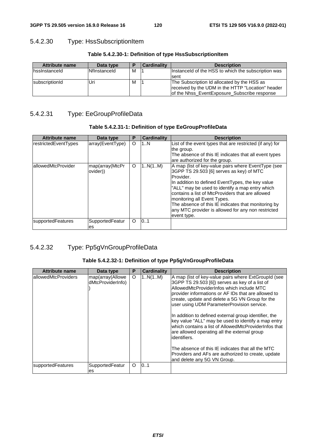## 5.4.2.30 Type: HssSubscriptionItem

| <b>Attribute name</b> | Data type    |   | <b>Cardinality</b> | <b>Description</b>                                  |
|-----------------------|--------------|---|--------------------|-----------------------------------------------------|
| Ihssinstanceld        | Nflnstanceld | M |                    | Instanceld of the HSS to which the subscription was |
|                       |              |   |                    | sent                                                |
| subscriptionId        | Uri          | M |                    | The Subscription Id allocated by the HSS as         |
|                       |              |   |                    | received by the UDM in the HTTP "Location" header   |
|                       |              |   |                    | of the Nhss EventExposure Subscribe response        |

#### **Table 5.4.2.30-1: Definition of type HssSubscriptionItem**

## 5.4.2.31 Type: EeGroupProfileData

|  | Table 5.4.2.31-1: Definition of type EeGroupProfileData |
|--|---------------------------------------------------------|
|  |                                                         |

| <b>Attribute name</b> | Data type                   | P | <b>Cardinality</b> | <b>Description</b>                                                                                                                                                                                                                                                                                                                                                                                                                 |
|-----------------------|-----------------------------|---|--------------------|------------------------------------------------------------------------------------------------------------------------------------------------------------------------------------------------------------------------------------------------------------------------------------------------------------------------------------------------------------------------------------------------------------------------------------|
| restrictedEventTypes  | array(EventType)            | O | 1N                 | List of the event types that are restricted (if any) for<br>the group.<br>The absence of this IE indicates that all event types<br>are authorized for the group.                                                                                                                                                                                                                                                                   |
| allowedMtcProvider    | map(array(MtcPr<br>ovider)) | O | 1.N(1.M)           | A map (list of key-value pairs where EventType (see<br>3GPP TS 29.503 [6] serves as key) of MTC<br>Provider.<br>In addition to defined EventTypes, the key value<br>"ALL" may be used to identify a map entry which<br>contains a list of MtcProviders that are allowed<br>monitoring all Event Types.<br>The absence of this IE indicates that monitoring by<br>any MTC provider is allowed for any non restricted<br>event type. |
| supportedFeatures     | SupportedFeatur             | O | 10.1               |                                                                                                                                                                                                                                                                                                                                                                                                                                    |
|                       | es                          |   |                    |                                                                                                                                                                                                                                                                                                                                                                                                                                    |

### 5.4.2.32 Type: Pp5gVnGroupProfileData

## **Table 5.4.2.32-1: Definition of type Pp5gVnGroupProfileData**

| <b>Attribute name</b> | Data type                             | P       | <b>Cardinality</b> | <b>Description</b>                                                                                                                                                                                                                                                                                                                                                                                                                                                                                                                                                                                                                                                                             |
|-----------------------|---------------------------------------|---------|--------------------|------------------------------------------------------------------------------------------------------------------------------------------------------------------------------------------------------------------------------------------------------------------------------------------------------------------------------------------------------------------------------------------------------------------------------------------------------------------------------------------------------------------------------------------------------------------------------------------------------------------------------------------------------------------------------------------------|
| allowedMtcProviders   | map(array(Allowe<br>dMtcProviderInfo) | $\circ$ | 1.N(1.M)           | A map (list of key-value pairs where ExtGroupId (see<br>3GPP TS 29.503 [6]) serves as key of a list of<br>AllowedMtcProviderInfos which include MTC<br>provider informations or AF IDs that are allowed to<br>create, update and delete a 5G VN Group for the<br>user using UDM ParameterProvision service.<br>In addition to defined external group identifier, the<br>key value "ALL" may be used to identify a map entry<br>which contains a list of AllowedMtcProviderInfos that<br>are allowed operating all the external group<br>identifiers.<br>The absence of this IE indicates that all the MTC<br>Providers and AFs are authorized to create, update<br>and delete any 5G VN Group. |
| supportedFeatures     | SupportedFeatur<br>es                 | $\circ$ | 0.1                |                                                                                                                                                                                                                                                                                                                                                                                                                                                                                                                                                                                                                                                                                                |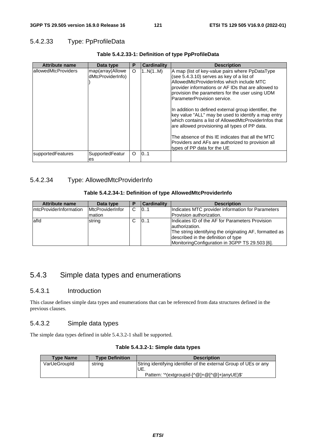## 5.4.2.33 Type: PpProfileData

| <b>Attribute name</b> | Data type                             | P        | <b>Cardinality</b> | <b>Description</b>                                                                                                                                                                                                                                                                                                                                                                                                                                                                                                                                                                                                                                     |
|-----------------------|---------------------------------------|----------|--------------------|--------------------------------------------------------------------------------------------------------------------------------------------------------------------------------------------------------------------------------------------------------------------------------------------------------------------------------------------------------------------------------------------------------------------------------------------------------------------------------------------------------------------------------------------------------------------------------------------------------------------------------------------------------|
| lallowedMtcProviders  | map(array(Allowe<br>dMtcProviderInfo) | O        | 1N(1M)             | A map (list of key-value pairs where PpDataType<br>(see 5.4.3.10) serves as key of a list of<br>AllowedMtcProviderInfos which include MTC<br>provider informations or AF IDs that are allowed to<br>provision the parameters for the user using UDM<br>ParameterProvision service.<br>In addition to defined external group identifier, the<br>key value "ALL" may be used to identify a map entry<br>which contains a list of AllowedMtcProviderInfos that<br>are allowed provisioning all types of PP data.<br>The absence of this IE indicates that all the MTC<br>Providers and AFs are authorized to provision all<br>types of PP data for the UE |
| supportedFeatures     | SupportedFeatur<br>es                 | $\Omega$ | 101                |                                                                                                                                                                                                                                                                                                                                                                                                                                                                                                                                                                                                                                                        |

#### **Table 5.4.2.33-1: Definition of type PpProfileData**

### 5.4.2.34 Type: AllowedMtcProviderInfo

#### **Table 5.4.2.34-1: Definition of type AllowedMtcProviderInfo**

| <b>Attribute name</b>   | Data type               | Р  | <b>Cardinality</b> | <b>Description</b>                                      |
|-------------------------|-------------------------|----|--------------------|---------------------------------------------------------|
| ImtcProviderInformation | <b>MtcProviderInfor</b> | C. | 101                | Indicates MTC provider information for Parameters       |
|                         | mation                  |    |                    | Provision authorization.                                |
| lafld                   | string                  | C. | 101                | Indicates ID of the AF for Parameters Provision         |
|                         |                         |    |                    | authorization.                                          |
|                         |                         |    |                    | The string identifying the originating AF, formatted as |
|                         |                         |    |                    | described in the definition of type                     |
|                         |                         |    |                    | MonitoringConfiguration in 3GPP TS 29.503 [6].          |

## 5.4.3 Simple data types and enumerations

#### 5.4.3.1 Introduction

This clause defines simple data types and enumerations that can be referenced from data structures defined in the previous clauses.

#### 5.4.3.2 Simple data types

The simple data types defined in table 5.4.3.2-1 shall be supported.

#### **Table 5.4.3.2-1: Simple data types**

| <b>Type Name</b> | <b>Type Definition</b> | <b>Description</b>                                                       |
|------------------|------------------------|--------------------------------------------------------------------------|
| VarUeGroupId     | string                 | String identifying identifier of the external Group of UEs or any<br>UE. |
|                  |                        | Pattern: '^(extgroupid-[^@]+@[^@]+ anyUE)\$'                             |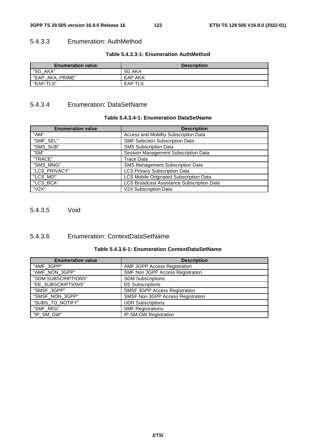#### 5.4.3.3 Enumeration: AuthMethod

#### **Table 5.4.3.3-1: Enumeration AuthMethod**

| <b>Enumeration value</b> | <b>Description</b> |
|--------------------------|--------------------|
| "5G_AKA"                 | 5G AKA             |
| "EAP<br>AKA PRIME"       | EAP AKA'           |
| "EAP-TLS"                | <b>EAP TLS</b>     |

## 5.4.3.4 Enumeration: DataSetName

#### **Table 5.4.3.4-1: Enumeration DataSetName**

| <b>Enumeration value</b> | <b>Description</b>                                |
|--------------------------|---------------------------------------------------|
| "AM"                     | Access and Mobility Subscription Data             |
| "SMF_SEL"                | <b>SMF Selection Subscription Data</b>            |
| "SMS SUB"                | <b>SMS Subscription Data</b>                      |
| "SM"                     | Session Management Subscription Data              |
| "TRACE"                  | Trace Data                                        |
| "SMS_MNG"                | SMS Management Subscription Data                  |
| "LCS_PRIVACY"            | <b>LCS Privacy Subscription Data</b>              |
| "LCS_MO"                 | LCS Mobile Originated Subscription Data           |
| "LCS BCA"                | <b>LCS Broadcast Assistance Subscription Data</b> |
| "V2X"                    | V2X Subscription Data                             |

5.4.3.5 Void

## 5.4.3.6 Enumeration: ContextDataSetName

|  |  | Table 5.4.3.6-1: Enumeration ContextDataSetName |
|--|--|-------------------------------------------------|
|--|--|-------------------------------------------------|

| <b>Enumeration value</b> | <b>Description</b>                |
|--------------------------|-----------------------------------|
| "AMF_3GPP"               | AMF 3GPP Access Registration      |
| "AMF_NON_3GPP"           | SMF Non 3GPP Access Registration  |
| "SDM SUBSCRIPTIONS"      | <b>SDM Subscriptions</b>          |
| "EE_SUBSCRIPTIONS"       | <b>EE Subscriptions</b>           |
| "SMSF_3GPP"              | SMSF 3GPP Access Registration     |
| "SMSF_NON_3GPP"          | SMSF Non 3GPP Access Registration |
| "SUBS_TO_NOTIFY"         | <b>UDR Subscriptions</b>          |
| "SMF_REG"                | <b>SMF Registrations</b>          |
| "IP_SM_GW"               | <b>IP-SM-GW Registration</b>      |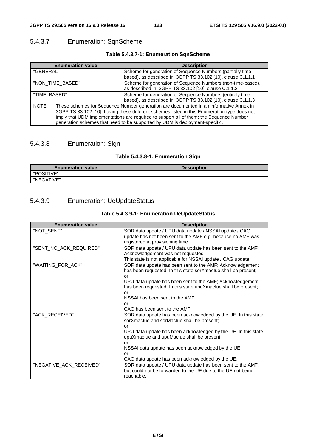## 5.4.3.7 Enumeration: SqnScheme

### **Table 5.4.3.7-1: Enumeration SqnScheme**

| <b>Enumeration value</b>                                                                                                                                                                                                                                                                                                                                                  | <b>Description</b>                                                                                                        |
|---------------------------------------------------------------------------------------------------------------------------------------------------------------------------------------------------------------------------------------------------------------------------------------------------------------------------------------------------------------------------|---------------------------------------------------------------------------------------------------------------------------|
| "GENERAL"                                                                                                                                                                                                                                                                                                                                                                 | Scheme for generation of Sequence Numbers (partially time-<br>based), as described in 3GPP TS 33.102 [10], clause C.1.1.1 |
| "NON_TIME_BASED"                                                                                                                                                                                                                                                                                                                                                          | Scheme for generation of Sequence Numbers (non-time-based),<br>as described in 3GPP TS 33.102 [10], clause C.1.1.2        |
| "TIME_BASED"                                                                                                                                                                                                                                                                                                                                                              | Scheme for generation of Sequence Numbers (entirely time-<br>based), as described in 3GPP TS 33.102 [10], clause C.1.1.3  |
| These schemes for Sequence Number generation are documented in an informative Annex in<br>NOTE:<br>3GPP TS 33.102 [10]; having these different schemes listed in this Enumeration type does not<br>imply that UDM implementations are required to support all of them; the Sequence Number<br>generation schemes that need to be supported by UDM is deployment-specific. |                                                                                                                           |

## 5.4.3.8 Enumeration: Sign

## **Table 5.4.3.8-1: Enumeration Sign**

| <b>Enumeration value</b> | <b>Description</b> |
|--------------------------|--------------------|
| "POSITIVE"               |                    |
| "NEGATIVE"               |                    |

### 5.4.3.9 Enumeration: UeUpdateStatus

| Table 5.4.3.9-1: Enumeration UeUpdateStatus |  |
|---------------------------------------------|--|
|---------------------------------------------|--|

| <b>Enumeration value</b> | <b>Description</b>                                                                                                                                                                                                                                                                                                                                      |
|--------------------------|---------------------------------------------------------------------------------------------------------------------------------------------------------------------------------------------------------------------------------------------------------------------------------------------------------------------------------------------------------|
| "NOT_SENT"               | SOR data update / UPU data update / NSSAI update / CAG<br>update has not been sent to the AMF e.g. because no AMF was<br>registered at provisioning time                                                                                                                                                                                                |
| "SENT_NO_ACK_REQUIRED"   | SOR data update / UPU data update has been sent to the AMF;<br>Acknowledgement was not requested<br>This state is not applicable for NSSAI update / CAG update                                                                                                                                                                                          |
| "WAITING_FOR_ACK"        | SOR data update has been sent to the AMF; Acknowledgement<br>has been requested. In this state sorXmaclue shall be present;<br>or<br>UPU data update has been sent to the AMF; Acknowledgement<br>has been requested. In this state upuXmaclue shall be present;<br>or<br>NSSAI has been sent to the AMF<br>or<br>CAG has been sent to the AMF.         |
| "ACK_RECEIVED"           | SOR data update has been acknowledged by the UE. In this state<br>sorXmaclue and sorMaclue shall be present;<br>or<br>UPU data update has been acknowledged by the UE. In this state<br>upuXmaclue and upuMaclue shall be present;<br>or<br>NSSAI data update has been acknowledged by the UE<br>or<br>CAG data update has been acknowledged by the UE. |
| "NEGATIVE_ACK_RECEIVED"  | SOR data update / UPU data update has been sent to the AMF,<br>but could not be forwarded to the UE due to the UE not being<br>reachable.                                                                                                                                                                                                               |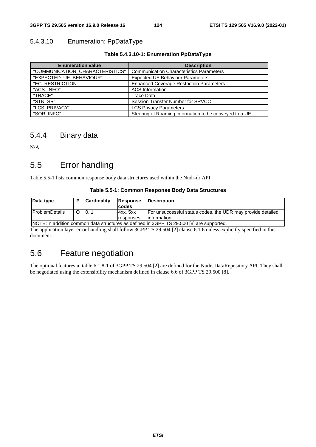#### 5.4.3.10 Enumeration: PpDataType

#### **Table 5.4.3.10-1: Enumeration PpDataType**

| <b>Enumeration value</b>        | <b>Description</b>                                     |
|---------------------------------|--------------------------------------------------------|
| "COMMUNICATION_CHARACTERISTICS" | <b>Communication Characteristics Parameters</b>        |
| "EXPECTED_UE_BEHAVIOUR"         | <b>Expected UE Behaviour Parameters</b>                |
| "EC_RESTRICTION"                | <b>Enhanced Coverage Restriction Parameters</b>        |
| "ACS_INFO"                      | <b>ACS</b> Information                                 |
| "TRACE"                         | Trace Data                                             |
| "STN SR"                        | Session Transfer Number for SRVCC                      |
| "LCS PRIVACY"                   | <b>LCS Privacy Parameters</b>                          |
| "SOR INFO"                      | Steering of Roaming information to be conveyed to a UE |

## 5.4.4 Binary data

N/A

# 5.5 Error handling

Table 5.5-1 lists common response body data structures used within the Nudr-dr API

#### **Table 5.5-1: Common Response Body Data Structures**

| Data type                                                                                |  | <b>Cardinality</b> | Response<br><b>codes</b> | <b>IDescription</b>                                         |
|------------------------------------------------------------------------------------------|--|--------------------|--------------------------|-------------------------------------------------------------|
| <b>ProblemDetails</b>                                                                    |  | 0                  | 14xx. 5xx                | For unsuccessful status codes, the UDR may provide detailed |
|                                                                                          |  |                    | responses                | linformation.                                               |
| INOTE: In addition common data atrustures as defined in 2CDD TS 20 E00 [8] are supported |  |                    |                          |                                                             |

NOTE: In addition common data structures as defined in 3GPP TS 29.500 [8] are supported. The application layer error handling shall follow 3GPP TS 29.504 [2] clause 6.1.6 unless explicitly specified in this document.

# 5.6 Feature negotiation

The optional features in table 6.1.8-1 of 3GPP TS 29.504 [2] are defined for the Nudr\_DataRepository API. They shall be negotiated using the extensibility mechanism defined in clause 6.6 of 3GPP TS 29.500 [8].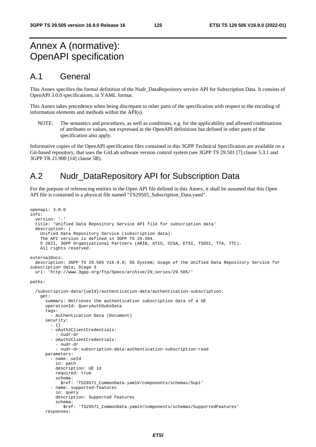# Annex A (normative): OpenAPI specification

## A.1 General

This Annex specifies the formal definition of the Nudr\_DataRepository service API for Subscription Data. It consists of OpenAPI 3.0.0 specifications, in YAML format.

This Annex takes precedence when being discrepant to other parts of the specification with respect to the encoding of information elements and methods within the API(s).

NOTE: The semantics and procedures, as well as conditions, e.g. for the applicability and allowed combinations of attributes or values, not expressed in the OpenAPI definitions but defined in other parts of the specification also apply.

Informative copies of the OpenAPI specification files contained in this 3GPP Technical Specification are available on a Git-based repository, that uses the GitLab software version control system (see 3GPP TS 29.501 [7] clause 5.3.1 and 3GPP TR 21.900 [14] clause 5B).

## A.2 Nudr\_DataRepository API for Subscription Data

For the purpose of referencing entities in the Open API file defined in this Annex, it shall be assumed that this Open API file is contained in a physical file named "TS29505\_Subscription\_Data.yaml".

```
openapi: 3.0.0 
info: 
   version: '-' 
   title: 'Unified Data Repository Service API file for subscription data' 
   description: | 
     Unified Data Repository Service (subscription data). 
     The API version is defined in 3GPP TS 29.504. 
     © 2021, 3GPP Organizational Partners (ARIB, ATIS, CCSA, ETSI, TSDSI, TTA, TTC). 
     All rights reserved. 
externalDocs: 
   description: 3GPP TS 29.505 V16.9.0; 5G System; Usage of the Unified Data Repository Service for 
subscription data; Stage 3 
   url: 'http://www.3gpp.org/ftp/Specs/archive/29_series/29.505/' 
paths: 
   /subscription-data/{ueId}/authentication-data/authentication-subscription: 
     get: 
       summary: Retrieves the authentication subscription data of a UE 
       operationId: QueryAuthSubsData 
       tags: 
          - Authentication Data (Document) 
       security: 
         - {} 
         - oAuth2ClientCredentials: 
            - nudr-dr 
          - oAuth2ClientCredentials: 
           - nudr-dr 
            - nudr-dr:subscription-data:authentication-subscription:read 
       parameters: 
          - name: ueId 
           in: path 
           description: UE id 
           required: true 
           schema: 
              $ref: 'TS29571_CommonData.yaml#/components/schemas/Supi' 
          - name: supported-features 
           in: query 
           description: Supported Features 
            schema: 
              $ref: 'TS29571_CommonData.yaml#/components/schemas/SupportedFeatures' 
       responses:
```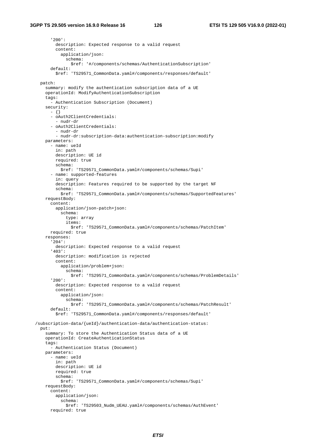'200': description: Expected response to a valid request content: application/json: schema: \$ref: '#/components/schemas/AuthenticationSubscription' default: \$ref: 'TS29571\_CommonData.yaml#/components/responses/default' patch: summary: modify the authentication subscription data of a UE operationId: ModifyAuthenticationSubscription tags: - Authentication Subscription (Document) security:  $- \{ \}$  - oAuth2ClientCredentials: - nudr-dr - oAuth2ClientCredentials: - nudr-dr - nudr-dr:subscription-data:authentication-subscription:modify parameters: - name: ueId in: path description: UE id required: true schema: \$ref: 'TS29571\_CommonData.yaml#/components/schemas/Supi' - name: supported-features in: query description: Features required to be supported by the target NF schema: \$ref: 'TS29571\_CommonData.yaml#/components/schemas/SupportedFeatures' requestBody: content: application/json-patch+json: schema: type: array items: \$ref: 'TS29571\_CommonData.yaml#/components/schemas/PatchItem' required: true responses: '204': description: Expected response to a valid request '403': description: modification is rejected content: application/problem+json: schema: \$ref: 'TS29571\_CommonData.yaml#/components/schemas/ProblemDetails' '200': description: Expected response to a valid request content: application/json: schema: \$ref: 'TS29571\_CommonData.yaml#/components/schemas/PatchResult' default: \$ref: 'TS29571\_CommonData.yaml#/components/responses/default' /subscription-data/{ueId}/authentication-data/authentication-status: put: summary: To store the Authentication Status data of a UE operationId: CreateAuthenticationStatus tags: - Authentication Status (Document) parameters: - name: ueId in: path description: UE id required: true schema: \$ref: 'TS29571\_CommonData.yaml#/components/schemas/Supi' requestBody: content: application/json: schema: \$ref: 'TS29503\_Nudm\_UEAU.yaml#/components/schemas/AuthEvent' required: true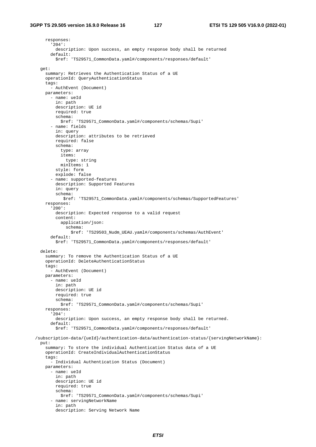responses: '204': description: Upon success, an empty response body shall be returned default: \$ref: 'TS29571\_CommonData.yaml#/components/responses/default' get: summary: Retrieves the Authentication Status of a UE operationId: QueryAuthenticationStatus tags: - AuthEvent (Document) parameters: - name: ueId in: path description: UE id required: true schema: \$ref: 'TS29571\_CommonData.yaml#/components/schemas/Supi' - name: fields in: query description: attributes to be retrieved required: false schema: type: array items: type: string minItems: 1 style: form explode: false - name: supported-features description: Supported Features in: query schema: \$ref: 'TS29571\_CommonData.yaml#/components/schemas/SupportedFeatures' responses: '200': description: Expected response to a valid request content: application/json: schema: \$ref: 'TS29503\_Nudm\_UEAU.yaml#/components/schemas/AuthEvent' default: \$ref: 'TS29571\_CommonData.yaml#/components/responses/default' delete: summary: To remove the Authentication Status of a UE operationId: DeleteAuthenticationStatus tags: - AuthEvent (Document) parameters: - name: ueId in: path description: UE id required: true schema: \$ref: 'TS29571\_CommonData.yaml#/components/schemas/Supi' responses: '204': description: Upon success, an empty response body shall be returned. default: \$ref: 'TS29571\_CommonData.yaml#/components/responses/default' /subscription-data/{ueId}/authentication-data/authentication-status/{servingNetworkName}: put: summary: To store the individual Authentication Status data of a UE operationId: CreateIndividualAuthenticationStatus tags: - Individual Authentication Status (Document) parameters: - name: ueId in: path description: UE id required: true schema: \$ref: 'TS29571\_CommonData.yaml#/components/schemas/Supi' - name: servingNetworkName in: path description: Serving Network Name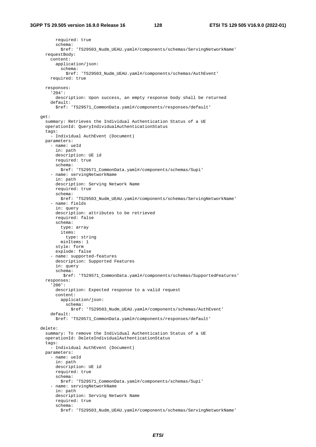required: true schema: \$ref: 'TS29503\_Nudm\_UEAU.yaml#/components/schemas/ServingNetworkName' requestBody: content: application/json: schema: \$ref: 'TS29503\_Nudm\_UEAU.yaml#/components/schemas/AuthEvent' required: true responses: '204': description: Upon success, an empty response body shall be returned default: \$ref: 'TS29571\_CommonData.yaml#/components/responses/default' get: summary: Retrieves the Individual Authentication Status of a UE operationId: QueryIndividualAuthenticationStatus tags: - Individual AuthEvent (Document) parameters: - name: ueId in: path description: UE id required: true schema: \$ref: 'TS29571\_CommonData.yaml#/components/schemas/Supi' - name: servingNetworkName in: path description: Serving Network Name required: true schema: \$ref: 'TS29503\_Nudm\_UEAU.yaml#/components/schemas/ServingNetworkName' - name: fields in: query description: attributes to be retrieved required: false schema: type: array items: type: string minItems: 1 style: form explode: false - name: supported-features description: Supported Features in: query schema: \$ref: 'TS29571\_CommonData.yaml#/components/schemas/SupportedFeatures' responses: '200': description: Expected response to a valid request content: application/json: schema: \$ref: 'TS29503\_Nudm\_UEAU.yaml#/components/schemas/AuthEvent' default: \$ref: 'TS29571\_CommonData.yaml#/components/responses/default' delete: summary: To remove the Individual Authentication Status of a UE operationId: DeleteIndividualAuthenticationStatus tags: - Individual AuthEvent (Document) parameters: - name: ueId in: path description: UE id required: true schema: \$ref: 'TS29571\_CommonData.yaml#/components/schemas/Supi' - name: servingNetworkName in: path description: Serving Network Name required: true schema: \$ref: 'TS29503\_Nudm\_UEAU.yaml#/components/schemas/ServingNetworkName'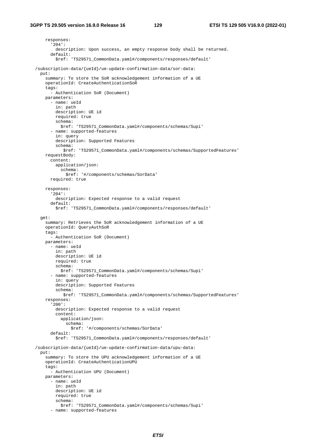```
 responses: 
       '204': 
         description: Upon success, an empty response body shall be returned. 
       default: 
         $ref: 'TS29571_CommonData.yaml#/components/responses/default' 
 /subscription-data/{ueId}/ue-update-confirmation-data/sor-data: 
  put: 
     summary: To store the SoR acknowledgement information of a UE 
     operationId: CreateAuthenticationSoR 
     tags: 
       - Authentication SoR (Document) 
     parameters: 
       - name: ueId 
         in: path 
         description: UE id 
         required: true 
         schema: 
           $ref: 'TS29571_CommonData.yaml#/components/schemas/Supi' 
       - name: supported-features 
         in: query 
         description: Supported Features 
         schema: 
            $ref: 'TS29571_CommonData.yaml#/components/schemas/SupportedFeatures' 
     requestBody: 
       content: 
         application/json: 
           schema: 
             $ref: '#/components/schemas/SorData' 
       required: true 
     responses: 
       '204': 
        description: Expected response to a valid request
       default: 
         $ref: 'TS29571_CommonData.yaml#/components/responses/default' 
   get: 
     summary: Retrieves the SoR acknowledgement information of a UE 
     operationId: QueryAuthSoR 
     tags: 
       - Authentication SoR (Document) 
     parameters: 
       - name: ueId 
         in: path 
         description: UE id 
         required: true 
         schema: 
           $ref: 'TS29571_CommonData.yaml#/components/schemas/Supi' 
       - name: supported-features 
         in: query 
         description: Supported Features 
         schema: 
            $ref: 'TS29571_CommonData.yaml#/components/schemas/SupportedFeatures' 
     responses: 
       '200': 
         description: Expected response to a valid request 
         content: 
           application/json: 
             schema: 
                $ref: '#/components/schemas/SorData' 
       default: 
         $ref: 'TS29571_CommonData.yaml#/components/responses/default' 
 /subscription-data/{ueId}/ue-update-confirmation-data/upu-data: 
  put: 
     summary: To store the UPU acknowledgement information of a UE 
     operationId: CreateAuthenticationUPU 
     tags: 
       - Authentication UPU (Document) 
     parameters: 
       - name: ueId 
         in: path 
         description: UE id 
         required: true 
         schema: 
           $ref: 'TS29571_CommonData.yaml#/components/schemas/Supi' 
       - name: supported-features
```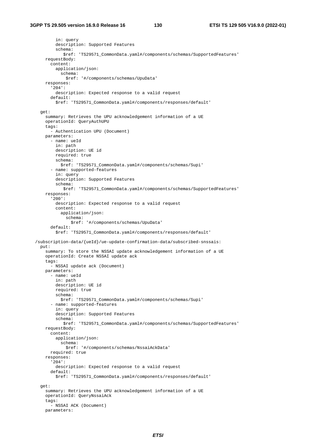in: query description: Supported Features schema: \$ref: 'TS29571\_CommonData.yaml#/components/schemas/SupportedFeatures' requestBody: content: application/json: schema: \$ref: '#/components/schemas/UpuData' responses: '204': description: Expected response to a valid request default: \$ref: 'TS29571\_CommonData.yaml#/components/responses/default' get: summary: Retrieves the UPU acknowledgement information of a UE operationId: QueryAuthUPU tags: - Authentication UPU (Document) parameters: - name: ueId in: path description: UE id required: true schema: \$ref: 'TS29571\_CommonData.yaml#/components/schemas/Supi' - name: supported-features in: query description: Supported Features schema: \$ref: 'TS29571\_CommonData.yaml#/components/schemas/SupportedFeatures' responses: '200': description: Expected response to a valid request content: application/json: schema: \$ref: '#/components/schemas/UpuData' default: \$ref: 'TS29571\_CommonData.yaml#/components/responses/default' /subscription-data/{ueId}/ue-update-confirmation-data/subscribed-snssais: put: summary: To store the NSSAI update acknowledgement information of a UE operationId: Create NSSAI update ack tags: - NSSAI update ack (Document) parameters: - name: ueId in: path description: UE id required: true schema: \$ref: 'TS29571\_CommonData.yaml#/components/schemas/Supi' - name: supported-features in: query description: Supported Features schema: \$ref: 'TS29571\_CommonData.yaml#/components/schemas/SupportedFeatures' requestBody: content: application/json: schema: \$ref: '#/components/schemas/NssaiAckData' required: true responses: '204': description: Expected response to a valid request default: \$ref: 'TS29571\_CommonData.yaml#/components/responses/default' get: summary: Retrieves the UPU acknowledgement information of a UE operationId: QueryNssaiAck tags: - NSSAI ACK (Document) parameters: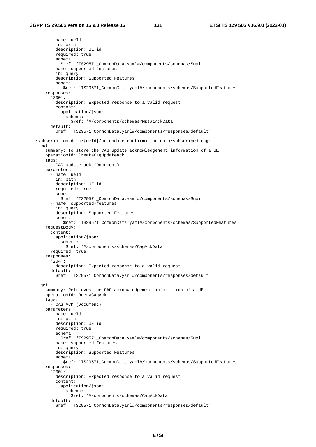- name: ueId in: path description: UE id required: true schema: \$ref: 'TS29571\_CommonData.yaml#/components/schemas/Supi' - name: supported-features in: query description: Supported Features schema: \$ref: 'TS29571\_CommonData.yaml#/components/schemas/SupportedFeatures' responses: '200': description: Expected response to a valid request content: application/json: schema: \$ref: '#/components/schemas/NssaiAckData' default: \$ref: 'TS29571\_CommonData.yaml#/components/responses/default' /subscription-data/{ueId}/ue-update-confirmation-data/subscribed-cag: put: summary: To store the CAG update acknowledgement information of a UE operationId: CreateCagUpdateAck tags: - CAG update ack (Document) parameters: - name: ueId in: path description: UE id required: true schema: \$ref: 'TS29571\_CommonData.yaml#/components/schemas/Supi' - name: supported-features in: query description: Supported Features schema: \$ref: 'TS29571\_CommonData.yaml#/components/schemas/SupportedFeatures' requestBody: content: application/json: schema: \$ref: '#/components/schemas/CagAckData' required: true responses: '204': description: Expected response to a valid request default: \$ref: 'TS29571\_CommonData.yaml#/components/responses/default' get: summary: Retrieves the CAG acknowledgement information of a UE operationId: QueryCagAck tags: - CAG ACK (Document) parameters: - name: ueId in: path description: UE id required: true schema: \$ref: 'TS29571\_CommonData.yaml#/components/schemas/Supi' - name: supported-features in: query description: Supported Features schema: \$ref: 'TS29571\_CommonData.yaml#/components/schemas/SupportedFeatures' responses: '200': description: Expected response to a valid request content: application/json: schema: \$ref: '#/components/schemas/CagAckData' default: \$ref: 'TS29571\_CommonData.yaml#/components/responses/default'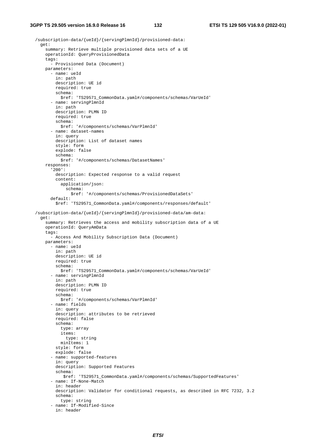```
 /subscription-data/{ueId}/{servingPlmnId}/provisioned-data: 
   get: 
     summary: Retrieve multiple provisioned data sets of a UE 
     operationId: QueryProvisionedData 
     tags: 
       - Provisioned Data (Document) 
     parameters: 
       - name: ueId 
         in: path 
         description: UE id 
         required: true 
         schema: 
           $ref: 'TS29571_CommonData.yaml#/components/schemas/VarUeId' 
       - name: servingPlmnId 
         in: path 
         description: PLMN ID 
         required: true 
         schema: 
           $ref: '#/components/schemas/VarPlmnId' 
       - name: dataset-names 
         in: query 
         description: List of dataset names 
         style: form 
         explode: false 
         schema: 
           $ref: '#/components/schemas/DatasetNames' 
     responses: 
        '200': 
         description: Expected response to a valid request 
         content: 
           application/json: 
             schema: 
                $ref: '#/components/schemas/ProvisionedDataSets' 
       default: 
         $ref: 'TS29571_CommonData.yaml#/components/responses/default' 
 /subscription-data/{ueId}/{servingPlmnId}/provisioned-data/am-data: 
   get: 
     summary: Retrieves the access and mobility subscription data of a UE 
     operationId: QueryAmData 
     tags: 
       - Access And Mobility Subscription Data (Document) 
     parameters: 
       - name: ueId 
         in: path 
         description: UE id 
         required: true 
         schema: 
           $ref: 'TS29571_CommonData.yaml#/components/schemas/VarUeId' 
       - name: servingPlmnId 
         in: path 
         description: PLMN ID 
         required: true 
         schema: 
           $ref: '#/components/schemas/VarPlmnId' 
       - name: fields 
         in: query 
         description: attributes to be retrieved 
         required: false 
         schema: 
           type: array 
           items: 
             type: string 
           minItems: 1 
         style: form 
         explode: false 
        - name: supported-features 
         in: query 
         description: Supported Features 
         schema: 
             $ref: 'TS29571_CommonData.yaml#/components/schemas/SupportedFeatures' 
        - name: If-None-Match 
         in: header 
         description: Validator for conditional requests, as described in RFC 7232, 3.2 
         schema: 
           type: string 
        - name: If-Modified-Since 
         in: header
```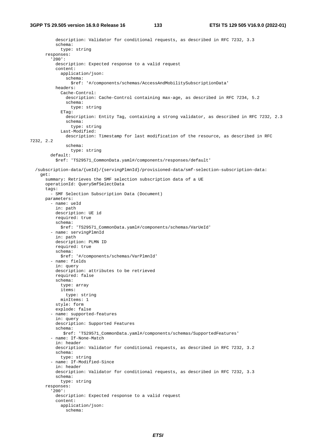```
 description: Validator for conditional requests, as described in RFC 7232, 3.3 
           schema: 
             type: string 
       responses: 
          '200': 
           description: Expected response to a valid request 
           content: 
             application/json: 
                schema: 
                 $ref: '#/components/schemas/AccessAndMobilitySubscriptionData' 
           headers: 
              Cache-Control: 
                description: Cache-Control containing max-age, as described in RFC 7234, 5.2 
                schema: 
                 type: string 
              ETag: 
                description: Entity Tag, containing a strong validator, as described in RFC 7232, 2.3 
                schema: 
                 type: string 
              Last-Modified: 
                description: Timestamp for last modification of the resource, as described in RFC 
7232, 2.2 
                schema: 
                 type: string 
         default: 
           $ref: 'TS29571_CommonData.yaml#/components/responses/default' 
   /subscription-data/{ueId}/{servingPlmnId}/provisioned-data/smf-selection-subscription-data: 
     get: 
       summary: Retrieves the SMF selection subscription data of a UE 
       operationId: QuerySmfSelectData 
       tags: 
          - SMF Selection Subscription Data (Document) 
       parameters: 
         - name: ueId 
            in: path 
           description: UE id 
           required: true 
           schema: 
              $ref: 'TS29571_CommonData.yaml#/components/schemas/VarUeId' 
          - name: servingPlmnId 
           in: path 
           description: PLMN ID 
           required: true 
           schema: 
             $ref: '#/components/schemas/VarPlmnId' 
          - name: fields 
           in: query 
           description: attributes to be retrieved 
           required: false 
           schema: 
              type: array 
              items: 
                type: string 
            minItems: 1
           style: form 
           explode: false 
          - name: supported-features 
           in: query 
           description: Supported Features 
           schema: 
              $ref: 'TS29571_CommonData.yaml#/components/schemas/SupportedFeatures' 
          - name: If-None-Match 
           in: header 
           description: Validator for conditional requests, as described in RFC 7232, 3.2 
           schema: 
             type: string 
          - name: If-Modified-Since 
           in: header 
           description: Validator for conditional requests, as described in RFC 7232, 3.3 
           schema: 
             type: string 
       responses: 
          '200': 
           description: Expected response to a valid request 
           content: 
             application/json: 
                schema:
```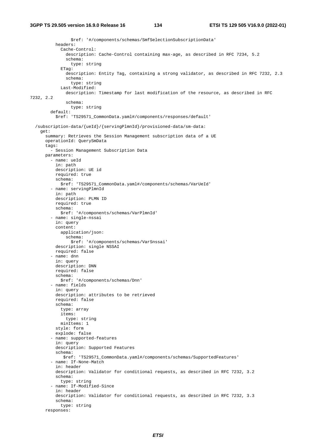```
 $ref: '#/components/schemas/SmfSelectionSubscriptionData' 
           headers: 
              Cache-Control: 
                description: Cache-Control containing max-age, as described in RFC 7234, 5.2 
                schema: 
                  type: string 
              ETag: 
                description: Entity Tag, containing a strong validator, as described in RFC 7232, 2.3 
                schema: 
                  type: string 
              Last-Modified: 
                description: Timestamp for last modification of the resource, as described in RFC 
7232, 2.2 
                schema: 
                  type: string 
         default: 
           $ref: 'TS29571_CommonData.yaml#/components/responses/default' 
   /subscription-data/{ueId}/{servingPlmnId}/provisioned-data/sm-data: 
     get: 
       summary: Retrieves the Session Management subscription data of a UE 
       operationId: QuerySmData 
       tags: 
         - Session Management Subscription Data 
       parameters: 
          - name: ueId 
           in: path 
           description: UE id 
           required: true 
           schema: 
             $ref: 'TS29571_CommonData.yaml#/components/schemas/VarUeId' 
         - name: servingPlmnId
            in: path 
           description: PLMN ID 
           required: true 
           schema: 
             $ref: '#/components/schemas/VarPlmnId' 
          - name: single-nssai 
           in: query 
           content: 
             application/json: 
               schema: 
                  $ref: '#/components/schemas/VarSnssai' 
           description: single NSSAI 
           required: false 
          - name: dnn 
           in: query 
           description: DNN 
           required: false 
           schema: 
             $ref: '#/components/schemas/Dnn' 
          - name: fields 
           in: query 
            description: attributes to be retrieved 
           required: false 
           schema: 
             type: array 
             items: 
                type: string 
             minItems: 1 
           style: form 
            explode: false 
          - name: supported-features 
           in: query 
           description: Supported Features 
           schema: 
              $ref: 'TS29571_CommonData.yaml#/components/schemas/SupportedFeatures' 
          - name: If-None-Match 
           in: header 
           description: Validator for conditional requests, as described in RFC 7232, 3.2 
           schema: 
             type: string 
          - name: If-Modified-Since 
           in: header 
            description: Validator for conditional requests, as described in RFC 7232, 3.3 
            schema: 
             type: string 
       responses:
```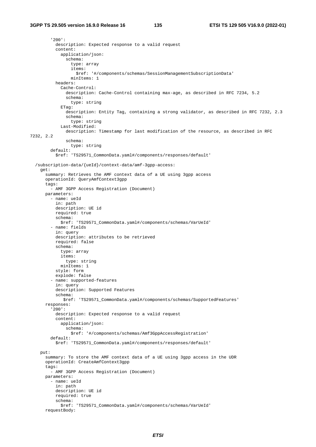```
 '200': 
           description: Expected response to a valid request 
           content: 
              application/json: 
                schema: 
                  type: array 
                  items: 
                    $ref: '#/components/schemas/SessionManagementSubscriptionData' 
                  minItems: 1 
           headers: 
              Cache-Control: 
                description: Cache-Control containing max-age, as described in RFC 7234, 5.2 
                schema: 
                  type: string 
              ETag: 
               description: Entity Tag, containing a strong validator, as described in RFC 7232, 2.3 
                schema: 
                  type: string 
              Last-Modified: 
                description: Timestamp for last modification of the resource, as described in RFC 
7232, 2.2 
                schema: 
                  type: string 
         default: 
            $ref: 'TS29571_CommonData.yaml#/components/responses/default' 
   /subscription-data/{ueId}/context-data/amf-3gpp-access: 
     get: 
       summary: Retrieves the AMF context data of a UE using 3gpp access 
       operationId: QueryAmfContext3gpp 
       tags: 
         - AMF 3GPP Access Registration (Document) 
       parameters: 
         - name: ueId 
           in: path 
           description: UE id 
           required: true 
           schema: 
             $ref: 'TS29571_CommonData.yaml#/components/schemas/VarUeId' 
          - name: fields 
            in: query 
           description: attributes to be retrieved 
           required: false 
           schema: 
             type: array 
             items: 
               type: string 
             minItems: 1 
            style: form 
           explode: false 
          - name: supported-features 
           in: query 
           description: Supported Features 
            schema: 
              $ref: 'TS29571_CommonData.yaml#/components/schemas/SupportedFeatures' 
       responses: 
          '200': 
           description: Expected response to a valid request 
           content: 
             application/json: 
                schema: 
                  $ref: '#/components/schemas/Amf3GppAccessRegistration' 
         default: 
           $ref: 'TS29571_CommonData.yaml#/components/responses/default' 
     put: 
       summary: To store the AMF context data of a UE using 3gpp access in the UDR 
       operationId: CreateAmfContext3gpp 
       tags: 
         - AMF 3GPP Access Registration (Document) 
       parameters: 
         - name: ueId 
           in: path 
           description: UE id 
           required: true 
            schema: 
             $ref: 'TS29571_CommonData.yaml#/components/schemas/VarUeId' 
       requestBody:
```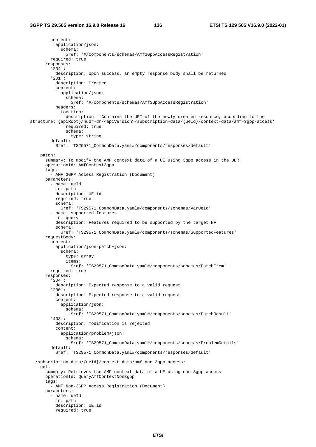content: application/json: schema: \$ref: '#/components/schemas/Amf3GppAccessRegistration' required: true responses:  $204$  : description: Upon success, an empty response body shall be returned '201': description: Created content: application/json: schema: \$ref: '#/components/schemas/Amf3GppAccessRegistration' headers: Location: description: 'Contains the URI of the newly created resource, according to the structure: {apiRoot}/nudr-dr/<apiVersion>/subscription-data/{ueId}/context-data/amf-3gpp-access' required: true schema: type: string default: \$ref: 'TS29571\_CommonData.yaml#/components/responses/default' patch: summary: To modify the AMF context data of a UE using 3gpp access in the UDR operationId: AmfContext3gpp tags: - AMF 3GPP Access Registration (Document) parameters: - name: ueId in: path description: UE id required: true schema: \$ref: 'TS29571\_CommonData.yaml#/components/schemas/VarUeId' - name: supported-features in: query description: Features required to be supported by the target NF schema: \$ref: 'TS29571\_CommonData.yaml#/components/schemas/SupportedFeatures' requestBody: content: application/json-patch+json: schema: type: array items: \$ref: 'TS29571\_CommonData.yaml#/components/schemas/PatchItem' required: true responses: '204': description: Expected response to a valid request '200': description: Expected response to a valid request content: application/json: schema: \$ref: 'TS29571\_CommonData.yaml#/components/schemas/PatchResult' '403': description: modification is rejected content: application/problem+json: schema: \$ref: 'TS29571\_CommonData.yaml#/components/schemas/ProblemDetails' default: \$ref: 'TS29571\_CommonData.yaml#/components/responses/default' /subscription-data/{ueId}/context-data/amf-non-3gpp-access: get: summary: Retrieves the AMF context data of a UE using non-3gpp access operationId: QueryAmfContextNon3gpp tags: - AMF Non-3GPP Access Registration (Document) parameters: - name: ueId in: path description: UE id required: true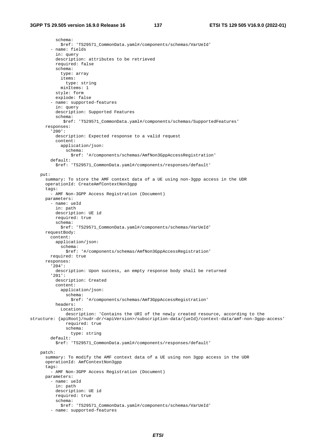```
 schema: 
              $ref: 'TS29571_CommonData.yaml#/components/schemas/VarUeId' 
          - name: fields 
           in: query 
           description: attributes to be retrieved 
           required: false 
           schema: 
              type: array 
             items: 
               type: string 
             minItems: 1 
           style: form 
            explode: false 
          - name: supported-features 
            in: query 
           description: Supported Features 
           schema: 
               $ref: 'TS29571_CommonData.yaml#/components/schemas/SupportedFeatures' 
       responses: 
          '200': 
           description: Expected response to a valid request 
           content: 
             application/json: 
               schema: 
                  $ref: '#/components/schemas/AmfNon3GppAccessRegistration' 
         default: 
            $ref: 'TS29571_CommonData.yaml#/components/responses/default' 
     put: 
       summary: To store the AMF context data of a UE using non-3gpp access in the UDR 
       operationId: CreateAmfContextNon3gpp 
       tags: 
          - AMF Non-3GPP Access Registration (Document) 
       parameters: 
          - name: ueId 
            in: path 
           description: UE id 
           required: true 
           schema: 
              $ref: 'TS29571_CommonData.yaml#/components/schemas/VarUeId' 
       requestBody: 
         content: 
           application/json: 
              schema: 
                $ref: '#/components/schemas/AmfNon3GppAccessRegistration' 
         required: true 
       responses: 
          '204': 
           description: Upon success, an empty response body shall be returned 
          '201': 
           description: Created 
           content: 
              application/json: 
                schema: 
                 $ref: '#/components/schemas/Amf3GppAccessRegistration' 
           headers: 
              Location: 
               description: 'Contains the URI of the newly created resource, according to the 
structure: {apiRoot}/nudr-dr/<apiVersion>/subscription-data/{ueId}/context-data/amf-non-3gpp-access' 
                required: true 
                schema: 
                  type: string 
         default: 
            $ref: 'TS29571_CommonData.yaml#/components/responses/default' 
     patch: 
       summary: To modify the AMF context data of a UE using non 3gpp access in the UDR 
       operationId: AmfContextNon3gpp 
       tags: 
         - AMF Non-3GPP Access Registration (Document) 
       parameters: 
         - name: ueId 
           in: path 
           description: UE id 
           required: true 
           schema: 
             $ref: 'TS29571_CommonData.yaml#/components/schemas/VarUeId' 
          - name: supported-features
```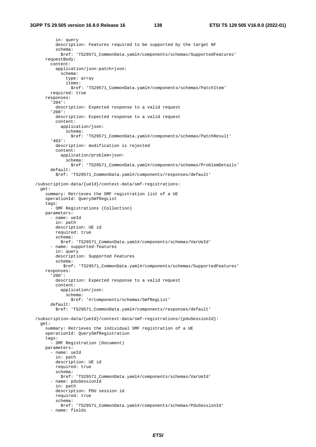in: query description: Features required to be supported by the target NF schema: \$ref: 'TS29571\_CommonData.yaml#/components/schemas/SupportedFeatures' requestBody: content: application/json-patch+json: schema: type: array items: \$ref: 'TS29571\_CommonData.yaml#/components/schemas/PatchItem' required: true responses: '204': description: Expected response to a valid request '200': description: Expected response to a valid request content: application/json: schema: \$ref: 'TS29571\_CommonData.yaml#/components/schemas/PatchResult' '403': description: modification is rejected content: application/problem+json: schema: \$ref: 'TS29571\_CommonData.yaml#/components/schemas/ProblemDetails' default: \$ref: 'TS29571\_CommonData.yaml#/components/responses/default' /subscription-data/{ueId}/context-data/smf-registrations: get: summary: Retrieves the SMF registration list of a UE operationId: QuerySmfRegList tags: - SMF Registrations (Collection) parameters: - name: ueId in: path description: UE id required: true schema: \$ref: 'TS29571\_CommonData.yaml#/components/schemas/VarUeId' - name: supported-features in: query description: Supported Features schema: \$ref: 'TS29571\_CommonData.yaml#/components/schemas/SupportedFeatures' responses: '200': description: Expected response to a valid request content: application/json: schema: \$ref: '#/components/schemas/SmfRegList' default: \$ref: 'TS29571\_CommonData.yaml#/components/responses/default' /subscription-data/{ueId}/context-data/smf-registrations/{pduSessionId}: get: summary: Retrieves the individual SMF registration of a UE operationId: QuerySmfRegistration tags: - SMF Registration (Document) parameters: - name: ueId in: path description: UE id required: true schema: \$ref: 'TS29571\_CommonData.yaml#/components/schemas/VarUeId' - name: pduSessionId in: path description: PDU session id required: true schema: \$ref: 'TS29571\_CommonData.yaml#/components/schemas/PduSessionId' - name: fields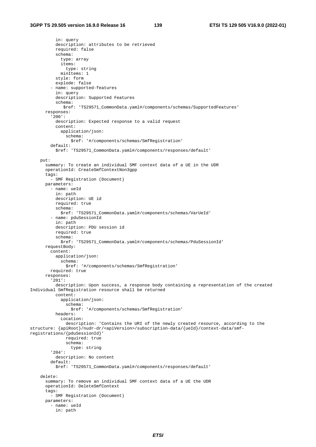```
 in: query 
           description: attributes to be retrieved 
           required: false 
            schema: 
              type: array 
              items: 
                type: string 
            minTtems: 1
           style: form 
            explode: false 
          - name: supported-features 
            in: query 
           description: Supported Features 
            schema: 
              $ref: 'TS29571_CommonData.yaml#/components/schemas/SupportedFeatures' 
       responses: 
          '200': 
           description: Expected response to a valid request 
            content: 
             application/json: 
               schema: 
                  $ref: '#/components/schemas/SmfRegistration' 
         default: 
            $ref: 'TS29571_CommonData.yaml#/components/responses/default' 
     put: 
       summary: To create an individual SMF context data of a UE in the UDR 
       operationId: CreateSmfContextNon3gpp 
       tags: 
         - SMF Registration (Document) 
       parameters: 
         - name: ueId 
           in: path 
           description: UE id 
           required: true 
           schema: 
             $ref: 'TS29571_CommonData.yaml#/components/schemas/VarUeId' 
          - name: pduSessionId 
           in: path 
           description: PDU session id 
           required: true 
           schema: 
              $ref: 'TS29571_CommonData.yaml#/components/schemas/PduSessionId' 
       requestBody: 
         content: 
           application/json: 
              schema: 
                $ref: '#/components/schemas/SmfRegistration' 
         required: true 
       responses: 
          '201': 
           description: Upon success, a response body containing a representation of the created 
Individual SmfRegistration resource shall be returned 
            content: 
             application/json: 
                schema: 
                  $ref: '#/components/schemas/SmfRegistration' 
           headers: 
              Location: 
                description: 'Contains the URI of the newly created resource, according to the 
structure: {apiRoot}/nudr-dr/<apiVersion>/subscription-data/{ueId}/context-data/smf-
registrations/{pduSessionId}' 
               required: true 
               schema: 
                  type: string 
         '204': 
           description: No content 
         default: 
           $ref: 'TS29571_CommonData.yaml#/components/responses/default' 
     delete: 
       summary: To remove an individual SMF context data of a UE the UDR 
       operationId: DeleteSmfContext 
       tags: 
          - SMF Registration (Document) 
       parameters: 
         - name: ueId 
           in: path
```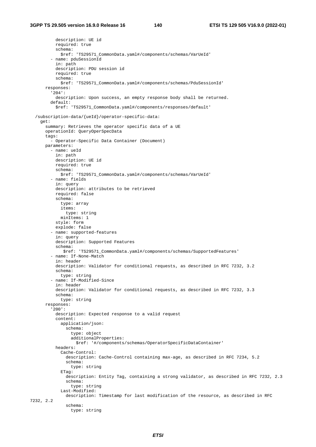description: UE id required: true schema: \$ref: 'TS29571\_CommonData.yaml#/components/schemas/VarUeId' - name: pduSessionId in: path description: PDU session id required: true schema: \$ref: 'TS29571\_CommonData.yaml#/components/schemas/PduSessionId' responses: '204': description: Upon success, an empty response body shall be returned. default: \$ref: 'TS29571\_CommonData.yaml#/components/responses/default' /subscription-data/{ueId}/operator-specific-data: get: summary: Retrieves the operator specific data of a UE operationId: QueryOperSpecData tags: - Operator-Specific Data Container (Document) parameters: - name: ueId in: path description: UE id required: true schema: \$ref: 'TS29571\_CommonData.yaml#/components/schemas/VarUeId' - name: fields in: query description: attributes to be retrieved required: false schema: type: array items: type: string minItems: 1 style: form explode: false - name: supported-features in: query description: Supported Features schema: \$ref: 'TS29571\_CommonData.yaml#/components/schemas/SupportedFeatures' - name: If-None-Match in: header description: Validator for conditional requests, as described in RFC 7232, 3.2 schema: type: string - name: If-Modified-Since in: header description: Validator for conditional requests, as described in RFC 7232, 3.3 schema: type: string responses: '200': description: Expected response to a valid request content: application/json: schema: type: object additionalProperties: \$ref: '#/components/schemas/OperatorSpecificDataContainer' headers: Cache-Control: description: Cache-Control containing max-age, as described in RFC 7234, 5.2 schema: type: string ETag: description: Entity Tag, containing a strong validator, as described in RFC 7232, 2.3 schema: type: string Last-Modified: description: Timestamp for last modification of the resource, as described in RFC 7232, 2.2 schema: type: string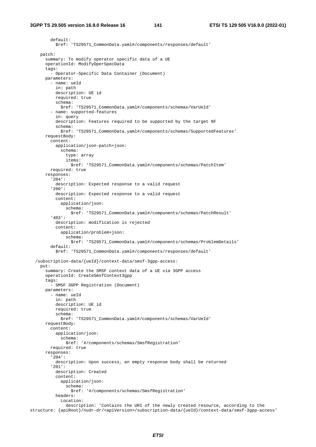default: \$ref: 'TS29571\_CommonData.yaml#/components/responses/default' patch: summary: To modify operator specific data of a UE operationId: ModifyOperSpecData tags: - Operator-Specific Data Container (Document) parameters: - name: ueId in: path description: UE id required: true schema: \$ref: 'TS29571\_CommonData.yaml#/components/schemas/VarUeId' - name: supported-features in: query description: Features required to be supported by the target NF schema: \$ref: 'TS29571\_CommonData.yaml#/components/schemas/SupportedFeatures' requestBody: content: application/json-patch+json: schema: type: array items: \$ref: 'TS29571\_CommonData.yaml#/components/schemas/PatchItem' required: true responses: '204': description: Expected response to a valid request '200': description: Expected response to a valid request content: application/json: schema: \$ref: 'TS29571\_CommonData.yaml#/components/schemas/PatchResult' '403': description: modification is rejected content: application/problem+json: schema: \$ref: 'TS29571\_CommonData.yaml#/components/schemas/ProblemDetails' default: \$ref: 'TS29571\_CommonData.yaml#/components/responses/default' /subscription-data/{ueId}/context-data/smsf-3gpp-access: put: summary: Create the SMSF context data of a UE via 3GPP access operationId: CreateSmsfContext3gpp tags: - SMSF 3GPP Registration (Document) parameters: - name: ueId in: path description: UE id required: true schema: \$ref: 'TS29571\_CommonData.yaml#/components/schemas/VarUeId' requestBody: content: application/json: schema: \$ref: '#/components/schemas/SmsfRegistration' required: true responses: '204': description: Upon success, an empty response body shall be returned '201': description: Created content: application/json: schema: \$ref: '#/components/schemas/SmsfRegistration' headers: Location: description: 'Contains the URI of the newly created resource, according to the

structure: {apiRoot}/nudr-dr/<apiVersion>/subscription-data/{ueId}/context-data/smsf-3gpp-access'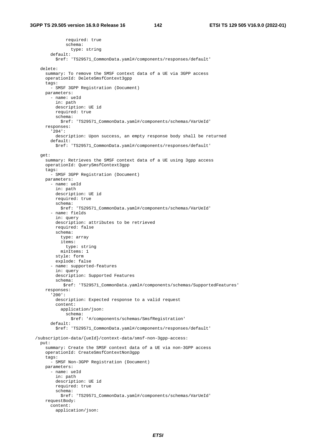required: true schema: type: string default: \$ref: 'TS29571\_CommonData.yaml#/components/responses/default' delete: summary: To remove the SMSF context data of a UE via 3GPP access operationId: DeleteSmsfContext3gpp tags: - SMSF 3GPP Registration (Document) parameters: - name: ueId in: path description: UE id required: true schema: \$ref: 'TS29571\_CommonData.yaml#/components/schemas/VarUeId' responses: '204': description: Upon success, an empty response body shall be returned default: \$ref: 'TS29571\_CommonData.yaml#/components/responses/default' get: summary: Retrieves the SMSF context data of a UE using 3gpp access operationId: QuerySmsfContext3gpp tags: - SMSF 3GPP Registration (Document) parameters: - name: ueId in: path description: UE id required: true schema: \$ref: 'TS29571\_CommonData.yaml#/components/schemas/VarUeId' - name: fields in: query description: attributes to be retrieved required: false schema: type: array items: type: string minItems: 1 style: form explode: false - name: supported-features in: query description: Supported Features schema: \$ref: 'TS29571\_CommonData.yaml#/components/schemas/SupportedFeatures' responses: '200': description: Expected response to a valid request content: application/json: schema: \$ref: '#/components/schemas/SmsfRegistration' default: \$ref: 'TS29571\_CommonData.yaml#/components/responses/default' /subscription-data/{ueId}/context-data/smsf-non-3gpp-access: put: summary: Create the SMSF context data of a UE via non-3GPP access operationId: CreateSmsfContextNon3gpp tags: - SMSF Non-3GPP Registration (Document) parameters: - name: ueId in: path description: UE id required: true schema: \$ref: 'TS29571\_CommonData.yaml#/components/schemas/VarUeId' requestBody: content: application/json: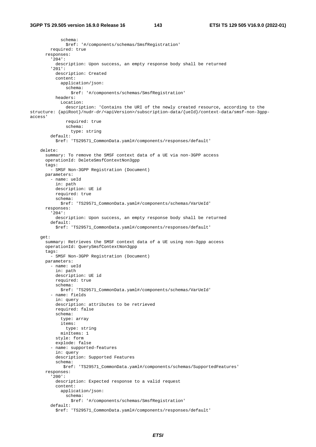schema: \$ref: '#/components/schemas/SmsfRegistration' required: true responses: '204': description: Upon success, an empty response body shall be returned '201': description: Created content: application/json: schema: \$ref: '#/components/schemas/SmsfRegistration' headers: Location: description: 'Contains the URI of the newly created resource, according to the structure: {apiRoot}/nudr-dr/<apiVersion>/subscription-data/{ueId}/context-data/smsf-non-3gppaccess' required: true schema: type: string default: \$ref: 'TS29571\_CommonData.yaml#/components/responses/default' delete: summary: To remove the SMSF context data of a UE via non-3GPP access operationId: DeleteSmsfContextNon3gpp tags: - SMSF Non-3GPP Registration (Document) parameters: - name: ueId in: path description: UE id required: true schema: \$ref: 'TS29571\_CommonData.yaml#/components/schemas/VarUeId' responses: '204': description: Upon success, an empty response body shall be returned default: \$ref: 'TS29571\_CommonData.yaml#/components/responses/default' get: summary: Retrieves the SMSF context data of a UE using non-3gpp access operationId: QuerySmsfContextNon3gpp tags: - SMSF Non-3GPP Registration (Document) parameters: - name: ueId in: path description: UE id required: true schema: \$ref: 'TS29571\_CommonData.yaml#/components/schemas/VarUeId' - name: fields in: query description: attributes to be retrieved required: false schema: type: array items: type: string minItems: 1 style: form explode: false - name: supported-features in: query description: Supported Features schema: \$ref: 'TS29571\_CommonData.yaml#/components/schemas/SupportedFeatures' responses: '200': description: Expected response to a valid request content: application/json: schema: \$ref: '#/components/schemas/SmsfRegistration' default: \$ref: 'TS29571\_CommonData.yaml#/components/responses/default'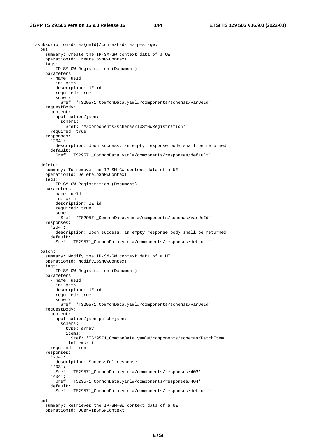/subscription-data/{ueId}/context-data/ip-sm-gw: put: summary: Create the IP-SM-GW context data of a UE operationId: CreateIpSmGwContext tags: - IP-SM-GW Registration (Document) parameters: - name: ueId in: path description: UE id required: true schema: \$ref: 'TS29571\_CommonData.yaml#/components/schemas/VarUeId' requestBody: content: application/json: schema: \$ref: '#/components/schemas/IpSmGwRegistration' required: true responses: '204': description: Upon success, an empty response body shall be returned default: \$ref: 'TS29571\_CommonData.yaml#/components/responses/default' delete: summary: To remove the IP-SM-GW context data of a UE operationId: DeleteIpSmGwContext tags: - IP-SM-GW Registration (Document) parameters: - name: ueId in: path description: UE id required: true schema: \$ref: 'TS29571\_CommonData.yaml#/components/schemas/VarUeId' responses: '204': description: Upon success, an empty response body shall be returned default: \$ref: 'TS29571\_CommonData.yaml#/components/responses/default' patch: summary: Modify the IP-SM-GW context data of a UE operationId: ModifyIpSmGwContext tags: - IP-SM-GW Registration (Document) parameters: - name: ueId in: path description: UE id required: true schema: \$ref: 'TS29571\_CommonData.yaml#/components/schemas/VarUeId' requestBody: content: application/json-patch+json: schema: type: array items: \$ref: 'TS29571\_CommonData.yaml#/components/schemas/PatchItem' minItems: 1 required: true responses: '204': description: Successful response '403': \$ref: 'TS29571\_CommonData.yaml#/components/responses/403' '404': \$ref: 'TS29571\_CommonData.yaml#/components/responses/404' default: \$ref: 'TS29571\_CommonData.yaml#/components/responses/default' get: summary: Retrieves the IP-SM-GW context data of a UE operationId: QueryIpSmGwContext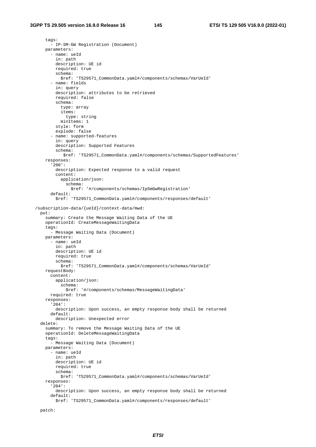tags: - IP-SM-GW Registration (Document) parameters: - name: ueId in: path description: UE id required: true schema: \$ref: 'TS29571\_CommonData.yaml#/components/schemas/VarUeId' - name: fields in: query description: attributes to be retrieved required: false schema: type: array items: type: string minItems: 1 style: form explode: false - name: supported-features in: query description: Supported Features schema: \$ref: 'TS29571\_CommonData.yaml#/components/schemas/SupportedFeatures' responses: '200': description: Expected response to a valid request content: application/json: schema: \$ref: '#/components/schemas/IpSmGwRegistration' default: \$ref: 'TS29571\_CommonData.yaml#/components/responses/default' /subscription-data/{ueId}/context-data/mwd: put: summary: Create the Message Waiting Data of the UE operationId: CreateMessageWaitingData tags: .<br>- Message Waiting Data (Document) parameters: - name: ueId in: path description: UE id required: true schema: \$ref: 'TS29571\_CommonData.yaml#/components/schemas/VarUeId' requestBody: content: application/json: schema: \$ref: '#/components/schemas/MessageWaitingData' required: true responses: '204': description: Upon success, an empty response body shall be returned default: description: Unexpected error delete: summary: To remove the Message Waiting Data of the UE operationId: DeleteMessageWaitingData tags: - Message Waiting Data (Document) parameters: - name: ueId in: path description: UE id required: true schema: \$ref: 'TS29571\_CommonData.yaml#/components/schemas/VarUeId' responses: '204': description: Upon success, an empty response body shall be returned default: \$ref: 'TS29571\_CommonData.yaml#/components/responses/default'

```
 patch:
```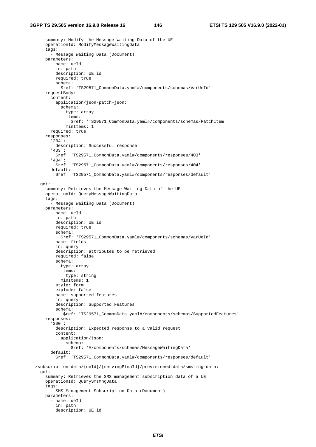## **3GPP TS 29.505 version 16.9.0 Release 16 146 ETSI TS 129 505 V16.9.0 (2022-01)**

```
 summary: Modify the Message Waiting Data of the UE 
     operationId: ModifyMessageWaitingData 
     tags: 
       - Message Waiting Data (Document) 
    parameters: 
       - name: ueId 
         in: path 
         description: UE id 
         required: true 
         schema: 
           $ref: 'TS29571_CommonData.yaml#/components/schemas/VarUeId' 
     requestBody: 
       content: 
         application/json-patch+json: 
           schema: 
             type: array 
              items: 
                $ref: 'TS29571_CommonData.yaml#/components/schemas/PatchItem' 
              minItems: 1 
       required: true 
    responses: 
       '204': 
         description: Successful response 
       '403': 
         $ref: 'TS29571_CommonData.yaml#/components/responses/403' 
       '404': 
         $ref: 'TS29571_CommonData.yaml#/components/responses/404' 
       default: 
         $ref: 'TS29571_CommonData.yaml#/components/responses/default' 
  get: 
     summary: Retrieves the Message Waiting Data of the UE 
     operationId: QueryMessageWaitingData 
    tags: 
       - Message Waiting Data (Document) 
    parameters: 
       - name: ueId 
         in: path 
         description: UE id 
         required: true 
         schema: 
           $ref: 'TS29571_CommonData.yaml#/components/schemas/VarUeId' 
       - name: fields 
         in: query 
         description: attributes to be retrieved 
         required: false 
         schema: 
           type: array 
           items: 
             type: string 
           minItems: 1 
         style: form 
         explode: false 
       - name: supported-features 
         in: query 
         description: Supported Features 
         schema: 
            $ref: 'TS29571_CommonData.yaml#/components/schemas/SupportedFeatures' 
     responses: 
       '200': 
         description: Expected response to a valid request 
         content: 
           application/json: 
             schema: 
                $ref: '#/components/schemas/MessageWaitingData' 
       default: 
         $ref: 'TS29571_CommonData.yaml#/components/responses/default' 
 /subscription-data/{ueId}/{servingPlmnId}/provisioned-data/sms-mng-data: 
  get: 
     summary: Retrieves the SMS management subscription data of a UE 
    operationId: QuerySmsMngData 
    tags: 
       - SMS Management Subscription Data (Document) 
    parameters: 
       - name: ueId 
         in: path 
         description: UE id
```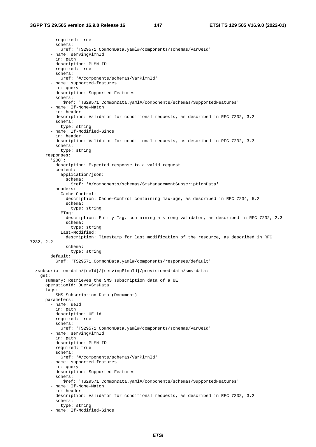required: true schema: \$ref: 'TS29571\_CommonData.yaml#/components/schemas/VarUeId' - name: servingPlmnId in: path description: PLMN ID required: true schema: \$ref: '#/components/schemas/VarPlmnId' - name: supported-features in: query description: Supported Features schema: \$ref: 'TS29571\_CommonData.yaml#/components/schemas/SupportedFeatures' - name: If-None-Match in: header description: Validator for conditional requests, as described in RFC 7232, 3.2 schema: type: string - name: If-Modified-Since in: header description: Validator for conditional requests, as described in RFC 7232, 3.3 schema: type: string responses: '200': description: Expected response to a valid request content: application/json: schema: \$ref: '#/components/schemas/SmsManagementSubscriptionData' headers: Cache-Control: description: Cache-Control containing max-age, as described in RFC 7234, 5.2 schema: type: string ETag: description: Entity Tag, containing a strong validator, as described in RFC 7232, 2.3 schema: type: string Last-Modified: description: Timestamp for last modification of the resource, as described in RFC 7232, 2.2 schema: type: string default: \$ref: 'TS29571\_CommonData.yaml#/components/responses/default' /subscription-data/{ueId}/{servingPlmnId}/provisioned-data/sms-data: get: summary: Retrieves the SMS subscription data of a UE operationId: QuerySmsData tags: - SMS Subscription Data (Document) parameters: - name: ueId in: path description: UE id required: true schema: \$ref: 'TS29571\_CommonData.yaml#/components/schemas/VarUeId' - name: servingPlmnId in: path description: PLMN ID required: true schema: \$ref: '#/components/schemas/VarPlmnId' - name: supported-features in: query description: Supported Features schema: \$ref: 'TS29571\_CommonData.yaml#/components/schemas/SupportedFeatures' - name: If-None-Match in: header description: Validator for conditional requests, as described in RFC 7232, 3.2 schema: type: string - name: If-Modified-Since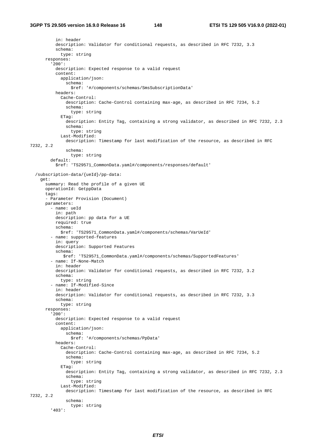in: header description: Validator for conditional requests, as described in RFC 7232, 3.3 schema: type: string responses: '200': description: Expected response to a valid request content: application/json: schema: \$ref: '#/components/schemas/SmsSubscriptionData' headers: Cache-Control: description: Cache-Control containing max-age, as described in RFC 7234, 5.2 schema: type: string ETag: description: Entity Tag, containing a strong validator, as described in RFC 7232, 2.3 schema: type: string Last-Modified: description: Timestamp for last modification of the resource, as described in RFC 7232, 2.2 schema: type: string default: \$ref: 'TS29571\_CommonData.yaml#/components/responses/default' /subscription-data/{ueId}/pp-data: get: summary: Read the profile of a given UE operationId: GetppData tags: - Parameter Provision (Document) parameters: - name: ueId in: path description: pp data for a UE required: true schema: \$ref: 'TS29571\_CommonData.yaml#/components/schemas/VarUeId' - name: supported-features in: query description: Supported Features schema: \$ref: 'TS29571\_CommonData.yaml#/components/schemas/SupportedFeatures' - name: If-None-Match in: header description: Validator for conditional requests, as described in RFC 7232, 3.2 schema: type: string - name: If-Modified-Since in: header description: Validator for conditional requests, as described in RFC 7232, 3.3 schema: type: string responses: '200': description: Expected response to a valid request content: application/json: schema: \$ref: '#/components/schemas/PpData' headers: Cache-Control: description: Cache-Control containing max-age, as described in RFC 7234, 5.2 schema: type: string ETag: description: Entity Tag, containing a strong validator, as described in RFC 7232, 2.3 schema: type: string Last-Modified: description: Timestamp for last modification of the resource, as described in RFC 7232, 2.2 schema: type: string '403':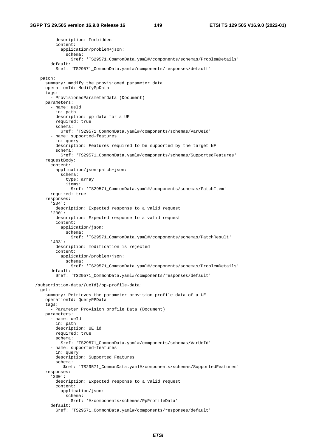```
 description: Forbidden 
         content: 
           application/problem+json: 
             schema: 
                $ref: 'TS29571_CommonData.yaml#/components/schemas/ProblemDetails' 
       default: 
         $ref: 'TS29571_CommonData.yaml#/components/responses/default' 
  patch: 
    summary: modify the provisioned parameter data 
    operationId: ModifyPpData 
   tags:
       - ProvisionedParameterData (Document) 
    parameters: 
       - name: ueId 
        in: path 
         description: pp data for a UE 
         required: true 
         schema: 
           $ref: 'TS29571_CommonData.yaml#/components/schemas/VarUeId' 
       - name: supported-features 
         in: query 
         description: Features required to be supported by the target NF 
         schema: 
           $ref: 'TS29571_CommonData.yaml#/components/schemas/SupportedFeatures' 
     requestBody: 
       content: 
         application/json-patch+json: 
           schema: 
             type: array 
             items: 
               $ref: 'TS29571_CommonData.yaml#/components/schemas/PatchItem' 
       required: true 
    responses: 
       '204': 
         description: Expected response to a valid request 
       '200': 
         description: Expected response to a valid request 
         content: 
           application/json: 
             schema: 
               $ref: 'TS29571_CommonData.yaml#/components/schemas/PatchResult' 
       '403': 
         description: modification is rejected 
         content: 
           application/problem+json: 
             schema: 
               $ref: 'TS29571_CommonData.yaml#/components/schemas/ProblemDetails' 
       default: 
         $ref: 'TS29571_CommonData.yaml#/components/responses/default' 
 /subscription-data/{ueId}/pp-profile-data: 
  get: 
     summary: Retrieves the parameter provision profile data of a UE 
    operationId: QueryPPData 
    tags: 
       - Parameter Provision profile Data (Document) 
    parameters: 
       - name: ueId 
        in: path 
         description: UE id 
         required: true 
         schema: 
           $ref: 'TS29571_CommonData.yaml#/components/schemas/VarUeId' 
       - name: supported-features 
         in: query 
         description: Supported Features 
         schema: 
            $ref: 'TS29571_CommonData.yaml#/components/schemas/SupportedFeatures' 
     responses: 
       '200': 
         description: Expected response to a valid request 
         content: 
           application/json: 
             schema: 
               $ref: '#/components/schemas/PpProfileData' 
       default: 
         $ref: 'TS29571_CommonData.yaml#/components/responses/default'
```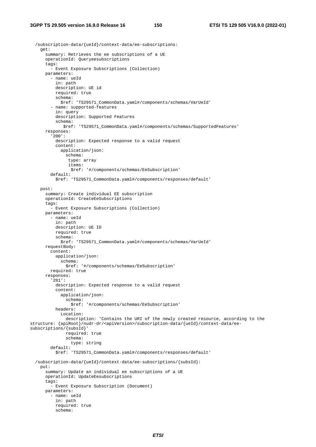```
 /subscription-data/{ueId}/context-data/ee-subscriptions: 
     get: 
       summary: Retrieves the ee subscriptions of a UE 
       operationId: Queryeesubscriptions 
       tags: 
          - Event Exposure Subscriptions (Collection) 
       parameters: 
         - name: ueId 
           in: path 
           description: UE id 
           required: true 
           schema: 
              $ref: 'TS29571_CommonData.yaml#/components/schemas/VarUeId' 
          - name: supported-features 
           in: query 
           description: Supported Features 
            schema: 
              $ref: 'TS29571_CommonData.yaml#/components/schemas/SupportedFeatures' 
       responses: 
          '200': 
           description: Expected response to a valid request 
            content: 
              application/json: 
                schema: 
                 type: array 
                 items: 
                  $ref: '#/components/schemas/EeSubscription' 
         default: 
           $ref: 'TS29571_CommonData.yaml#/components/responses/default' 
     post: 
       summary: Create individual EE subscription 
       operationId: CreateEeSubscriptions 
       tags: 
          - Event Exposure Subscriptions (Collection) 
       parameters: 
         - name: ueId 
           in: path 
           description: UE ID 
           required: true 
           schema: 
              $ref: 'TS29571_CommonData.yaml#/components/schemas/VarUeId' 
       requestBody: 
         content: 
           application/json: 
              schema: 
                $ref: '#/components/schemas/EeSubscription' 
         required: true 
       responses: 
          '201': 
           description: Expected response to a valid request 
            content: 
              application/json: 
                schema: 
                  $ref: '#/components/schemas/EeSubscription' 
           headers: 
              Location: 
                description: 'Contains the URI of the newly created resource, according to the 
structure: {apiRoot}/nudr-dr/<apiVersion>/subscription-data/{ueId}/context-data/ee-
subscriptions/{subsId}' 
                required: true 
                schema: 
                  type: string 
         default: 
            $ref: 'TS29571_CommonData.yaml#/components/responses/default' 
   /subscription-data/{ueId}/context-data/ee-subscriptions/{subsId}: 
     put: 
       summary: Update an individual ee subscriptions of a UE 
       operationId: UpdateEesubscriptions 
       tags: 
         - Event Exposure Subscription (Document) 
       parameters: 
          - name: ueId 
           in: path 
           required: true 
           schema:
```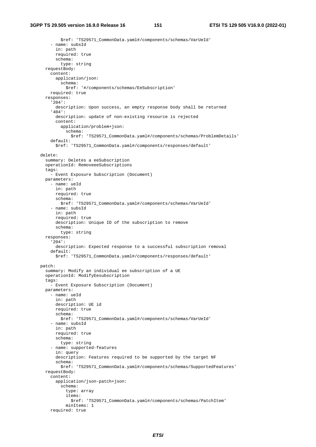\$ref: 'TS29571\_CommonData.yaml#/components/schemas/VarUeId' - name: subsId in: path required: true schema: type: string requestBody: content: application/json: schema: \$ref: '#/components/schemas/EeSubscription' required: true responses: '204': description: Upon success, an empty response body shall be returned '404': description: update of non-existing resource is rejected content: application/problem+json: schema: \$ref: 'TS29571\_CommonData.yaml#/components/schemas/ProblemDetails' default: \$ref: 'TS29571\_CommonData.yaml#/components/responses/default' delete: summary: Deletes a eeSubscription operationId: RemoveeeSubscriptions tags: - Event Exposure Subscription (Document) parameters: - name: ueId in: path required: true schema: \$ref: 'TS29571\_CommonData.yaml#/components/schemas/VarUeId' - name: subsId in: path required: true description: Unique ID of the subscription to remove schema: type: string responses: '204': description: Expected response to a successful subscription removal default: \$ref: 'TS29571\_CommonData.yaml#/components/responses/default' patch: summary: Modify an individual ee subscription of a UE operationId: ModifyEesubscription tags: - Event Exposure Subscription (Document) parameters: - name: ueId in: path description: UE id required: true schema: \$ref: 'TS29571\_CommonData.yaml#/components/schemas/VarUeId' - name: subsId in: path required: true schema: type: string - name: supported-features in: query description: Features required to be supported by the target NF schema: \$ref: 'TS29571\_CommonData.yaml#/components/schemas/SupportedFeatures' requestBody: content: application/json-patch+json: schema: type: array items: \$ref: 'TS29571\_CommonData.yaml#/components/schemas/PatchItem' minItems: 1 required: true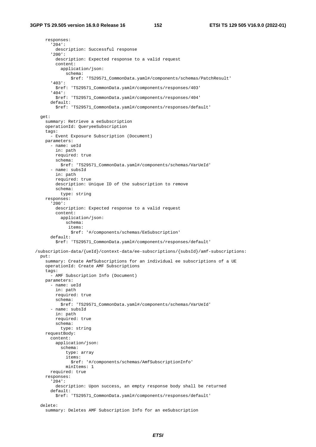responses: '204': description: Successful response '200': description: Expected response to a valid request content: application/json: schema: \$ref: 'TS29571\_CommonData.yaml#/components/schemas/PatchResult' '403': \$ref: 'TS29571\_CommonData.yaml#/components/responses/403' '404': \$ref: 'TS29571\_CommonData.yaml#/components/responses/404' default: \$ref: 'TS29571\_CommonData.yaml#/components/responses/default' get: summary: Retrieve a eeSubscription operationId: QueryeeSubscription tags: - Event Exposure Subscription (Document) parameters: - name: ueId in: path required: true schema: \$ref: 'TS29571\_CommonData.yaml#/components/schemas/VarUeId' - name: subsId in: path required: true description: Unique ID of the subscription to remove schema: type: string responses: '200': description: Expected response to a valid request content: application/json: schema: items: \$ref: '#/components/schemas/EeSubscription' default: \$ref: 'TS29571\_CommonData.yaml#/components/responses/default' /subscription-data/{ueId}/context-data/ee-subscriptions/{subsId}/amf-subscriptions: put: summary: Create AmfSubscriptions for an individual ee subscriptions of a UE operationId: Create AMF Subscriptions tags: - AMF Subscription Info (Document) parameters: - name: ueId in: path required: true schema: \$ref: 'TS29571\_CommonData.yaml#/components/schemas/VarUeId' - name: subsId in: path required: true schema: type: string requestBody: content: application/json: schema: type: array items: \$ref: '#/components/schemas/AmfSubscriptionInfo' minItems: 1 required: true responses: '204': description: Upon success, an empty response body shall be returned default: \$ref: 'TS29571\_CommonData.yaml#/components/responses/default' delete: summary: Deletes AMF Subscription Info for an eeSubscription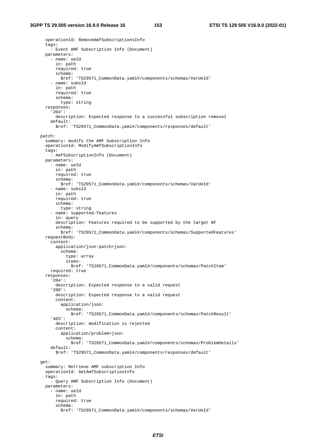```
 operationId: RemoveAmfSubscriptionsInfo 
   tags: 
     - Event AMF Subscription Info (Document) 
   parameters: 
      - name: ueId 
       in: path 
       required: true 
       schema: 
          $ref: 'TS29571_CommonData.yaml#/components/schemas/VarUeId' 
      - name: subsId 
       in: path 
       required: true 
       schema: 
         type: string 
   responses: 
      '204': 
       description: Expected response to a successful subscription removal 
     default: 
       $ref: 'TS29571_CommonData.yaml#/components/responses/default' 
 patch: 
   summary: modify the AMF Subscription Info 
   operationId: ModifyAmfSubscriptionInfo 
   tags: 
      - AmfSubscriptionInfo (Document) 
   parameters: 
      - name: ueId 
       in: path 
       required: true 
       schema: 
         $ref: 'TS29571_CommonData.yaml#/components/schemas/VarUeId' 
      - name: subsId 
       in: path 
       required: true 
       schema: 
         type: string 
      - name: supported-features 
       in: query 
       description: Features required to be supported by the target NF 
       schema: 
         $ref: 'TS29571_CommonData.yaml#/components/schemas/SupportedFeatures' 
   requestBody: 
     content: 
       application/json-patch+json: 
          schema: 
            type: array 
            items: 
              $ref: 'TS29571_CommonData.yaml#/components/schemas/PatchItem' 
     required: true 
   responses: 
      '204': 
       description: Expected response to a valid request 
      '200': 
       description: Expected response to a valid request 
       content: 
         application/json: 
            schema: 
              $ref: 'TS29571_CommonData.yaml#/components/schemas/PatchResult' 
      '403': 
       description: modification is rejected 
       content: 
          application/problem+json: 
           schema: 
              $ref: 'TS29571_CommonData.yaml#/components/schemas/ProblemDetails' 
     default: 
       $ref: 'TS29571_CommonData.yaml#/components/responses/default' 
 get: 
   summary: Retrieve AMF subscription Info 
   operationId: GetAmfSubscriptionInfo 
   tags: 
      - Query AMF Subscription Info (Document) 
   parameters: 
      - name: ueId 
       in: path 
       required: true 
       schema: 
          $ref: 'TS29571_CommonData.yaml#/components/schemas/VarUeId'
```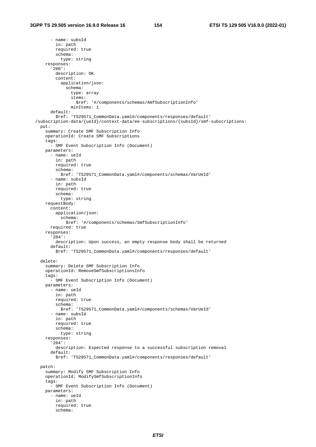- name: subsId in: path required: true schema: type: string responses: '200': description: OK content: application/json: schema: type: array items: \$ref: '#/components/schemas/AmfSubscriptionInfo' minItems: 1 default: \$ref: 'TS29571\_CommonData.yaml#/components/responses/default' /subscription-data/{ueId}/context-data/ee-subscriptions/{subsId}/smf-subscriptions: put: summary: Create SMF Subscription Info operationId: Create SMF Subscriptions tags: - SMF Event Subscription Info (Document) parameters: - name: ueId in: path required: true schema: \$ref: 'TS29571\_CommonData.yaml#/components/schemas/VarUeId' - name: subsId in: path required: true schema: type: string requestBody: content: application/json: schema: \$ref: '#/components/schemas/SmfSubscriptionInfo' required: true responses: '204': description: Upon success, an empty response body shall be returned default: \$ref: 'TS29571\_CommonData.yaml#/components/responses/default' delete: summary: Delete SMF Subscription Info operationId: RemoveSmfSubscriptionsInfo tags: - SMF Event Subscription Info (Document) parameters: - name: ueId in: path required: true schema: \$ref: 'TS29571\_CommonData.yaml#/components/schemas/VarUeId' - name: subsId in: path required: true schema: type: string responses: '204': description: Expected response to a successful subscription removal default: \$ref: 'TS29571\_CommonData.yaml#/components/responses/default' patch: summary: Modify SMF Subscription Info operationId: ModifySmfSubscriptionInfo tags: - SMF Event Subscription Info (Document) parameters: - name: ueId in: path required: true schema: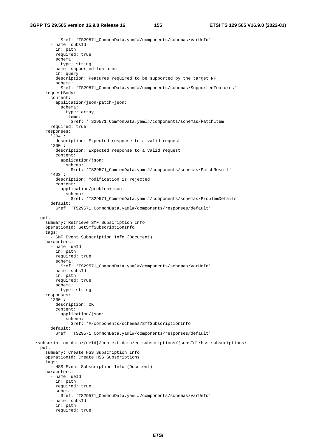```
 $ref: 'TS29571_CommonData.yaml#/components/schemas/VarUeId' 
       - name: subsId 
         in: path 
         required: true 
         schema: 
           type: string 
       - name: supported-features 
         in: query 
         description: Features required to be supported by the target NF 
         schema: 
           $ref: 'TS29571_CommonData.yaml#/components/schemas/SupportedFeatures' 
     requestBody: 
       content: 
         application/json-patch+json: 
           schema: 
             type: array 
             items: 
                $ref: 'TS29571_CommonData.yaml#/components/schemas/PatchItem' 
       required: true 
     responses: 
       '204': 
         description: Expected response to a valid request 
       '200': 
         description: Expected response to a valid request 
         content: 
           application/json: 
             schema: 
                $ref: 'TS29571_CommonData.yaml#/components/schemas/PatchResult' 
       '403': 
         description: modification is rejected 
         content: 
           application/problem+json: 
             schema: 
                $ref: 'TS29571_CommonData.yaml#/components/schemas/ProblemDetails' 
       default: 
         $ref: 'TS29571_CommonData.yaml#/components/responses/default' 
  get: 
     summary: Retrieve SMF Subscription Info 
     operationId: GetSmfSubscriptionInfo 
     tags: 
       - SMF Event Subscription Info (Document) 
    parameters: 
       - name: ueId 
        in: path 
         required: true 
         schema: 
           $ref: 'TS29571_CommonData.yaml#/components/schemas/VarUeId' 
       - name: subsId 
         in: path 
         required: true 
         schema: 
           type: string 
     responses: 
       '200': 
         description: OK 
         content: 
           application/json: 
             schema: 
                $ref: '#/components/schemas/SmfSubscriptionInfo' 
       default: 
         $ref: 'TS29571_CommonData.yaml#/components/responses/default' 
 /subscription-data/{ueId}/context-data/ee-subscriptions/{subsId}/hss-subscriptions: 
  put: 
     summary: Create HSS Subscription Info 
     operationId: Create HSS Subscriptions 
     tags: 
       - HSS Event Subscription Info (Document) 
    parameters: 
       - name: ueId 
         in: path 
         required: true 
         schema: 
           $ref: 'TS29571_CommonData.yaml#/components/schemas/VarUeId' 
       - name: subsId 
         in: path 
         required: true
```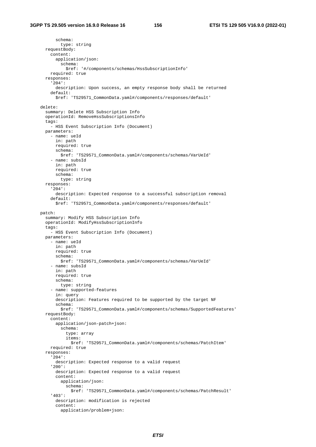schema: type: string requestBody: content: application/json: schema: \$ref: '#/components/schemas/HssSubscriptionInfo' required: true responses: '204': description: Upon success, an empty response body shall be returned default: \$ref: 'TS29571\_CommonData.yaml#/components/responses/default' delete: summary: Delete HSS Subscription Info operationId: RemoveHssSubscriptionsInfo tags: - HSS Event Subscription Info (Document) parameters: - name: ueId in: path required: true schema: \$ref: 'TS29571\_CommonData.yaml#/components/schemas/VarUeId' - name: subsId in: path required: true schema: type: string responses: '204': description: Expected response to a successful subscription removal default: \$ref: 'TS29571\_CommonData.yaml#/components/responses/default' patch: summary: Modify HSS Subscription Info operationId: ModifyHssSubscriptionInfo tags: - HSS Event Subscription Info (Document) parameters: - name: ueId in: path required: true schema: \$ref: 'TS29571\_CommonData.yaml#/components/schemas/VarUeId' - name: subsId in: path required: true schema: type: string - name: supported-features in: query description: Features required to be supported by the target NF schema: \$ref: 'TS29571\_CommonData.yaml#/components/schemas/SupportedFeatures' requestBody: content: application/json-patch+json: schema: type: array items: \$ref: 'TS29571\_CommonData.yaml#/components/schemas/PatchItem' required: true responses: '204': description: Expected response to a valid request '200': description: Expected response to a valid request content: application/json: schema: \$ref: 'TS29571\_CommonData.yaml#/components/schemas/PatchResult' '403': description: modification is rejected content: application/problem+json: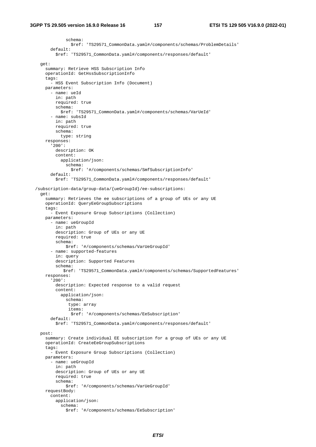```
 schema: 
                $ref: 'TS29571_CommonData.yaml#/components/schemas/ProblemDetails' 
       default: 
         $ref: 'TS29571_CommonData.yaml#/components/responses/default' 
  get: 
    summary: Retrieve HSS Subscription Info 
    operationId: GetHssSubscriptionInfo 
    tags: 
       - HSS Event Subscription Info (Document) 
    parameters: 
       - name: ueId 
         in: path 
         required: true 
         schema: 
           $ref: 'TS29571_CommonData.yaml#/components/schemas/VarUeId' 
       - name: subsId 
         in: path 
         required: true 
         schema: 
           type: string 
     responses: 
       '200': 
         description: OK 
         content: 
           application/json: 
             schema: 
                $ref: '#/components/schemas/SmfSubscriptionInfo' 
       default: 
         $ref: 'TS29571_CommonData.yaml#/components/responses/default' 
 /subscription-data/group-data/{ueGroupId}/ee-subscriptions: 
  get: 
    summary: Retrieves the ee subscriptions of a group of UEs or any UE 
    operationId: QueryEeGroupSubscriptions 
     tags: 
       - Event Exposure Group Subscriptions (Collection) 
    parameters: 
       - name: ueGroupId 
         in: path 
         description: Group of UEs or any UE 
         required: true 
         schema: 
             $ref: '#/components/schemas/VarUeGroupId' 
       - name: supported-features 
         in: query 
         description: Supported Features 
         schema: 
            $ref: 'TS29571_CommonData.yaml#/components/schemas/SupportedFeatures' 
    responses: 
       '200': 
         description: Expected response to a valid request 
         content: 
           application/json: 
             schema: 
              type: array 
              items: 
               $ref: '#/components/schemas/EeSubscription' 
       default: 
         $ref: 'TS29571_CommonData.yaml#/components/responses/default' 
  post: 
    summary: Create individual EE subscription for a group of UEs or any UE 
    operationId: CreateEeGroupSubscriptions 
    tags: 
       - Event Exposure Group Subscriptions (Collection) 
    parameters: 
       - name: ueGroupId 
         in: path 
         description: Group of UEs or any UE 
         required: true 
         schema: 
             $ref: '#/components/schemas/VarUeGroupId' 
     requestBody: 
       content: 
         application/json: 
           schema: 
             $ref: '#/components/schemas/EeSubscription'
```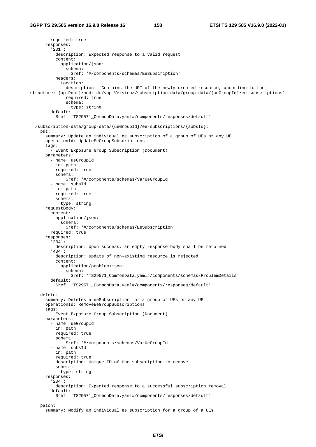required: true responses: '201': description: Expected response to a valid request content: application/json: schema: \$ref: '#/components/schemas/EeSubscription' headers: Location: description: 'Contains the URI of the newly created resource, according to the structure: {apiRoot}/nudr-dr/<apiVersion>/subscription-data/group-data/{ueGroupId}/ee-subscriptions' required: true schema: type: string default: \$ref: 'TS29571\_CommonData.yaml#/components/responses/default' /subscription-data/group-data/{ueGroupId}/ee-subscriptions/{subsId}: put: summary: Update an individual ee subscription of a group of UEs or any UE operationId: UpdateEeGroupSubscriptions tags: - Event Exposure Group Subscription (Document) parameters: - name: ueGroupId in: path required: true schema: \$ref: '#/components/schemas/VarUeGroupId' - name: subsId in: path required: true schema: type: string requestBody: content: application/json: schema: \$ref: '#/components/schemas/EeSubscription' required: true responses: '204': description: Upon success, an empty response body shall be returned '404': description: update of non-existing resource is rejected content: application/problem+json: schema: \$ref: 'TS29571\_CommonData.yaml#/components/schemas/ProblemDetails' default: \$ref: 'TS29571\_CommonData.yaml#/components/responses/default' delete: summary: Deletes a eeSubscription for a group of UEs or any UE operationId: RemoveEeGroupSubscriptions tags: - Event Exposure Group Subscription (Document) parameters: - name: ueGroupId in: path required: true schema: \$ref: '#/components/schemas/VarUeGroupId' - name: subsId in: path required: true description: Unique ID of the subscription to remove schema: type: string responses: '204': description: Expected response to a successful subscription removal default: \$ref: 'TS29571\_CommonData.yaml#/components/responses/default' patch: summary: Modify an individual ee subscription for a group of a UEs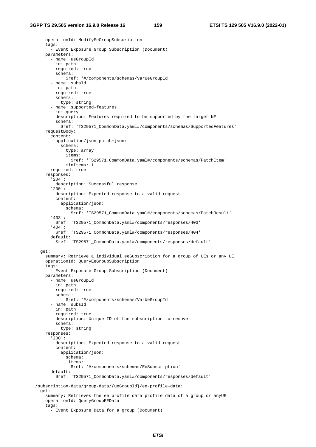```
 operationId: ModifyEeGroupSubscription 
     tags: 
       - Event Exposure Group Subscription (Document) 
     parameters: 
       - name: ueGroupId 
         in: path 
         required: true 
         schema: 
             $ref: '#/components/schemas/VarUeGroupId' 
       - name: subsId 
         in: path 
         required: true 
         schema: 
           type: string 
       - name: supported-features 
         in: query 
         description: Features required to be supported by the target NF 
         schema: 
           $ref: 'TS29571_CommonData.yaml#/components/schemas/SupportedFeatures' 
     requestBody: 
       content: 
         application/json-patch+json: 
           schema: 
             type: array 
             items: 
                $ref: 'TS29571_CommonData.yaml#/components/schemas/PatchItem' 
             minItems: 1 
       required: true 
     responses: 
       '204': 
         description: Successful response 
       '200': 
         description: Expected response to a valid request 
         content: 
           application/json: 
             schema: 
               $ref: 'TS29571_CommonData.yaml#/components/schemas/PatchResult' 
       '403': 
         $ref: 'TS29571_CommonData.yaml#/components/responses/403' 
       '404': 
         $ref: 'TS29571_CommonData.yaml#/components/responses/404' 
       default: 
         $ref: 'TS29571_CommonData.yaml#/components/responses/default' 
   get: 
     summary: Retrieve a individual eeSubscription for a group of UEs or any UE 
     operationId: QueryEeGroupSubscription 
     tags: 
       - Event Exposure Group Subscription (Document) 
     parameters: 
       - name: ueGroupId 
         in: path 
         required: true 
         schema: 
            $ref: '#/components/schemas/VarUeGroupId' 
       - name: subsId 
         in: path 
         required: true 
         description: Unique ID of the subscription to remove 
         schema: 
           type: string 
     responses: 
       '200': 
         description: Expected response to a valid request 
         content: 
           application/json: 
              schema: 
              items: 
                $ref: '#/components/schemas/EeSubscription' 
       default: 
         $ref: 'TS29571_CommonData.yaml#/components/responses/default' 
 /subscription-data/group-data/{ueGroupId}/ee-profile-data: 
   get: 
     summary: Retrieves the ee profile data profile data of a group or anyUE 
     operationId: QueryGroupEEData 
     tags: 
       - Event Exposure Data for a group (Document)
```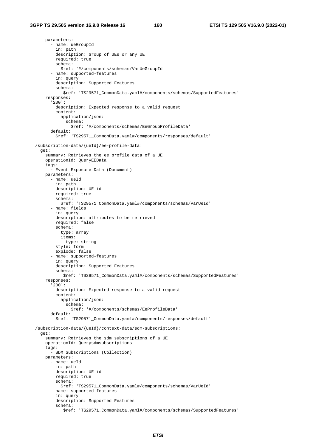parameters: - name: ueGroupId in: path description: Group of UEs or any UE required: true schema: \$ref: '#/components/schemas/VarUeGroupId' - name: supported-features in: query description: Supported Features schema: \$ref: 'TS29571\_CommonData.yaml#/components/schemas/SupportedFeatures' responses: '200': description: Expected response to a valid request content: application/json: schema: \$ref: '#/components/schemas/EeGroupProfileData' default: \$ref: 'TS29571\_CommonData.yaml#/components/responses/default' /subscription-data/{ueId}/ee-profile-data: get: summary: Retrieves the ee profile data of a UE operationId: QueryEEData tags: - Event Exposure Data (Document) parameters: - name: ueId in: path description: UE id required: true schema: \$ref: 'TS29571\_CommonData.yaml#/components/schemas/VarUeId' - name: fields in: query description: attributes to be retrieved required: false schema: type: array items: type: string style: form explode: false - name: supported-features in: query description: Supported Features schema: \$ref: 'TS29571\_CommonData.yaml#/components/schemas/SupportedFeatures' responses: '200': description: Expected response to a valid request content: application/json: schema: \$ref: '#/components/schemas/EeProfileData' default: \$ref: 'TS29571\_CommonData.yaml#/components/responses/default' /subscription-data/{ueId}/context-data/sdm-subscriptions: get: summary: Retrieves the sdm subscriptions of a UE operationId: Querysdmsubscriptions tags: - SDM Subscriptions (Collection) parameters: - name: ueId in: path description: UE id required: true schema: \$ref: 'TS29571\_CommonData.yaml#/components/schemas/VarUeId' - name: supported-features in: query description: Supported Features schema: \$ref: 'TS29571\_CommonData.yaml#/components/schemas/SupportedFeatures'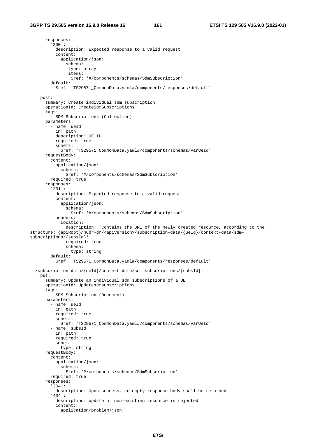responses: '200': description: Expected response to a valid request content: application/json: schema: type: array items: \$ref: '#/components/schemas/SdmSubscription' default: \$ref: 'TS29571\_CommonData.yaml#/components/responses/default' post: summary: Create individual sdm subscription operationId: CreateSdmSubscriptions tags: - SDM Subscriptions (Collection) parameters: - name: ueId in: path description: UE ID required: true schema: \$ref: 'TS29571\_CommonData.yaml#/components/schemas/VarUeId' requestBody: content: application/json: schema: \$ref: '#/components/schemas/SdmSubscription' required: true responses: '201': description: Expected response to a valid request content: application/json: schema: \$ref: '#/components/schemas/SdmSubscription' headers: Location: description: 'Contains the URI of the newly created resource, according to the structure: {apiRoot}/nudr-dr/<apiVersion>/subscription-data/{ueId}/context-data/sdmsubscriptions/{subsId}' required: true schema: type: string default: \$ref: 'TS29571\_CommonData.yaml#/components/responses/default' /subscription-data/{ueId}/context-data/sdm-subscriptions/{subsId}: put: summary: Update an individual sdm subscriptions of a UE operationId: Updatesdmsubscriptions tags: - SDM Subscription (Document) parameters: - name: ueId in: path required: true schema: \$ref: 'TS29571\_CommonData.yaml#/components/schemas/VarUeId' - name: subsId in: path required: true schema: type: string requestBody: content: application/json: schema: \$ref: '#/components/schemas/SdmSubscription' required: true responses: '204': description: Upon success, an empty response body shall be returned '404': description: update of non-existing resource is rejected content: application/problem+json: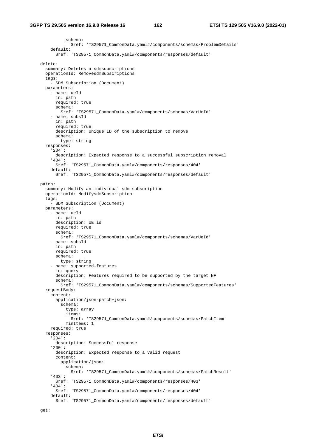schema: \$ref: 'TS29571\_CommonData.yaml#/components/schemas/ProblemDetails' default: \$ref: 'TS29571\_CommonData.yaml#/components/responses/default' delete: summary: Deletes a sdmsubscriptions operationId: RemovesdmSubscriptions tags: - SDM Subscription (Document) parameters: - name: ueId in: path required: true schema: \$ref: 'TS29571\_CommonData.yaml#/components/schemas/VarUeId' - name: subsId in: path required: true description: Unique ID of the subscription to remove schema: type: string responses: '204': description: Expected response to a successful subscription removal '404': \$ref: 'TS29571\_CommonData.yaml#/components/responses/404' default: \$ref: 'TS29571\_CommonData.yaml#/components/responses/default' patch: summary: Modify an individual sdm subscription operationId: ModifysdmSubscription tags: - SDM Subscription (Document) parameters: - name: ueId in: path description: UE id required: true schema: \$ref: 'TS29571\_CommonData.yaml#/components/schemas/VarUeId' - name: subsId in: path required: true schema: type: string - name: supported-features in: query description: Features required to be supported by the target NF schema: \$ref: 'TS29571\_CommonData.yaml#/components/schemas/SupportedFeatures' requestBody: content: application/json-patch+json: schema: type: array items: \$ref: 'TS29571\_CommonData.yaml#/components/schemas/PatchItem' minItems: 1 required: true responses: '204': description: Successful response '200': description: Expected response to a valid request content: application/json: schema: \$ref: 'TS29571\_CommonData.yaml#/components/schemas/PatchResult' '403': \$ref: 'TS29571\_CommonData.yaml#/components/responses/403' '404': \$ref: 'TS29571\_CommonData.yaml#/components/responses/404' default: \$ref: 'TS29571\_CommonData.yaml#/components/responses/default'

get: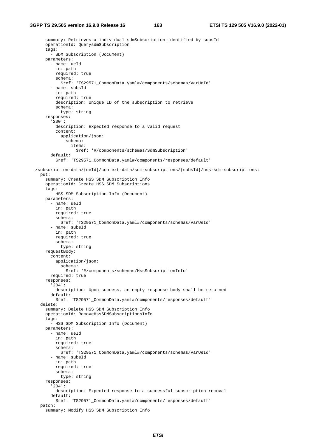```
 summary: Retrieves a individual sdmSubscription identified by subsId 
    operationId: QuerysdmSubscription 
    tags: 
       - SDM Subscription (Document) 
    parameters: 
       - name: ueId 
         in: path 
         required: true 
         schema: 
           $ref: 'TS29571_CommonData.yaml#/components/schemas/VarUeId' 
       - name: subsId 
         in: path 
         required: true 
         description: Unique ID of the subscription to retrieve 
         schema: 
          type: string 
     responses: 
       '200': 
         description: Expected response to a valid request 
         content: 
           application/json: 
             schema: 
               items: 
                  $ref: '#/components/schemas/SdmSubscription' 
       default: 
         $ref: 'TS29571_CommonData.yaml#/components/responses/default' 
 /subscription-data/{ueId}/context-data/sdm-subscriptions/{subsId}/hss-sdm-subscriptions: 
  put: 
    summary: Create HSS SDM Subscription Info 
    operationId: Create HSS SDM Subscriptions 
   tags:
       - HSS SDM Subscription Info (Document) 
    parameters: 
       - name: ueId 
         in: path 
        required: true 
         schema: 
           $ref: 'TS29571_CommonData.yaml#/components/schemas/VarUeId' 
       - name: subsId 
         in: path 
         required: true 
         schema: 
           type: string 
    requestBody: 
       content: 
         application/json: 
           schema: 
             $ref: '#/components/schemas/HssSubscriptionInfo' 
       required: true 
    responses: 
       '204': 
         description: Upon success, an empty response body shall be returned 
       default: 
        $ref: 'TS29571_CommonData.yaml#/components/responses/default' 
  delete: 
     summary: Delete HSS SDM Subscription Info 
    operationId: RemoveHssSDMSubscriptionsInfo 
    tags: 
       - HSS SDM Subscription Info (Document) 
    parameters: 
       - name: ueId 
        in: path 
         required: true 
         schema: 
           $ref: 'TS29571_CommonData.yaml#/components/schemas/VarUeId' 
       - name: subsId 
         in: path 
         required: true 
         schema: 
           type: string 
    responses: 
       '204': 
         description: Expected response to a successful subscription removal 
       default: 
         $ref: 'TS29571_CommonData.yaml#/components/responses/default' 
  patch: 
     summary: Modify HSS SDM Subscription Info
```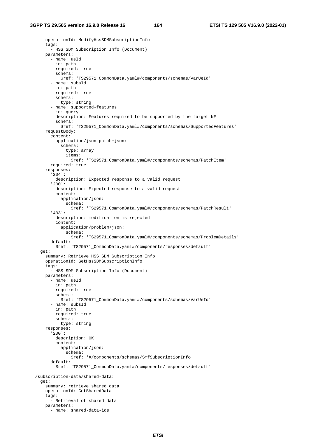```
 operationId: ModifyHssSDMSubscriptionInfo 
     tags: 
       - HSS SDM Subscription Info (Document) 
    parameters: 
       - name: ueId 
        in: path 
         required: true 
         schema: 
           $ref: 'TS29571_CommonData.yaml#/components/schemas/VarUeId' 
       - name: subsId 
         in: path 
         required: true 
         schema: 
           type: string 
       - name: supported-features 
         in: query 
         description: Features required to be supported by the target NF 
         schema: 
           $ref: 'TS29571_CommonData.yaml#/components/schemas/SupportedFeatures' 
     requestBody: 
       content: 
         application/json-patch+json: 
           schema: 
             type: array 
             items: 
               $ref: 'TS29571_CommonData.yaml#/components/schemas/PatchItem' 
       required: true 
     responses: 
       '204': 
         description: Expected response to a valid request 
       '200': 
         description: Expected response to a valid request 
         content: 
           application/json: 
             schema: 
               $ref: 'TS29571_CommonData.yaml#/components/schemas/PatchResult' 
       '403': 
         description: modification is rejected 
         content: 
           application/problem+json: 
             schema: 
               $ref: 'TS29571_CommonData.yaml#/components/schemas/ProblemDetails' 
       default: 
         $ref: 'TS29571_CommonData.yaml#/components/responses/default' 
  get: 
    summary: Retrieve HSS SDM Subscription Info 
    operationId: GetHssSDMSubscriptionInfo 
    tags: 
       - HSS SDM Subscription Info (Document) 
    parameters: 
       - name: ueId 
        in: path 
         required: true 
         schema: 
           $ref: 'TS29571_CommonData.yaml#/components/schemas/VarUeId' 
       - name: subsId 
         in: path 
         required: true 
         schema: 
           type: string 
     responses: 
       '200': 
        description: OK 
         content: 
           application/json: 
             schema: 
                $ref: '#/components/schemas/SmfSubscriptionInfo' 
       default: 
         $ref: 'TS29571_CommonData.yaml#/components/responses/default' 
 /subscription-data/shared-data: 
  get: 
    summary: retrieve shared data 
    operationId: GetSharedData 
     tags: 
       - Retrieval of shared data 
    parameters: 
       - name: shared-data-ids
```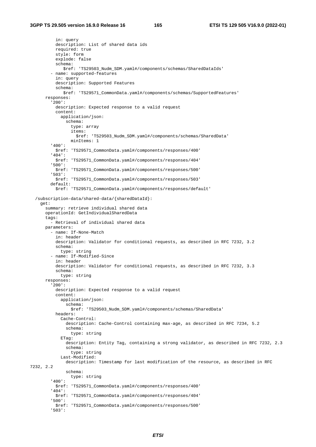```
 in: query 
           description: List of shared data ids 
           required: true 
           style: form 
           explode: false 
           schema: 
              $ref: 'TS29503_Nudm_SDM.yaml#/components/schemas/SharedDataIds' 
         - name: supported-features 
           in: query 
           description: Supported Features 
           schema: 
               $ref: 'TS29571_CommonData.yaml#/components/schemas/SupportedFeatures' 
       responses: 
          '200': 
           description: Expected response to a valid request 
           content: 
              application/json: 
                schema: 
                  type: array 
                  items: 
                   $ref: 'TS29503_Nudm_SDM.yaml#/components/schemas/SharedData' 
                  minItems: 1 
         '400': 
           $ref: 'TS29571_CommonData.yaml#/components/responses/400' 
          '404': 
           $ref: 'TS29571_CommonData.yaml#/components/responses/404' 
         '500': 
           $ref: 'TS29571_CommonData.yaml#/components/responses/500' 
         '503': 
           $ref: 'TS29571_CommonData.yaml#/components/responses/503' 
         default: 
           $ref: 'TS29571_CommonData.yaml#/components/responses/default' 
   /subscription-data/shared-data/{sharedDataId}: 
     get: 
       summary: retrieve individual shared data 
       operationId: GetIndividualSharedData 
       tags: 
         - Retrieval of individual shared data 
       parameters: 
         - name: If-None-Match 
           in: header 
           description: Validator for conditional requests, as described in RFC 7232, 3.2 
           schema: 
             type: string 
         - name: If-Modified-Since 
           in: header 
           description: Validator for conditional requests, as described in RFC 7232, 3.3 
           schema: 
            type: string 
       responses: 
          '200': 
           description: Expected response to a valid request 
           content: 
             application/json: 
               schema: 
                 $ref: 'TS29503_Nudm_SDM.yaml#/components/schemas/SharedData' 
           headers: 
             Cache-Control: 
                description: Cache-Control containing max-age, as described in RFC 7234, 5.2 
                schema: 
                 type: string 
              ETag: 
                description: Entity Tag, containing a strong validator, as described in RFC 7232, 2.3 
                schema: 
                  type: string 
             Last-Modified: 
               description: Timestamp for last modification of the resource, as described in RFC 
7232, 2.2 
                schema: 
                  type: string 
         '400': 
           $ref: 'TS29571_CommonData.yaml#/components/responses/400' 
         '404': 
           $ref: 'TS29571_CommonData.yaml#/components/responses/404' 
         '500': 
           $ref: 'TS29571_CommonData.yaml#/components/responses/500' 
          '503':
```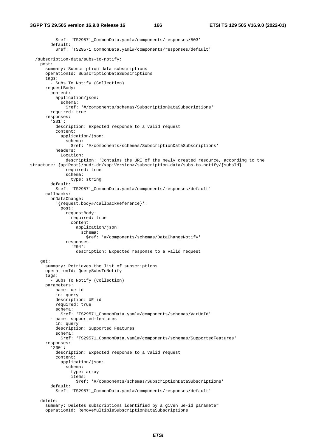\$ref: 'TS29571\_CommonData.yaml#/components/responses/503' default: \$ref: 'TS29571\_CommonData.yaml#/components/responses/default' /subscription-data/subs-to-notify: post: summary: Subscription data subscriptions operationId: SubscriptionDataSubscriptions tags: - Subs To Notify (Collection) requestBody: content: application/json: schema: \$ref: '#/components/schemas/SubscriptionDataSubscriptions' required: true responses: '201': description: Expected response to a valid request content: application/json: schema: \$ref: '#/components/schemas/SubscriptionDataSubscriptions' headers: Location: description: 'Contains the URI of the newly created resource, according to the structure: {apiRoot}/nudr-dr/<apiVersion>/subscription-data/subs-to-notify/{subsId}' required: true schema: type: string default: \$ref: 'TS29571\_CommonData.yaml#/components/responses/default' callbacks: onDataChange: '{request.body#/callbackReference}': post: requestBody: required: true content: application/json: schema: \$ref: '#/components/schemas/DataChangeNotify' responses: '204': description: Expected response to a valid request get: summary: Retrieves the list of subscriptions operationId: QuerySubsToNotify tags: - Subs To Notify (Collection) parameters: - name: ue-id in: query description: UE id required: true schema: \$ref: 'TS29571\_CommonData.yaml#/components/schemas/VarUeId' - name: supported-features in: query description: Supported Features schema: \$ref: 'TS29571\_CommonData.yaml#/components/schemas/SupportedFeatures' responses: '200': description: Expected response to a valid request content: application/json: schema: type: array items: \$ref: '#/components/schemas/SubscriptionDataSubscriptions' default: \$ref: 'TS29571\_CommonData.yaml#/components/responses/default' delete: summary: Deletes subscriptions identified by a given ue-id parameter

```
 operationId: RemoveMultipleSubscriptionDataSubscriptions
```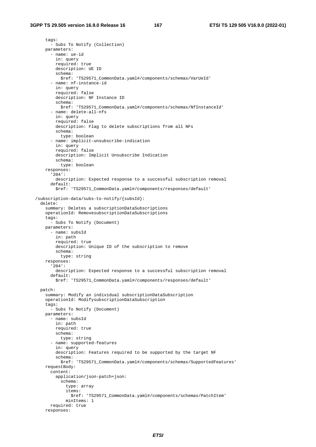tags: - Subs To Notify (Collection) parameters: - name: ue-id in: query required: true description: UE ID schema: \$ref: 'TS29571\_CommonData.yaml#/components/schemas/VarUeId' - name: nf-instance-id in: query required: false description: NF Instance ID schema: \$ref: 'TS29571\_CommonData.yaml#/components/schemas/NfInstanceId' - name: delete-all-nfs in: query required: false description: Flag to delete subscriptions from all NFs schema: type: boolean - name: implicit-unsubscribe-indication in: query required: false description: Implicit Unsubscribe Indication schema: type: boolean responses: '204': description: Expected response to a successful subscription removal default: \$ref: 'TS29571\_CommonData.yaml#/components/responses/default' /subscription-data/subs-to-notify/{subsId}: delete: summary: Deletes a subscriptionDataSubscriptions operationId: RemovesubscriptionDataSubscriptions tags: - Subs To Notify (Document) parameters: - name: subsId in: path required: true description: Unique ID of the subscription to remove schema: type: string responses: '204': description: Expected response to a successful subscription removal default: \$ref: 'TS29571\_CommonData.yaml#/components/responses/default' patch: summary: Modify an individual subscriptionDataSubscription operationId: ModifysubscriptionDataSubscription tags: - Subs To Notify (Document) parameters: - name: subsId in: path required: true schema: type: string - name: supported-features in: query description: Features required to be supported by the target NF schema: \$ref: 'TS29571\_CommonData.yaml#/components/schemas/SupportedFeatures' requestBody: content: application/json-patch+json: schema: type: array items: \$ref: 'TS29571\_CommonData.yaml#/components/schemas/PatchItem' minItems: 1 required: true responses: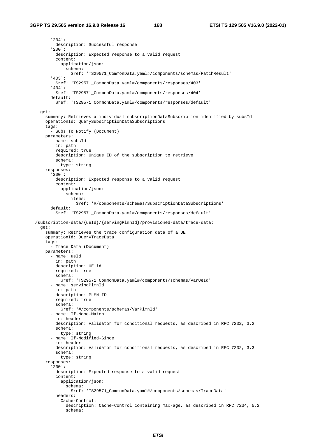'204': description: Successful response '200': description: Expected response to a valid request content: application/json: schema: \$ref: 'TS29571\_CommonData.yaml#/components/schemas/PatchResult' '403': \$ref: 'TS29571\_CommonData.yaml#/components/responses/403' '404': \$ref: 'TS29571\_CommonData.yaml#/components/responses/404' default: \$ref: 'TS29571\_CommonData.yaml#/components/responses/default' get: summary: Retrieves a individual subscriptionDataSubscription identified by subsId operationId: QuerySubscriptionDataSubscriptions tags: - Subs To Notify (Document) parameters: - name: subsId in: path required: true description: Unique ID of the subscription to retrieve schema: type: string responses: '200': description: Expected response to a valid request content: application/json: schema: items: \$ref: '#/components/schemas/SubscriptionDataSubscriptions' default: \$ref: 'TS29571\_CommonData.yaml#/components/responses/default' /subscription-data/{ueId}/{servingPlmnId}/provisioned-data/trace-data: get: summary: Retrieves the trace configuration data of a UE operationId: QueryTraceData tags: - Trace Data (Document) parameters: - name: ueId in: path description: UE id required: true schema: \$ref: 'TS29571\_CommonData.yaml#/components/schemas/VarUeId' - name: servingPlmnId in: path description: PLMN ID required: true schema: \$ref: '#/components/schemas/VarPlmnId' - name: If-None-Match in: header description: Validator for conditional requests, as described in RFC 7232, 3.2 schema: type: string - name: If-Modified-Since in: header description: Validator for conditional requests, as described in RFC 7232, 3.3 schema: type: string responses: '200': description: Expected response to a valid request content: application/json: schema: \$ref: 'TS29571\_CommonData.yaml#/components/schemas/TraceData' headers: Cache-Control: description: Cache-Control containing max-age, as described in RFC 7234, 5.2 schema: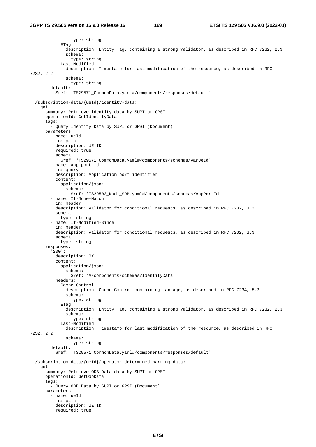type: string ETag: description: Entity Tag, containing a strong validator, as described in RFC 7232, 2.3 schema: type: string Last-Modified: description: Timestamp for last modification of the resource, as described in RFC 7232, 2.2 schema: type: string default: \$ref: 'TS29571\_CommonData.yaml#/components/responses/default' /subscription-data/{ueId}/identity-data: get: summary: Retrieve identity data by SUPI or GPSI operationId: GetIdentityData tags: - Query Identity Data by SUPI or GPSI (Document) parameters: - name: ueId in: path description: UE ID required: true schema: \$ref: 'TS29571\_CommonData.yaml#/components/schemas/VarUeId' - name: app-port-id in: query description: Application port identifier content: application/json: schema: \$ref: 'TS29503\_Nudm\_SDM.yaml#/components/schemas/AppPortId' - name: If-None-Match in: header description: Validator for conditional requests, as described in RFC 7232, 3.2 schema: type: string - name: If-Modified-Since in: header description: Validator for conditional requests, as described in RFC 7232, 3.3 schema: type: string responses: '200': description: OK content: application/json: schema: \$ref: '#/components/schemas/IdentityData' headers: Cache-Control: description: Cache-Control containing max-age, as described in RFC 7234, 5.2 schema: type: string ETag: description: Entity Tag, containing a strong validator, as described in RFC 7232, 2.3 schema: type: string Last-Modified: description: Timestamp for last modification of the resource, as described in RFC 7232, 2.2 schema: type: string default: \$ref: 'TS29571\_CommonData.yaml#/components/responses/default' /subscription-data/{ueId}/operator-determined-barring-data: get: summary: Retrieve ODB Data data by SUPI or GPSI operationId: GetOdbData tags: - Query ODB Data by SUPI or GPSI (Document) parameters: - name: ueId in: path description: UE ID required: true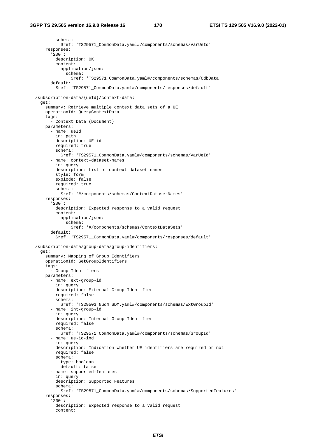schema: \$ref: 'TS29571\_CommonData.yaml#/components/schemas/VarUeId' responses: '200': description: OK content: application/json: schema: \$ref: 'TS29571\_CommonData.yaml#/components/schemas/OdbData' default: \$ref: 'TS29571\_CommonData.yaml#/components/responses/default' /subscription-data/{ueId}/context-data: get: summary: Retrieve multiple context data sets of a UE operationId: QueryContextData tags: - Context Data (Document) parameters: - name: ueId in: path description: UE id required: true schema: \$ref: 'TS29571\_CommonData.yaml#/components/schemas/VarUeId' - name: context-dataset-names in: query description: List of context dataset names style: form explode: false required: true schema: \$ref: '#/components/schemas/ContextDatasetNames' responses: '200': description: Expected response to a valid request content: application/json: schema: \$ref: '#/components/schemas/ContextDataSets' default: \$ref: 'TS29571\_CommonData.yaml#/components/responses/default' /subscription-data/group-data/group-identifiers: get: summary: Mapping of Group Identifiers operationId: GetGroupIdentifiers tags: - Group Identifiers parameters: - name: ext-group-id in: query description: External Group Identifier required: false schema: \$ref: 'TS29503\_Nudm\_SDM.yaml#/components/schemas/ExtGroupId' - name: int-group-id in: query description: Internal Group Identifier required: false schema: \$ref: 'TS29571\_CommonData.yaml#/components/schemas/GroupId' - name: ue-id-ind in: query description: Indication whether UE identifiers are required or not required: false schema: type: boolean default: false - name: supported-features in: query description: Supported Features schema: \$ref: 'TS29571\_CommonData.yaml#/components/schemas/SupportedFeatures' responses: '200': description: Expected response to a valid request content: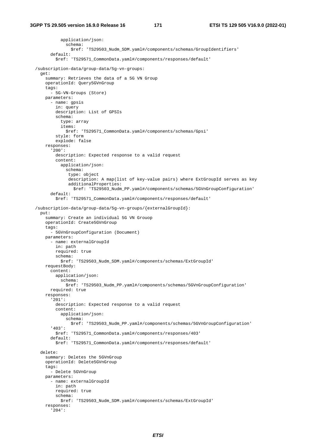```
 application/json: 
             schema: 
              $ref: 'TS29503 Nudm SDM.yaml#/components/schemas/GroupIdentifiers'
       default: 
         $ref: 'TS29571_CommonData.yaml#/components/responses/default' 
 /subscription-data/group-data/5g-vn-groups: 
  get: 
     summary: Retrieves the data of a 5G VN Group 
     operationId: Query5GVnGroup 
    tags: 
       - 5G-VN-Groups (Store) 
    parameters: 
       - name: gpsis 
         in: query 
         description: List of GPSIs 
         schema: 
           type: array 
           items: 
             $ref: 'TS29571_CommonData.yaml#/components/schemas/Gpsi' 
         style: form 
         explode: false 
     responses: 
       '200': 
         description: Expected response to a valid request 
         content: 
           application/json: 
             schema: 
              type: object 
              description: A map(list of key-value pairs) where ExtGroupId serves as key 
              additionalProperties: 
                $ref: 'TS29503_Nudm_PP.yaml#/components/schemas/5GVnGroupConfiguration' 
       default: 
         $ref: 'TS29571_CommonData.yaml#/components/responses/default' 
 /subscription-data/group-data/5g-vn-groups/{externalGroupId}: 
  put: 
    summary: Create an individual 5G VN Grouop 
    operationId: Create5GVnGroup 
    tags: 
        - 5GVnGroupConfiguration (Document) 
    parameters: 
       - name: externalGroupId 
         in: path 
         required: true 
         schema: 
           $ref: 'TS29503_Nudm_SDM.yaml#/components/schemas/ExtGroupId' 
    requestBody: 
       content: 
         application/json: 
           schema: 
             $ref: 'TS29503_Nudm_PP.yaml#/components/schemas/5GVnGroupConfiguration' 
       required: true 
     responses: 
       '201': 
         description: Expected response to a valid request 
         content: 
           application/json: 
             schema: 
               $ref: 'TS29503_Nudm_PP.yaml#/components/schemas/5GVnGroupConfiguration' 
       '403': 
         $ref: 'TS29571_CommonData.yaml#/components/responses/403' 
       default: 
         $ref: 'TS29571_CommonData.yaml#/components/responses/default' 
  delete: 
    summary: Deletes the 5GVnGroup 
    operationId: Delete5GVnGroup 
    tags: 
       - Delete 5GVnGroup 
    parameters: 
       - name: externalGroupId 
        in: path 
         required: true 
         schema: 
          $ref: 'TS29503_Nudm_SDM.yaml#/components/schemas/ExtGroupId' 
     responses: 
       '204':
```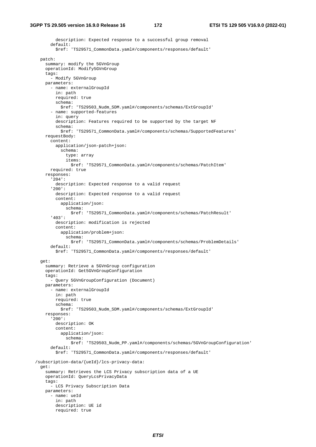description: Expected response to a successful group removal default: \$ref: 'TS29571\_CommonData.yaml#/components/responses/default' patch: summary: modify the 5GVnGroup operationId: Modify5GVnGroup tags: - Modify 5GVnGroup parameters: - name: externalGroupId in: path required: true schema: \$ref: 'TS29503\_Nudm\_SDM.yaml#/components/schemas/ExtGroupId' - name: supported-features in: query description: Features required to be supported by the target NF schema: \$ref: 'TS29571\_CommonData.yaml#/components/schemas/SupportedFeatures' requestBody: content: application/json-patch+json: schema: type: array items: \$ref: 'TS29571\_CommonData.yaml#/components/schemas/PatchItem' required: true responses: '204': description: Expected response to a valid request '200': description: Expected response to a valid request content: application/json: schema: \$ref: 'TS29571\_CommonData.yaml#/components/schemas/PatchResult' '403': description: modification is rejected content: application/problem+json: schema: \$ref: 'TS29571\_CommonData.yaml#/components/schemas/ProblemDetails' default: \$ref: 'TS29571\_CommonData.yaml#/components/responses/default' get: summary: Retrieve a 5GVnGroup configuration operationId: Get5GVnGroupConfiguration tags: - Query 5GVnGroupConfiguration (Document) parameters: - name: externalGroupId in: path required: true schema: \$ref: 'TS29503\_Nudm\_SDM.yaml#/components/schemas/ExtGroupId' responses: '200': description: OK content: application/json: schema: \$ref: 'TS29503\_Nudm\_PP.yaml#/components/schemas/5GVnGroupConfiguration' default: \$ref: 'TS29571\_CommonData.yaml#/components/responses/default' /subscription-data/{ueId}/lcs-privacy-data: get: summary: Retrieves the LCS Privacy subscription data of a UE operationId: QueryLcsPrivacyData tags: - LCS Privacy Subscription Data parameters: - name: ueId in: path description: UE id required: true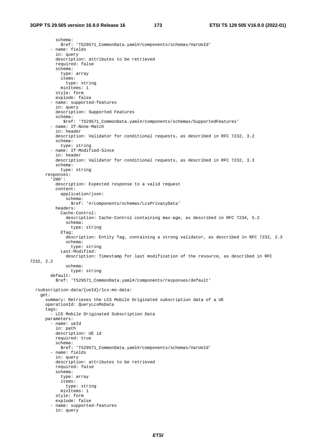schema: \$ref: 'TS29571\_CommonData.yaml#/components/schemas/VarUeId' - name: fields in: query description: attributes to be retrieved required: false schema: type: array items: type: string minItems: 1 style: form explode: false - name: supported-features in: query description: Supported Features schema: \$ref: 'TS29571\_CommonData.yaml#/components/schemas/SupportedFeatures' - name: If-None-Match in: header description: Validator for conditional requests, as described in RFC 7232, 3.2 schema: type: string - name: If-Modified-Since in: header description: Validator for conditional requests, as described in RFC 7232, 3.3 schema: type: string responses: '200': description: Expected response to a valid request content: application/json: --<br>schema: \$ref: '#/components/schemas/LcsPrivacyData' headers: Cache-Control: description: Cache-Control containing max-age, as described in RFC 7234, 5.2 schema: type: string ETag: description: Entity Tag, containing a strong validator, as described in RFC 7232, 2.3 schema: type: string Last-Modified: description: Timestamp for last modification of the resource, as described in RFC 7232, 2.2 schema: type: string default: \$ref: 'TS29571\_CommonData.yaml#/components/responses/default' /subscription-data/{ueId}/lcs-mo-data: get: summary: Retrieves the LCS Mobile Originated subscription data of a UE operationId: QueryLcsMoData tags: - LCS Mobile Originated Subscription Data parameters: - name: ueId in: path description: UE id required: true schema: \$ref: 'TS29571\_CommonData.yaml#/components/schemas/VarUeId' - name: fields in: query description: attributes to be retrieved required: false schema: type: array items: type: string minItems: 1 style: form explode: false - name: supported-features in: query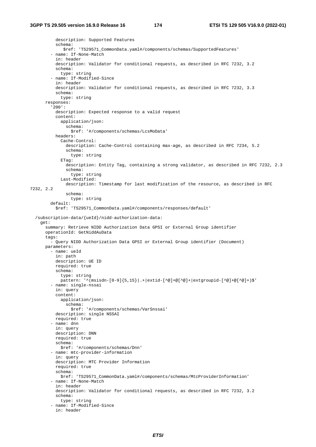```
 description: Supported Features 
           schema: 
              $ref: 'TS29571_CommonData.yaml#/components/schemas/SupportedFeatures' 
         - name: If-None-Match 
           in: header 
           description: Validator for conditional requests, as described in RFC 7232, 3.2 
           schema: 
             type: string 
         - name: If-Modified-Since 
           in: header 
           description: Validator for conditional requests, as described in RFC 7232, 3.3 
           schema: 
             type: string 
       responses: 
          '200': 
           description: Expected response to a valid request 
           content: 
             application/json: 
                schema: 
                 $ref: '#/components/schemas/LcsMoData' 
           headers: 
             Cache-Control: 
                description: Cache-Control containing max-age, as described in RFC 7234, 5.2 
                schema: 
                 type: string 
              ETag: 
                description: Entity Tag, containing a strong validator, as described in RFC 7232, 2.3 
                schema: 
                 type: string 
             Last-Modified: 
                description: Timestamp for last modification of the resource, as described in RFC 
7232, 2.2 
                schema: 
                 type: string 
         default: 
            $ref: 'TS29571_CommonData.yaml#/components/responses/default' 
   /subscription-data/{ueId}/nidd-authorization-data: 
     get: 
       summary: Retrieve NIDD Authorization Data GPSI or External Group identifier 
       operationId: GetNiddAuData 
       tags: 
          - Query NIDD Authorization Data GPSI or External Group identifier (Document) 
       parameters: 
         - name: ueId 
           in: path 
           description: UE ID 
           required: true 
           schema: 
             type: string 
             pattern: '^(msisdn-[0-9]{5,15}|.+|extid-[^@]+@[^@]+|extgroupid-[^@]+@[^@]+)$' 
          - name: single-nssai 
           in: query 
           content: 
             application/json: 
                schema: 
                  $ref: '#/components/schemas/VarSnssai' 
           description: single NSSAI 
           required: true 
          - name: dnn 
           in: query 
           description: DNN 
           required: true 
           schema: 
             $ref: '#/components/schemas/Dnn' 
          - name: mtc-provider-information 
            in: query 
           description: MTC Provider Information 
           required: true 
           schema: 
              $ref: 'TS29571_CommonData.yaml#/components/schemas/MtcProviderInformation' 
          - name: If-None-Match 
           in: header 
           description: Validator for conditional requests, as described in RFC 7232, 3.2 
           schema: 
             type: string 
          - name: If-Modified-Since 
           in: header
```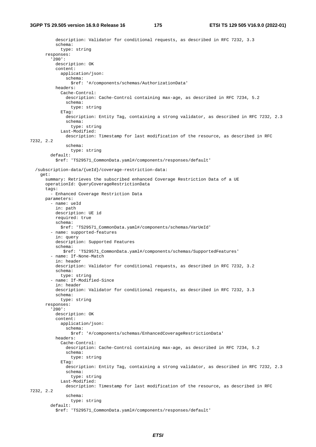```
 description: Validator for conditional requests, as described in RFC 7232, 3.3 
           schema: 
             type: string 
       responses: 
          '200': 
           description: OK 
           content: 
             application/json: 
                schema: 
                 $ref: '#/components/schemas/AuthorizationData' 
           headers: 
             Cache-Control: 
                description: Cache-Control containing max-age, as described in RFC 7234, 5.2 
                schema: 
                 type: string 
              ETag: 
                description: Entity Tag, containing a strong validator, as described in RFC 7232, 2.3 
                schema: 
                 type: string 
             Last-Modified: 
               description: Timestamp for last modification of the resource, as described in RFC 
7232, 2.2 
               schema: 
                 type: string 
         default: 
           $ref: 'TS29571_CommonData.yaml#/components/responses/default' 
   /subscription-data/{ueId}/coverage-restriction-data: 
     get: 
       summary: Retrieves the subscribed enhanced Coverage Restriction Data of a UE 
       operationId: QueryCoverageRestrictionData 
       tags: 
          - Enhanced Coverage Restriction Data 
       parameters: 
         - name: ueId 
            in: path 
           description: UE id 
           required: true 
           schema: 
             $ref: 'TS29571_CommonData.yaml#/components/schemas/VarUeId' 
          - name: supported-features 
           in: query 
           description: Supported Features 
           schema: 
              $ref: 'TS29571_CommonData.yaml#/components/schemas/SupportedFeatures' 
          - name: If-None-Match 
           in: header 
           description: Validator for conditional requests, as described in RFC 7232, 3.2 
           schema: 
             type: string 
          - name: If-Modified-Since 
           in: header 
           description: Validator for conditional requests, as described in RFC 7232, 3.3 
           schema: 
             type: string 
       responses: 
          '200': 
           description: OK 
           content: 
             application/json: 
                schema: 
                  $ref: '#/components/schemas/EnhancedCoverageRestrictionData' 
           headers: 
             Cache-Control: 
                description: Cache-Control containing max-age, as described in RFC 7234, 5.2 
                schema: 
                  type: string 
             ETaG:
                description: Entity Tag, containing a strong validator, as described in RFC 7232, 2.3 
                schema: 
                 type: string 
             Last-Modified: 
               description: Timestamp for last modification of the resource, as described in RFC 
7232, 2.2 
                schema: 
                 type: string 
         default:
```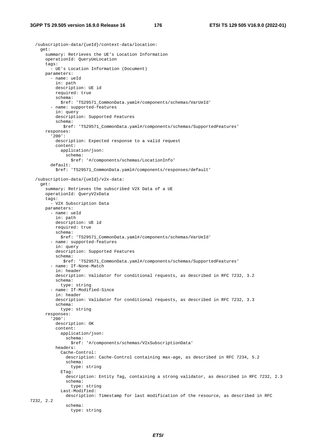```
 /subscription-data/{ueId}/context-data/location: 
     get: 
       summary: Retrieves the UE's Location Information 
       operationId: QueryUeLocation 
       tags: 
          - UE's Location Information (Document) 
       parameters: 
         - name: ueId 
           in: path 
           description: UE id 
           required: true 
           schema: 
              $ref: 'TS29571_CommonData.yaml#/components/schemas/VarUeId' 
          - name: supported-features 
           in: query 
           description: Supported Features 
            schema: 
              $ref: 'TS29571_CommonData.yaml#/components/schemas/SupportedFeatures' 
       responses: 
          '200': 
           description: Expected response to a valid request 
            content: 
             application/json: 
                schema: 
                 $ref: '#/components/schemas/LocationInfo' 
         default: 
            $ref: 'TS29571_CommonData.yaml#/components/responses/default' 
   /subscription-data/{ueId}/v2x-data: 
     get: 
       summary: Retrieves the subscribed V2X Data of a UE 
       operationId: QueryV2xData 
       tags: 
         - V2X Subscription Data 
       parameters: 
         - name: ueId 
           in: path 
           description: UE id 
           required: true 
           schema: 
             $ref: 'TS29571_CommonData.yaml#/components/schemas/VarUeId' 
          - name: supported-features 
           in: query 
           description: Supported Features 
           schema: 
              $ref: 'TS29571_CommonData.yaml#/components/schemas/SupportedFeatures' 
         - name: If-None-Match 
            in: header 
           description: Validator for conditional requests, as described in RFC 7232, 3.2 
           schema: 
             type: string 
         - name: If-Modified-Since 
            in: header 
           description: Validator for conditional requests, as described in RFC 7232, 3.3 
           schema: 
             type: string 
       responses: 
          '200': 
           description: OK 
           content: 
              application/json: 
                schema: 
                  $ref: '#/components/schemas/V2xSubscriptionData' 
           headers: 
              Cache-Control: 
                description: Cache-Control containing max-age, as described in RFC 7234, 5.2 
                schema: 
                  type: string 
              ETag: 
                description: Entity Tag, containing a strong validator, as described in RFC 7232, 2.3 
                schema: 
                  type: string 
              Last-Modified: 
                description: Timestamp for last modification of the resource, as described in RFC 
7232, 2.2 
               schema: 
                  type: string
```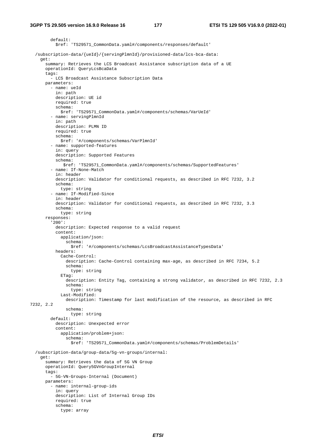default: \$ref: 'TS29571\_CommonData.yaml#/components/responses/default' /subscription-data/{ueId}/{servingPlmnId}/provisioned-data/lcs-bca-data: get: summary: Retrieves the LCS Broadcast Assistance subscription data of a UE operationId: QueryLcsBcaData tags: - LCS Broadcast Assistance Subscription Data parameters: - name: ueId in: path description: UE id required: true schema: \$ref: 'TS29571\_CommonData.yaml#/components/schemas/VarUeId' - name: servingPlmnId in: path description: PLMN ID required: true schema: \$ref: '#/components/schemas/VarPlmnId' - name: supported-features in: query description: Supported Features schema: \$ref: 'TS29571\_CommonData.yaml#/components/schemas/SupportedFeatures' - name: If-None-Match in: header description: Validator for conditional requests, as described in RFC 7232, 3.2 schema: type: string - name: If-Modified-Since in: header description: Validator for conditional requests, as described in RFC 7232, 3.3 schema: type: string responses: '200': description: Expected response to a valid request content: application/json: schema: \$ref: '#/components/schemas/LcsBroadcastAssistanceTypesData' headers: Cache-Control: description: Cache-Control containing max-age, as described in RFC 7234, 5.2 schema: type: string ETag: description: Entity Tag, containing a strong validator, as described in RFC 7232, 2.3 schema: type: string Last-Modified: description: Timestamp for last modification of the resource, as described in RFC 7232, 2.2 schema: type: string default: description: Unexpected error content: application/problem+json: schema: \$ref: 'TS29571\_CommonData.yaml#/components/schemas/ProblemDetails' /subscription-data/group-data/5g-vn-groups/internal: get: summary: Retrieves the data of 5G VN Group operationId: Query5GVnGroupInternal tags: - 5G-VN-Groups-Internal (Document) parameters: - name: internal-group-ids in: query description: List of Internal Group IDs required: true schema: type: array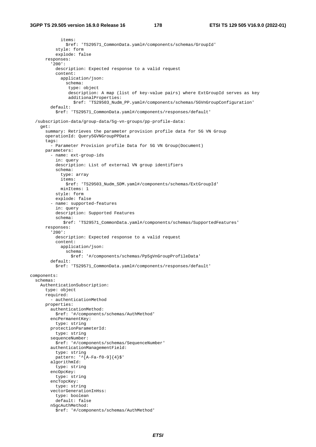items: \$ref: 'TS29571\_CommonData.yaml#/components/schemas/GroupId' style: form explode: false responses: '200': description: Expected response to a valid request content: application/json: schema: type: object description: A map (list of key-value pairs) where ExtGroupId serves as key additionalProperties: \$ref: 'TS29503\_Nudm\_PP.yaml#/components/schemas/5GVnGroupConfiguration' default: \$ref: 'TS29571\_CommonData.yaml#/components/responses/default' /subscription-data/group-data/5g-vn-groups/pp-profile-data: get: summary: Retrieves the parameter provision profile data for 5G VN Group operationId: Query5GVNGroupPPData tags: - Parameter Provision profile Data for 5G VN Group(Document) parameters: - name: ext-group-ids in: query description: List of external VN group identifiers schema: type: array items: \$ref: 'TS29503\_Nudm\_SDM.yaml#/components/schemas/ExtGroupId' minItems: 1 style: form explode: false - name: supported-features in: query description: Supported Features schema: \$ref: 'TS29571\_CommonData.yaml#/components/schemas/SupportedFeatures' responses: '200': description: Expected response to a valid request content: application/json: schema: \$ref: '#/components/schemas/Pp5gVnGroupProfileData' default: \$ref: 'TS29571\_CommonData.yaml#/components/responses/default' components: schemas: AuthenticationSubscription: type: object required: - authenticationMethod properties: authenticationMethod: \$ref: '#/components/schemas/AuthMethod' encPermanentKey: type: string protectionParameterId: type: string sequenceNumber: \$ref: '#/components/schemas/SequenceNumber' authenticationManagementField: type: string pattern: '^[A-Fa-f0-9]{4}\$' algorithmId: type: string encOpcKey: type: string encTopcKey: type: string vectorGenerationInHss: type: boolean default: false n5gcAuthMethod: \$ref: '#/components/schemas/AuthMethod'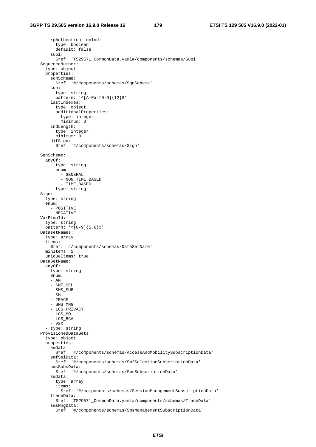rgAuthenticationInd: type: boolean default: false supi: \$ref: 'TS29571\_CommonData.yaml#/components/schemas/Supi' SequenceNumber: type: object properties: sqnScheme: \$ref: '#/components/schemas/SqnScheme' sqn: type: string pattern: '^[A-Fa-f0-9]{12}\$' lastIndexes: type: object additionalProperties: type: integer minimum: 0 indLength: type: integer minimum: 0 difSign: \$ref: '#/components/schemas/Sign' SqnScheme: anyOf: - type: string enum: - GENERAL - NON\_TIME\_BASED - TIME\_BASED - type: string Sign: type: string enum: - POSITIVE - NEGATIVE VarPlmnId: type: string pattern: '^[0-9]{5,6}\$' DatasetNames: type: array items: \$ref: '#/components/schemas/DataSetName' minItems: 1 uniqueItems: true DataSetName: anyOf: - type: string enum: - AM - SMF\_SEL - SMS\_SUB - SM - TRACE - SMS\_MNG - LCS\_PRIVACY - LCS\_MO - LCS\_BCA - V2X - type: string ProvisionedDataSets: type: object properties: amData: \$ref: '#/components/schemas/AccessAndMobilitySubscriptionData' smfSelData: \$ref: '#/components/schemas/SmfSelectionSubscriptionData' smsSubsData: \$ref: '#/components/schemas/SmsSubscriptionData' smData: type: array items: \$ref: '#/components/schemas/SessionManagementSubscriptionData' traceData: \$ref: 'TS29571\_CommonData.yaml#/components/schemas/TraceData' smsMngData: \$ref: '#/components/schemas/SmsManagementSubscriptionData'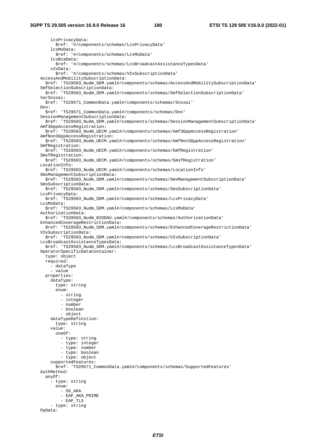lcsPrivacyData: \$ref: '#/components/schemas/LcsPrivacyData' lcsMoData: \$ref: '#/components/schemas/LcsMoData' lcsBcaData: \$ref: '#/components/schemas/LcsBroadcastAssistanceTypesData' v2xData: \$ref: '#/components/schemas/V2xSubscriptionData' AccessAndMobilitySubscriptionData: \$ref: 'TS29503\_Nudm\_SDM.yaml#/components/schemas/AccessAndMobilitySubscriptionData' SmfSelectionSubscriptionData: \$ref: 'TS29503\_Nudm\_SDM.yaml#/components/schemas/SmfSelectionSubscriptionData' VarSnssai: \$ref: 'TS29571\_CommonData.yaml#/components/schemas/Snssai' Dnn: \$ref: 'TS29571\_CommonData.yaml#/components/schemas/Dnn' SessionManagementSubscriptionData: \$ref: 'TS29503\_Nudm\_SDM.yaml#/components/schemas/SessionManagementSubscriptionData' Amf3GppAccessRegistration: \$ref: 'TS29503\_Nudm\_UECM.yaml#/components/schemas/Amf3GppAccessRegistration' AmfNon3GppAccessRegistration: \$ref: 'TS29503\_Nudm\_UECM.yaml#/components/schemas/AmfNon3GppAccessRegistration' SmfRegistration: \$ref: 'TS29503\_Nudm\_UECM.yaml#/components/schemas/SmfRegistration' SmsfRegistration: \$ref: 'TS29503\_Nudm\_UECM.yaml#/components/schemas/SmsfRegistration' LocationInfo: \$ref: 'TS29503\_Nudm\_UECM.yaml#/components/schemas/LocationInfo' SmsManagementSubscriptionData: \$ref: 'TS29503\_Nudm\_SDM.yaml#/components/schemas/SmsManagementSubscriptionData' SmsSubscriptionData: \$ref: 'TS29503\_Nudm\_SDM.yaml#/components/schemas/SmsSubscriptionData' LcsPrivacyData: \$ref: 'TS29503\_Nudm\_SDM.yaml#/components/schemas/LcsPrivacyData' LcsMoData: \$ref: 'TS29503\_Nudm\_SDM.yaml#/components/schemas/LcsMoData' AuthorizationData: \$ref: 'TS29503\_Nudm\_NIDDAU.yaml#/components/schemas/AuthorizationData' EnhancedCoverageRestrictionData: \$ref: 'TS29503\_Nudm\_SDM.yaml#/components/schemas/EnhancedCoverageRestrictionData' V2xSubscriptionData: \$ref: 'TS29503\_Nudm\_SDM.yaml#/components/schemas/V2xSubscriptionData' LcsBroadcastAssistanceTypesData: \$ref: 'TS29503\_Nudm\_SDM.yaml#/components/schemas/LcsBroadcastAssistanceTypesData' OperatorSpecificDataContainer: type: object required: - dataType - value properties: dataType: type: string enum: - string - integer - number - boolean - object dataTypeDefinition: type: string value: oneOf: - type: string - type: integer - type: number - type: boolean - type: object supportedFeatures: \$ref: 'TS29571\_CommonData.yaml#/components/schemas/SupportedFeatures' AuthMethod: anyOf: - type: string enum: - 5G\_AKA - EAP\_AKA\_PRIME - EAP\_TLS - type: string PpData: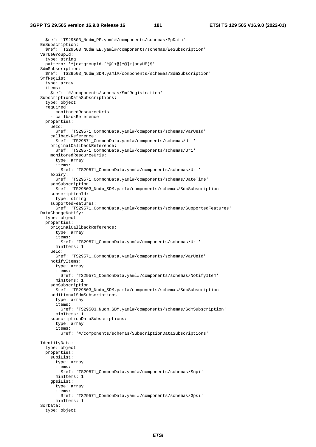\$ref: 'TS29503\_Nudm\_PP.yaml#/components/schemas/PpData' EeSubscription: \$ref: 'TS29503 Nudm EE.yaml#/components/schemas/EeSubscription' VarUeGroupId: type: string pattern: '^(extgroupid-[^@]+@[^@]+|anyUE)\$' SdmSubscription: \$ref: 'TS29503\_Nudm\_SDM.yaml#/components/schemas/SdmSubscription' SmfRegList: type: array items: \$ref: '#/components/schemas/SmfRegistration' SubscriptionDataSubscriptions: type: object required: - monitoredResourceUris - callbackReference properties: ueId: \$ref: 'TS29571\_CommonData.yaml#/components/schemas/VarUeId' callbackReference: \$ref: 'TS29571\_CommonData.yaml#/components/schemas/Uri' originalCallbackReference: \$ref: 'TS29571\_CommonData.yaml#/components/schemas/Uri' monitoredResourceUris: type: array items: \$ref: 'TS29571\_CommonData.yaml#/components/schemas/Uri' expiry: \$ref: 'TS29571\_CommonData.yaml#/components/schemas/DateTime' sdmSubscription: \$ref: 'TS29503\_Nudm\_SDM.yaml#/components/schemas/SdmSubscription' subscriptionId: type: string supportedFeatures: \$ref: 'TS29571\_CommonData.yaml#/components/schemas/SupportedFeatures' DataChangeNotify: type: object properties: originalCallbackReference: type: array items: \$ref: 'TS29571\_CommonData.yaml#/components/schemas/Uri' minItems: 1 ueId: \$ref: 'TS29571\_CommonData.yaml#/components/schemas/VarUeId' notifyItems: type: array items: \$ref: 'TS29571\_CommonData.yaml#/components/schemas/NotifyItem' minItems: 1 sdmSubscription: \$ref: 'TS29503\_Nudm\_SDM.yaml#/components/schemas/SdmSubscription' additionalSdmSubscriptions: type: array items: \$ref: 'TS29503\_Nudm\_SDM.yaml#/components/schemas/SdmSubscription' minItems: 1 subscriptionDataSubscriptions: type: array items: \$ref: '#/components/schemas/SubscriptionDataSubscriptions' IdentityData: type: object properties: supiList: type: array items: \$ref: 'TS29571\_CommonData.yaml#/components/schemas/Supi' minItems: 1 gpsiList: type: array items: \$ref: 'TS29571\_CommonData.yaml#/components/schemas/Gpsi' minItems: 1 SorData: type: object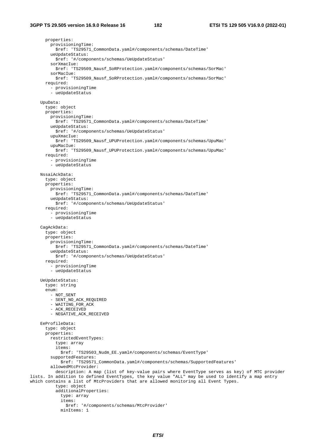properties: provisioningTime: \$ref: 'TS29571\_CommonData.yaml#/components/schemas/DateTime' ueUpdateStatus: \$ref: '#/components/schemas/UeUpdateStatus' sorXmacIue: \$ref: 'TS29509\_Nausf\_SoRProtection.yaml#/components/schemas/SorMac' sorMacIue: \$ref: 'TS29509\_Nausf\_SoRProtection.yaml#/components/schemas/SorMac' required: - provisioningTime - ueUpdateStatus UpuData: type: object properties: provisioningTime: \$ref: 'TS29571\_CommonData.yaml#/components/schemas/DateTime' ueUpdateStatus: \$ref: '#/components/schemas/UeUpdateStatus' upuXmacIue: \$ref: 'TS29509\_Nausf\_UPUProtection.yaml#/components/schemas/UpuMac' upuMacIue: \$ref: 'TS29509\_Nausf\_UPUProtection.yaml#/components/schemas/UpuMac' required: - provisioningTime - ueUpdateStatus NssaiAckData: type: object properties: provisioningTime: \$ref: 'TS29571\_CommonData.yaml#/components/schemas/DateTime' ueUpdateStatus: \$ref: '#/components/schemas/UeUpdateStatus' required: - provisioningTime - ueUpdateStatus CagAckData: type: object properties: provisioningTime: \$ref: 'TS29571\_CommonData.yaml#/components/schemas/DateTime' ueUpdateStatus: \$ref: '#/components/schemas/UeUpdateStatus' required: - provisioningTime - ueUpdateStatus UeUpdateStatus: type: string enum: - NOT\_SENT - SENT\_NO\_ACK\_REQUIRED - WAITING\_FOR\_ACK - ACK RECEIVED - NEGATIVE\_ACK\_RECEIVED EeProfileData: type: object properties: restrictedEventTypes: type: array items: \$ref: 'TS29503\_Nudm\_EE.yaml#/components/schemas/EventType' supportedFeatures: \$ref: 'TS29571\_CommonData.yaml#/components/schemas/SupportedFeatures' allowedMtcProvider: description: A map (list of key-value pairs where EventType serves as key) of MTC provider lists. In addition to defined EventTypes, the key value "ALL" may be used to identify a map entry which contains a list of MtcProviders that are allowed monitoring all Event Types. type: object additionalProperties: type: array items: \$ref: '#/components/schemas/MtcProvider'

minItems: 1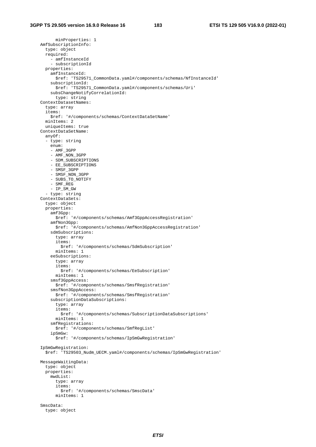```
 minProperties: 1 
 AmfSubscriptionInfo: 
   type: object 
   required: 
     - amfInstanceId 
     - subscriptionId 
   properties: 
     amfInstanceId: 
       $ref: 'TS29571_CommonData.yaml#/components/schemas/NfInstanceId' 
     subscriptionId: 
      $ref: 'TS29571_CommonData.yaml#/components/schemas/Uri' 
     subsChangeNotifyCorrelationId: 
       type: string 
 ContextDatasetNames: 
   type: array 
   items: 
     $ref: '#/components/schemas/ContextDataSetName' 
   minItems: 2 
   uniqueItems: true 
 ContextDataSetName: 
   anyOf: 
   - type: string 
     enum: 
     - AMF_3GPP 
     - AMF_NON_3GPP 
     - SDM_SUBSCRIPTIONS 
     - EE_SUBSCRIPTIONS 
     - SMSF_3GPP 
     - SMSF_NON_3GPP 
     - SUBS_TO_NOTIFY 
     - SMF_REG 
     - IP_SM_GW 
   - type: string 
 ContextDataSets: 
   type: object 
   properties: 
     amf3Gpp: 
       $ref: '#/components/schemas/Amf3GppAccessRegistration' 
     amfNon3Gpp: 
       $ref: '#/components/schemas/AmfNon3GppAccessRegistration' 
     sdmSubscriptions: 
       type: array 
       items: 
         $ref: '#/components/schemas/SdmSubscription' 
       minItems: 1 
     eeSubscriptions: 
       type: array 
       items: 
         $ref: '#/components/schemas/EeSubscription' 
       minItems: 1 
     smsf3GppAccess: 
       $ref: '#/components/schemas/SmsfRegistration' 
     smsfNon3GppAccess: 
       $ref: '#/components/schemas/SmsfRegistration' 
     subscriptionDataSubscriptions: 
       type: array 
       items: 
         $ref: '#/components/schemas/SubscriptionDataSubscriptions' 
       minItems: 1 
     smfRegistrations: 
       $ref: '#/components/schemas/SmfRegList' 
     ipSmGw: 
       $ref: '#/components/schemas/IpSmGwRegistration' 
 IpSmGwRegistration: 
   $ref: 'TS29503_Nudm_UECM.yaml#/components/schemas/IpSmGwRegistration' 
 MessageWaitingData: 
   type: object 
   properties: 
     mwdList: 
       type: array 
       items: 
         $ref: '#/components/schemas/SmscData' 
       minItems: 1 
 SmscData: 
   type: object
```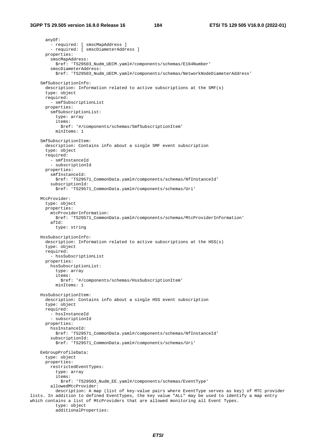anyOf: .<br>- required: [ smscMapAddress ] - required: [ smscDiameterAddress ] properties: smscMapAddress: \$ref: 'TS29503\_Nudm\_UECM.yaml#/components/schemas/E164Number' smscDiameterAddress: \$ref: 'TS29503\_Nudm\_UECM.yaml#/components/schemas/NetworkNodeDiameterAddress' SmfSubscriptionInfo: description: Information related to active subscriptions at the SMF(s) type: object required: - smfSubscriptionList properties: smfSubscriptionList: type: array items: \$ref: '#/components/schemas/SmfSubscriptionItem' minItems: 1 SmfSubscriptionItem: description: Contains info about a single SMF event subscription type: object required: - smfInstanceId - subscriptionId properties: smfInstanceId: \$ref: 'TS29571\_CommonData.yaml#/components/schemas/NfInstanceId' subscriptionId: \$ref: 'TS29571\_CommonData.yaml#/components/schemas/Uri' MtcProvider: type: object properties: mtcProviderInformation: \$ref: 'TS29571\_CommonData.yaml#/components/schemas/MtcProviderInformation'  $affId:$  type: string HssSubscriptionInfo: description: Information related to active subscriptions at the HSS(s) type: object required: - hssSubscriptionList properties: hssSubscriptionList: type: array items: \$ref: '#/components/schemas/HssSubscriptionItem' minItems: 1 HssSubscriptionItem: description: Contains info about a single HSS event subscription type: object required: - hssInstanceId - subscriptionId properties: hssInstanceId: \$ref: 'TS29571\_CommonData.yaml#/components/schemas/NfInstanceId' subscriptionId: \$ref: 'TS29571\_CommonData.yaml#/components/schemas/Uri' EeGroupProfileData: type: object properties: restrictedEventTypes: type: array items: \$ref: 'TS29503\_Nudm\_EE.yaml#/components/schemas/EventType' allowedMtcProvider: description: A map (list of key-value pairs where EventType serves as key) of MTC provider lists. In addition to defined EventTypes, the key value "ALL" may be used to identify a map entry which contains a list of MtcProviders that are allowed monitoring all Event Types. type: object additionalProperties: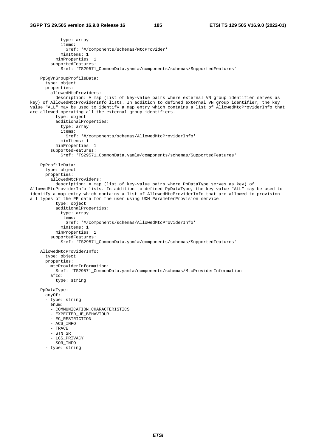```
 type: array 
             items: 
                $ref: '#/components/schemas/MtcProvider' 
             minItems: 1 
           minProperties: 1 
         supportedFeatures: 
             $ref: 'TS29571_CommonData.yaml#/components/schemas/SupportedFeatures' 
     Pp5gVnGroupProfileData: 
       type: object 
       properties: 
         allowedMtcProviders: 
           description: A map (list of key-value pairs where external VN group identifier serves as 
key) of AllowedMtcProviderInfo lists. In addition to defined external VN group identifier, the key 
value "ALL" may be used to identify a map entry which contains a list of AllowedMtcProviderInfo that 
are allowed operating all the external group identifiers. 
           type: object 
           additionalProperties: 
             type: array 
             items: 
               $ref: '#/components/schemas/AllowedMtcProviderInfo' 
             minItems: 1 
           minProperties: 1 
         supportedFeatures: 
             $ref: 'TS29571_CommonData.yaml#/components/schemas/SupportedFeatures' 
     PpProfileData: 
       type: object 
       properties: 
         allowedMtcProviders: 
           description: A map (list of key-value pairs where PpDataType serves as key) of 
AllowedMtcProviderInfo lists. In addition to defined PpDataType, the key value "ALL" may be used to 
identify a map entry which contains a list of AllowedMtcProviderInfo that are allowed to provision 
all types of the PP data for the user using UDM ParameterProvision service. 
           type: object 
           additionalProperties: 
             type: array 
             items: 
                $ref: '#/components/schemas/AllowedMtcProviderInfo' 
             minItems: 1 
           minProperties: 1 
         supportedFeatures: 
             $ref: 'TS29571_CommonData.yaml#/components/schemas/SupportedFeatures' 
     AllowedMtcProviderInfo: 
       type: object 
       properties: 
         mtcProviderInformation: 
           $ref: 'TS29571_CommonData.yaml#/components/schemas/MtcProviderInformation' 
         afId: 
           type: string 
     PpDataType: 
       anyOf: 
       - type: string 
         enum: 
        - COMMUNICATION CHARACTERISTICS
         - EXPECTED_UE_BEHAVIOUR 
         - EC_RESTRICTION 
        - ACS INFO
         - TRACE 
         - STN_SR 
         - LCS_PRIVACY 
         - SOR_INFO 
       - type: string
```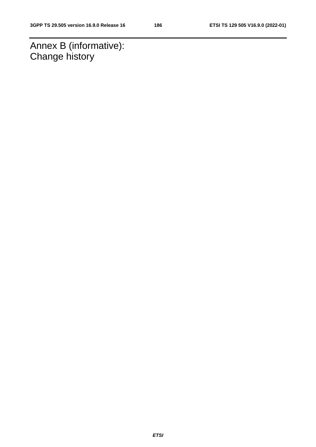Annex B (informative): Change history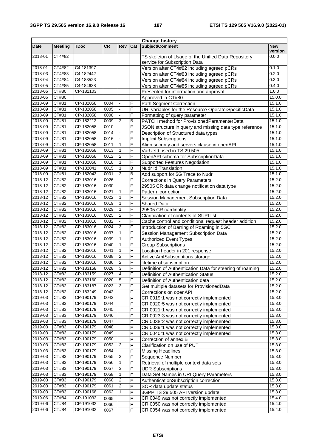|         |                |             |           |                  |     | <b>Change history</b>                                     |                       |
|---------|----------------|-------------|-----------|------------------|-----|-----------------------------------------------------------|-----------------------|
| Date    | <b>Meeting</b> | <b>TDoc</b> | <b>CR</b> | Rev              | Cat | Subject/Comment                                           | <b>New</b><br>version |
| 2018-01 | CT4#82         |             |           |                  |     | TS skeleton of Usage of the Unified Data Repository       | 0.0.0                 |
|         |                |             |           |                  |     | service for Subscription Data                             |                       |
| 2018-01 | CT4#82         | C4-181397   |           |                  |     | Version after CT4#82 including agreed pCRs                | 0.1.0                 |
| 2018-03 | CT4#83         | C4-182442   |           |                  |     | Version after CT4#83 including agreed pCRs                | 0.2.0                 |
| 2018-04 | CT4#84         | C4-183523   |           |                  |     | Version after CT4#84 including agreed pCRs                | 0.3.0                 |
| 2018-05 | CT4#85         | C4-184638   |           |                  |     | Version after CT4#85 including agreed pCRs                | 0.4.0                 |
| 2018-06 | CT#80          | CP-181103   |           |                  |     | Presented for information and approval                    | 1.0.0                 |
| 2018-06 | CT#80          |             |           |                  |     | Approved in CT#80.                                        | 15.0.0                |
| 2018-09 | CT#81          | CP-182058   | 0004      |                  | F   | <b>Path Segment Correction</b>                            | 15.1.0                |
| 2018-09 | CT#81          | CP-182058   | 0005      | $\blacksquare$   | F   | URI variables for the Resource OperatorSpecificData       | 15.1.0                |
| 2018-09 | CT#81          | CP-182058   | 0008      |                  | F   | Formatting of query parameter                             | 15.1.0                |
| 2018-09 | CT#81          | CP-182212   | 0009      | $\overline{2}$   | В   | PATCH method for ProvisionedParamenterData                | 15.1.0                |
| 2018-09 | CT#81          | CP-182058   | 0010      | L.               | F   | JSON structure in query and missing data type reference   | 15.1.0                |
| 2018-09 | CT#81          | CP-182058   | 0014      | L.               | F   | Description of Structured data types                      | 15.1.0                |
| 2018-09 | CT#81          | CP-182058   | 0016      |                  | F   | <b>Implicit Subscriptions</b>                             | 15.1.0                |
| 2018-09 | CT#81          | CP-182058   | 0011      | $\mathbf{1}$     | F   | Align security and servers clause in openAPI              | 15.1.0                |
| 2018-09 | CT#81          | CP-182058   | 0013      | $\mathbf{1}$     | F   | VarUeld used in TS 29.505                                 | 15.1.0                |
| 2018-09 | CT#81          | CP-182058   | 0012      | $\overline{2}$   | F   | OpenAPI schema for SubscriptionData                       | 15.1.0                |
| 2018-09 | CT#81          | CP-182058   | 0018      | $\mathbf{1}$     | F   | <b>Supported Features Negotiation</b>                     | 15.1.0                |
| 2018-09 | CT#81          | CP-182041   | 0015      | $\mathbf{1}$     | B   | Nudr Id Translation                                       | 15.1.0                |
| 2018-09 | CT#81          | CP-182043   | 0001      | $\overline{2}$   | B   | Add support for 5G Trace to Nudr                          | 15.1.0                |
| 2018-12 | CT#82          | CP-183016   | 0026      |                  | F   | <b>Corrections in Query Parameters</b>                    | 15.2.0                |
| 2018-12 | CT#82          | CP-183016   | 0030      |                  | F   | 29505 CR data change notification data type               | 15.2.0                |
| 2018-12 | CT#82          | CP-183016   | 0021      | $\mathbf{1}$     | F   | Pattern correction                                        | 15.2.0                |
| 2018-12 | CT#82          | CP-183016   | 0022      | $\mathbf{1}$     | F   | Session Management Subscription Data                      | 15.2.0                |
| 2018-12 | CT#82          | CP-183016   | 0019      | $\mathbf{1}$     | F   | <b>Shared Data</b>                                        | 15.2.0                |
| 2018-12 | CT#82          | CP-183016   | 0029      | $\mathbf{1}$     | F   | 29505 CR cardinality                                      | 15.2.0                |
| 2018-12 | CT#82          | CP-183016   | 0025      | $\overline{2}$   | F   | Clarification of contents of SUPI list                    | 15.2.0                |
| 2018-12 | CT#82          | CP-183016   | 0032      |                  | F   | Cache control and conditional request header addition     | 15.2.0                |
| 2018-12 | CT#82          | CP-183016   | 0024      | 3                | F   | Introduction of Barring of Roaming in 5GC                 | 15.2.0                |
| 2018-12 | CT#82          | CP-183016   | 0037      | $\mathbf{1}$     | F   | Session Management Subscription Data                      | 15.2.0                |
| 2018-12 | CT#82          | CP-183016   | 0039      | $\mathbf{1}$     | F   | <b>Authorized Event Types</b>                             | 15.2.0                |
| 2018-12 | CT#82          | CP-183016   | 0040      | $\mathbf{1}$     | F   | <b>Group Subscriptions</b>                                | 15.2.0                |
| 2018-12 | CT#82          | CP-183016   | 0041      | $\mathbf{1}$     | F   | Location header in 201 response                           | 15.2.0                |
| 2018-12 | CT#82          | CP-183016   | 0038      | $\overline{2}$   | F   | Active AmfSubscriptions storage                           | 15.2.0                |
| 2018-12 | <b>CT#82</b>   | CP-183016   | 0036      | $\overline{2}$   | F   | lifetime of subscription                                  | 15.2.0                |
| 2018-12 | CT#82          | CP-183158   | 0028      | 3                | F   | Definition of Authentication Data for steering of roaming | 15.2.0                |
| 2018-12 | CT#82          | CP-183159   | 0027      | $\overline{4}$   | F   | Definition of Authentication Status                       | 15.2.0                |
| 2018-12 | CT#82          | CP-183160   | 0020      | $\overline{5}$   | F   | Definition of Authentication data                         | 15.2.0                |
| 2018-12 | CT#82          | CP-183187   | 0023      | $\overline{3}$   | F   | Get multiple datasets for ProvisionedData                 | 15.2.0                |
| 2018-12 | CT#82          | CP-183249   | 0042      |                  | F   | Corrections on openAPI                                    | 15.2.0                |
| 2019-03 | CT#83          | CP-190179   | 0043      |                  | F   | CR 0019r1 was not correctly implemented                   | 15.3.0                |
| 2019-03 | CT#83          | CP-190179   | 0044      |                  | F   | CR 0020r5 was not correctly implemented                   | 15.3.0                |
| 2019-03 | CT#83          | CP-190179   | 0045      |                  | F   | CR 0021r1 was not correctly implemented                   | 15.3.0                |
| 2019-03 | CT#83          | CP-190179   | 0046      |                  | F   | CR 0023r3 was not correctly implemented                   | 15.3.0                |
| 2019-03 | CT#83          | CP-190179   | 0047      |                  | F   | CR 0038r2 was not correctly implemented                   | 15.3.0                |
| 2019-03 | CT#83          | CP-190179   | 0048      |                  | F   | CR 0039r1 was not correctly implemented                   | 15.3.0                |
| 2019-03 | CT#83          | CP-190179   | 0049      |                  | F   | CR 0040r1 was not correctly implemented                   | 15.3.0                |
| 2019-03 | CT#83          | CP-190179   | 0050      |                  | F   | Correction of annex B                                     | 15.3.0                |
| 2019-03 | CT#83          | CP-190179   | 0052      | $\sqrt{2}$       | F   | Clarification on use of PUT                               | 15.3.0                |
| 2019-03 | CT#83          | CP-190179   | 0054      |                  | F   | <b>Missing Headlines</b>                                  | 15.3.0                |
| 2019-03 | CT#83          | CP-190179   | 0055      | $\overline{c}$   | F   | Sequence Number                                           | 15.3.0                |
| 2019-03 | CT#83          | CP-190179   | 0056      | 1                | F   | Retrieval of multiple context data sets                   | 15.3.0                |
| 2019-03 | CT#83          | CP-190179   | 0057      | $\mathbf{3}$     | F   | <b>UDR Subscriptions</b>                                  | 15.3.0                |
| 2019-03 | CT#83          | CP-190179   | 0058      | 1                | F   | Data Set Names in URI Query Parameters                    | 15.3.0                |
| 2019-03 | CT#83          | CP-190179   | 0060      | 2                | F   | AuthenticationSubscription correction                     | 15.3.0                |
| 2019-03 | CT#83          | CP-190179   | 0061      | $\boldsymbol{2}$ | F   | SOR data update status                                    | 15.3.0                |
| 2019-03 | CT#83          | CP-190168   | 0062      | 1                | F   | 3GPP TS 29.505 API version update                         | 15.3.0                |
| 2019-06 | CT#84          | CP-191032   | 0065      |                  | F   | CR 0049 was not correctly implemented                     | 15.4.0                |
| 2019-06 | CT#84          | CP-191032   | 0066      |                  | F   | CR 0050 was not correctly implemented                     | 15.4.0                |
| 2019-06 | CT#84          | CP-191032   | 0067      |                  | F   | CR 0054 was not correctly implemented                     | 15.4.0                |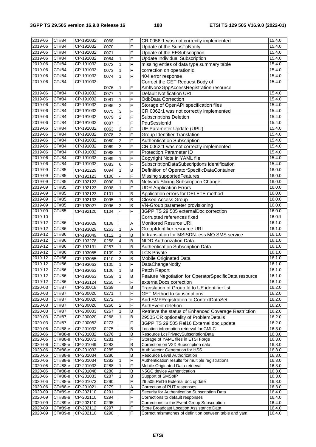| 2019-06            | CT#84              | CP-191032              | 0068         |                  | F           | CR 0056r1 was not correctly implemented                                               | 15.4.0           |
|--------------------|--------------------|------------------------|--------------|------------------|-------------|---------------------------------------------------------------------------------------|------------------|
| 2019-06            | CT#84              | CP-191032              | 0070         |                  | F           | Update of the SubsToNotify                                                            | 15.4.0           |
| 2019-06            | CT#84              | CP-191032              | 0071         |                  | F           | Update of the EESubscription                                                          | 15.4.0           |
| 2019-06            | CT#84              | CP-191032              | 0064         | $\mathbf{1}$     | F           | Update Individual Subscription                                                        | 15.4.0           |
| 2019-06            | CT#84              | CP-191032              | 0072         | $\mathbf{1}$     | F           | missing enties of data type summary table                                             | 15.4.0           |
| 2019-06            | CT#84              | CP-191032              | 0073         | $\mathbf{1}$     | F           | correction on operationId                                                             | 15.4.0           |
| 2019-06            | CT#84              | CP-191032              | 0074         | $\mathbf{1}$     | F           | 404 error response                                                                    | 15.4.0           |
| 2019-06            | CT#84              | CP-191032              |              |                  |             | Correct the GET Request Body of                                                       | 15.4.0           |
|                    |                    |                        | 0076         | 1                | F           | AmfNon3GppAccessRegistration resource                                                 |                  |
| 2019-06            | CT#84              | CP-191032              | 0077         | $\mathbf{1}$     | F           | <b>Default Notification URI</b>                                                       | 15.4.0           |
| 2019-06            | CT#84              | CP-191032              | 0081         | $\mathbf{1}$     | F           | OdbData Correction                                                                    | 15.4.0           |
| 2019-06            | CT#84              | CP-191032              | 0086         | $\overline{c}$   | F           | Storage of OpenAPI specification files                                                | 15.4.0           |
| 2019-06            | CT#84              | CP-191032              | 0075         | $\mathbf{3}$     | F           | CR 0062r1 was not correctly implemented                                               | 15.4.0           |
| 2019-06            | CT#84              | CP-191032              | 0079         | $\overline{c}$   | F           | <b>Subscriptions Deletion</b>                                                         | 15.4.0           |
| 2019-06            | CT#84              | CP-191032              | 0087         |                  | F           | PduSessionId                                                                          | 15.4.0           |
| 2019-06            | CT#84              | CP-191032              | 0063         | $\boldsymbol{2}$ | F           | UE Parameter Update (UPU)                                                             | 15.4.0           |
| 2019-06            | CT#84              | CP-191032              | 0078         | $\overline{2}$   | F           | <b>Group Identifier Translation</b>                                                   | 15.4.0           |
| 2019-06            | CT#84              | CP-191032              | 0080         | $\overline{2}$   | F           | Authentication Subscription                                                           | 15.4.0           |
| 2019-06            | CT#84              | CP-191032              | 0069         | $\overline{2}$   | F           | CR 0062r1 was not correctly implemented                                               | 15.4.0           |
| 2019-06            | CT#84              | CP-191032              | 0088         | $\mathbf{1}$     | F           | <b>Protection Parameter ID</b>                                                        | 15.4.0           |
| 2019-06            | CT#84              | CP-191032              | 0089         | $\mathbf{1}$     | F           | Copyright Note in YAML file                                                           | 15.4.0           |
| 2019-06            | CT#84              | CP-191032              | 0083         | $6\phantom{a}$   | F           | SubscriptionDataSubscriptions identification                                          | 15.4.0           |
| 2019-09            | CT#85              | CP-192229              | 0094         | $\mathbf{1}$     | B           | Definition of OperatorSpecificDataContainer                                           | 16.0.0           |
| 2019-09            | CT#85              | CP-192123              | 0100         | $\overline{a}$   | F           | Missing supportedFeatures                                                             | 16.0.0           |
| 2019-09            | CT#85              | CP-192123              | 0090         | $\mathbf{1}$     | B           | Network Slicing Subscription Change                                                   | 16.0.0           |
| 2019-09            | CT#85              | CP-192123              | 0098         | $\mathbf{1}$     | F           | <b>UDR Application Errors</b>                                                         | 16.0.0           |
| 2019-09            | CT#85              | CP-192123              | 0101         | $\mathbf{1}$     | B           | Application errors for DELETE method                                                  | 16.0.0           |
| 2019-09            | CT#85              | CP-192133              | 0095         | $\mathbf{1}$     | B           | <b>Closed Access Group</b>                                                            | 16.0.0           |
| 2019-09            | CT#85              | CP-192027              | 0096         | $\overline{2}$   | B           | VN-Group parameter provisioning                                                       | 16.0.0           |
| 2019-09            | CT#85              | CP-192120              | 0104         |                  | F           | 3GPP TS 29.505 externalDoc correction                                                 | 16.0.0           |
| 2019-10            |                    |                        |              |                  |             | Corrupted references fixed                                                            | 16.0.1           |
| 2019-12            | CT#86              | CP-193029              | 0108         |                  | A           | Monitored Resurce URI                                                                 | 16.1.0           |
| 2019-12            | <b>CT#86</b>       | CP-193029              | 0263         | 1                | A           | GroupIdentifier resource URI                                                          | 16.1.0           |
| 2019-12            | <b>CT#86</b>       | CP-193049              | 0112         | $\mathbf{1}$     | в           | Id translation for MSISDN-less MO SMS service                                         | 16.1.0           |
| 2019-12            | <b>CT#86</b>       | CP-193278              | 0258         | $\overline{4}$   | B           | NIDD Authorization Data                                                               | 16.1.0           |
| 2019-12            | <b>CT#86</b>       | CP-193131              | 0257         | $\mathbf{1}$     | B           | Authentication Subscription Data                                                      | 16.1.0           |
| 2019-12            | CT#86              | CP-193055              | 0109         | $\overline{2}$   | $\mathsf B$ | <b>LCS Private</b>                                                                    | 16.1.0           |
| 2019-12            | CT#86              | CP-193055              | 0110         | $\overline{3}$   | B           | Mobile Originated Data                                                                | 16.1.0           |
| 2019-12            | CT#86              | CP-193063              | 0105         | $\mathbf{1}$     | F           | DataChangeNotify                                                                      | 16.1.0           |
| 2019-12            | <b>CT#86</b>       | CP-193063              | 0106         | $\mathbf{1}$     | B           | Patch Report                                                                          | 16.1.0           |
| 2019-12            | CT#86              | CP-193063              | 0259         | 1                | В           | Feature Negotiation for OperatorSpecificData resource                                 | 16.1.0           |
| 2019-12            | CT#86              | CP-193124              | 0265         |                  | F           | externalDocs correction                                                               | 16.1.0           |
| 2020-03            | CT#87              | CP-200018              | 0269         |                  | B           | Translation of Group Id to UE identifier list                                         | 16.2.0           |
| 2020-03            | CT#87              | CP-200020              | 0271         | $\mathbf{1}$     | F           | <b>GET Method to subscriptions</b>                                                    | 16.2.0           |
| 2020-03            | CT#87              | CP-200020              | 0272         |                  | F           | Add SMFRegistration to ContextDataSet                                                 | 16.2.0           |
| 2020-03            | CT#87              | CP-200020              | 0266         | $\overline{2}$   | F           | AuthEvent deletion                                                                    | 16.2.0           |
| 2020-03            | CT#87              | CP-200033              | 0267         | 1                | в           | Retrieve the status of Enhanced Coverage Restriction                                  | 16.2.0           |
| 2020-03            | CT#87              | CP-200020              | 0268         | 1                | B           | 29505 CR optionality of ProblemDetails                                                | 16.2.0           |
| 2020-03            | CT#87              | CP-200052              | 0273         |                  | F           | 3GPP TS 29.505 Rel16 External doc update                                              | 16.2.0           |
| 2020-06            | СТ#88-е            | CP-201032              | 0275         |                  | B           | Location information retrieval for GMLC                                               | 16.3.0           |
| 2020-06            | CT#88-e            | CP-201032              | 0276         | 1                | В           | Resource LcsPrivacySubscriptionData                                                   | 16.3.0           |
| 2020-06            | CT#88-e            | CP-201071              | 0281         |                  | F           | Storage of YAML files in ETSI Forge                                                   | 16.3.0           |
| 2020-06            | СТ#88-е            | CP-201049              | 0283         |                  | B           | Correction on V2X Subscription data                                                   | 16.3.0           |
| 2020-06            | CT#88-e            | CP-201033              | 0285         |                  | В           | Auth Vector Generation for HSS                                                        | 16.3.0           |
| 2020-06            | CT#88-e            | CP-201034              | 0286<br>0282 |                  | B<br>F      | Resource Level Authorization                                                          | 16.3.0           |
| 2020-06<br>2020-06 | CT#88-e<br>CT#88-e | CP-201034<br>CP-201032 | 0288         | 1<br>1           | F           | Authentication results for multiple registrations<br>Mobile Originated Data retrieval | 16.3.0<br>16.3.0 |
| 2020-06            | $CT#88-e$          | CP-201048              | 0280         | 1                | B           | N5GC device Authentication                                                            | 16.3.0           |
| 2020-06            | CT#88-e            | CP-201033              | 0287         | 1                | В           | Support of SMSoIP                                                                     | 16.3.0           |
| 2020-06            | CT#88-e            | CP-201073              | 0290         |                  | F           | 29.505 Rel16 External doc update                                                      | 16.3.0           |
| 2020-06            | СТ#88-е            | CP-201021              | 0279         | $\mathbf{1}$     | Α           | Correction of PUT responses                                                           | 16.3.0           |
| 2020-09            | CT#89-e            | CP-202110              | 0291         |                  | F           | Security for Authentication Subscription Data                                         | 16.4.0           |
| 2020-09            | CT#89-e            | CP-202110              | 0294         |                  | F           | Corrections to default responses                                                      | 16.4.0           |
| 2020-09            | CT#89-e            | CP-202110              | 0295         |                  | F           | Corrections to the Event Group Subscription                                           | 16.4.0           |
| 2020-09            | CT#89-e            | CP-202112              | 0297         | 1                | F<br>F      | Store Broadcast Location Assistance Data                                              | 16.4.0           |
| 2020-09            | СТ#89-е            | CP-202110              | 0298         |                  |             | Correct mismatches of definition between table and yaml                               | 16.4.0           |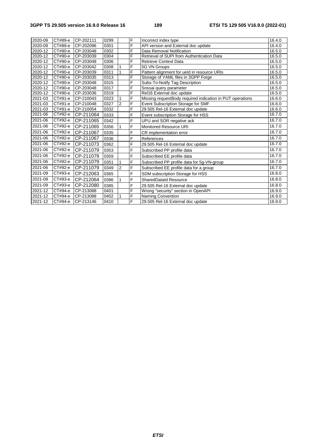## **3GPP TS 29.505 version 16.9.0 Release 16 189 ETSI TS 129 505 V16.9.0 (2022-01)**

| 2020-09 | CT#89-e | CP-202111 | 0299 |                | F | Incorrect index type                                      | 16.4.0 |
|---------|---------|-----------|------|----------------|---|-----------------------------------------------------------|--------|
| 2020-09 | CT#89-e | CP-202096 | 0301 |                | F | API version and External doc update                       | 16.4.0 |
| 2020-12 | CT#90-e | CP-203048 | 0302 |                | F | Data Removal Notification                                 | 16.5.0 |
| 2020-12 | СТ#90-е | CP-203039 | 0304 |                | F | Retrieval of SUPI from Authentication Data                | 16.5.0 |
| 2020-12 | CT#90-e | CP-203048 | 0306 |                | F | <b>Retrieve Context Data</b>                              | 16.5.0 |
| 2020-12 | СТ#90-е | CP-203042 | 0308 | $\mathbf{1}$   | F | 5G VN Groups                                              | 16.5.0 |
| 2020-12 | CT#90-e | CP-203039 | 0311 | $\mathbf{1}$   | F | Pattern alignment for ueld in resource URIs               | 16.5.0 |
| 2020-12 | CT#90-e | CP-203035 | 0313 |                | F | Storage of YAML files in 3GPP Forge                       | 16.5.0 |
| 2020-12 | CT#90-e | CP-203048 | 0315 |                | F | Subs-To-Notify Tag Description                            | 16.5.0 |
| 2020-12 | CT#90-e | CP-203048 | 0317 |                | F | Snssai query parameter                                    | 16.5.0 |
| 2020-12 | CT#90-e | CP-203036 | 0319 |                | F | Rel16 External doc update                                 | 16.5.0 |
| 2021-03 | CT#91-e | CP-210043 | 0323 | $\mathbf{1}$   | F | Missing requestBody required indication in PUT operations | 16.6.0 |
| 2021-03 | CT#91-e | CP-210048 | 0327 | $\overline{c}$ | F | Event Subscription Storage for SMF                        | 16.6.0 |
| 2021-03 | CT#91-e | CP-210054 | 0332 |                | F | 29.505 Rel-16 External doc update                         | 16.6.0 |
| 2021-06 | CT#92-e | CP-211064 | 0333 |                | F | Event subscription Storage for HSS                        | 16.7.0 |
| 2021-06 | CT#92-e | CP-211065 | 0342 |                | F | UPU and SOR negative ack                                  | 16.7.0 |
| 2021-06 | CT#92-e | CP-211065 | 0356 | $\mathbf{1}$   | F | <b>Monitored Resource URI</b>                             | 16.7.0 |
| 2021-06 | CT#92-e | CP-211067 | 0335 |                | F | CR implementation error                                   | 16.7.0 |
| 2021-06 | CT#92-e | CP-211067 | 0336 |                | F | References                                                | 16.7.0 |
| 2021-06 | CT#92-e | CP-211073 | 0362 |                | F | 29.505 Rel-16 External doc update                         | 16.7.0 |
| 2021-06 | CT#92-e | CP-211079 | 0353 |                | F | Subscribed PP profile data                                | 16.7.0 |
| 2021-06 | CT#92-e | CP-211079 | 0359 |                | F | Subscribed EE profile data                                | 16.7.0 |
| 2021-06 | CT#92-e | CP-211079 | 0351 | 1              | F | Subscribed PP profile data for 5g-VN-group                | 16.7.0 |
| 2021-06 | CT#92-e | CP-211079 | 0349 | $\overline{2}$ | F | Subscribed EE profile data for a group                    | 16.7.0 |
| 2021-09 | CT#93-e | CP-212063 | 0365 |                | F | SDM subscription Storage for HSS                          | 16.8.0 |
| 2021-09 | CT#93-e | CP-212064 | 0386 | $\mathbf{1}$   | F | <b>SharedDataId Resource</b>                              | 16.8.0 |
| 2021-09 | CT#93-e | CP-212080 | 0385 |                | F | 29.505 Rel-16 External doc update                         | 16.8.0 |
| 2021-12 | CT#94-e | CP-213088 | 0401 |                | F | Wrong "security" section in OpenAPI                       | 16.9.0 |
| 2021-12 | CT#94-e | CP-213088 | 0402 | $\mathbf{1}$   | F | <b>Naming Convention</b>                                  | 16.9.0 |
| 2021-12 | CT#94-e | CP-213146 | 0410 |                | F | 29.505 Rel-16 External doc update                         | 16.9.0 |